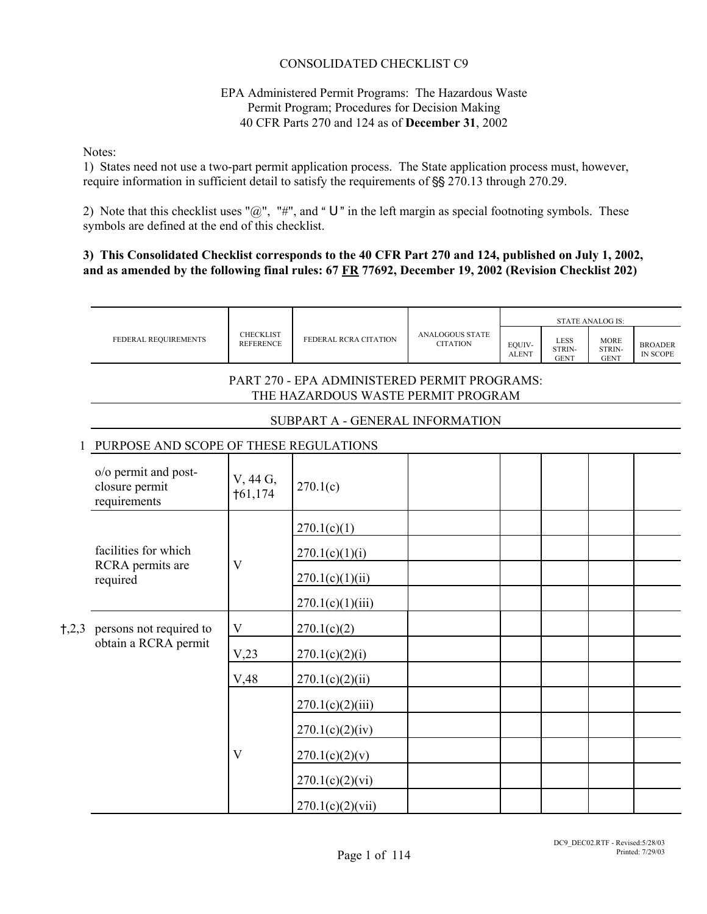# CONSOLIDATED CHECKLIST C9

#### EPA Administered Permit Programs: The Hazardous Waste Permit Program; Procedures for Decision Making 40 CFR Parts 270 and 124 as of **December 31**, 2002

Notes:

1) States need not use a two-part permit application process. The State application process must, however, require information in sufficient detail to satisfy the requirements of §§ 270.13 through 270.29.

2) Note that this checklist uses " $@$ ", "#", and "U" in the left margin as special footnoting symbols. These symbols are defined at the end of this checklist.

#### **3) This Consolidated Checklist corresponds to the 40 CFR Part 270 and 124, published on July 1, 2002, and as amended by the following final rules: 67 FR 77692, December 19, 2002 (Revision Checklist 202)**

|       | FEDERAL REQUIREMENTS                                   | <b>CHECKLIST</b><br><b>REFERENCE</b> | FEDERAL RCRA CITATION                                                              | <b>ANALOGOUS STATE</b><br><b>CITATION</b> | EQUIV-<br><b>ALENT</b> | <b>LESS</b><br>STRIN-<br><b>GENT</b> | <b>MORE</b><br>STRIN-<br><b>GENT</b> | <b>BROADER</b><br>IN SCOPE |  |  |                 |  |  |
|-------|--------------------------------------------------------|--------------------------------------|------------------------------------------------------------------------------------|-------------------------------------------|------------------------|--------------------------------------|--------------------------------------|----------------------------|--|--|-----------------|--|--|
|       |                                                        |                                      | PART 270 - EPA ADMINISTERED PERMIT PROGRAMS:<br>THE HAZARDOUS WASTE PERMIT PROGRAM |                                           |                        |                                      |                                      |                            |  |  |                 |  |  |
|       |                                                        |                                      | SUBPART A - GENERAL INFORMATION                                                    |                                           |                        |                                      |                                      |                            |  |  |                 |  |  |
|       | PURPOSE AND SCOPE OF THESE REGULATIONS                 |                                      |                                                                                    |                                           |                        |                                      |                                      |                            |  |  |                 |  |  |
|       | o/o permit and post-<br>closure permit<br>requirements | V, 44 G,<br>†61,174                  | 270.1(c)                                                                           |                                           |                        |                                      |                                      |                            |  |  |                 |  |  |
|       |                                                        |                                      | 270.1(c)(1)                                                                        |                                           |                        |                                      |                                      |                            |  |  |                 |  |  |
|       |                                                        | facilities for which                 | $\mathbf{V}$                                                                       | 270.1(c)(1)(i)                            |                        |                                      |                                      |                            |  |  |                 |  |  |
|       | RCRA permits are<br>required                           |                                      |                                                                                    |                                           |                        |                                      |                                      |                            |  |  | 270.1(c)(1)(ii) |  |  |
|       |                                                        |                                      | 270.1(c)(1)(iii)                                                                   |                                           |                        |                                      |                                      |                            |  |  |                 |  |  |
| 1,2,3 | persons not required to                                | $\mathbf V$                          | 270.1(c)(2)                                                                        |                                           |                        |                                      |                                      |                            |  |  |                 |  |  |
|       | obtain a RCRA permit                                   | V,23                                 | 270.1(c)(2)(i)                                                                     |                                           |                        |                                      |                                      |                            |  |  |                 |  |  |
|       |                                                        | V,48                                 | 270.1(c)(2)(ii)                                                                    |                                           |                        |                                      |                                      |                            |  |  |                 |  |  |
|       |                                                        |                                      | 270.1(c)(2)(iii)                                                                   |                                           |                        |                                      |                                      |                            |  |  |                 |  |  |
|       |                                                        |                                      | 270.1(c)(2)(iv)                                                                    |                                           |                        |                                      |                                      |                            |  |  |                 |  |  |
|       |                                                        | V                                    | 270.1(c)(2)(v)                                                                     |                                           |                        |                                      |                                      |                            |  |  |                 |  |  |
|       |                                                        |                                      | 270.1(c)(2)(vi)                                                                    |                                           |                        |                                      |                                      |                            |  |  |                 |  |  |
|       |                                                        |                                      | 270.1(c)(2)(vii)                                                                   |                                           |                        |                                      |                                      |                            |  |  |                 |  |  |
|       |                                                        |                                      |                                                                                    |                                           |                        |                                      |                                      |                            |  |  |                 |  |  |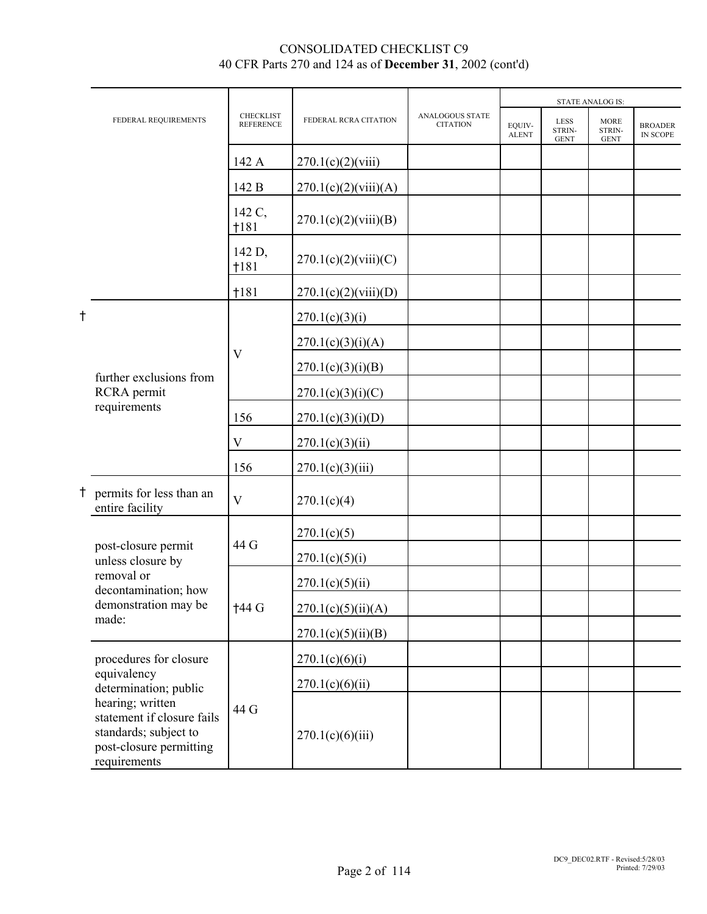|   | FEDERAL REQUIREMENTS                                                                                               | <b>CHECKLIST</b><br><b>REFERENCE</b> | FEDERAL RCRA CITATION                                                                                                                                                                                                                                                              | <b>ANALOGOUS STATE</b><br><b>CITATION</b> | EOUIV-<br><b>ALENT</b> | <b>LESS</b><br>STRIN-<br><b>GENT</b> | <b>MORE</b><br>STRIN-<br><b>GENT</b> | <b>BROADER</b><br>IN SCOPE |
|---|--------------------------------------------------------------------------------------------------------------------|--------------------------------------|------------------------------------------------------------------------------------------------------------------------------------------------------------------------------------------------------------------------------------------------------------------------------------|-------------------------------------------|------------------------|--------------------------------------|--------------------------------------|----------------------------|
|   |                                                                                                                    | 142 A                                | 270.1(c)(2)(viii)                                                                                                                                                                                                                                                                  |                                           |                        |                                      |                                      |                            |
|   |                                                                                                                    | 142 B                                | 270.1(c)(2)(viii)(A)                                                                                                                                                                                                                                                               |                                           |                        |                                      |                                      |                            |
|   |                                                                                                                    | 142 C,<br>1181                       | 270.1(c)(2)(viii)(B)                                                                                                                                                                                                                                                               |                                           |                        |                                      |                                      |                            |
| t |                                                                                                                    | 142 D,<br>1181                       | 270.1(c)(2)(viii)(C)<br>270.1(c)(2)(viii)(D)<br>270.1(c)(3)(i)<br>270.1(c)(3)(i)(A)<br>270.1(c)(3)(i)(B)<br>270.1(c)(3)(i)(C)<br>270.1(c)(3)(i)(D)<br>270.1(c)(3)(ii)<br>270.1(c)(3)(iii)<br>270.1(c)(4)<br>270.1(c)(5)<br>270.1(c)(5)(i)<br>270.1(c)(5)(ii)<br>270.1(c)(5)(ii)(A) |                                           |                        |                                      |                                      |                            |
|   |                                                                                                                    | †181                                 |                                                                                                                                                                                                                                                                                    |                                           |                        |                                      |                                      |                            |
|   |                                                                                                                    |                                      |                                                                                                                                                                                                                                                                                    |                                           |                        |                                      |                                      |                            |
|   |                                                                                                                    | V                                    |                                                                                                                                                                                                                                                                                    |                                           |                        |                                      |                                      |                            |
|   | further exclusions from                                                                                            |                                      |                                                                                                                                                                                                                                                                                    |                                           |                        | <b>STATE ANALOG IS:</b>              |                                      |                            |
|   | RCRA permit                                                                                                        |                                      |                                                                                                                                                                                                                                                                                    |                                           |                        |                                      |                                      |                            |
|   | requirements                                                                                                       | 156                                  |                                                                                                                                                                                                                                                                                    |                                           |                        |                                      |                                      |                            |
|   |                                                                                                                    | V                                    |                                                                                                                                                                                                                                                                                    |                                           |                        |                                      |                                      |                            |
|   |                                                                                                                    | 156                                  |                                                                                                                                                                                                                                                                                    |                                           |                        |                                      |                                      |                            |
|   | permits for less than an<br>entire facility                                                                        | $\overline{\mathbf{V}}$              |                                                                                                                                                                                                                                                                                    |                                           |                        |                                      |                                      |                            |
|   |                                                                                                                    |                                      |                                                                                                                                                                                                                                                                                    |                                           |                        |                                      |                                      |                            |
|   | post-closure permit<br>unless closure by                                                                           | 44 G                                 |                                                                                                                                                                                                                                                                                    |                                           |                        |                                      |                                      |                            |
|   | removal or<br>decontamination; how                                                                                 |                                      |                                                                                                                                                                                                                                                                                    |                                           |                        |                                      |                                      |                            |
|   | demonstration may be                                                                                               | †44 G                                |                                                                                                                                                                                                                                                                                    |                                           |                        |                                      |                                      |                            |
|   | made:                                                                                                              |                                      | 270.1(c)(5)(ii)(B)                                                                                                                                                                                                                                                                 |                                           |                        |                                      |                                      |                            |
|   | procedures for closure                                                                                             |                                      | 270.1(c)(6)(i)                                                                                                                                                                                                                                                                     |                                           |                        |                                      |                                      |                            |
|   | equivalency<br>determination; public                                                                               |                                      | 270.1(c)(6)(ii)                                                                                                                                                                                                                                                                    |                                           |                        |                                      |                                      |                            |
|   | hearing; written<br>statement if closure fails<br>standards; subject to<br>post-closure permitting<br>requirements | 44 G                                 | 270.1(c)(6)(iii)                                                                                                                                                                                                                                                                   |                                           |                        |                                      |                                      |                            |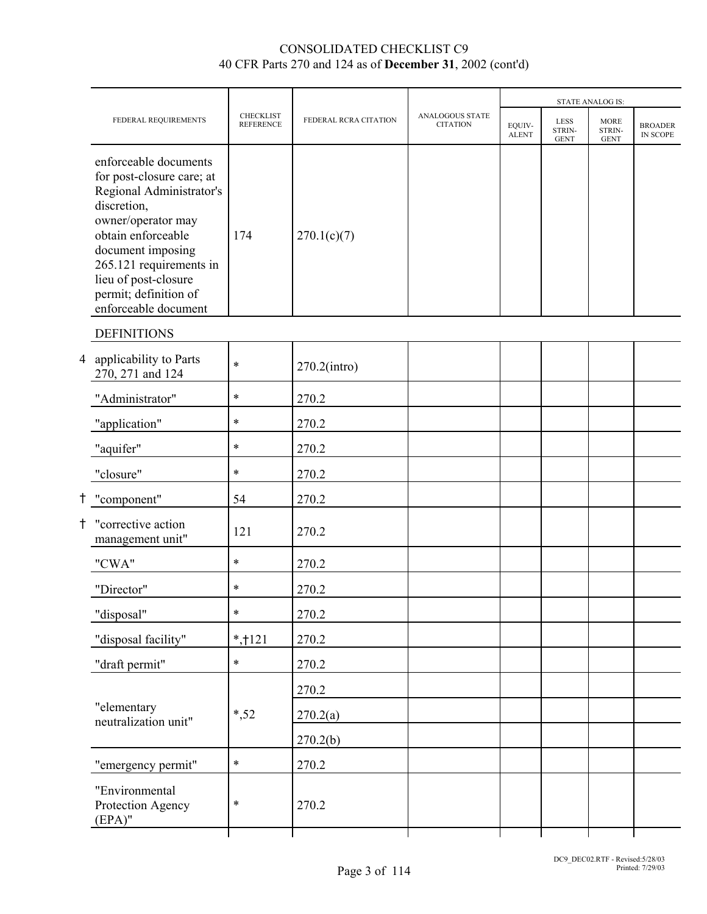|                                                                                                                                                                                                                                                                    |                                      |                       |                                           |                        |                                      | <b>STATE ANALOG IS:</b>              |                                   |
|--------------------------------------------------------------------------------------------------------------------------------------------------------------------------------------------------------------------------------------------------------------------|--------------------------------------|-----------------------|-------------------------------------------|------------------------|--------------------------------------|--------------------------------------|-----------------------------------|
| FEDERAL REQUIREMENTS                                                                                                                                                                                                                                               | <b>CHECKLIST</b><br><b>REFERENCE</b> | FEDERAL RCRA CITATION | <b>ANALOGOUS STATE</b><br><b>CITATION</b> | EQUIV-<br><b>ALENT</b> | <b>LESS</b><br>STRIN-<br><b>GENT</b> | <b>MORE</b><br>STRIN-<br><b>GENT</b> | <b>BROADER</b><br><b>IN SCOPE</b> |
| enforceable documents<br>for post-closure care; at<br>Regional Administrator's<br>discretion,<br>owner/operator may<br>obtain enforceable<br>document imposing<br>265.121 requirements in<br>lieu of post-closure<br>permit; definition of<br>enforceable document | 174                                  | 270.1(c)(7)           |                                           |                        |                                      |                                      |                                   |
| <b>DEFINITIONS</b>                                                                                                                                                                                                                                                 |                                      |                       |                                           |                        |                                      |                                      |                                   |
| 4 applicability to Parts<br>270, 271 and 124                                                                                                                                                                                                                       | $\ast$                               | $270.2$ (intro)       |                                           |                        |                                      |                                      |                                   |
| "Administrator"                                                                                                                                                                                                                                                    | $\ast$                               | 270.2                 |                                           |                        |                                      |                                      |                                   |
| "application"                                                                                                                                                                                                                                                      | $\ast$                               | 270.2                 |                                           |                        |                                      |                                      |                                   |
| "aquifer"                                                                                                                                                                                                                                                          | $\ast$                               | 270.2                 |                                           |                        |                                      |                                      |                                   |
| "closure"                                                                                                                                                                                                                                                          | $\ast$                               | 270.2                 |                                           |                        |                                      |                                      |                                   |
| † "component"                                                                                                                                                                                                                                                      | 54                                   | 270.2                 |                                           |                        |                                      |                                      |                                   |
| † "corrective action<br>management unit"                                                                                                                                                                                                                           | 121                                  | 270.2                 |                                           |                        |                                      |                                      |                                   |
| "CWA"                                                                                                                                                                                                                                                              | $\ast$                               | 270.2                 |                                           |                        |                                      |                                      |                                   |
| "Director"                                                                                                                                                                                                                                                         | $\ast$                               | 270.2                 |                                           |                        |                                      |                                      |                                   |
| "disposal"                                                                                                                                                                                                                                                         | $\ast$                               | 270.2                 |                                           |                        |                                      |                                      |                                   |
| "disposal facility"                                                                                                                                                                                                                                                | $*,121$                              | 270.2                 |                                           |                        |                                      |                                      |                                   |
| "draft permit"                                                                                                                                                                                                                                                     | $\ast$                               | 270.2                 |                                           |                        |                                      |                                      |                                   |
|                                                                                                                                                                                                                                                                    |                                      | 270.2                 |                                           |                        |                                      |                                      |                                   |
| "elementary<br>neutralization unit"                                                                                                                                                                                                                                | $*, 52$                              | 270.2(a)              |                                           |                        |                                      |                                      |                                   |
|                                                                                                                                                                                                                                                                    |                                      | 270.2(b)              |                                           |                        |                                      |                                      |                                   |
| "emergency permit"                                                                                                                                                                                                                                                 | $\ast$                               | 270.2                 |                                           |                        |                                      |                                      |                                   |
| "Environmental<br>Protection Agency<br>$(EPA)$ "                                                                                                                                                                                                                   | $\ast$                               | 270.2                 |                                           |                        |                                      |                                      |                                   |
|                                                                                                                                                                                                                                                                    |                                      |                       |                                           |                        |                                      |                                      |                                   |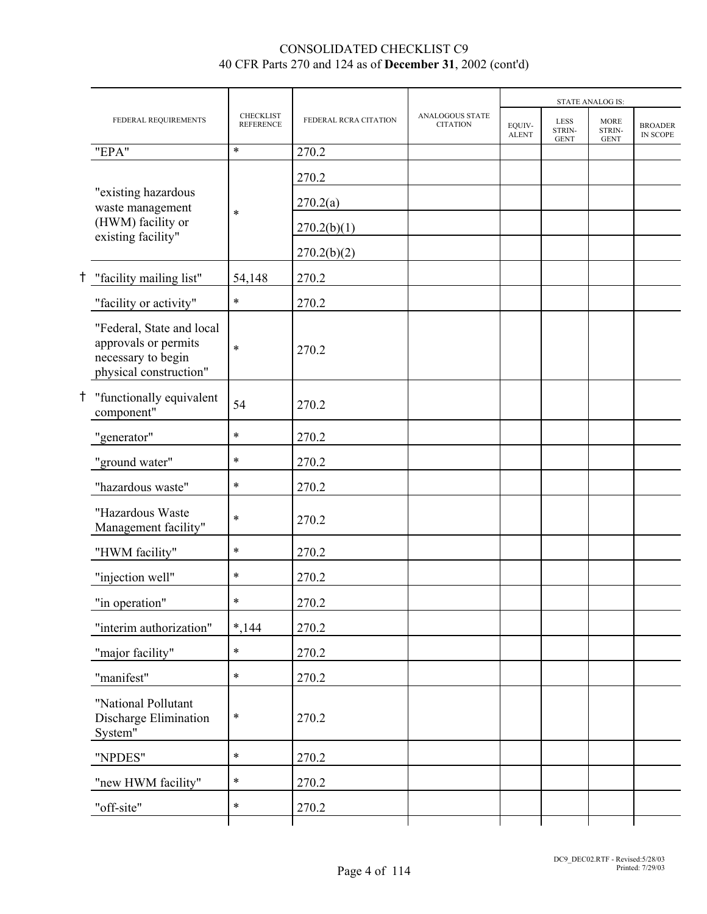|                                                                                                   |                                      |                       |                                    |                        |                                      | <b>STATE ANALOG IS:</b>              |                            |
|---------------------------------------------------------------------------------------------------|--------------------------------------|-----------------------|------------------------------------|------------------------|--------------------------------------|--------------------------------------|----------------------------|
| FEDERAL REQUIREMENTS                                                                              | <b>CHECKLIST</b><br><b>REFERENCE</b> | FEDERAL RCRA CITATION | ANALOGOUS STATE<br><b>CITATION</b> | EOUIV-<br><b>ALENT</b> | <b>LESS</b><br>STRIN-<br><b>GENT</b> | <b>MORE</b><br>STRIN-<br><b>GENT</b> | <b>BROADER</b><br>IN SCOPE |
| "EPA"                                                                                             | $\ast$                               | 270.2                 |                                    |                        |                                      |                                      |                            |
|                                                                                                   |                                      | 270.2                 |                                    |                        |                                      |                                      |                            |
| "existing hazardous<br>waste management                                                           | $\ast$                               | 270.2(a)              |                                    |                        |                                      |                                      |                            |
| (HWM) facility or<br>existing facility"                                                           |                                      | 270.2(b)(1)           |                                    |                        |                                      |                                      |                            |
|                                                                                                   |                                      | 270.2(b)(2)           |                                    |                        |                                      |                                      |                            |
| "facility mailing list"                                                                           | 54,148                               | 270.2                 |                                    |                        |                                      |                                      |                            |
| "facility or activity"                                                                            | $\ast$                               | 270.2                 |                                    |                        |                                      |                                      |                            |
| "Federal, State and local<br>approvals or permits<br>necessary to begin<br>physical construction" | $\ast$                               | 270.2                 |                                    |                        |                                      |                                      |                            |
| "functionally equivalent<br>component"                                                            | 54                                   | 270.2                 |                                    |                        |                                      |                                      |                            |
| "generator"                                                                                       | $\ast$                               | 270.2                 |                                    |                        |                                      |                                      |                            |
| "ground water"                                                                                    | $\ast$                               | 270.2                 |                                    |                        |                                      |                                      |                            |
| "hazardous waste"                                                                                 | $\ast$                               | 270.2                 |                                    |                        |                                      |                                      |                            |
| "Hazardous Waste<br>Management facility"                                                          | $\ast$                               | 270.2                 |                                    |                        |                                      |                                      |                            |
| "HWM facility"                                                                                    | $\ast$                               | 270.2                 |                                    |                        |                                      |                                      |                            |
| "injection well"                                                                                  | $\ast$                               | 270.2                 |                                    |                        |                                      |                                      |                            |
| "in operation"                                                                                    | $\ast$                               | 270.2                 |                                    |                        |                                      |                                      |                            |
| "interim authorization"                                                                           | $*, 144$                             | 270.2                 |                                    |                        |                                      |                                      |                            |
| "major facility"                                                                                  | $\ast$                               | 270.2                 |                                    |                        |                                      |                                      |                            |
| "manifest"                                                                                        | $\ast$                               | 270.2                 |                                    |                        |                                      |                                      |                            |
| "National Pollutant<br>Discharge Elimination<br>System"                                           | $\ast$                               | 270.2                 |                                    |                        |                                      |                                      |                            |
| "NPDES"                                                                                           | $\ast$                               | 270.2                 |                                    |                        |                                      |                                      |                            |
| "new HWM facility"                                                                                | $\ast$                               | 270.2                 |                                    |                        |                                      |                                      |                            |
| "off-site"                                                                                        | $\ast$                               | 270.2                 |                                    |                        |                                      |                                      |                            |
|                                                                                                   |                                      |                       |                                    |                        |                                      |                                      |                            |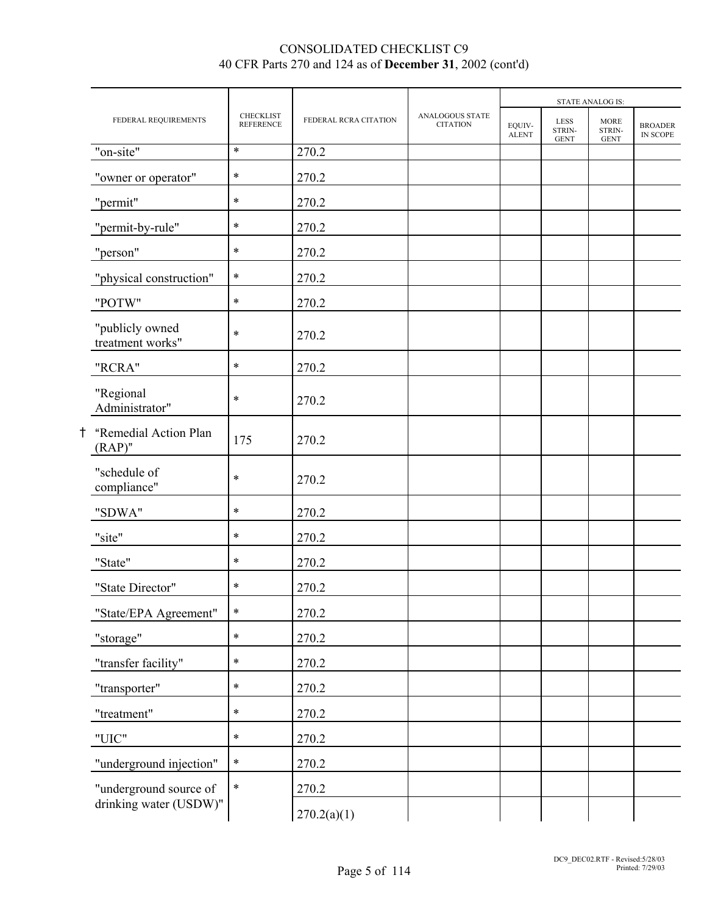|    |                                     |                                      |                       |                                           |                        |                                      | <b>STATE ANALOG IS:</b>              |                            |
|----|-------------------------------------|--------------------------------------|-----------------------|-------------------------------------------|------------------------|--------------------------------------|--------------------------------------|----------------------------|
|    | FEDERAL REQUIREMENTS                | <b>CHECKLIST</b><br><b>REFERENCE</b> | FEDERAL RCRA CITATION | <b>ANALOGOUS STATE</b><br><b>CITATION</b> | EQUIV-<br><b>ALENT</b> | <b>LESS</b><br>STRIN-<br><b>GENT</b> | <b>MORE</b><br>STRIN-<br><b>GENT</b> | <b>BROADER</b><br>IN SCOPE |
|    | "on-site"                           | $\ast$                               | 270.2                 |                                           |                        |                                      |                                      |                            |
|    | "owner or operator"                 | $\ast$                               | 270.2                 |                                           |                        |                                      |                                      |                            |
|    | "permit"                            | $\ast$                               | 270.2                 |                                           |                        |                                      |                                      |                            |
|    | "permit-by-rule"                    | $\ast$                               | 270.2                 |                                           |                        |                                      |                                      |                            |
|    | "person"                            | $\ast$                               | 270.2                 |                                           |                        |                                      |                                      |                            |
|    | "physical construction"             | $\ast$                               | 270.2                 |                                           |                        |                                      |                                      |                            |
|    | "POTW"                              | $\ast$                               | 270.2                 |                                           |                        |                                      |                                      |                            |
|    | "publicly owned<br>treatment works" | $\ast$                               | 270.2                 |                                           |                        |                                      |                                      |                            |
|    | "RCRA"                              | $\ast$                               | 270.2                 |                                           |                        |                                      |                                      |                            |
|    | "Regional<br>Administrator"         | $\ast$                               | 270.2                 |                                           |                        |                                      |                                      |                            |
| t. | "Remedial Action Plan<br>$(RAP)$ "  | 175                                  | 270.2                 |                                           |                        |                                      |                                      |                            |
|    | "schedule of<br>compliance"         | $\ast$                               | 270.2                 |                                           |                        |                                      |                                      |                            |
|    | "SDWA"                              | $\ast$                               | 270.2                 |                                           |                        |                                      |                                      |                            |
|    | "site"                              | $\ast$                               | 270.2                 |                                           |                        |                                      |                                      |                            |
|    | "State"                             | $\ast$                               | 270.2                 |                                           |                        |                                      |                                      |                            |
|    | "State Director"                    | $\ast$                               | 270.2                 |                                           |                        |                                      |                                      |                            |
|    | "State/EPA Agreement"               | $\ast$                               | 270.2                 |                                           |                        |                                      |                                      |                            |
|    | "storage"                           | $\ast$                               | 270.2                 |                                           |                        |                                      |                                      |                            |
|    | "transfer facility"                 | $\ast$                               | 270.2                 |                                           |                        |                                      |                                      |                            |
|    | "transporter"                       | $\ast$                               | 270.2                 |                                           |                        |                                      |                                      |                            |
|    | "treatment"                         | $\ast$                               | 270.2                 |                                           |                        |                                      |                                      |                            |
|    | "UIC"                               | $\ast$                               | 270.2                 |                                           |                        |                                      |                                      |                            |
|    | "underground injection"             | $\ast$                               | 270.2                 |                                           |                        |                                      |                                      |                            |
|    | "underground source of              | $\ast$                               | 270.2                 |                                           |                        |                                      |                                      |                            |
|    | drinking water (USDW)"              |                                      | 270.2(a)(1)           |                                           |                        |                                      |                                      |                            |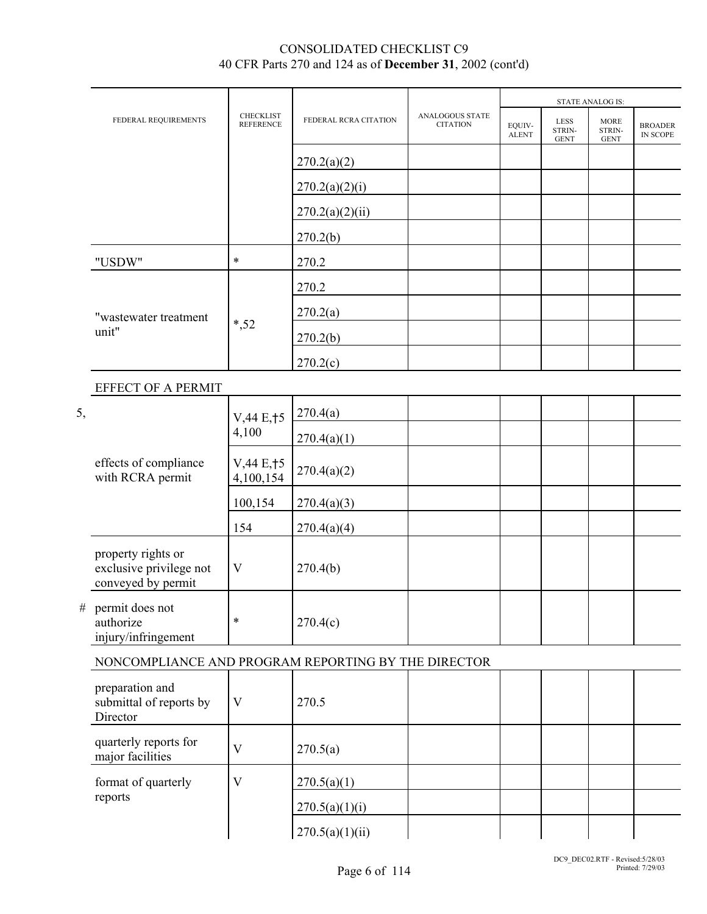|      |                                                                     |                                      |                       |                                    |                        |                                      | <b>STATE ANALOG IS:</b>              |                            |
|------|---------------------------------------------------------------------|--------------------------------------|-----------------------|------------------------------------|------------------------|--------------------------------------|--------------------------------------|----------------------------|
|      | FEDERAL REQUIREMENTS                                                | <b>CHECKLIST</b><br><b>REFERENCE</b> | FEDERAL RCRA CITATION | ANALOGOUS STATE<br><b>CITATION</b> | EQUIV-<br><b>ALENT</b> | <b>LESS</b><br>STRIN-<br><b>GENT</b> | <b>MORE</b><br>STRIN-<br><b>GENT</b> | <b>BROADER</b><br>IN SCOPE |
|      |                                                                     |                                      | 270.2(a)(2)           |                                    |                        |                                      |                                      |                            |
|      |                                                                     |                                      | 270.2(a)(2)(i)        |                                    |                        |                                      |                                      |                            |
|      |                                                                     |                                      | 270.2(a)(2)(ii)       |                                    |                        |                                      |                                      |                            |
|      |                                                                     |                                      | 270.2(b)              |                                    |                        |                                      |                                      |                            |
|      | "USDW"                                                              | $\ast$                               | 270.2                 |                                    |                        |                                      |                                      |                            |
|      |                                                                     |                                      | 270.2                 |                                    |                        |                                      |                                      |                            |
|      | "wastewater treatment                                               |                                      | 270.2(a)              |                                    |                        |                                      |                                      |                            |
|      | unit"                                                               | $*, 52$                              | 270.2(b)              |                                    |                        |                                      |                                      |                            |
|      |                                                                     |                                      | 270.2(c)              |                                    |                        |                                      |                                      |                            |
|      | EFFECT OF A PERMIT                                                  |                                      |                       |                                    |                        |                                      |                                      |                            |
| 5,   |                                                                     | V, 44 E, † 5                         | 270.4(a)              |                                    |                        |                                      |                                      |                            |
|      |                                                                     | 4,100                                | 270.4(a)(1)           |                                    |                        |                                      |                                      |                            |
|      | effects of compliance<br>with RCRA permit                           | V,44 E, 15<br>4,100,154              | 270.4(a)(2)           |                                    |                        |                                      |                                      |                            |
|      |                                                                     | 100,154                              | 270.4(a)(3)           |                                    |                        |                                      |                                      |                            |
|      |                                                                     | 154                                  | 270.4(a)(4)           |                                    |                        |                                      |                                      |                            |
|      | property rights or<br>exclusive privilege not<br>conveyed by permit | $\mathbf V$                          | 270.4(b)              |                                    |                        |                                      |                                      |                            |
| $\#$ | permit does not<br>authorize<br>injury/infringement                 | $\ast$                               | 270.4(c)              |                                    |                        |                                      |                                      |                            |
|      | NONCOMPLIANCE AND PROGRAM REPORTING BY THE DIRECTOR                 |                                      |                       |                                    |                        |                                      |                                      |                            |
|      | preparation and<br>submittal of reports by<br>Director              | V                                    | 270.5                 |                                    |                        |                                      |                                      |                            |
|      | quarterly reports for<br>major facilities                           | V                                    | 270.5(a)              |                                    |                        |                                      |                                      |                            |
|      | format of quarterly                                                 | V                                    | 270.5(a)(1)           |                                    |                        |                                      |                                      |                            |
|      | reports                                                             |                                      | 270.5(a)(1)(i)        |                                    |                        |                                      |                                      |                            |
|      |                                                                     |                                      | 270.5(a)(1)(ii)       |                                    |                        |                                      |                                      |                            |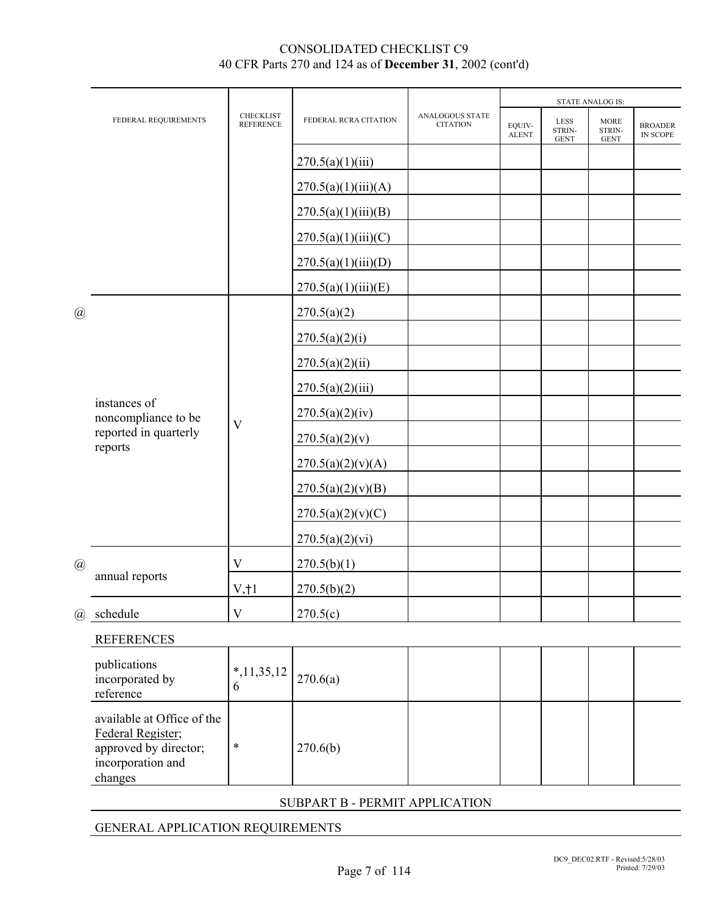|             | FEDERAL REQUIREMENTS                                                                                     | <b>CHECKLIST</b><br><b>REFERENCE</b> | FEDERAL RCRA CITATION          | ANALOGOUS STATE<br><b>CITATION</b> | EOUIV-<br><b>ALENT</b> | <b>LESS</b><br>STRIN-<br><b>GENT</b> | <b>MORE</b><br>STRIN-<br><b>GENT</b> | <b>BROADER</b><br>IN SCOPE |
|-------------|----------------------------------------------------------------------------------------------------------|--------------------------------------|--------------------------------|------------------------------------|------------------------|--------------------------------------|--------------------------------------|----------------------------|
|             |                                                                                                          |                                      | 270.5(a)(1)(iii)               |                                    |                        |                                      |                                      |                            |
|             |                                                                                                          |                                      | 270.5(a)(1)(iii)(A)            |                                    |                        |                                      |                                      |                            |
|             |                                                                                                          |                                      | 270.5(a)(1)(iii)(B)            |                                    |                        |                                      |                                      |                            |
|             |                                                                                                          |                                      | 270.5(a)(1)(iii)(C)            |                                    |                        |                                      |                                      |                            |
|             |                                                                                                          |                                      | 270.5(a)(1)(iii)(D)            |                                    |                        |                                      |                                      |                            |
|             |                                                                                                          |                                      | 270.5(a)(1)(iii)(E)            |                                    |                        |                                      |                                      |                            |
| @           |                                                                                                          |                                      | 270.5(a)(2)                    |                                    |                        |                                      |                                      |                            |
|             |                                                                                                          |                                      | 270.5(a)(2)(i)                 |                                    |                        |                                      |                                      |                            |
|             |                                                                                                          |                                      | 270.5(a)(2)(ii)                |                                    |                        |                                      |                                      |                            |
|             |                                                                                                          |                                      | 270.5(a)(2)(iii)               |                                    |                        |                                      |                                      |                            |
|             | instances of<br>noncompliance to be                                                                      | $\overline{\mathsf{V}}$              | 270.5(a)(2)(iv)                |                                    |                        |                                      |                                      |                            |
|             | reported in quarterly<br>reports                                                                         |                                      | 270.5(a)(2)(v)                 |                                    |                        |                                      | <b>STATE ANALOG IS:</b>              |                            |
|             |                                                                                                          |                                      | 270.5(a)(2)(v)(A)              |                                    |                        |                                      |                                      |                            |
|             |                                                                                                          |                                      | 270.5(a)(2)(v)(B)              |                                    |                        |                                      |                                      |                            |
|             |                                                                                                          |                                      | 270.5(a)(2)(v)(C)              |                                    |                        |                                      |                                      |                            |
|             |                                                                                                          |                                      | 270.5(a)(2)(vi)                |                                    |                        |                                      |                                      |                            |
| $\circleda$ | annual reports                                                                                           | V                                    | 270.5(b)(1)                    |                                    |                        |                                      |                                      |                            |
|             |                                                                                                          | $V, \dagger$                         | 270.5(b)(2)                    |                                    |                        |                                      |                                      |                            |
|             | @ schedule                                                                                               | $\overline{\mathsf{V}}$              | 270.5(c)                       |                                    |                        |                                      |                                      |                            |
|             | <b>REFERENCES</b>                                                                                        |                                      |                                |                                    |                        |                                      |                                      |                            |
|             | publications<br>incorporated by<br>reference                                                             | $*,11,35,12$<br>6                    | 270.6(a)                       |                                    |                        |                                      |                                      |                            |
|             | available at Office of the<br>Federal Register;<br>approved by director;<br>incorporation and<br>changes | $\ast$                               | 270.6(b)                       |                                    |                        |                                      |                                      |                            |
|             |                                                                                                          |                                      | SUBPART B - PERMIT APPLICATION |                                    |                        |                                      |                                      |                            |

# GENERAL APPLICATION REQUIREMENTS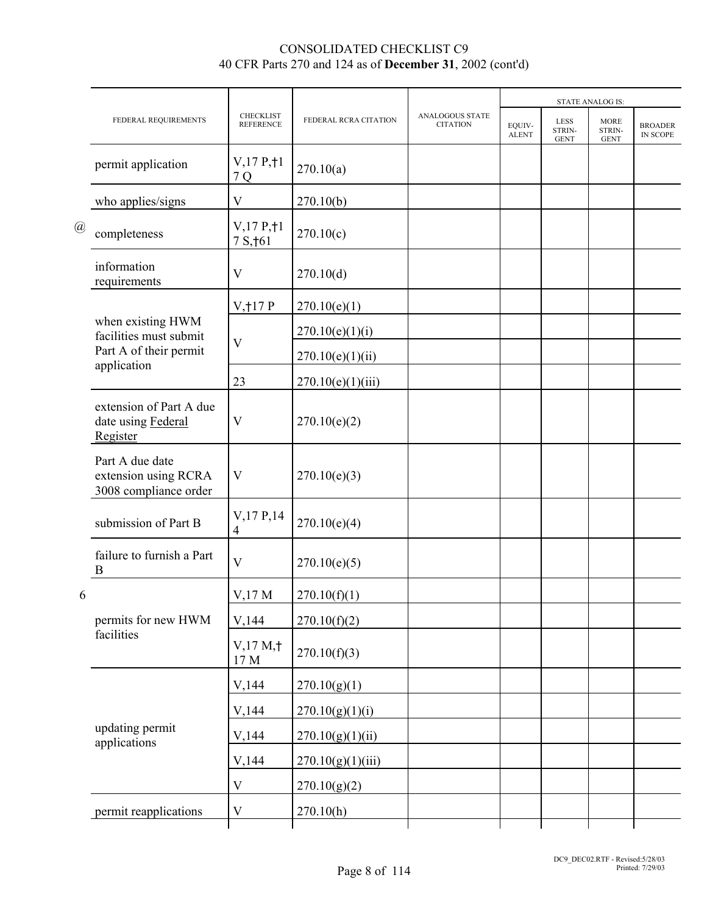|                           |                                                                                      |                                      |                       |                                    |                        |                                      | <b>STATE ANALOG IS:</b>              |                                   |
|---------------------------|--------------------------------------------------------------------------------------|--------------------------------------|-----------------------|------------------------------------|------------------------|--------------------------------------|--------------------------------------|-----------------------------------|
|                           | FEDERAL REQUIREMENTS                                                                 | <b>CHECKLIST</b><br><b>REFERENCE</b> | FEDERAL RCRA CITATION | ANALOGOUS STATE<br><b>CITATION</b> | EQUIV-<br><b>ALENT</b> | <b>LESS</b><br>STRIN-<br><b>GENT</b> | <b>MORE</b><br>STRIN-<br><b>GENT</b> | <b>BROADER</b><br><b>IN SCOPE</b> |
|                           | permit application                                                                   | V, 17 P, 11<br>7 Q                   | 270.10(a)             |                                    |                        |                                      |                                      |                                   |
| $^{\textregistered}$<br>6 | who applies/signs                                                                    | V                                    | 270.10(b)             |                                    |                        |                                      |                                      |                                   |
|                           | completeness                                                                         | V, 17 P, 11<br>7 S, † 61             | 270.10(c)             |                                    |                        |                                      |                                      |                                   |
|                           | information<br>requirements                                                          | V                                    | 270.10(d)             |                                    |                        |                                      |                                      |                                   |
|                           |                                                                                      | V, 17P                               | 270.10(e)(1)          |                                    |                        |                                      |                                      |                                   |
|                           | when existing HWM<br>facilities must submit<br>Part A of their permit<br>application | $\overline{\mathsf{V}}$              | 270.10(e)(1)(i)       |                                    |                        |                                      |                                      |                                   |
|                           |                                                                                      |                                      | 270.10(e)(1)(ii)      |                                    |                        |                                      |                                      |                                   |
|                           |                                                                                      | 23                                   | 270.10(e)(1)(iii)     |                                    |                        |                                      |                                      |                                   |
|                           | extension of Part A due<br>date using Federal<br>Register                            | V                                    | 270.10(e)(2)          |                                    |                        |                                      |                                      |                                   |
|                           | Part A due date<br>extension using RCRA<br>3008 compliance order                     | V                                    | 270.10(e)(3)          |                                    |                        |                                      |                                      |                                   |
|                           | submission of Part B                                                                 | $V$ , 17 P, 14<br>$\overline{4}$     | 270.10(e)(4)          |                                    |                        |                                      |                                      |                                   |
|                           | failure to furnish a Part<br>B                                                       | V                                    | 270.10(e)(5)          |                                    |                        |                                      |                                      |                                   |
|                           |                                                                                      | $V$ , 17 M                           | 270.10(f)(1)          |                                    |                        |                                      |                                      |                                   |
|                           | permits for new HWM                                                                  | V,144                                | 270.10(f)(2)          |                                    |                        |                                      |                                      |                                   |
|                           | facilities                                                                           | V,17 M, †<br>17 M                    | 270.10(f)(3)          |                                    |                        |                                      |                                      |                                   |
|                           |                                                                                      | V,144                                | 270.10(g)(1)          |                                    |                        |                                      |                                      |                                   |
|                           |                                                                                      | V,144                                | 270.10(g)(1)(i)       |                                    |                        |                                      |                                      |                                   |
|                           | updating permit<br>applications                                                      | V,144                                | 270.10(g)(1)(ii)      |                                    |                        |                                      |                                      |                                   |
|                           |                                                                                      | V,144                                | 270.10(g)(1)(iii)     |                                    |                        |                                      |                                      |                                   |
|                           |                                                                                      | $\mathbf V$                          | 270.10(g)(2)          |                                    |                        |                                      |                                      |                                   |
|                           | permit reapplications                                                                | V                                    | 270.10(h)             |                                    |                        |                                      |                                      |                                   |
|                           |                                                                                      |                                      |                       |                                    |                        |                                      |                                      |                                   |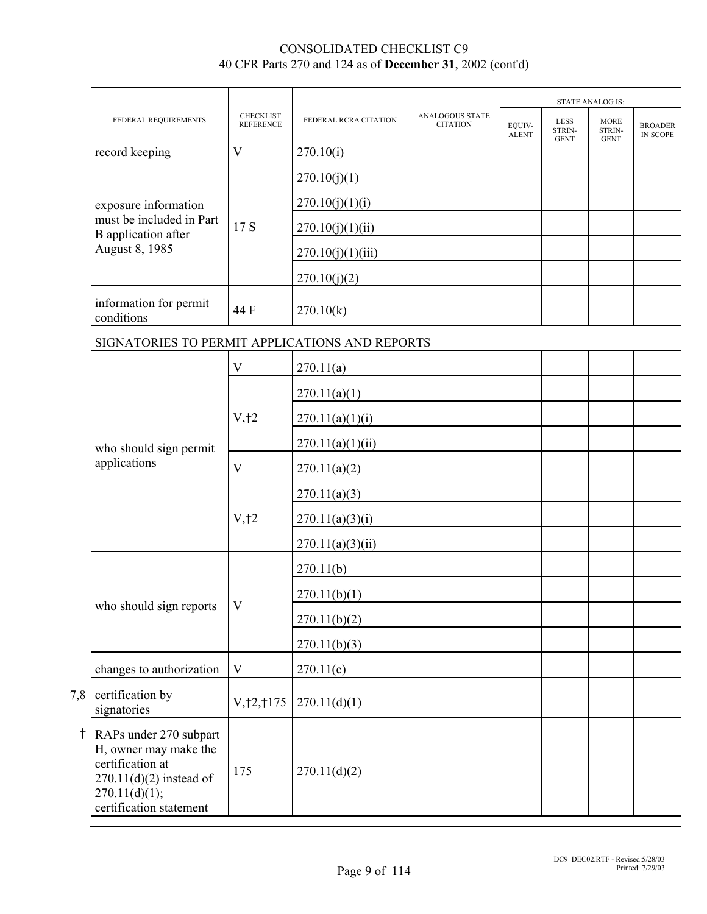|                                                                                                                                                |                                      |                       |                                    |                        |                                      | <b>STATE ANALOG IS:</b>              |                            |
|------------------------------------------------------------------------------------------------------------------------------------------------|--------------------------------------|-----------------------|------------------------------------|------------------------|--------------------------------------|--------------------------------------|----------------------------|
| FEDERAL REQUIREMENTS                                                                                                                           | <b>CHECKLIST</b><br><b>REFERENCE</b> | FEDERAL RCRA CITATION | ANALOGOUS STATE<br><b>CITATION</b> | EQUIV-<br><b>ALENT</b> | <b>LESS</b><br>STRIN-<br><b>GENT</b> | <b>MORE</b><br>STRIN-<br><b>GENT</b> | <b>BROADER</b><br>IN SCOPE |
| record keeping                                                                                                                                 | V                                    | 270.10(i)             |                                    |                        |                                      |                                      |                            |
|                                                                                                                                                |                                      | 270.10(j)(1)          |                                    |                        |                                      |                                      |                            |
| exposure information                                                                                                                           |                                      | 270.10(j)(1)(i)       |                                    |                        |                                      |                                      |                            |
| must be included in Part<br><b>B</b> application after                                                                                         | 17 S                                 | 270.10(j)(1)(ii)      |                                    |                        |                                      |                                      |                            |
| August 8, 1985                                                                                                                                 |                                      | 270.10(j)(1)(iii)     |                                    |                        |                                      |                                      |                            |
|                                                                                                                                                |                                      | 270.10(j)(2)          |                                    |                        |                                      |                                      |                            |
| information for permit<br>conditions                                                                                                           | 44 F                                 | 270.10(k)             |                                    |                        |                                      |                                      |                            |
| SIGNATORIES TO PERMIT APPLICATIONS AND REPORTS                                                                                                 |                                      |                       |                                    |                        |                                      |                                      |                            |
|                                                                                                                                                | V                                    | 270.11(a)             |                                    |                        |                                      |                                      |                            |
|                                                                                                                                                |                                      | 270.11(a)(1)          |                                    |                        |                                      |                                      |                            |
|                                                                                                                                                | V, 12                                | 270.11(a)(1)(i)       |                                    |                        |                                      |                                      |                            |
| who should sign permit                                                                                                                         |                                      | 270.11(a)(1)(ii)      |                                    |                        |                                      |                                      |                            |
| applications                                                                                                                                   | $\mathbf V$                          | 270.11(a)(2)          |                                    |                        |                                      |                                      |                            |
|                                                                                                                                                |                                      | 270.11(a)(3)          |                                    |                        |                                      |                                      |                            |
|                                                                                                                                                | V, 12                                | 270.11(a)(3)(i)       |                                    |                        |                                      |                                      |                            |
|                                                                                                                                                |                                      | 270.11(a)(3)(ii)      |                                    |                        |                                      |                                      |                            |
|                                                                                                                                                |                                      | 270.11(b)             |                                    |                        |                                      |                                      |                            |
|                                                                                                                                                | V                                    | 270.11(b)(1)          |                                    |                        |                                      |                                      |                            |
| who should sign reports                                                                                                                        |                                      | 270.11(b)(2)          |                                    |                        |                                      |                                      |                            |
|                                                                                                                                                |                                      | 270.11(b)(3)          |                                    |                        |                                      |                                      |                            |
| changes to authorization                                                                                                                       | V                                    | 270.11(c)             |                                    |                        |                                      |                                      |                            |
| 7,8 certification by<br>signatories                                                                                                            | V, 12, 1175                          | 270.11(d)(1)          |                                    |                        |                                      |                                      |                            |
| † RAPs under 270 subpart<br>H, owner may make the<br>certification at<br>$270.11(d)(2)$ instead of<br>270.11(d)(1);<br>certification statement | 175                                  | 270.11(d)(2)          |                                    |                        |                                      |                                      |                            |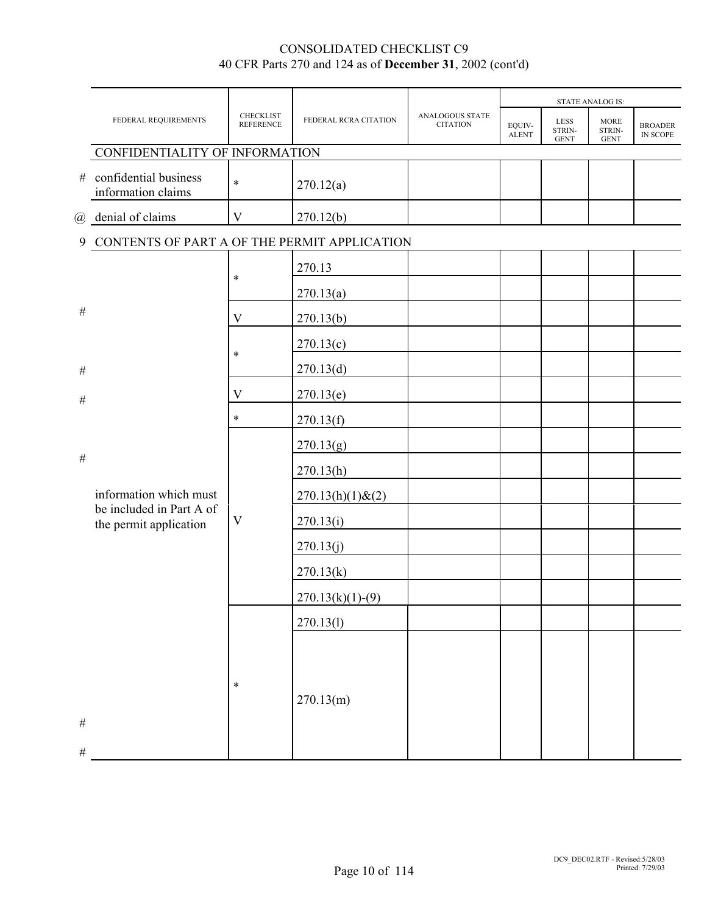|              |                                                    |                               |                        |                                    |                        |                               | <b>STATE ANALOG IS:</b>       |                            |
|--------------|----------------------------------------------------|-------------------------------|------------------------|------------------------------------|------------------------|-------------------------------|-------------------------------|----------------------------|
|              | FEDERAL REQUIREMENTS                               | CHECKLIST<br><b>REFERENCE</b> | FEDERAL RCRA CITATION  | ANALOGOUS STATE<br><b>CITATION</b> | EQUIV-<br><b>ALENT</b> | LESS<br>STRIN-<br><b>GENT</b> | MORE<br>STRIN-<br><b>GENT</b> | <b>BROADER</b><br>IN SCOPE |
|              | CONFIDENTIALITY OF INFORMATION                     |                               |                        |                                    |                        |                               |                               |                            |
| #            | confidential business<br>information claims        | $\ast$                        | 270.12(a)              |                                    |                        |                               |                               |                            |
|              | @ denial of claims                                 | V                             | 270.12(b)              |                                    |                        |                               |                               |                            |
|              | 9 CONTENTS OF PART A OF THE PERMIT APPLICATION     |                               |                        |                                    |                        |                               |                               |                            |
|              |                                                    | $\ast$                        | 270.13                 |                                    |                        |                               |                               |                            |
|              |                                                    |                               | 270.13(a)              |                                    |                        |                               |                               |                            |
| $\#$         |                                                    | V                             | 270.13(b)              |                                    |                        |                               |                               |                            |
|              |                                                    |                               | 270.13(c)              |                                    |                        |                               |                               |                            |
| $\#$         |                                                    | $\ast$                        | 270.13(d)              |                                    |                        |                               |                               |                            |
| $\#$         |                                                    | $\mathbf V$                   | 270.13(e)              |                                    |                        |                               |                               |                            |
|              |                                                    | $\ast$                        | 270.13(f)              |                                    |                        |                               |                               |                            |
|              |                                                    |                               | 270.13(g)              |                                    |                        |                               |                               |                            |
| $\#$         |                                                    |                               | 270.13(h)              |                                    |                        |                               |                               |                            |
|              | information which must                             |                               | $270.13(h)(1)$ & $(2)$ |                                    |                        |                               |                               |                            |
|              | be included in Part A of<br>the permit application | $\mathbf V$                   | 270.13(i)              |                                    |                        |                               |                               |                            |
|              |                                                    |                               | 270.13(j)              |                                    |                        |                               |                               |                            |
|              |                                                    |                               | 270.13(k)              |                                    |                        |                               |                               |                            |
|              |                                                    |                               | $270.13(k)(1)-(9)$     |                                    |                        |                               |                               |                            |
|              |                                                    |                               | 270.13(l)              |                                    |                        |                               |                               |                            |
| $\#$<br>$\#$ |                                                    | $\ast$                        | 270.13(m)              |                                    |                        |                               |                               |                            |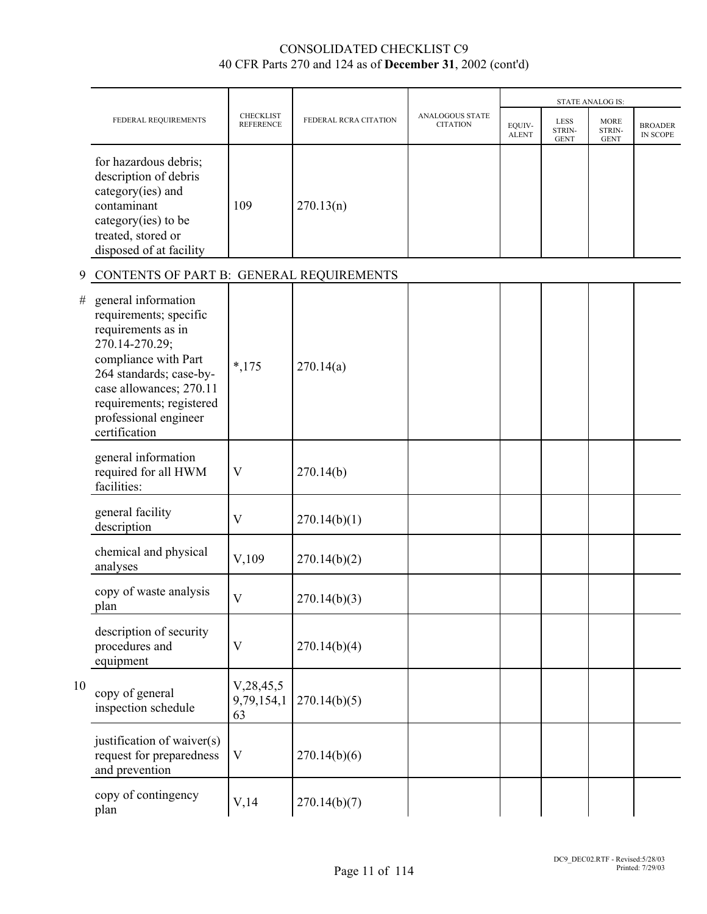|    |                                                                                                                                                                                                                                           |                                      |                       |                                    |                        |                                      | <b>STATE ANALOG IS:</b>              |                                   |
|----|-------------------------------------------------------------------------------------------------------------------------------------------------------------------------------------------------------------------------------------------|--------------------------------------|-----------------------|------------------------------------|------------------------|--------------------------------------|--------------------------------------|-----------------------------------|
|    | FEDERAL REQUIREMENTS                                                                                                                                                                                                                      | <b>CHECKLIST</b><br><b>REFERENCE</b> | FEDERAL RCRA CITATION | ANALOGOUS STATE<br><b>CITATION</b> | EQUIV-<br><b>ALENT</b> | <b>LESS</b><br>STRIN-<br><b>GENT</b> | <b>MORE</b><br>STRIN-<br><b>GENT</b> | <b>BROADER</b><br><b>IN SCOPE</b> |
|    | for hazardous debris;<br>description of debris<br>category(ies) and<br>contaminant<br>category(ies) to be<br>treated, stored or<br>disposed of at facility                                                                                | 109                                  | 270.13(n)             |                                    |                        |                                      |                                      |                                   |
| 9  | CONTENTS OF PART B: GENERAL REQUIREMENTS                                                                                                                                                                                                  |                                      |                       |                                    |                        |                                      |                                      |                                   |
| #  | general information<br>requirements; specific<br>requirements as in<br>270.14-270.29;<br>compliance with Part<br>264 standards; case-by-<br>case allowances; 270.11<br>requirements; registered<br>professional engineer<br>certification | $*,175$                              | 270.14(a)             |                                    |                        |                                      |                                      |                                   |
|    | general information<br>required for all HWM<br>facilities:                                                                                                                                                                                | V                                    | 270.14(b)             |                                    |                        |                                      |                                      |                                   |
|    | general facility<br>description                                                                                                                                                                                                           | V                                    | 270.14(b)(1)          |                                    |                        |                                      |                                      |                                   |
|    | chemical and physical<br>analyses                                                                                                                                                                                                         | V,109                                | 270.14(b)(2)          |                                    |                        |                                      |                                      |                                   |
|    | copy of waste analysis<br>plan                                                                                                                                                                                                            | $\rm V$                              | 270.14(b)(3)          |                                    |                        |                                      |                                      |                                   |
|    | description of security<br>procedures and<br>equipment                                                                                                                                                                                    | $\mathbf V$                          | 270.14(b)(4)          |                                    |                        |                                      |                                      |                                   |
| 10 | copy of general<br>inspection schedule                                                                                                                                                                                                    | V, 28, 45, 5<br>9,79,154,1<br>63     | 270.14(b)(5)          |                                    |                        |                                      |                                      |                                   |
|    | justification of waiver(s)<br>request for preparedness<br>and prevention                                                                                                                                                                  | $\mathbf V$                          | 270.14(b)(6)          |                                    |                        |                                      |                                      |                                   |
|    | copy of contingency<br>plan                                                                                                                                                                                                               | V, 14                                | 270.14(b)(7)          |                                    |                        |                                      |                                      |                                   |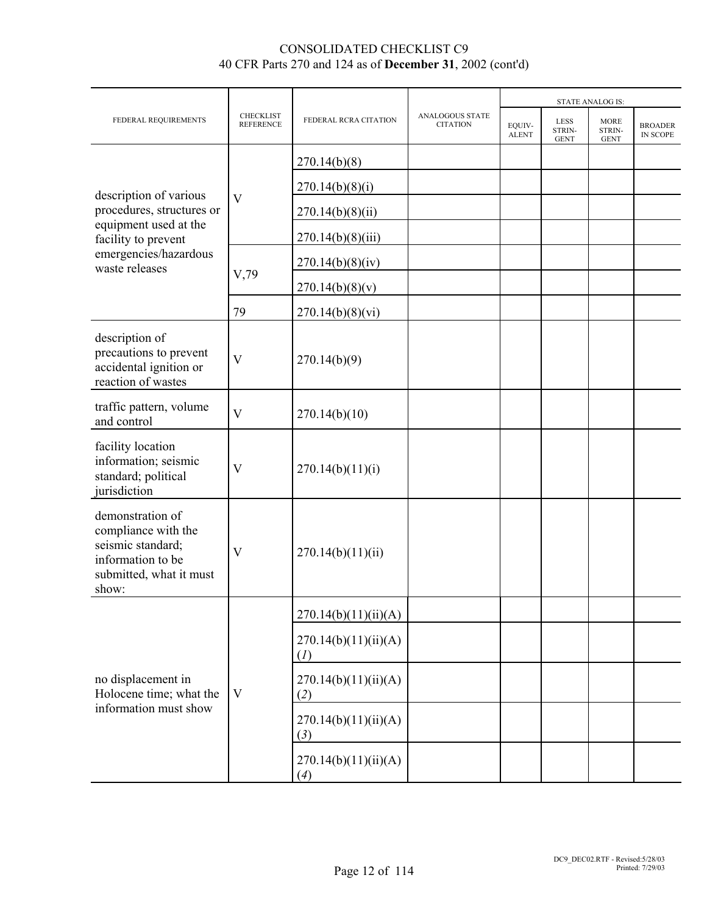|                                                                                                                       |                                      |                             |                                    |                        |                                      | <b>STATE ANALOG IS:</b>              |                            |
|-----------------------------------------------------------------------------------------------------------------------|--------------------------------------|-----------------------------|------------------------------------|------------------------|--------------------------------------|--------------------------------------|----------------------------|
| FEDERAL REQUIREMENTS                                                                                                  | <b>CHECKLIST</b><br><b>REFERENCE</b> | FEDERAL RCRA CITATION       | ANALOGOUS STATE<br><b>CITATION</b> | EQUIV-<br><b>ALENT</b> | <b>LESS</b><br>STRIN-<br><b>GENT</b> | <b>MORE</b><br>STRIN-<br><b>GENT</b> | <b>BROADER</b><br>IN SCOPE |
|                                                                                                                       |                                      | 270.14(b)(8)                |                                    |                        |                                      |                                      |                            |
|                                                                                                                       |                                      | 270.14(b)(8)(i)             |                                    |                        |                                      |                                      |                            |
| procedures, structures or                                                                                             | V                                    | 270.14(b)(8)(ii)            |                                    |                        |                                      |                                      |                            |
| facility to prevent                                                                                                   |                                      | 270.14(b)(8)(iii)           |                                    |                        |                                      |                                      |                            |
| waste releases                                                                                                        |                                      | 270.14(b)(8)(iv)            |                                    |                        |                                      |                                      |                            |
|                                                                                                                       | V,79                                 | 270.14(b)(8)(v)             |                                    |                        |                                      |                                      |                            |
|                                                                                                                       | 79                                   | 270.14(b)(8)(vi)            |                                    |                        |                                      |                                      |                            |
| description of<br>precautions to prevent<br>accidental ignition or<br>reaction of wastes                              | V                                    | 270.14(b)(9)                |                                    |                        |                                      |                                      |                            |
| traffic pattern, volume<br>and control                                                                                | $\overline{\mathbf{V}}$              | 270.14(b)(10)               |                                    |                        |                                      |                                      |                            |
| facility location<br>information; seismic<br>standard; political<br>jurisdiction                                      | V                                    | 270.14(b)(11)(i)            |                                    |                        |                                      |                                      |                            |
| demonstration of<br>compliance with the<br>seismic standard;<br>information to be<br>submitted, what it must<br>show: | V                                    | 270.14(b)(11)(ii)           |                                    |                        |                                      |                                      |                            |
|                                                                                                                       |                                      | 270.14(b)(11)(ii)(A)        |                                    |                        |                                      |                                      |                            |
|                                                                                                                       |                                      | 270.14(b)(11)(ii)(A)<br>(I) |                                    |                        |                                      |                                      |                            |
| no displacement in<br>Holocene time; what the                                                                         | V                                    | 270.14(b)(11)(ii)(A)<br>(2) |                                    |                        |                                      |                                      |                            |
|                                                                                                                       |                                      | 270.14(b)(11)(ii)(A)<br>(3) |                                    |                        |                                      |                                      |                            |
| description of various<br>equipment used at the<br>emergencies/hazardous<br>information must show                     |                                      | 270.14(b)(11)(ii)(A)<br>(4) |                                    |                        |                                      |                                      |                            |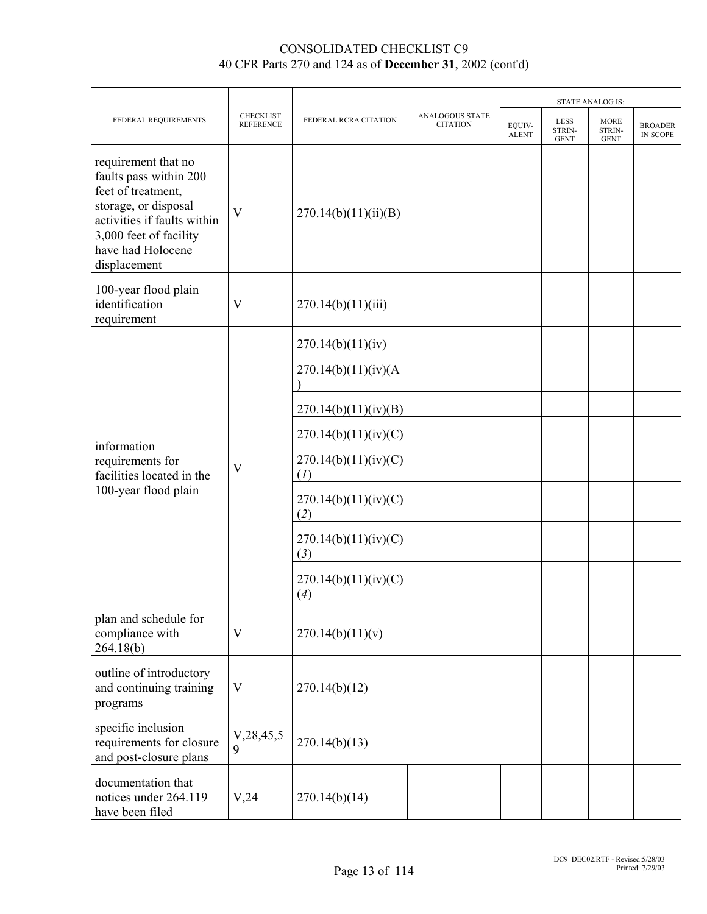|                                                                                                                                                                                           |                                      |                             |                                           |                        |                                      | <b>STATE ANALOG IS:</b>              |                                   |
|-------------------------------------------------------------------------------------------------------------------------------------------------------------------------------------------|--------------------------------------|-----------------------------|-------------------------------------------|------------------------|--------------------------------------|--------------------------------------|-----------------------------------|
| FEDERAL REQUIREMENTS                                                                                                                                                                      | <b>CHECKLIST</b><br><b>REFERENCE</b> | FEDERAL RCRA CITATION       | <b>ANALOGOUS STATE</b><br><b>CITATION</b> | EQUIV-<br><b>ALENT</b> | <b>LESS</b><br>STRIN-<br><b>GENT</b> | <b>MORE</b><br>STRIN-<br><b>GENT</b> | <b>BROADER</b><br><b>IN SCOPE</b> |
| requirement that no<br>faults pass within 200<br>feet of treatment,<br>storage, or disposal<br>activities if faults within<br>3,000 feet of facility<br>have had Holocene<br>displacement | $\overline{\mathsf{V}}$              | 270.14(b)(11)(ii)(B)        |                                           |                        |                                      |                                      |                                   |
| 100-year flood plain<br>identification<br>requirement                                                                                                                                     | $\mathbf V$                          | 270.14(b)(11)(iii)          |                                           |                        |                                      |                                      |                                   |
|                                                                                                                                                                                           |                                      | 270.14(b)(11)(iv)           |                                           |                        |                                      |                                      |                                   |
|                                                                                                                                                                                           |                                      | 270.14(b)(11)(iv)(A)        |                                           |                        |                                      |                                      |                                   |
|                                                                                                                                                                                           |                                      | 270.14(b)(11)(iv)(B)        |                                           |                        |                                      |                                      |                                   |
|                                                                                                                                                                                           | $\mathbf{V}$                         | 270.14(b)(11)(iv)(C)        |                                           |                        |                                      |                                      |                                   |
| information<br>requirements for<br>facilities located in the                                                                                                                              |                                      | 270.14(b)(11)(iv)(C)<br>(I) |                                           |                        |                                      |                                      |                                   |
| 100-year flood plain                                                                                                                                                                      |                                      | 270.14(b)(11)(iv)(C)<br>(2) |                                           |                        |                                      |                                      |                                   |
|                                                                                                                                                                                           |                                      | 270.14(b)(11)(iv)(C)<br>(3) |                                           |                        |                                      |                                      |                                   |
|                                                                                                                                                                                           |                                      | 270.14(b)(11)(iv)(C)<br>(4) |                                           |                        |                                      |                                      |                                   |
| plan and schedule for<br>compliance with<br>264.18(b)                                                                                                                                     | $\mathbf V$                          | 270.14(b)(11)(v)            |                                           |                        |                                      |                                      |                                   |
| outline of introductory<br>and continuing training<br>programs                                                                                                                            | V                                    | 270.14(b)(12)               |                                           |                        |                                      |                                      |                                   |
| specific inclusion<br>requirements for closure<br>and post-closure plans                                                                                                                  | V, 28, 45, 5<br>9                    | 270.14(b)(13)               |                                           |                        |                                      |                                      |                                   |
| documentation that<br>notices under 264.119<br>have been filed                                                                                                                            | V,24                                 | 270.14(b)(14)               |                                           |                        |                                      |                                      |                                   |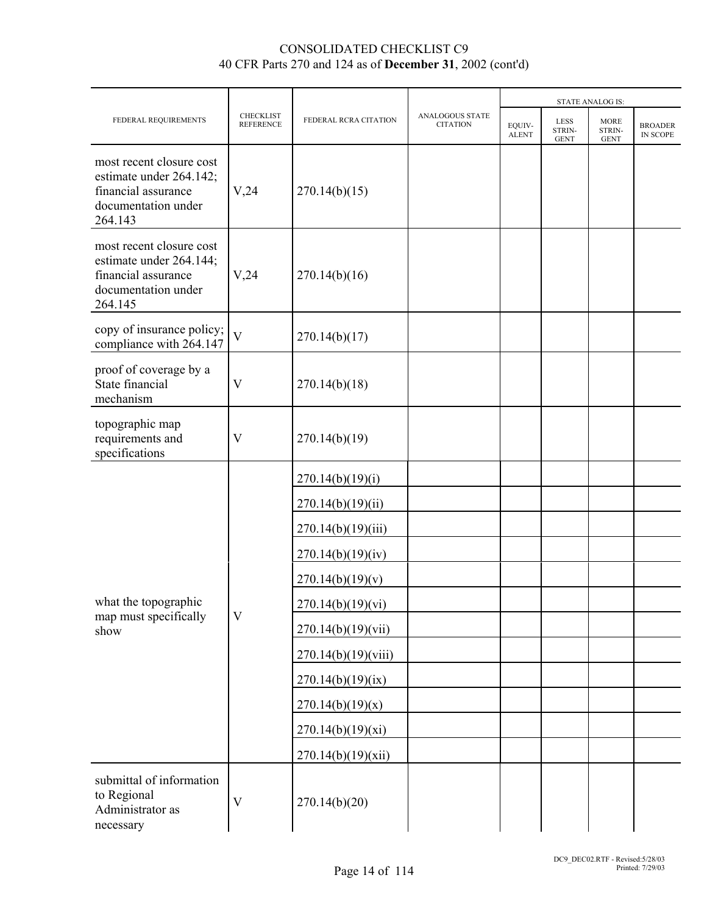|                                                                                                              |                                      |                       | <b>ANALOGOUS STATE</b> |                        |                                      | <b>STATE ANALOG IS:</b>              |                            |
|--------------------------------------------------------------------------------------------------------------|--------------------------------------|-----------------------|------------------------|------------------------|--------------------------------------|--------------------------------------|----------------------------|
| FEDERAL REQUIREMENTS                                                                                         | <b>CHECKLIST</b><br><b>REFERENCE</b> | FEDERAL RCRA CITATION | <b>CITATION</b>        | EQUIV-<br><b>ALENT</b> | <b>LESS</b><br>STRIN-<br><b>GENT</b> | <b>MORE</b><br>STRIN-<br><b>GENT</b> | <b>BROADER</b><br>IN SCOPE |
| most recent closure cost<br>estimate under 264.142;<br>financial assurance<br>documentation under<br>264.143 | V,24                                 | 270.14(b)(15)         |                        |                        |                                      |                                      |                            |
| most recent closure cost<br>estimate under 264.144;<br>financial assurance<br>documentation under<br>264.145 | V,24                                 | 270.14(b)(16)         |                        |                        |                                      |                                      |                            |
| copy of insurance policy;<br>compliance with 264.147                                                         | $\overline{\mathbf{V}}$              | 270.14(b)(17)         |                        |                        |                                      |                                      |                            |
| proof of coverage by a<br>State financial<br>mechanism                                                       | V                                    | 270.14(b)(18)         |                        |                        |                                      |                                      |                            |
| topographic map<br>requirements and<br>specifications                                                        | $\overline{\mathsf{V}}$              | 270.14(b)(19)         |                        |                        |                                      |                                      |                            |
|                                                                                                              |                                      | 270.14(b)(19)(i)      |                        |                        |                                      |                                      |                            |
|                                                                                                              |                                      | 270.14(b)(19)(ii)     |                        |                        |                                      |                                      |                            |
|                                                                                                              |                                      | 270.14(b)(19)(iii)    |                        |                        |                                      |                                      |                            |
|                                                                                                              |                                      | 270.14(b)(19)(iv)     |                        |                        |                                      |                                      |                            |
|                                                                                                              |                                      | 270.14(b)(19)(v)      |                        |                        |                                      |                                      |                            |
| what the topographic<br>map must specifically                                                                | $\overline{\mathsf{V}}$              | 270.14(b)(19)(vi)     |                        |                        |                                      |                                      |                            |
| show                                                                                                         |                                      | 270.14(b)(19)(vii)    |                        |                        |                                      |                                      |                            |
|                                                                                                              |                                      | 270.14(b)(19)(viii)   |                        |                        |                                      |                                      |                            |
|                                                                                                              |                                      | 270.14(b)(19)(ix)     |                        |                        |                                      |                                      |                            |
|                                                                                                              |                                      | 270.14(b)(19)(x)      |                        |                        |                                      |                                      |                            |
|                                                                                                              |                                      | 270.14(b)(19)(xi)     |                        |                        |                                      |                                      |                            |
|                                                                                                              |                                      | 270.14(b)(19)(xii)    |                        |                        |                                      |                                      |                            |
| submittal of information<br>to Regional<br>Administrator as<br>necessary                                     | $\overline{\mathsf{V}}$              | 270.14(b)(20)         |                        |                        |                                      |                                      |                            |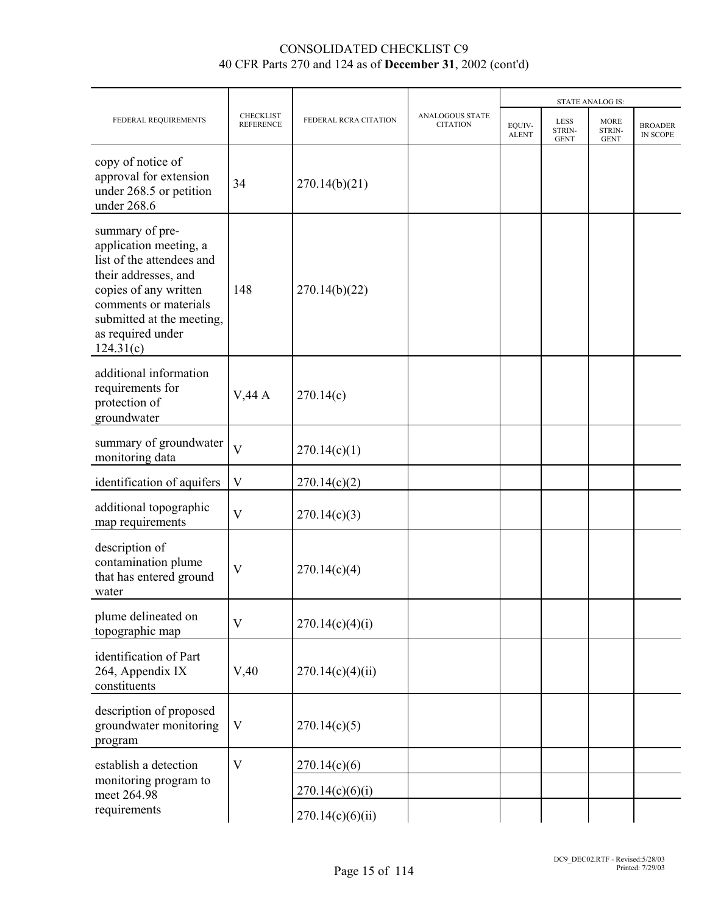|                                                                                                                                                                                                                 |                                      |                       | <b>STATE ANALOG IS:</b>                   |                        |                                      |                                      |                            |  |
|-----------------------------------------------------------------------------------------------------------------------------------------------------------------------------------------------------------------|--------------------------------------|-----------------------|-------------------------------------------|------------------------|--------------------------------------|--------------------------------------|----------------------------|--|
| FEDERAL REQUIREMENTS                                                                                                                                                                                            | <b>CHECKLIST</b><br><b>REFERENCE</b> | FEDERAL RCRA CITATION | <b>ANALOGOUS STATE</b><br><b>CITATION</b> | EQUIV-<br><b>ALENT</b> | <b>LESS</b><br>STRIN-<br><b>GENT</b> | <b>MORE</b><br>STRIN-<br><b>GENT</b> | <b>BROADER</b><br>IN SCOPE |  |
| copy of notice of<br>approval for extension<br>under 268.5 or petition<br>under 268.6                                                                                                                           | 34                                   | 270.14(b)(21)         |                                           |                        |                                      |                                      |                            |  |
| summary of pre-<br>application meeting, a<br>list of the attendees and<br>their addresses, and<br>copies of any written<br>comments or materials<br>submitted at the meeting,<br>as required under<br>124.31(c) | 148                                  | 270.14(b)(22)         |                                           |                        |                                      |                                      |                            |  |
| additional information<br>requirements for<br>protection of<br>groundwater                                                                                                                                      | V,44A                                | 270.14(c)             |                                           |                        |                                      |                                      |                            |  |
| summary of groundwater<br>monitoring data                                                                                                                                                                       | $\overline{\mathsf{V}}$              | 270.14(c)(1)          |                                           |                        |                                      |                                      |                            |  |
| identification of aquifers                                                                                                                                                                                      | $\mathbf V$                          | 270.14(c)(2)          |                                           |                        |                                      |                                      |                            |  |
| additional topographic<br>map requirements                                                                                                                                                                      | $\overline{V}$                       | 270.14(c)(3)          |                                           |                        |                                      |                                      |                            |  |
| description of<br>contamination plume<br>that has entered ground<br>water                                                                                                                                       | $\overline{\mathsf{V}}$              | 270.14(c)(4)          |                                           |                        |                                      |                                      |                            |  |
| plume delineated on<br>topographic map                                                                                                                                                                          | $\overline{V}$                       | 270.14(c)(4)(i)       |                                           |                        |                                      |                                      |                            |  |
| identification of Part<br>264, Appendix IX<br>constituents                                                                                                                                                      | V,40                                 | 270.14(c)(4)(ii)      |                                           |                        |                                      |                                      |                            |  |
| description of proposed<br>groundwater monitoring<br>program                                                                                                                                                    | $\mathbf V$                          | 270.14(c)(5)          |                                           |                        |                                      |                                      |                            |  |
| establish a detection                                                                                                                                                                                           | $\overline{V}$                       | 270.14(c)(6)          |                                           |                        |                                      |                                      |                            |  |
| monitoring program to<br>meet 264.98                                                                                                                                                                            |                                      | 270.14(c)(6)(i)       |                                           |                        |                                      |                                      |                            |  |
| requirements                                                                                                                                                                                                    |                                      | 270.14(c)(6)(ii)      |                                           |                        |                                      |                                      |                            |  |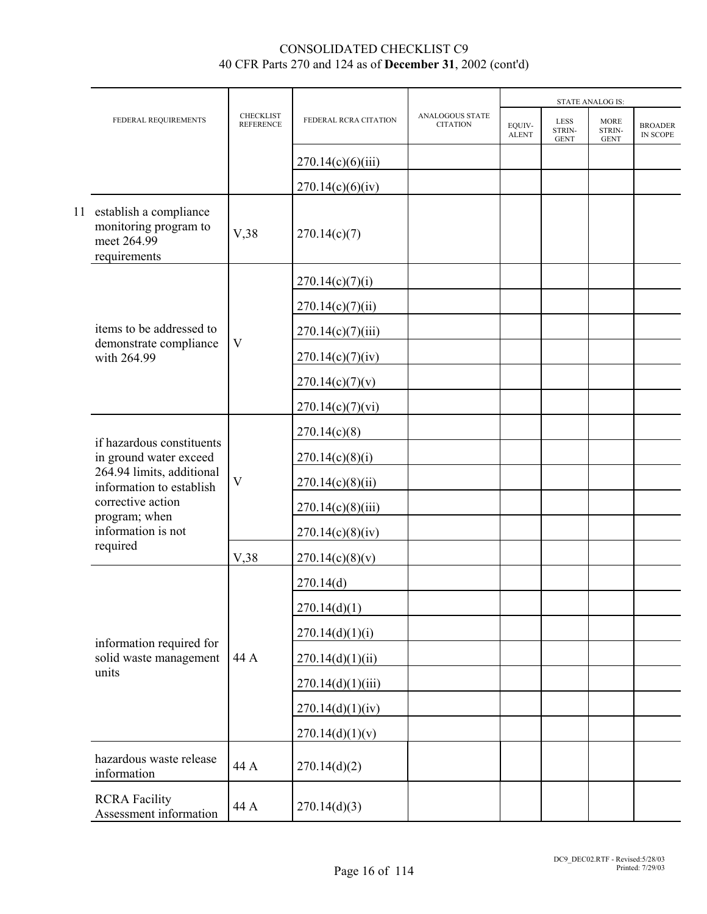|  |                                                                                   |                                      |                       |                                           |                        |                                      | <b>STATE ANALOG IS:</b>              |                                   |
|--|-----------------------------------------------------------------------------------|--------------------------------------|-----------------------|-------------------------------------------|------------------------|--------------------------------------|--------------------------------------|-----------------------------------|
|  | FEDERAL REQUIREMENTS                                                              | <b>CHECKLIST</b><br><b>REFERENCE</b> | FEDERAL RCRA CITATION | <b>ANALOGOUS STATE</b><br><b>CITATION</b> | EQUIV-<br><b>ALENT</b> | <b>LESS</b><br>STRIN-<br><b>GENT</b> | <b>MORE</b><br>STRIN-<br><b>GENT</b> | <b>BROADER</b><br><b>IN SCOPE</b> |
|  |                                                                                   |                                      | 270.14(c)(6)(iii)     |                                           |                        |                                      |                                      |                                   |
|  |                                                                                   |                                      | 270.14(c)(6)(iv)      |                                           |                        |                                      |                                      |                                   |
|  | 11 establish a compliance<br>monitoring program to<br>meet 264.99<br>requirements | V,38                                 | 270.14(c)(7)          |                                           |                        |                                      |                                      |                                   |
|  |                                                                                   |                                      | 270.14(c)(7)(i)       |                                           |                        |                                      |                                      |                                   |
|  |                                                                                   |                                      | 270.14(c)(7)(ii)      |                                           |                        |                                      |                                      |                                   |
|  | items to be addressed to                                                          |                                      | 270.14(c)(7)(iii)     |                                           |                        |                                      |                                      |                                   |
|  | demonstrate compliance<br>with 264.99                                             | $\ensuremath{\mathbf{V}}$            | 270.14(c)(7)(iv)      |                                           |                        |                                      |                                      |                                   |
|  |                                                                                   |                                      | 270.14(c)(7)(v)       |                                           |                        |                                      |                                      |                                   |
|  |                                                                                   |                                      | 270.14(c)(7)(vi)      |                                           |                        |                                      |                                      |                                   |
|  | if hazardous constituents<br>in ground water exceed                               |                                      | 270.14(c)(8)          |                                           |                        |                                      |                                      |                                   |
|  |                                                                                   |                                      | 270.14(c)(8)(i)       |                                           |                        |                                      |                                      |                                   |
|  | 264.94 limits, additional<br>information to establish                             | $\overline{\mathsf{V}}$              | 270.14(c)(8(ii))      |                                           |                        |                                      |                                      |                                   |
|  | corrective action<br>program; when                                                |                                      | 270.14(c)(8)(iii)     |                                           |                        |                                      |                                      |                                   |
|  | information is not                                                                |                                      | 270.14(c)(8)(iv)      |                                           |                        |                                      |                                      |                                   |
|  | required                                                                          | V,38                                 | 270.14(c)(8)(v)       |                                           |                        |                                      |                                      |                                   |
|  |                                                                                   |                                      | 270.14(d)             |                                           |                        |                                      |                                      |                                   |
|  |                                                                                   |                                      | 270.14(d)(1)          |                                           |                        |                                      |                                      |                                   |
|  | information required for                                                          |                                      | 270.14(d)(1)(i)       |                                           |                        |                                      |                                      |                                   |
|  | solid waste management                                                            | 44 A                                 | 270.14(d)(1)(ii)      |                                           |                        |                                      |                                      |                                   |
|  | units                                                                             |                                      | 270.14(d)(1)(iii)     |                                           |                        |                                      |                                      |                                   |
|  |                                                                                   |                                      | 270.14(d)(1)(iv)      |                                           |                        |                                      |                                      |                                   |
|  |                                                                                   |                                      | 270.14(d)(1)(v)       |                                           |                        |                                      |                                      |                                   |
|  | hazardous waste release<br>information                                            | 44 A                                 | 270.14(d)(2)          |                                           |                        |                                      |                                      |                                   |
|  | <b>RCRA Facility</b><br>Assessment information                                    | 44 A                                 | 270.14(d)(3)          |                                           |                        |                                      |                                      |                                   |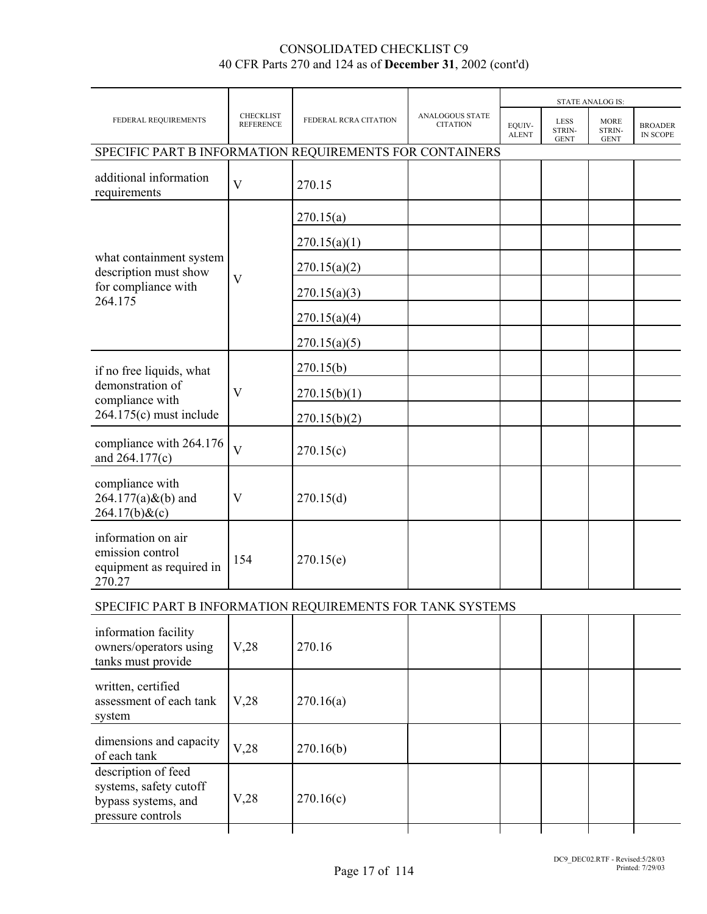|                                                                              |                                      |                       |                                           |                        |                                      | <b>STATE ANALOG IS:</b>              |                                   |
|------------------------------------------------------------------------------|--------------------------------------|-----------------------|-------------------------------------------|------------------------|--------------------------------------|--------------------------------------|-----------------------------------|
| FEDERAL REQUIREMENTS                                                         | <b>CHECKLIST</b><br><b>REFERENCE</b> | FEDERAL RCRA CITATION | <b>ANALOGOUS STATE</b><br><b>CITATION</b> | EQUIV-<br><b>ALENT</b> | <b>LESS</b><br>STRIN-<br><b>GENT</b> | <b>MORE</b><br>STRIN-<br><b>GENT</b> | <b>BROADER</b><br><b>IN SCOPE</b> |
| SPECIFIC PART B INFORMATION REQUIREMENTS FOR CONTAINERS                      |                                      |                       |                                           |                        |                                      |                                      |                                   |
| additional information<br>requirements                                       | V                                    | 270.15                |                                           |                        |                                      |                                      |                                   |
|                                                                              |                                      | 270.15(a)             |                                           |                        |                                      |                                      |                                   |
|                                                                              |                                      | 270.15(a)(1)          |                                           |                        |                                      |                                      |                                   |
| what containment system<br>description must show                             | $\mathbf V$                          | 270.15(a)(2)          |                                           |                        |                                      |                                      |                                   |
| for compliance with<br>264.175                                               |                                      | 270.15(a)(3)          |                                           |                        |                                      |                                      |                                   |
|                                                                              |                                      | 270.15(a)(4)          |                                           |                        |                                      |                                      |                                   |
|                                                                              |                                      | 270.15(a)(5)          |                                           |                        |                                      |                                      |                                   |
| if no free liquids, what                                                     |                                      | 270.15(b)             |                                           |                        |                                      |                                      |                                   |
| demonstration of<br>compliance with                                          | V                                    | 270.15(b)(1)          |                                           |                        |                                      |                                      |                                   |
| $264.175(c)$ must include                                                    |                                      | 270.15(b)(2)          |                                           |                        |                                      |                                      |                                   |
| compliance with 264.176<br>and 264.177(c)                                    | $\overline{\mathsf{V}}$              | 270.15(c)             |                                           |                        |                                      |                                      |                                   |
| compliance with<br>$264.177(a)$ &(b) and<br>$264.17(b)$ &(c)                 | V                                    | 270.15(d)             |                                           |                        |                                      |                                      |                                   |
| information on air<br>emission control<br>equipment as required in<br>270.27 | 154                                  | 270.15(e)             |                                           |                        |                                      |                                      |                                   |
| SPECIFIC PART B INFORMATION REQUIREMENTS FOR TANK SYSTEMS                    |                                      |                       |                                           |                        |                                      |                                      |                                   |
| information facility<br>owners/operators using<br>tanks must provide         | V,28                                 | 270.16                |                                           |                        |                                      |                                      |                                   |
| written, certified<br>assessment of each tank<br>system                      | V,28                                 | 270.16(a)             |                                           |                        |                                      |                                      |                                   |
| dimensions and capacity<br>of each tank                                      | V,28                                 | 270.16(b)             |                                           |                        |                                      |                                      |                                   |
| description of feed<br>systems, safety cutoff<br>bypass systems, and         | V,28                                 | 270.16(c)             |                                           |                        |                                      |                                      |                                   |

bypass systems, and pressure controls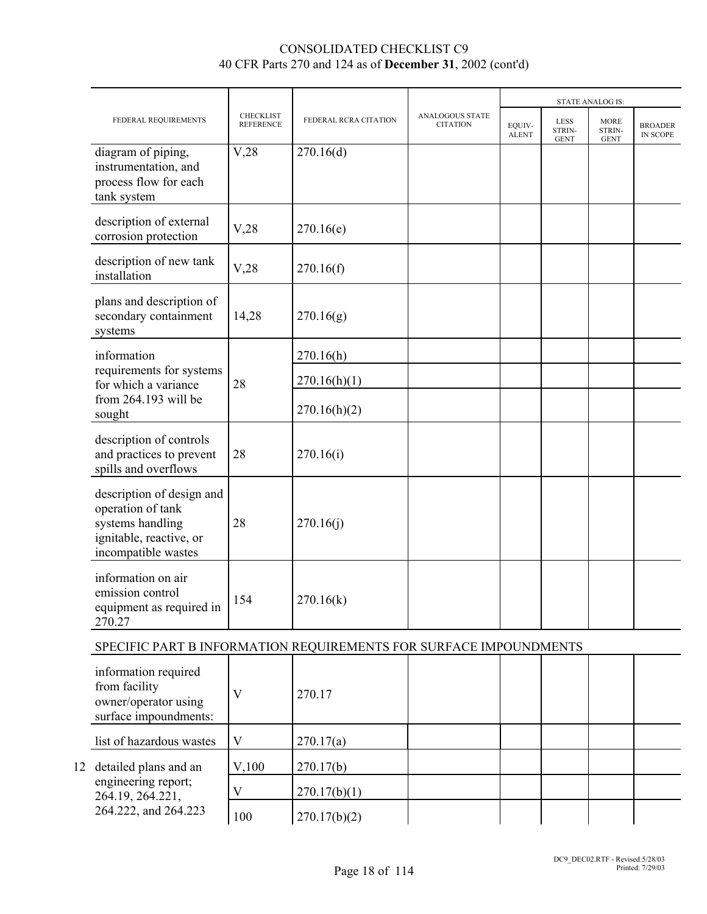|                                                                                                                      |                                      |                       |                                           |                        | <b>STATE ANALOG IS:</b>              |                                      |                            |
|----------------------------------------------------------------------------------------------------------------------|--------------------------------------|-----------------------|-------------------------------------------|------------------------|--------------------------------------|--------------------------------------|----------------------------|
| FEDERAL REQUIREMENTS                                                                                                 | <b>CHECKLIST</b><br><b>REFERENCE</b> | FEDERAL RCRA CITATION | <b>ANALOGOUS STATE</b><br><b>CITATION</b> | EQUIV-<br><b>ALENT</b> | <b>LESS</b><br>STRIN-<br><b>GENT</b> | <b>MORE</b><br>STRIN-<br><b>GENT</b> | <b>BROADER</b><br>IN SCOPE |
| diagram of piping,<br>instrumentation, and<br>process flow for each<br>tank system                                   | V,28                                 | 270.16(d)             |                                           |                        |                                      |                                      |                            |
| description of external<br>corrosion protection                                                                      | V,28                                 | 270.16(e)             |                                           |                        |                                      |                                      |                            |
| description of new tank<br>installation                                                                              | V,28                                 | 270.16(f)             |                                           |                        |                                      |                                      |                            |
| plans and description of<br>secondary containment<br>systems                                                         | 14,28                                | 270.16(g)             |                                           |                        |                                      |                                      |                            |
| information                                                                                                          |                                      | 270.16(h)             |                                           |                        |                                      |                                      |                            |
| requirements for systems<br>for which a variance                                                                     | 28                                   | 270.16(h)(1)          |                                           |                        |                                      |                                      |                            |
| from 264.193 will be<br>sought                                                                                       |                                      | 270.16(h)(2)          |                                           |                        |                                      |                                      |                            |
| description of controls<br>and practices to prevent<br>spills and overflows                                          | 28                                   | 270.16(i)             |                                           |                        |                                      |                                      |                            |
| description of design and<br>operation of tank<br>systems handling<br>ignitable, reactive, or<br>incompatible wastes | 28                                   | 270.16(j)             |                                           |                        |                                      |                                      |                            |
| information on air<br>emission control<br>equipment as required in<br>270.27                                         | 154                                  | 270.16(k)             |                                           |                        |                                      |                                      |                            |
| SPECIFIC PART B INFORMATION REQUIREMENTS FOR SURFACE IMPOUNDMENTS                                                    |                                      |                       |                                           |                        |                                      |                                      |                            |
| information required<br>from facility<br>owner/operator using<br>surface impoundments:                               | $\mathbf V$                          | 270.17                |                                           |                        |                                      |                                      |                            |
| list of hazardous wastes                                                                                             | $\mathbf V$                          | 270.17(a)             |                                           |                        |                                      |                                      |                            |
| 12 detailed plans and an                                                                                             | V,100                                | 270.17(b)             |                                           |                        |                                      |                                      |                            |
| engineering report;<br>264.19, 264.221,                                                                              | V                                    | 270.17(b)(1)          |                                           |                        |                                      |                                      |                            |
| 264.222, and 264.223                                                                                                 | 100                                  | 270.17(b)(2)          |                                           |                        |                                      |                                      |                            |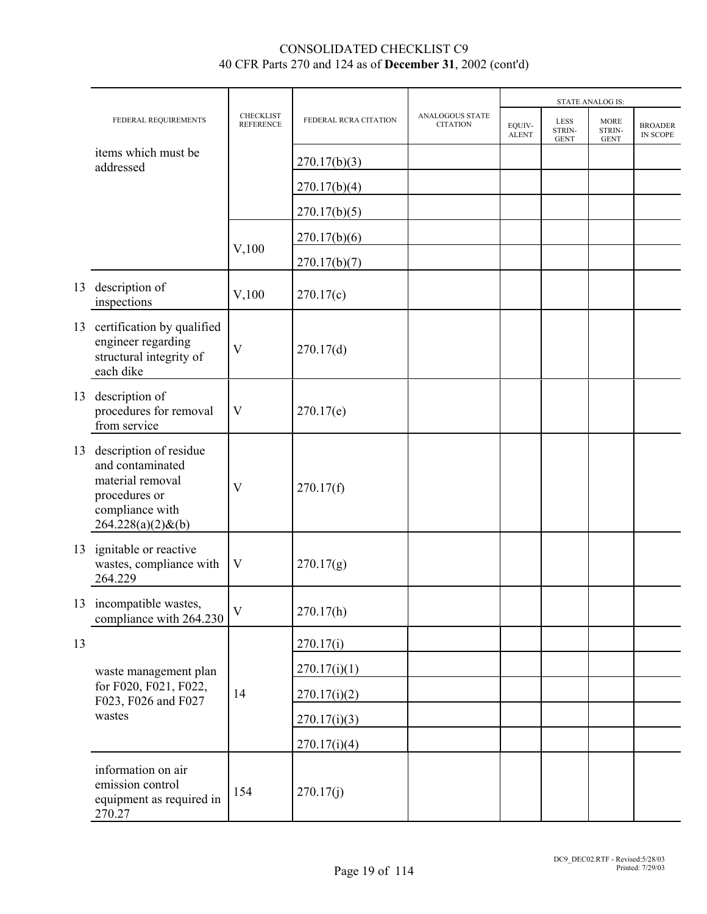|    |                                                                                                                            |                               |                       |                                    |                        |                                      | <b>STATE ANALOG IS:</b>              |                            |
|----|----------------------------------------------------------------------------------------------------------------------------|-------------------------------|-----------------------|------------------------------------|------------------------|--------------------------------------|--------------------------------------|----------------------------|
|    | FEDERAL REQUIREMENTS                                                                                                       | CHECKLIST<br><b>REFERENCE</b> | FEDERAL RCRA CITATION | ANALOGOUS STATE<br><b>CITATION</b> | EQUIV-<br><b>ALENT</b> | <b>LESS</b><br>STRIN-<br><b>GENT</b> | <b>MORE</b><br>STRIN-<br><b>GENT</b> | <b>BROADER</b><br>IN SCOPE |
|    | items which must be<br>addressed                                                                                           |                               | 270.17(b)(3)          |                                    |                        |                                      |                                      |                            |
|    |                                                                                                                            |                               | 270.17(b)(4)          |                                    |                        |                                      |                                      |                            |
|    |                                                                                                                            |                               | 270.17(b)(5)          |                                    |                        |                                      |                                      |                            |
|    |                                                                                                                            |                               | 270.17(b)(6)          |                                    |                        |                                      |                                      |                            |
|    |                                                                                                                            | $V$ , 100                     | 270.17(b)(7)          |                                    |                        |                                      |                                      |                            |
| 13 | description of<br>inspections                                                                                              | $V$ , 100                     | 270.17(c)             |                                    |                        |                                      |                                      |                            |
|    | 13 certification by qualified<br>engineer regarding<br>structural integrity of<br>each dike                                | $\mathbf{V}$                  | 270.17(d)             |                                    |                        |                                      |                                      |                            |
| 13 | description of<br>procedures for removal<br>from service                                                                   | $\mathbf V$                   | 270.17(e)             |                                    |                        |                                      |                                      |                            |
| 13 | description of residue<br>and contaminated<br>material removal<br>procedures or<br>compliance with<br>$264.228(a)(2)$ &(b) | $\overline{\mathsf{V}}$       | 270.17(f)             |                                    |                        |                                      |                                      |                            |
| 13 | ignitable or reactive<br>wastes, compliance with<br>264.229                                                                | $\mathbf V$                   | 270.17(g)             |                                    |                        |                                      |                                      |                            |
|    | 13 incompatible wastes,<br>compliance with 264.230                                                                         | $\mathbf{V}$                  | 270.17(h)             |                                    |                        |                                      |                                      |                            |
| 13 |                                                                                                                            |                               | 270.17(i)             |                                    |                        |                                      |                                      |                            |
|    | waste management plan                                                                                                      |                               | 270.17(i)(1)          |                                    |                        |                                      |                                      |                            |
|    | for F020, F021, F022,<br>F023, F026 and F027                                                                               | 14                            | 270.17(i)(2)          |                                    |                        |                                      |                                      |                            |
|    | wastes                                                                                                                     |                               | 270.17(i)(3)          |                                    |                        |                                      |                                      |                            |
|    |                                                                                                                            |                               | 270.17(i)(4)          |                                    |                        |                                      |                                      |                            |
|    | information on air<br>emission control<br>equipment as required in<br>270.27                                               | 154                           | 270.17(j)             |                                    |                        |                                      |                                      |                            |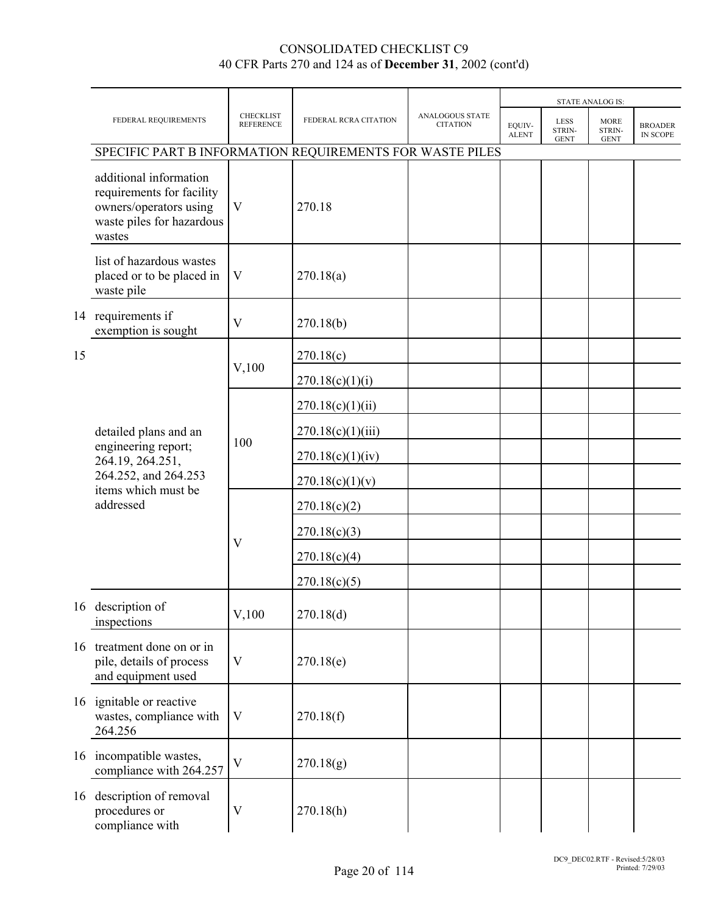|    |                                                                                                                      |                                      |                       |                                    |                        | <b>STATE ANALOG IS:</b>              |                                      |                                   |
|----|----------------------------------------------------------------------------------------------------------------------|--------------------------------------|-----------------------|------------------------------------|------------------------|--------------------------------------|--------------------------------------|-----------------------------------|
|    | FEDERAL REQUIREMENTS                                                                                                 | <b>CHECKLIST</b><br><b>REFERENCE</b> | FEDERAL RCRA CITATION | ANALOGOUS STATE<br><b>CITATION</b> | EQUIV-<br><b>ALENT</b> | <b>LESS</b><br>STRIN-<br><b>GENT</b> | <b>MORE</b><br>STRIN-<br><b>GENT</b> | <b>BROADER</b><br><b>IN SCOPE</b> |
|    | SPECIFIC PART B INFORMATION REQUIREMENTS FOR WASTE PILES                                                             |                                      |                       |                                    |                        |                                      |                                      |                                   |
|    | additional information<br>requirements for facility<br>owners/operators using<br>waste piles for hazardous<br>wastes | V                                    | 270.18                |                                    |                        |                                      |                                      |                                   |
|    | list of hazardous wastes<br>placed or to be placed in<br>waste pile                                                  | V                                    | 270.18(a)             |                                    |                        |                                      |                                      |                                   |
|    | 14 requirements if<br>exemption is sought                                                                            | V                                    | 270.18(b)             |                                    |                        |                                      |                                      |                                   |
| 15 |                                                                                                                      |                                      | 270.18(c)             |                                    |                        |                                      |                                      |                                   |
|    |                                                                                                                      | $V$ , 100                            | 270.18(c)(1)(i)       |                                    |                        |                                      |                                      |                                   |
|    |                                                                                                                      |                                      | 270.18(c)(1)(ii)      |                                    |                        |                                      |                                      |                                   |
|    | detailed plans and an                                                                                                | 100                                  | 270.18(c)(1)(iii)     |                                    |                        |                                      |                                      |                                   |
|    | engineering report;<br>264.19, 264.251,                                                                              |                                      | 270.18(c)(1)(iv)      |                                    |                        |                                      |                                      |                                   |
|    | 264.252, and 264.253<br>items which must be                                                                          |                                      | 270.18(c)(1)(v)       |                                    |                        |                                      |                                      |                                   |
|    | addressed                                                                                                            |                                      | 270.18(c)(2)          |                                    |                        |                                      |                                      |                                   |
|    |                                                                                                                      |                                      | 270.18(c)(3)          |                                    |                        |                                      |                                      |                                   |
|    |                                                                                                                      | V                                    | 270.18(c)(4)          |                                    |                        |                                      |                                      |                                   |
|    |                                                                                                                      |                                      | 270.18(c)(5)          |                                    |                        |                                      |                                      |                                   |
|    | 16 description of<br>inspections                                                                                     | V,100                                | 270.18(d)             |                                    |                        |                                      |                                      |                                   |
|    | 16 treatment done on or in<br>pile, details of process<br>and equipment used                                         | $\mathbf V$                          | 270.18(e)             |                                    |                        |                                      |                                      |                                   |
|    | 16 ignitable or reactive<br>wastes, compliance with<br>264.256                                                       | V                                    | 270.18(f)             |                                    |                        |                                      |                                      |                                   |
|    | 16 incompatible wastes,<br>compliance with 264.257                                                                   | V                                    | 270.18(g)             |                                    |                        |                                      |                                      |                                   |
| 16 | description of removal<br>procedures or<br>compliance with                                                           | V                                    | 270.18(h)             |                                    |                        |                                      |                                      |                                   |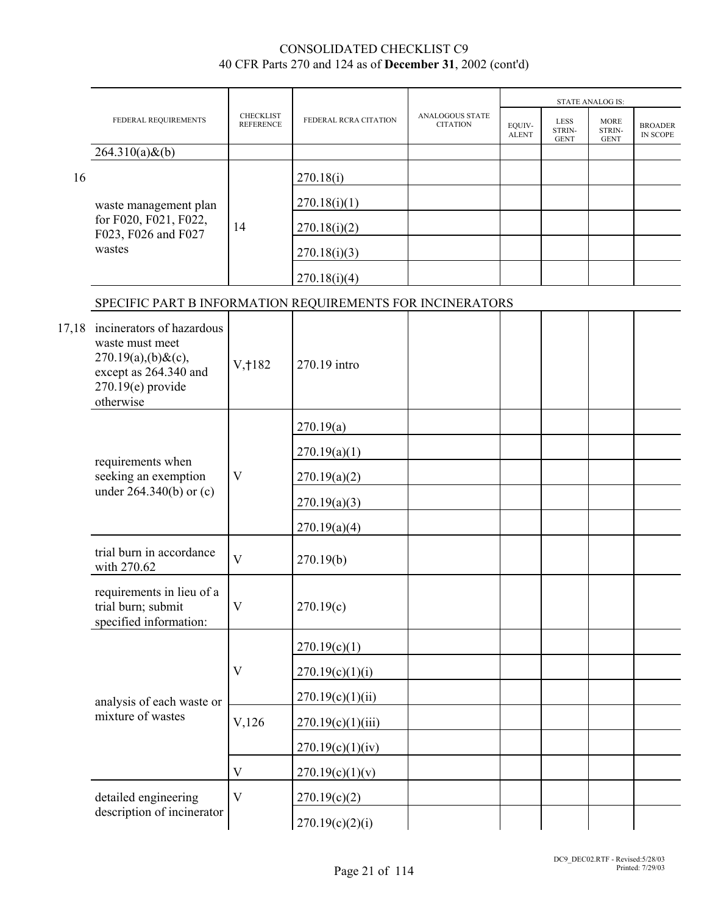|       |                                                                                                                                       |                                      |                       |                                           | <b>STATE ANALOG IS:</b> |                                      |                                      |                            |
|-------|---------------------------------------------------------------------------------------------------------------------------------------|--------------------------------------|-----------------------|-------------------------------------------|-------------------------|--------------------------------------|--------------------------------------|----------------------------|
|       | FEDERAL REQUIREMENTS                                                                                                                  | <b>CHECKLIST</b><br><b>REFERENCE</b> | FEDERAL RCRA CITATION | <b>ANALOGOUS STATE</b><br><b>CITATION</b> | EQUIV-<br><b>ALENT</b>  | <b>LESS</b><br>STRIN-<br><b>GENT</b> | <b>MORE</b><br>STRIN-<br><b>GENT</b> | <b>BROADER</b><br>IN SCOPE |
|       | $264.310(a) \& (b)$                                                                                                                   |                                      |                       |                                           |                         |                                      |                                      |                            |
| 16    |                                                                                                                                       |                                      | 270.18(i)             |                                           |                         |                                      |                                      |                            |
|       | waste management plan                                                                                                                 |                                      | 270.18(i)(1)          |                                           |                         |                                      |                                      |                            |
|       | for F020, F021, F022,<br>F023, F026 and F027                                                                                          | 14                                   | 270.18(i)(2)          |                                           |                         |                                      |                                      |                            |
|       | wastes                                                                                                                                |                                      | 270.18(i)(3)          |                                           |                         |                                      |                                      |                            |
|       |                                                                                                                                       |                                      | 270.18(i)(4)          |                                           |                         |                                      |                                      |                            |
|       | SPECIFIC PART B INFORMATION REQUIREMENTS FOR INCINERATORS                                                                             |                                      |                       |                                           |                         |                                      |                                      |                            |
| 17,18 | incinerators of hazardous<br>waste must meet<br>$270.19(a)$ , (b) & (c),<br>except as 264.340 and<br>$270.19(e)$ provide<br>otherwise | V, 182                               | 270.19 intro          |                                           |                         |                                      |                                      |                            |
|       |                                                                                                                                       |                                      | 270.19(a)             |                                           |                         |                                      |                                      |                            |
|       | requirements when                                                                                                                     | V                                    | 270.19(a)(1)          |                                           |                         |                                      |                                      |                            |
|       | seeking an exemption                                                                                                                  |                                      | 270.19(a)(2)          |                                           |                         |                                      |                                      |                            |
|       | under $264.340(b)$ or (c)                                                                                                             |                                      | 270.19(a)(3)          |                                           |                         |                                      |                                      |                            |
|       |                                                                                                                                       |                                      | 270.19(a)(4)          |                                           |                         |                                      |                                      |                            |
|       | trial burn in accordance<br>with 270.62                                                                                               | $\overline{\mathbf{V}}$              | 270.19(b)             |                                           |                         |                                      |                                      |                            |
|       | requirements in lieu of a<br>trial burn; submit<br>specified information:                                                             | $\mathbf V$                          | 270.19(c)             |                                           |                         |                                      |                                      |                            |
|       |                                                                                                                                       |                                      | 270.19(c)(1)          |                                           |                         |                                      |                                      |                            |
|       |                                                                                                                                       | V                                    | 270.19(c)(1)(i)       |                                           |                         |                                      |                                      |                            |
|       | analysis of each waste or                                                                                                             |                                      | 270.19(c)(1)(ii)      |                                           |                         |                                      |                                      |                            |
|       | mixture of wastes                                                                                                                     | $V$ , 126                            | 270.19(c)(1)(iii)     |                                           |                         |                                      |                                      |                            |
|       |                                                                                                                                       |                                      | 270.19(c)(1)(iv)      |                                           |                         |                                      |                                      |                            |
|       |                                                                                                                                       | $\ensuremath{\mathbf{V}}$            | 270.19(c)(1)(v)       |                                           |                         |                                      |                                      |                            |
|       | detailed engineering                                                                                                                  | V                                    | 270.19(c)(2)          |                                           |                         |                                      |                                      |                            |
|       | description of incinerator                                                                                                            |                                      | 270.19(c)(2)(i)       |                                           |                         |                                      |                                      |                            |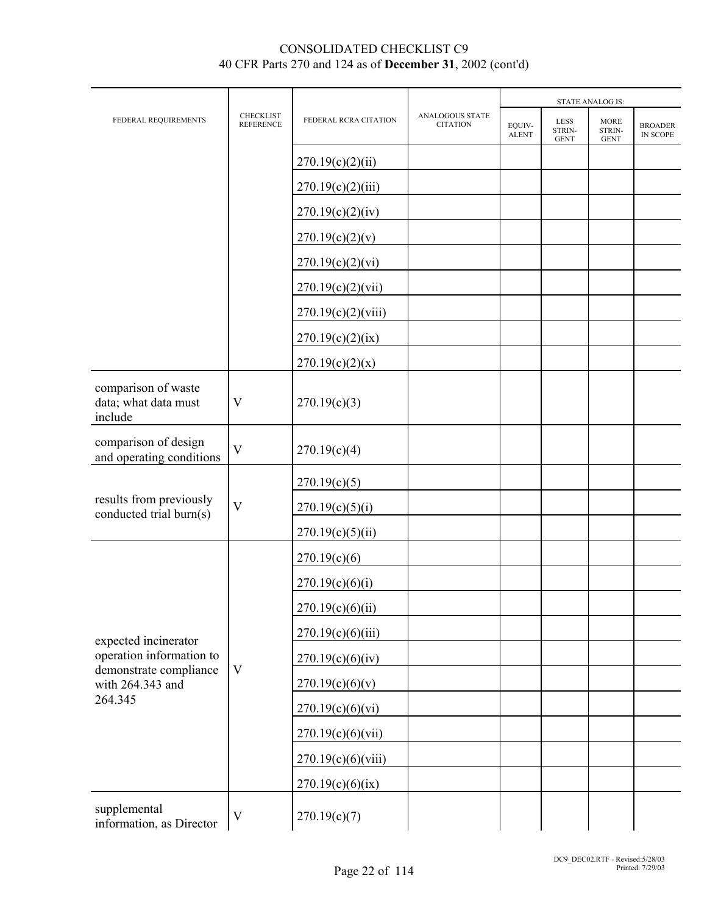|                                                        |                               |                       |                                           |                        | <b>STATE ANALOG IS:</b>              |                                      |                            |  |
|--------------------------------------------------------|-------------------------------|-----------------------|-------------------------------------------|------------------------|--------------------------------------|--------------------------------------|----------------------------|--|
| FEDERAL REQUIREMENTS                                   | CHECKLIST<br><b>REFERENCE</b> | FEDERAL RCRA CITATION | <b>ANALOGOUS STATE</b><br><b>CITATION</b> | EQUIV-<br><b>ALENT</b> | <b>LESS</b><br>STRIN-<br><b>GENT</b> | <b>MORE</b><br>STRIN-<br><b>GENT</b> | <b>BROADER</b><br>IN SCOPE |  |
|                                                        |                               | 270.19(c)(2)(ii)      |                                           |                        |                                      |                                      |                            |  |
|                                                        |                               | 270.19(c)(2)(iii)     |                                           |                        |                                      |                                      |                            |  |
|                                                        |                               | 270.19(c)(2)(iv)      |                                           |                        |                                      |                                      |                            |  |
|                                                        |                               | 270.19(c)(2)(v)       |                                           |                        |                                      |                                      |                            |  |
|                                                        |                               | 270.19(c)(2)(vi)      |                                           |                        |                                      |                                      |                            |  |
|                                                        |                               | 270.19(c)(2)(vii)     |                                           |                        |                                      |                                      |                            |  |
|                                                        |                               | 270.19(c)(2)(viii)    |                                           |                        |                                      |                                      |                            |  |
|                                                        |                               | 270.19(c)(2)(ix)      |                                           |                        |                                      |                                      |                            |  |
|                                                        |                               | 270.19(c)(2)(x)       |                                           |                        |                                      |                                      |                            |  |
| comparison of waste<br>data; what data must<br>include | V                             | 270.19(c)(3)          |                                           |                        |                                      |                                      |                            |  |
| comparison of design<br>and operating conditions       | $\overline{V}$                | 270.19(c)(4)          |                                           |                        |                                      |                                      |                            |  |
|                                                        |                               | 270.19(c)(5)          |                                           |                        |                                      |                                      |                            |  |
| results from previously<br>conducted trial burn(s)     | V                             | 270.19(c)(5)(i)       |                                           |                        |                                      |                                      |                            |  |
|                                                        |                               | 270.19(c)(5)(ii)      |                                           |                        |                                      |                                      |                            |  |
|                                                        |                               | 270.19(c)(6)          |                                           |                        |                                      |                                      |                            |  |
|                                                        |                               | 270.19(c)(6)(i)       |                                           |                        |                                      |                                      |                            |  |
|                                                        |                               | 270.19(c)(6)(ii)      |                                           |                        |                                      |                                      |                            |  |
| expected incinerator                                   |                               | 270.19(c)(6)(iii)     |                                           |                        |                                      |                                      |                            |  |
| operation information to                               |                               | 270.19(c)(6)(iv)      |                                           |                        |                                      |                                      |                            |  |
| demonstrate compliance<br>with 264.343 and             | V                             | 270.19(c)(6)(v)       |                                           |                        |                                      |                                      |                            |  |
| 264.345                                                |                               | 270.19(c)(6)(vi)      |                                           |                        |                                      |                                      |                            |  |
|                                                        |                               | 270.19(c)(6)(vii)     |                                           |                        |                                      |                                      |                            |  |
|                                                        |                               | 270.19(c)(6)(viii)    |                                           |                        |                                      |                                      |                            |  |
|                                                        |                               | 270.19(c)(6)(ix)      |                                           |                        |                                      |                                      |                            |  |
| supplemental<br>information, as Director               | $\mathbf V$                   | 270.19(c)(7)          |                                           |                        |                                      |                                      |                            |  |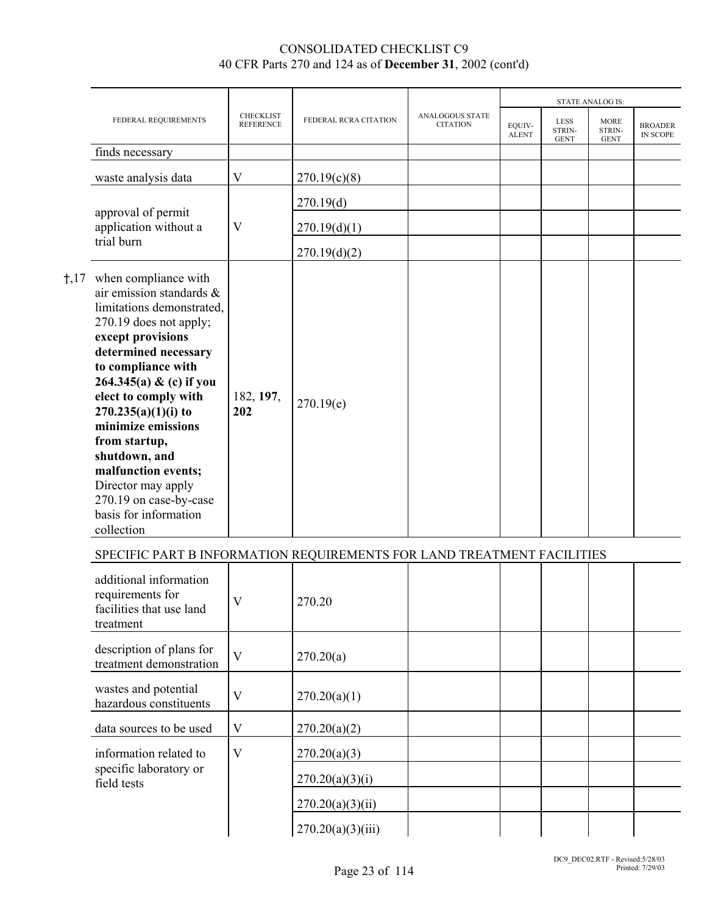|                                                                                                                                                                                                                                                                                                                                                                                                                                   |                                      |                       |                                           |                        |                                      | <b>STATE ANALOG IS:</b>              |                                   |
|-----------------------------------------------------------------------------------------------------------------------------------------------------------------------------------------------------------------------------------------------------------------------------------------------------------------------------------------------------------------------------------------------------------------------------------|--------------------------------------|-----------------------|-------------------------------------------|------------------------|--------------------------------------|--------------------------------------|-----------------------------------|
| FEDERAL REQUIREMENTS                                                                                                                                                                                                                                                                                                                                                                                                              | <b>CHECKLIST</b><br><b>REFERENCE</b> | FEDERAL RCRA CITATION | <b>ANALOGOUS STATE</b><br><b>CITATION</b> | EQUIV-<br><b>ALENT</b> | <b>LESS</b><br>STRIN-<br><b>GENT</b> | <b>MORE</b><br>STRIN-<br><b>GENT</b> | <b>BROADER</b><br><b>IN SCOPE</b> |
| finds necessary                                                                                                                                                                                                                                                                                                                                                                                                                   |                                      |                       |                                           |                        |                                      |                                      |                                   |
| waste analysis data                                                                                                                                                                                                                                                                                                                                                                                                               | $\mathbf V$                          | 270.19(c)(8)          |                                           |                        |                                      |                                      |                                   |
|                                                                                                                                                                                                                                                                                                                                                                                                                                   |                                      | 270.19(d)             |                                           |                        |                                      |                                      |                                   |
| approval of permit<br>application without a                                                                                                                                                                                                                                                                                                                                                                                       | V                                    | 270.19(d)(1)          |                                           |                        |                                      |                                      |                                   |
| trial burn                                                                                                                                                                                                                                                                                                                                                                                                                        |                                      | 270.19(d)(2)          |                                           |                        |                                      |                                      |                                   |
| †,17 when compliance with<br>air emission standards &<br>limitations demonstrated,<br>270.19 does not apply;<br>except provisions<br>determined necessary<br>to compliance with<br>264.345(a) & (c) if you<br>elect to comply with<br>$270.235(a)(1)(i)$ to<br>minimize emissions<br>from startup,<br>shutdown, and<br>malfunction events;<br>Director may apply<br>270.19 on case-by-case<br>basis for information<br>collection | 182, 197,<br>202                     | 270.19(e)             |                                           |                        |                                      |                                      |                                   |
| SPECIFIC PART B INFORMATION REQUIREMENTS FOR LAND TREATMENT FACILITIES                                                                                                                                                                                                                                                                                                                                                            |                                      |                       |                                           |                        |                                      |                                      |                                   |
| additional information<br>requirements for<br>facilities that use land<br>treatment                                                                                                                                                                                                                                                                                                                                               | V                                    | 270.20                |                                           |                        |                                      |                                      |                                   |
|                                                                                                                                                                                                                                                                                                                                                                                                                                   |                                      |                       |                                           |                        |                                      |                                      |                                   |

| treatment                                           |   |                   |  |  |  |
|-----------------------------------------------------|---|-------------------|--|--|--|
| description of plans for<br>treatment demonstration | V | 270.20(a)         |  |  |  |
| wastes and potential<br>hazardous constituents      |   | 270.20(a)(1)      |  |  |  |
| data sources to be used                             | V | 270.20(a)(2)      |  |  |  |
| information related to                              | V | 270.20(a)(3)      |  |  |  |
| specific laboratory or<br>field tests               |   | 270.20(a)(3)(i)   |  |  |  |
|                                                     |   | 270.20(a)(3)(ii)  |  |  |  |
|                                                     |   | 270.20(a)(3)(iii) |  |  |  |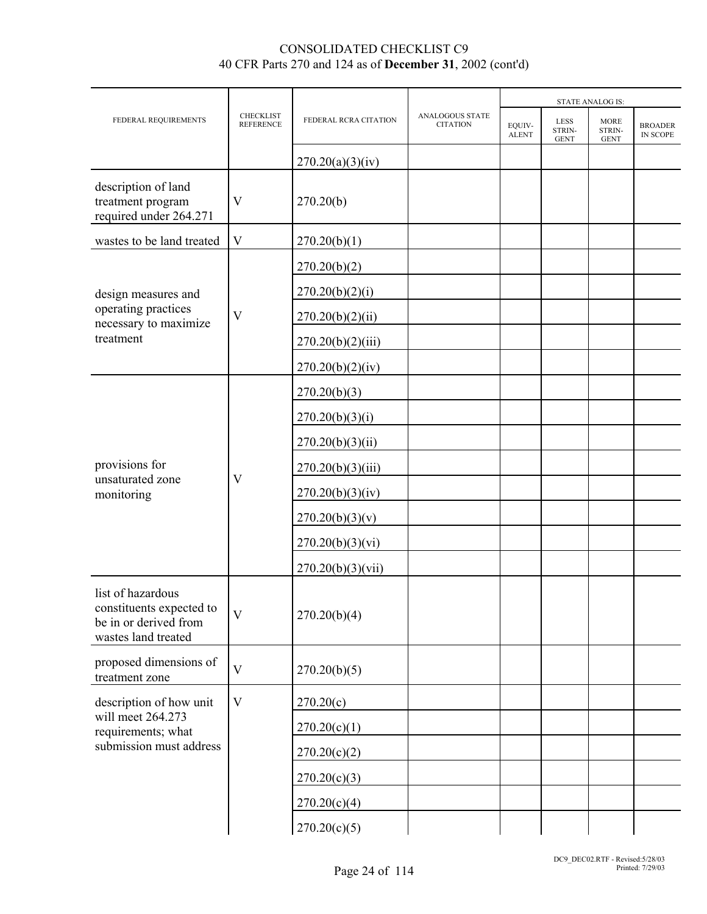|                                                                                               |                               |                       |                                    |                        |                                      | <b>STATE ANALOG IS:</b>              |                            |
|-----------------------------------------------------------------------------------------------|-------------------------------|-----------------------|------------------------------------|------------------------|--------------------------------------|--------------------------------------|----------------------------|
| FEDERAL REQUIREMENTS                                                                          | CHECKLIST<br><b>REFERENCE</b> | FEDERAL RCRA CITATION | ANALOGOUS STATE<br><b>CITATION</b> | EQUIV-<br><b>ALENT</b> | <b>LESS</b><br>STRIN-<br><b>GENT</b> | <b>MORE</b><br>STRIN-<br><b>GENT</b> | <b>BROADER</b><br>IN SCOPE |
|                                                                                               |                               | 270.20(a)(3)(iv)      |                                    |                        |                                      |                                      |                            |
| description of land<br>treatment program<br>required under 264.271                            | V                             | 270.20(b)             |                                    |                        |                                      |                                      |                            |
| wastes to be land treated                                                                     | $\mathbf V$                   | 270.20(b)(1)          |                                    |                        |                                      |                                      |                            |
|                                                                                               |                               | 270.20(b)(2)          |                                    |                        |                                      |                                      |                            |
| design measures and                                                                           |                               | 270.20(b)(2)(i)       |                                    |                        |                                      |                                      |                            |
| operating practices<br>necessary to maximize                                                  | V                             | 270.20(b)(2)(ii)      |                                    |                        |                                      |                                      |                            |
| treatment                                                                                     |                               | 270.20(b)(2)(iii)     |                                    |                        |                                      |                                      |                            |
|                                                                                               |                               | 270.20(b)(2)(iv)      |                                    |                        |                                      |                                      |                            |
|                                                                                               |                               | 270.20(b)(3)          |                                    |                        |                                      |                                      |                            |
|                                                                                               |                               | 270.20(b)(3)(i)       |                                    |                        |                                      |                                      |                            |
|                                                                                               |                               | 270.20(b)(3)(ii)      |                                    |                        |                                      |                                      |                            |
| provisions for<br>unsaturated zone                                                            | V                             | 270.20(b)(3)(iii)     |                                    |                        |                                      |                                      |                            |
| monitoring                                                                                    |                               | 270.20(b)(3)(iv)      |                                    |                        |                                      |                                      |                            |
|                                                                                               |                               | 270.20(b)(3)(v)       |                                    |                        |                                      |                                      |                            |
|                                                                                               |                               | 270.20(b)(3)(vi)      |                                    |                        |                                      |                                      |                            |
|                                                                                               |                               | 270.20(b)(3)(vii)     |                                    |                        |                                      |                                      |                            |
| list of hazardous<br>constituents expected to<br>be in or derived from<br>wastes land treated | $\overline{V}$                | 270.20(b)(4)          |                                    |                        |                                      |                                      |                            |
| proposed dimensions of<br>treatment zone                                                      | $\mathbf V$                   | 270.20(b)(5)          |                                    |                        |                                      |                                      |                            |
| description of how unit                                                                       | $\mathbf{V}$                  | 270.20(c)             |                                    |                        |                                      |                                      |                            |
| will meet 264.273<br>requirements; what                                                       |                               | 270.20(c)(1)          |                                    |                        |                                      |                                      |                            |
| submission must address                                                                       |                               | 270.20(c)(2)          |                                    |                        |                                      |                                      |                            |
|                                                                                               |                               | 270.20(c)(3)          |                                    |                        |                                      |                                      |                            |
|                                                                                               |                               | 270.20(c)(4)          |                                    |                        |                                      |                                      |                            |
|                                                                                               |                               | 270.20(c)(5)          |                                    |                        |                                      |                                      |                            |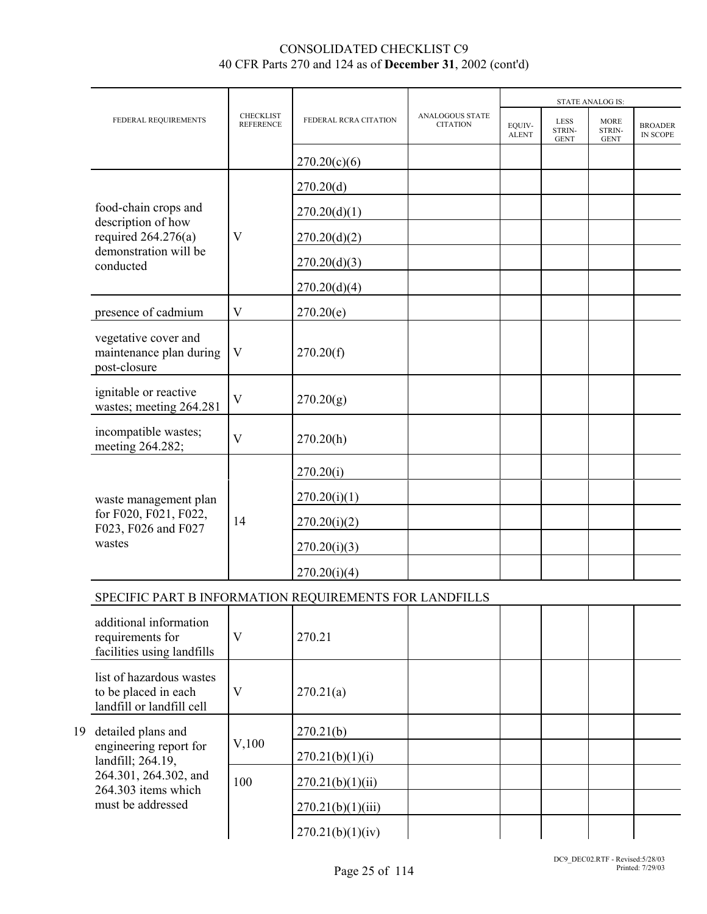|  |                                                                                                                  |                                      |                       |                                           |                        | <b>STATE ANALOG IS:</b>              |                                      |                            |
|--|------------------------------------------------------------------------------------------------------------------|--------------------------------------|-----------------------|-------------------------------------------|------------------------|--------------------------------------|--------------------------------------|----------------------------|
|  | FEDERAL REQUIREMENTS                                                                                             | <b>CHECKLIST</b><br><b>REFERENCE</b> | FEDERAL RCRA CITATION | <b>ANALOGOUS STATE</b><br><b>CITATION</b> | EQUIV-<br><b>ALENT</b> | <b>LESS</b><br>STRIN-<br><b>GENT</b> | <b>MORE</b><br>STRIN-<br><b>GENT</b> | <b>BROADER</b><br>IN SCOPE |
|  |                                                                                                                  |                                      | 270.20(c)(6)          |                                           |                        |                                      |                                      |                            |
|  |                                                                                                                  |                                      | 270.20(d)             |                                           |                        |                                      |                                      |                            |
|  | food-chain crops and<br>description of how                                                                       |                                      | 270.20(d)(1)          |                                           |                        |                                      |                                      |                            |
|  | required $264.276(a)$<br>demonstration will be<br>conducted                                                      | $\mathbf V$                          | 270.20(d)(2)          |                                           |                        |                                      |                                      |                            |
|  |                                                                                                                  |                                      | 270.20(d)(3)          |                                           |                        |                                      |                                      |                            |
|  |                                                                                                                  |                                      | 270.20(d)(4)          |                                           |                        |                                      |                                      |                            |
|  | presence of cadmium                                                                                              | $\mathbf V$                          | 270.20(e)             |                                           |                        |                                      |                                      |                            |
|  | vegetative cover and<br>maintenance plan during<br>post-closure                                                  | $\overline{\mathsf{V}}$              | 270.20(f)             |                                           |                        |                                      |                                      |                            |
|  | ignitable or reactive<br>wastes; meeting 264.281                                                                 | $\mathbf{V}$                         | 270.20(g)             |                                           |                        |                                      |                                      |                            |
|  | incompatible wastes;<br>meeting 264.282;                                                                         | $\mathbf{V}$                         | 270.20(h)             |                                           |                        |                                      |                                      |                            |
|  |                                                                                                                  |                                      | 270.20(i)             |                                           |                        |                                      |                                      |                            |
|  | waste management plan                                                                                            | 14                                   | 270.20(i)(1)          |                                           |                        |                                      |                                      |                            |
|  | for F020, F021, F022,<br>F023, F026 and F027                                                                     |                                      | 270.20(i)(2)          |                                           |                        |                                      |                                      |                            |
|  | wastes                                                                                                           |                                      | 270.20(i)(3)          |                                           |                        |                                      |                                      |                            |
|  |                                                                                                                  |                                      | 270.20(i)(4)          |                                           |                        |                                      |                                      |                            |
|  | SPECIFIC PART B INFORMATION REQUIREMENTS FOR LANDFILLS                                                           |                                      |                       |                                           |                        |                                      |                                      |                            |
|  | additional information<br>requirements for<br>facilities using landfills                                         | $\mathbf{V}$                         | 270.21                |                                           |                        |                                      |                                      |                            |
|  | list of hazardous wastes<br>to be placed in each<br>landfill or landfill cell                                    | $\mathbf V$                          | 270.21(a)             |                                           |                        |                                      |                                      |                            |
|  | 19 detailed plans and                                                                                            |                                      | 270.21(b)             |                                           |                        |                                      |                                      |                            |
|  | engineering report for<br>landfill; 264.19,<br>264.301, 264.302, and<br>264.303 items which<br>must be addressed | $V$ , 100                            | 270.21(b)(1)(i)       |                                           |                        |                                      |                                      |                            |
|  |                                                                                                                  | 100                                  | 270.21(b)(1)(ii)      |                                           |                        |                                      |                                      |                            |
|  |                                                                                                                  |                                      | 270.21(b)(1)(iii)     |                                           |                        |                                      |                                      |                            |
|  |                                                                                                                  |                                      | 270.21(b)(1)(iv)      |                                           |                        |                                      |                                      |                            |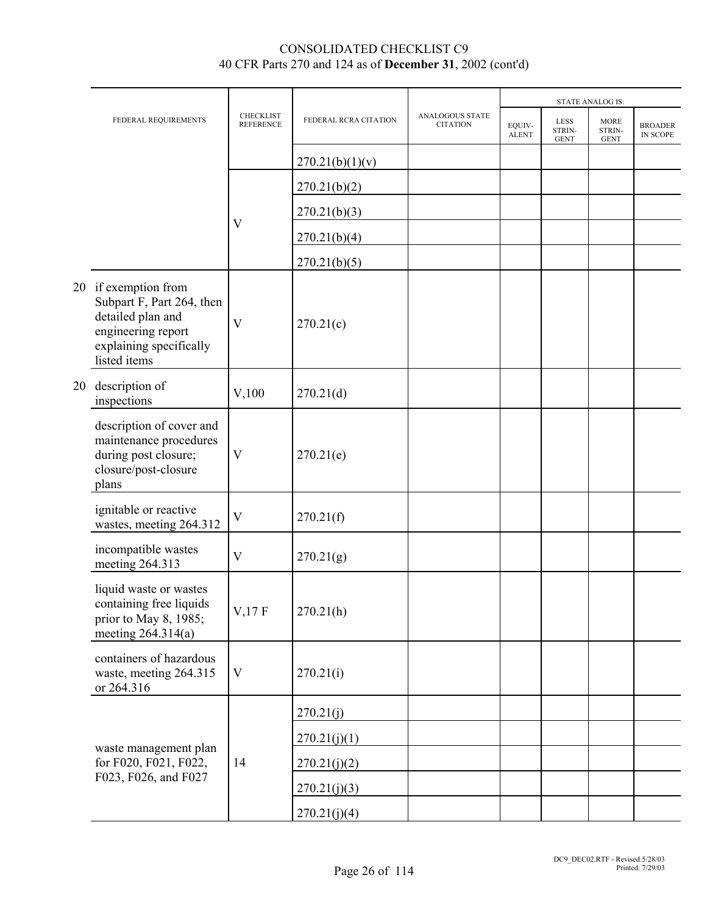|    |                                                                                                                                         |                               |                       | <b>STATE ANALOG IS:</b>            |                        |                                      |                                      |                            |
|----|-----------------------------------------------------------------------------------------------------------------------------------------|-------------------------------|-----------------------|------------------------------------|------------------------|--------------------------------------|--------------------------------------|----------------------------|
|    | FEDERAL REQUIREMENTS                                                                                                                    | CHECKLIST<br><b>REFERENCE</b> | FEDERAL RCRA CITATION | ANALOGOUS STATE<br><b>CITATION</b> | EQUIV-<br><b>ALENT</b> | <b>LESS</b><br>STRIN-<br><b>GENT</b> | <b>MORE</b><br>STRIN-<br><b>GENT</b> | <b>BROADER</b><br>IN SCOPE |
|    |                                                                                                                                         |                               | 270.21(b)(1)(v)       |                                    |                        |                                      |                                      |                            |
|    |                                                                                                                                         |                               | 270.21(b)(2)          |                                    |                        |                                      |                                      |                            |
|    |                                                                                                                                         |                               | 270.21(b)(3)          |                                    |                        |                                      |                                      |                            |
|    |                                                                                                                                         | $\mathbf{V}$                  | 270.21(b)(4)          |                                    |                        |                                      |                                      |                            |
|    |                                                                                                                                         |                               | 270.21(b)(5)          |                                    |                        |                                      |                                      |                            |
|    | 20 if exemption from<br>Subpart F, Part 264, then<br>detailed plan and<br>engineering report<br>explaining specifically<br>listed items | $\mathbf{V}$                  | 270.21(c)             |                                    |                        |                                      |                                      |                            |
| 20 | description of<br>inspections                                                                                                           | V,100                         | 270.21(d)             |                                    |                        |                                      |                                      |                            |
|    | description of cover and<br>maintenance procedures<br>during post closure;<br>closure/post-closure<br>plans                             | $\boldsymbol{\mathrm{V}}$     | 270.21(e)             |                                    |                        |                                      |                                      |                            |
|    | ignitable or reactive<br>wastes, meeting 264.312                                                                                        | $\ensuremath{\mathbf{V}}$     | 270.21(f)             |                                    |                        |                                      |                                      |                            |
|    | incompatible wastes<br>meeting 264.313                                                                                                  | $\ensuremath{\mathbf{V}}$     | 270.21(g)             |                                    |                        |                                      |                                      |                            |
|    | liquid waste or wastes<br>containing free liquids<br>prior to May 8, 1985;<br>meeting $264.314(a)$                                      | $V$ , 17 $F$                  | 270.21(h)             |                                    |                        |                                      |                                      |                            |
|    | containers of hazardous<br>waste, meeting 264.315<br>or 264.316                                                                         | $\mathbf{V}$                  | 270.21(i)             |                                    |                        |                                      |                                      |                            |
|    |                                                                                                                                         |                               | 270.21(j)             |                                    |                        |                                      |                                      |                            |
|    |                                                                                                                                         |                               | 270.21(j)(1)          |                                    |                        |                                      |                                      |                            |
|    | waste management plan<br>for F020, F021, F022,                                                                                          | 14                            | 270.21(j)(2)          |                                    |                        |                                      |                                      |                            |
|    | F023, F026, and F027                                                                                                                    |                               | 270.21(j)(3)          |                                    |                        |                                      |                                      |                            |
|    |                                                                                                                                         |                               | 270.21(j)(4)          |                                    |                        |                                      |                                      |                            |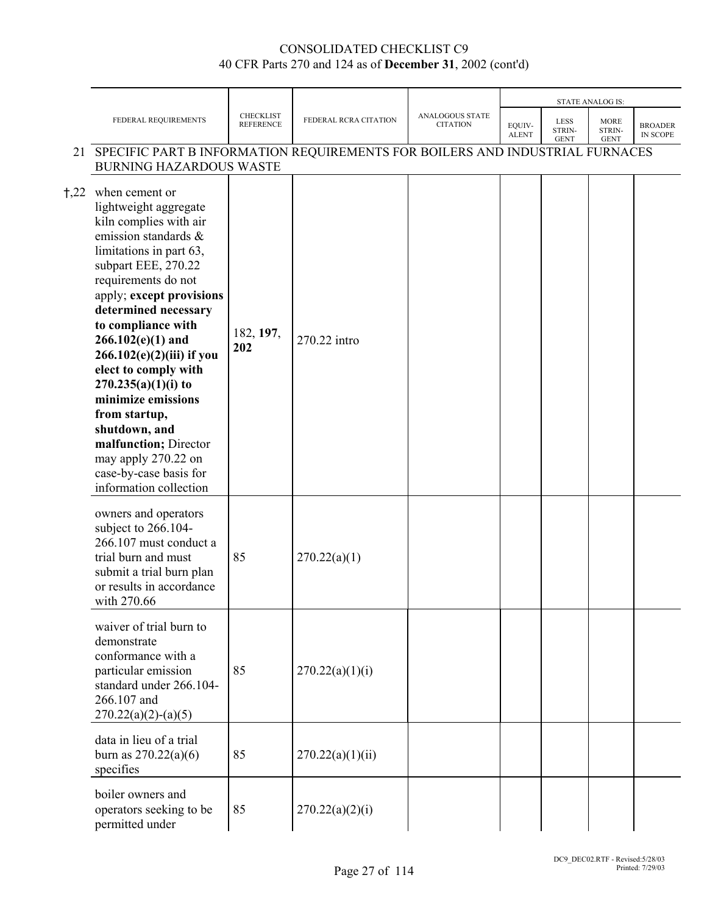|      |                                                                                                                                                                                                                                                                                                                                                                                                                                                                                                                 |                                      |                       |                                    |                        |                               | <b>STATE ANALOG IS:</b>              |                            |
|------|-----------------------------------------------------------------------------------------------------------------------------------------------------------------------------------------------------------------------------------------------------------------------------------------------------------------------------------------------------------------------------------------------------------------------------------------------------------------------------------------------------------------|--------------------------------------|-----------------------|------------------------------------|------------------------|-------------------------------|--------------------------------------|----------------------------|
|      | FEDERAL REQUIREMENTS                                                                                                                                                                                                                                                                                                                                                                                                                                                                                            | <b>CHECKLIST</b><br><b>REFERENCE</b> | FEDERAL RCRA CITATION | ANALOGOUS STATE<br><b>CITATION</b> | EQUIV-<br><b>ALENT</b> | LESS<br>STRIN-<br><b>GENT</b> | <b>MORE</b><br>STRIN-<br><b>GENT</b> | <b>BROADER</b><br>IN SCOPE |
|      | 21 SPECIFIC PART B INFORMATION REQUIREMENTS FOR BOILERS AND INDUSTRIAL FURNACES<br><b>BURNING HAZARDOUS WASTE</b>                                                                                                                                                                                                                                                                                                                                                                                               |                                      |                       |                                    |                        |                               |                                      |                            |
| †,22 | when cement or<br>lightweight aggregate<br>kiln complies with air<br>emission standards &<br>limitations in part 63,<br>subpart EEE, 270.22<br>requirements do not<br>apply; except provisions<br>determined necessary<br>to compliance with<br>$266.102(e)(1)$ and<br>$266.102(e)(2)(iii)$ if you<br>elect to comply with<br>$270.235(a)(1)(i)$ to<br>minimize emissions<br>from startup,<br>shutdown, and<br>malfunction; Director<br>may apply 270.22 on<br>case-by-case basis for<br>information collection | 182, 197,<br>202                     | 270.22 intro          |                                    |                        |                               |                                      |                            |
|      | owners and operators<br>subject to 266.104-<br>266.107 must conduct a<br>trial burn and must<br>submit a trial burn plan<br>or results in accordance<br>with 270.66                                                                                                                                                                                                                                                                                                                                             | 85                                   | 270.22(a)(1)          |                                    |                        |                               |                                      |                            |
|      | waiver of trial burn to<br>demonstrate<br>conformance with a<br>particular emission<br>standard under 266.104-<br>266.107 and<br>$270.22(a)(2)-(a)(5)$                                                                                                                                                                                                                                                                                                                                                          | 85                                   | 270.22(a)(1)(i)       |                                    |                        |                               |                                      |                            |
|      | data in lieu of a trial<br>burn as $270.22(a)(6)$<br>specifies                                                                                                                                                                                                                                                                                                                                                                                                                                                  | 85                                   | 270.22(a)(1)(ii)      |                                    |                        |                               |                                      |                            |
|      | boiler owners and<br>operators seeking to be<br>permitted under                                                                                                                                                                                                                                                                                                                                                                                                                                                 | 85                                   | 270.22(a)(2)(i)       |                                    |                        |                               |                                      |                            |

Page 27 of 114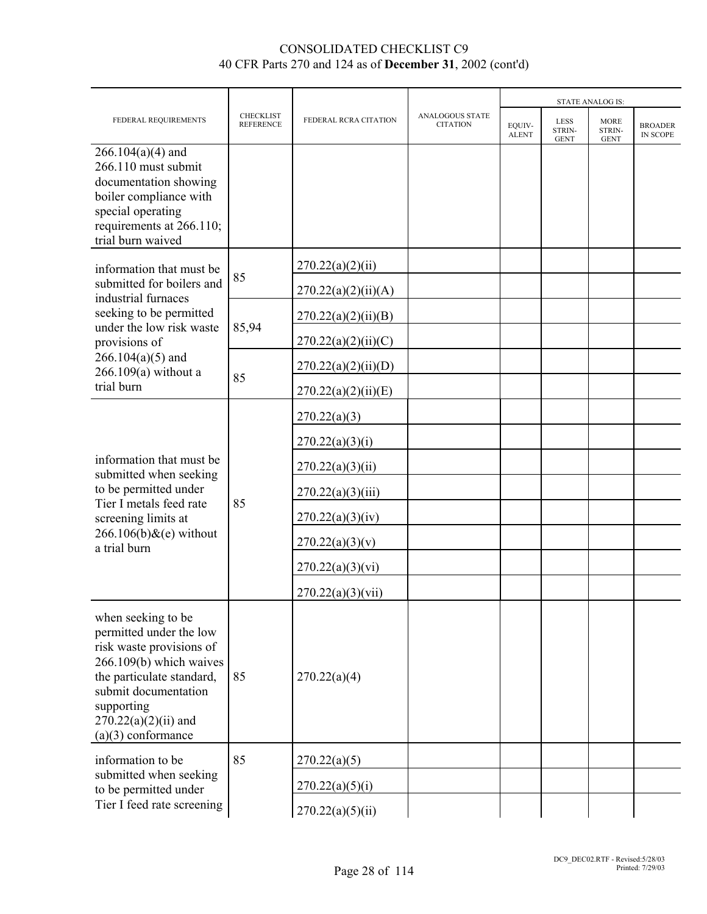|                                                                                                                                                                                                                           |                                      |                       |                                           |                        | <b>STATE ANALOG IS:</b>              |                                      |                                   |  |  |
|---------------------------------------------------------------------------------------------------------------------------------------------------------------------------------------------------------------------------|--------------------------------------|-----------------------|-------------------------------------------|------------------------|--------------------------------------|--------------------------------------|-----------------------------------|--|--|
| FEDERAL REQUIREMENTS                                                                                                                                                                                                      | <b>CHECKLIST</b><br><b>REFERENCE</b> | FEDERAL RCRA CITATION | <b>ANALOGOUS STATE</b><br><b>CITATION</b> | EQUIV-<br><b>ALENT</b> | <b>LESS</b><br>STRIN-<br><b>GENT</b> | <b>MORE</b><br>STRIN-<br><b>GENT</b> | <b>BROADER</b><br><b>IN SCOPE</b> |  |  |
| $266.104(a)(4)$ and<br>266.110 must submit<br>documentation showing<br>boiler compliance with<br>special operating<br>requirements at 266.110;<br>trial burn waived                                                       |                                      |                       |                                           |                        |                                      |                                      |                                   |  |  |
| information that must be                                                                                                                                                                                                  |                                      | 270.22(a)(2)(ii)      |                                           |                        |                                      |                                      |                                   |  |  |
| submitted for boilers and<br>industrial furnaces                                                                                                                                                                          | 85                                   | 270.22(a)(2)(ii)(A)   |                                           |                        |                                      |                                      |                                   |  |  |
| seeking to be permitted                                                                                                                                                                                                   |                                      | 270.22(a)(2)(ii)(B)   |                                           |                        |                                      |                                      |                                   |  |  |
| under the low risk waste<br>provisions of                                                                                                                                                                                 | 85,94                                | 270.22(a)(2)(ii)(C)   |                                           |                        |                                      |                                      |                                   |  |  |
| $266.104(a)(5)$ and<br>$266.109(a)$ without a                                                                                                                                                                             | 85                                   | 270.22(a)(2)(ii)(D)   |                                           |                        |                                      |                                      |                                   |  |  |
| trial burn                                                                                                                                                                                                                |                                      | 270.22(a)(2)(ii)(E)   |                                           |                        |                                      |                                      |                                   |  |  |
|                                                                                                                                                                                                                           |                                      | 270.22(a)(3)          |                                           |                        |                                      |                                      |                                   |  |  |
|                                                                                                                                                                                                                           | 85                                   | 270.22(a)(3)(i)       |                                           |                        |                                      |                                      |                                   |  |  |
| information that must be<br>submitted when seeking                                                                                                                                                                        |                                      | 270.22(a)(3)(ii)      |                                           |                        |                                      |                                      |                                   |  |  |
| to be permitted under<br>Tier I metals feed rate                                                                                                                                                                          |                                      | 270.22(a)(3)(iii)     |                                           |                        |                                      |                                      |                                   |  |  |
| screening limits at                                                                                                                                                                                                       |                                      | 270.22(a)(3)(iv)      |                                           |                        |                                      |                                      |                                   |  |  |
| $266.106(b)$ &(e) without<br>a trial burn                                                                                                                                                                                 |                                      | 270.22(a)(3)(v)       |                                           |                        |                                      |                                      |                                   |  |  |
|                                                                                                                                                                                                                           |                                      | 270.22(a)(3)(vi)      |                                           |                        |                                      |                                      |                                   |  |  |
|                                                                                                                                                                                                                           |                                      | 270.22(a)(3)(vii)     |                                           |                        |                                      |                                      |                                   |  |  |
| when seeking to be<br>permitted under the low<br>risk waste provisions of<br>266.109(b) which waives<br>the particulate standard,<br>submit documentation<br>supporting<br>$270.22(a)(2)(ii)$ and<br>$(a)(3)$ conformance | 85                                   | 270.22(a)(4)          |                                           |                        |                                      |                                      |                                   |  |  |
| information to be                                                                                                                                                                                                         | 85                                   | 270.22(a)(5)          |                                           |                        |                                      |                                      |                                   |  |  |
| submitted when seeking<br>to be permitted under                                                                                                                                                                           |                                      | 270.22(a)(5)(i)       |                                           |                        |                                      |                                      |                                   |  |  |
| Tier I feed rate screening                                                                                                                                                                                                |                                      | 270.22(a)(5)(ii)      |                                           |                        |                                      |                                      |                                   |  |  |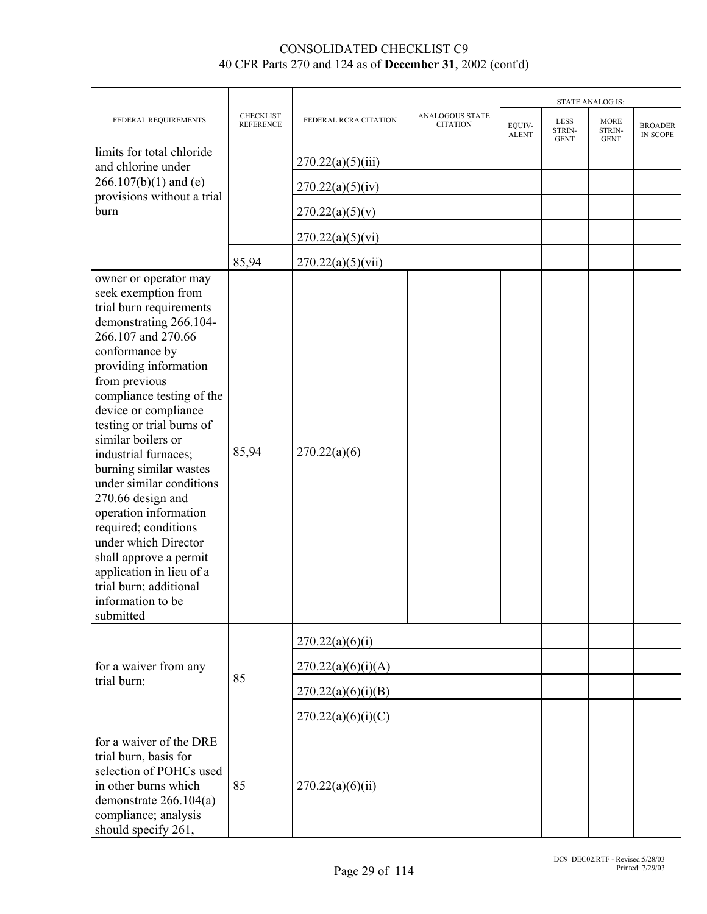|                                                                                                                                                                                                                                                                                                                                                                                                                                                                                                                                                                                           |                                      |                       |                                    | <b>STATE ANALOG IS:</b> |                                      |                                      |                            |  |
|-------------------------------------------------------------------------------------------------------------------------------------------------------------------------------------------------------------------------------------------------------------------------------------------------------------------------------------------------------------------------------------------------------------------------------------------------------------------------------------------------------------------------------------------------------------------------------------------|--------------------------------------|-----------------------|------------------------------------|-------------------------|--------------------------------------|--------------------------------------|----------------------------|--|
| FEDERAL REQUIREMENTS                                                                                                                                                                                                                                                                                                                                                                                                                                                                                                                                                                      | <b>CHECKLIST</b><br><b>REFERENCE</b> | FEDERAL RCRA CITATION | ANALOGOUS STATE<br><b>CITATION</b> | EQUIV-<br><b>ALENT</b>  | <b>LESS</b><br>STRIN-<br><b>GENT</b> | <b>MORE</b><br>STRIN-<br><b>GENT</b> | <b>BROADER</b><br>IN SCOPE |  |
| limits for total chloride<br>and chlorine under                                                                                                                                                                                                                                                                                                                                                                                                                                                                                                                                           |                                      | 270.22(a)(5)(iii)     |                                    |                         |                                      |                                      |                            |  |
| $266.107(b)(1)$ and (e)                                                                                                                                                                                                                                                                                                                                                                                                                                                                                                                                                                   |                                      | 270.22(a)(5)(iv)      |                                    |                         |                                      |                                      |                            |  |
| provisions without a trial<br>burn                                                                                                                                                                                                                                                                                                                                                                                                                                                                                                                                                        |                                      | 270.22(a)(5)(v)       |                                    |                         |                                      |                                      |                            |  |
|                                                                                                                                                                                                                                                                                                                                                                                                                                                                                                                                                                                           |                                      | 270.22(a)(5)(vi)      |                                    |                         |                                      |                                      |                            |  |
|                                                                                                                                                                                                                                                                                                                                                                                                                                                                                                                                                                                           | 85,94                                | 270.22(a)(5)(vii)     |                                    |                         |                                      |                                      |                            |  |
| owner or operator may<br>seek exemption from<br>trial burn requirements<br>demonstrating 266.104-<br>266.107 and 270.66<br>conformance by<br>providing information<br>from previous<br>compliance testing of the<br>device or compliance<br>testing or trial burns of<br>similar boilers or<br>industrial furnaces;<br>burning similar wastes<br>under similar conditions<br>270.66 design and<br>operation information<br>required; conditions<br>under which Director<br>shall approve a permit<br>application in lieu of a<br>trial burn; additional<br>information to be<br>submitted | 85,94                                | 270.22(a)(6)          |                                    |                         |                                      |                                      |                            |  |
|                                                                                                                                                                                                                                                                                                                                                                                                                                                                                                                                                                                           |                                      | 270.22(a)(6)(i)       |                                    |                         |                                      |                                      |                            |  |
| for a waiver from any                                                                                                                                                                                                                                                                                                                                                                                                                                                                                                                                                                     | 85                                   | 270.22(a)(6)(i)(A)    |                                    |                         |                                      |                                      |                            |  |
| trial burn:                                                                                                                                                                                                                                                                                                                                                                                                                                                                                                                                                                               |                                      | 270.22(a)(6)(i)(B)    |                                    |                         |                                      |                                      |                            |  |
|                                                                                                                                                                                                                                                                                                                                                                                                                                                                                                                                                                                           |                                      | 270.22(a)(6)(i)(C)    |                                    |                         |                                      |                                      |                            |  |
| for a waiver of the DRE<br>trial burn, basis for<br>selection of POHCs used<br>in other burns which<br>demonstrate $266.104(a)$<br>compliance; analysis<br>should specify 261,                                                                                                                                                                                                                                                                                                                                                                                                            | 85                                   | 270.22(a)(6)(ii)      |                                    |                         |                                      |                                      |                            |  |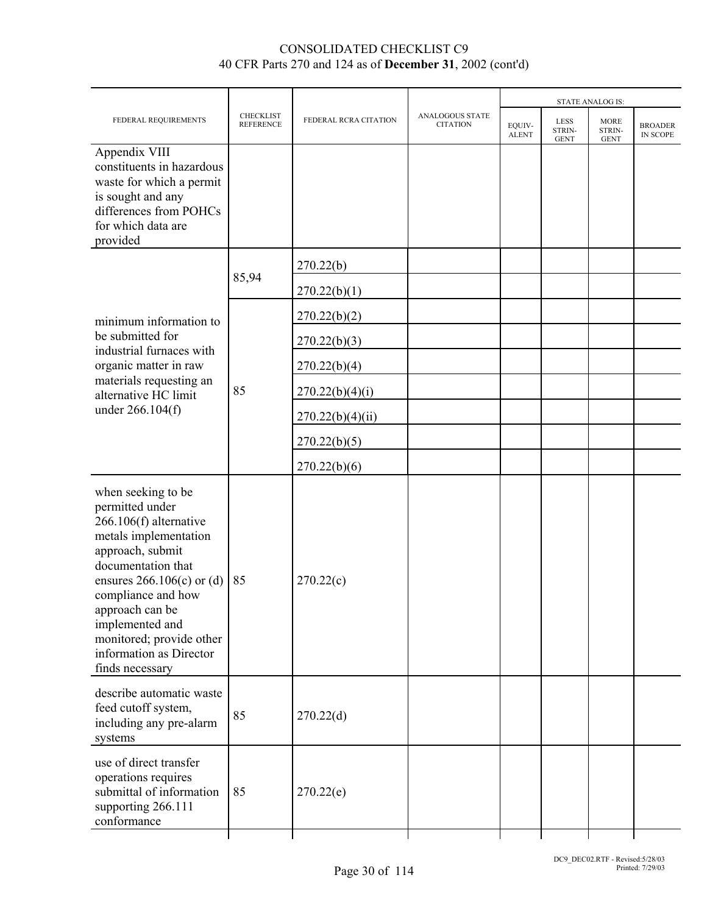|                                                                                                                                                                                                                                                                                                           |                                      |                       | <b>STATE ANALOG IS:</b>            |                        |                                      |                                      |                                   |
|-----------------------------------------------------------------------------------------------------------------------------------------------------------------------------------------------------------------------------------------------------------------------------------------------------------|--------------------------------------|-----------------------|------------------------------------|------------------------|--------------------------------------|--------------------------------------|-----------------------------------|
| FEDERAL REQUIREMENTS                                                                                                                                                                                                                                                                                      | <b>CHECKLIST</b><br><b>REFERENCE</b> | FEDERAL RCRA CITATION | ANALOGOUS STATE<br><b>CITATION</b> | EQUIV-<br><b>ALENT</b> | <b>LESS</b><br>STRIN-<br><b>GENT</b> | <b>MORE</b><br>STRIN-<br><b>GENT</b> | <b>BROADER</b><br><b>IN SCOPE</b> |
| Appendix VIII<br>constituents in hazardous<br>waste for which a permit<br>is sought and any<br>differences from POHCs<br>for which data are<br>provided                                                                                                                                                   |                                      |                       |                                    |                        |                                      |                                      |                                   |
|                                                                                                                                                                                                                                                                                                           |                                      | 270.22(b)             |                                    |                        |                                      |                                      |                                   |
|                                                                                                                                                                                                                                                                                                           | 85,94                                | 270.22(b)(1)          |                                    |                        |                                      |                                      |                                   |
| minimum information to                                                                                                                                                                                                                                                                                    |                                      | 270.22(b)(2)          |                                    |                        |                                      |                                      |                                   |
| be submitted for<br>industrial furnaces with                                                                                                                                                                                                                                                              |                                      | 270.22(b)(3)          |                                    |                        |                                      |                                      |                                   |
| organic matter in raw                                                                                                                                                                                                                                                                                     |                                      | 270.22(b)(4)          |                                    |                        |                                      |                                      |                                   |
| materials requesting an<br>alternative HC limit                                                                                                                                                                                                                                                           | 85                                   | 270.22(b)(4)(i)       |                                    |                        |                                      |                                      |                                   |
| under 266.104(f)                                                                                                                                                                                                                                                                                          |                                      | 270.22(b)(4)(ii)      |                                    |                        |                                      |                                      |                                   |
|                                                                                                                                                                                                                                                                                                           |                                      | 270.22(b)(5)          |                                    |                        |                                      |                                      |                                   |
|                                                                                                                                                                                                                                                                                                           |                                      | 270.22(b)(6)          |                                    |                        |                                      |                                      |                                   |
| when seeking to be<br>permitted under<br>$266.106(f)$ alternative<br>metals implementation<br>approach, submit<br>documentation that<br>ensures $266.106(c)$ or (d)<br>compliance and how<br>approach can be<br>implemented and<br>monitored; provide other<br>information as Director<br>finds necessary | 85                                   | 270.22(c)             |                                    |                        |                                      |                                      |                                   |
| describe automatic waste<br>feed cutoff system,<br>including any pre-alarm<br>systems                                                                                                                                                                                                                     | 85                                   | 270.22(d)             |                                    |                        |                                      |                                      |                                   |
| use of direct transfer<br>operations requires<br>submittal of information<br>supporting 266.111<br>conformance                                                                                                                                                                                            | 85                                   | 270.22(e)             |                                    |                        |                                      |                                      |                                   |
|                                                                                                                                                                                                                                                                                                           |                                      |                       |                                    |                        |                                      |                                      |                                   |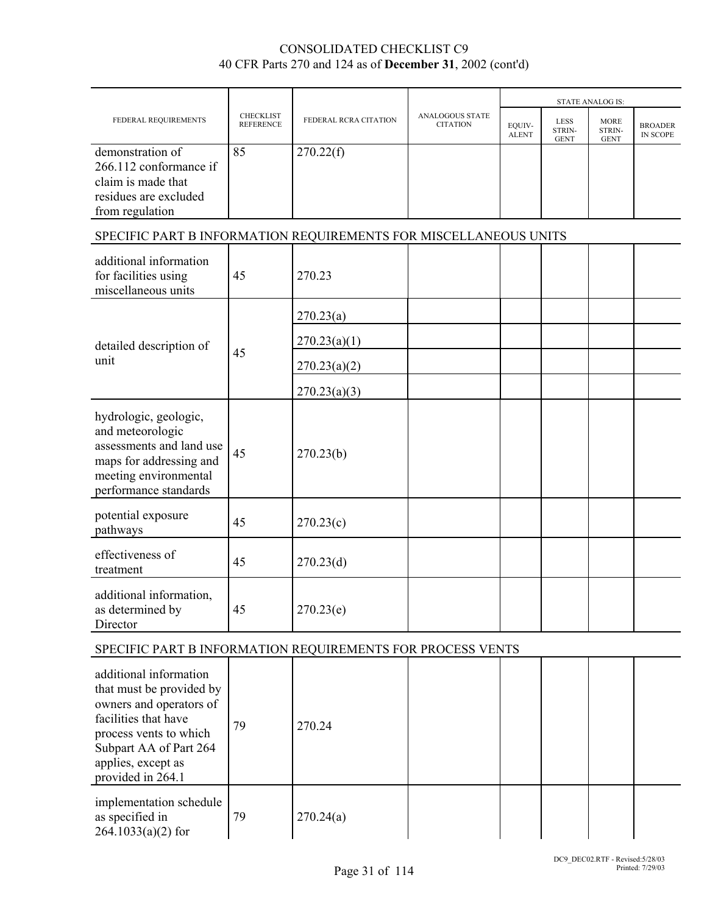|                                                                                                                                                    |                                      |                       |                                           |                        |                                      | <b>STATE ANALOG IS:</b>              |                                   |
|----------------------------------------------------------------------------------------------------------------------------------------------------|--------------------------------------|-----------------------|-------------------------------------------|------------------------|--------------------------------------|--------------------------------------|-----------------------------------|
| FEDERAL REQUIREMENTS                                                                                                                               | <b>CHECKLIST</b><br><b>REFERENCE</b> | FEDERAL RCRA CITATION | <b>ANALOGOUS STATE</b><br><b>CITATION</b> | EQUIV-<br><b>ALENT</b> | <b>LESS</b><br>STRIN-<br><b>GENT</b> | <b>MORE</b><br>STRIN-<br><b>GENT</b> | <b>BROADER</b><br><b>IN SCOPE</b> |
| demonstration of<br>266.112 conformance if<br>claim is made that<br>residues are excluded<br>from regulation                                       | 85                                   | 270.22(f)             |                                           |                        |                                      |                                      |                                   |
| SPECIFIC PART B INFORMATION REQUIREMENTS FOR MISCELLANEOUS UNITS                                                                                   |                                      |                       |                                           |                        |                                      |                                      |                                   |
| additional information<br>for facilities using<br>miscellaneous units                                                                              | 45                                   | 270.23                |                                           |                        |                                      |                                      |                                   |
|                                                                                                                                                    |                                      | 270.23(a)             |                                           |                        |                                      |                                      |                                   |
| detailed description of                                                                                                                            |                                      | 270.23(a)(1)          |                                           |                        |                                      |                                      |                                   |
| unit                                                                                                                                               | 45                                   | 270.23(a)(2)          |                                           |                        |                                      |                                      |                                   |
|                                                                                                                                                    |                                      | 270.23(a)(3)          |                                           |                        |                                      |                                      |                                   |
| hydrologic, geologic,<br>and meteorologic<br>assessments and land use<br>maps for addressing and<br>meeting environmental<br>performance standards | 45                                   | 270.23(b)             |                                           |                        |                                      |                                      |                                   |
| potential exposure<br>pathways                                                                                                                     | 45                                   | 270.23(c)             |                                           |                        |                                      |                                      |                                   |
| effectiveness of<br>treatment                                                                                                                      | 45                                   | 270.23(d)             |                                           |                        |                                      |                                      |                                   |
| additional information,<br>as determined by<br>Director                                                                                            | 45                                   | 270.23(e)             |                                           |                        |                                      |                                      |                                   |
| SPECIFIC PART B INFORMATION REQUIREMENTS FOR PROCESS VENTS                                                                                         |                                      |                       |                                           |                        |                                      |                                      |                                   |
| odditional information                                                                                                                             |                                      |                       |                                           |                        |                                      |                                      |                                   |

| additional information<br>that must be provided by<br>owners and operators of<br>facilities that have<br>process vents to which<br>Subpart AA of Part 264<br>applies, except as<br>provided in 264.1 | 79 | 270.24    |  |  |  |
|------------------------------------------------------------------------------------------------------------------------------------------------------------------------------------------------------|----|-----------|--|--|--|
| implementation schedule<br>as specified in<br>$264.1033(a)(2)$ for                                                                                                                                   | 79 | 270.24(a) |  |  |  |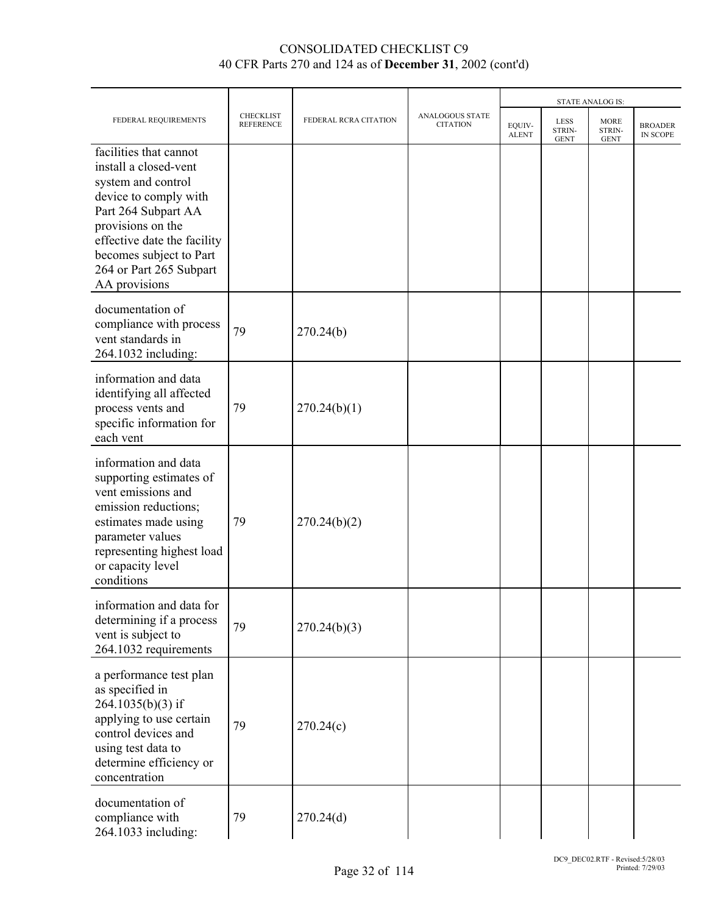|                                                                                                                                                                                                                                                  |                                      |                       |                                    | <b>STATE ANALOG IS:</b> |                                      |                                      |                            |
|--------------------------------------------------------------------------------------------------------------------------------------------------------------------------------------------------------------------------------------------------|--------------------------------------|-----------------------|------------------------------------|-------------------------|--------------------------------------|--------------------------------------|----------------------------|
| FEDERAL REQUIREMENTS                                                                                                                                                                                                                             | <b>CHECKLIST</b><br><b>REFERENCE</b> | FEDERAL RCRA CITATION | ANALOGOUS STATE<br><b>CITATION</b> | EQUIV-<br><b>ALENT</b>  | <b>LESS</b><br>STRIN-<br><b>GENT</b> | <b>MORE</b><br>STRIN-<br><b>GENT</b> | <b>BROADER</b><br>IN SCOPE |
| facilities that cannot<br>install a closed-vent<br>system and control<br>device to comply with<br>Part 264 Subpart AA<br>provisions on the<br>effective date the facility<br>becomes subject to Part<br>264 or Part 265 Subpart<br>AA provisions |                                      |                       |                                    |                         |                                      |                                      |                            |
| documentation of<br>compliance with process<br>vent standards in<br>264.1032 including:                                                                                                                                                          | 79                                   | 270.24(b)             |                                    |                         |                                      |                                      |                            |
| information and data<br>identifying all affected<br>process vents and<br>specific information for<br>each vent                                                                                                                                   | 79                                   | 270.24(b)(1)          |                                    |                         |                                      |                                      |                            |
| information and data<br>supporting estimates of<br>vent emissions and<br>emission reductions;<br>estimates made using<br>parameter values<br>representing highest load<br>or capacity level<br>conditions                                        | 79                                   | 270.24(b)(2)          |                                    |                         |                                      |                                      |                            |
| information and data for<br>determining if a process<br>vent is subject to<br>264.1032 requirements                                                                                                                                              | 79                                   | 270.24(b)(3)          |                                    |                         |                                      |                                      |                            |
| a performance test plan<br>as specified in<br>264.1035(b)(3) if<br>applying to use certain<br>control devices and<br>using test data to<br>determine efficiency or<br>concentration                                                              | 79                                   | 270.24(c)             |                                    |                         |                                      |                                      |                            |
| documentation of<br>compliance with<br>264.1033 including:                                                                                                                                                                                       | 79                                   | 270.24(d)             |                                    |                         |                                      |                                      |                            |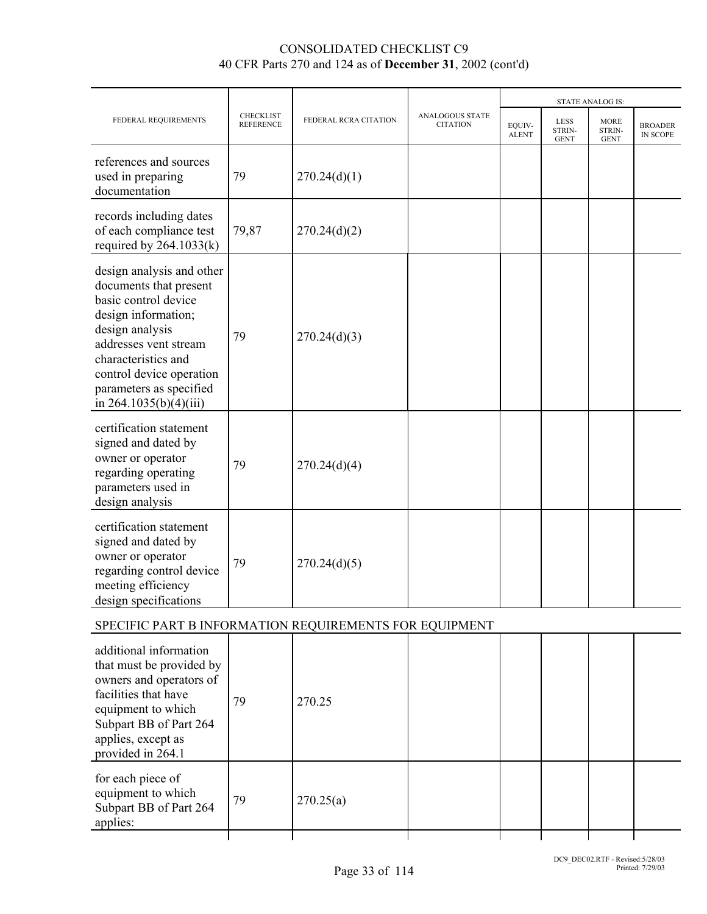|                                                                                                                                                                                                                                                          |                                      |                       |                                    |                        |                                      | <b>STATE ANALOG IS:</b>              |                                   |
|----------------------------------------------------------------------------------------------------------------------------------------------------------------------------------------------------------------------------------------------------------|--------------------------------------|-----------------------|------------------------------------|------------------------|--------------------------------------|--------------------------------------|-----------------------------------|
| FEDERAL REQUIREMENTS                                                                                                                                                                                                                                     | <b>CHECKLIST</b><br><b>REFERENCE</b> | FEDERAL RCRA CITATION | ANALOGOUS STATE<br><b>CITATION</b> | EQUIV-<br><b>ALENT</b> | <b>LESS</b><br>STRIN-<br><b>GENT</b> | <b>MORE</b><br>STRIN-<br><b>GENT</b> | <b>BROADER</b><br><b>IN SCOPE</b> |
| references and sources<br>used in preparing<br>documentation                                                                                                                                                                                             | 79                                   | 270.24(d)(1)          |                                    |                        |                                      |                                      |                                   |
| records including dates<br>of each compliance test<br>required by $264.1033(k)$                                                                                                                                                                          | 79,87                                | 270.24(d)(2)          |                                    |                        |                                      |                                      |                                   |
| design analysis and other<br>documents that present<br>basic control device<br>design information;<br>design analysis<br>addresses vent stream<br>characteristics and<br>control device operation<br>parameters as specified<br>in $264.1035(b)(4)(iii)$ | 79                                   | 270.24(d)(3)          |                                    |                        |                                      |                                      |                                   |
| certification statement<br>signed and dated by<br>owner or operator<br>regarding operating<br>parameters used in<br>design analysis                                                                                                                      | 79                                   | 270.24(d)(4)          |                                    |                        |                                      |                                      |                                   |
| certification statement<br>signed and dated by<br>owner or operator<br>regarding control device<br>meeting efficiency<br>design specifications                                                                                                           | 79                                   | 270.24(d)(5)          |                                    |                        |                                      |                                      |                                   |
| SPECIFIC PART B INFORMATION REQUIREMENTS FOR EQUIPMENT                                                                                                                                                                                                   |                                      |                       |                                    |                        |                                      |                                      |                                   |
| additional information<br>that must be provided by<br>owners and operators of<br>facilities that have<br>equipment to which<br>Subpart BB of Part 264<br>applies, except as<br>provided in 264.1                                                         | 79                                   | 270.25                |                                    |                        |                                      |                                      |                                   |
| for each piece of<br>equipment to which<br>Subpart BB of Part 264                                                                                                                                                                                        | 79                                   | 270.25(a)             |                                    |                        |                                      |                                      |                                   |

applies: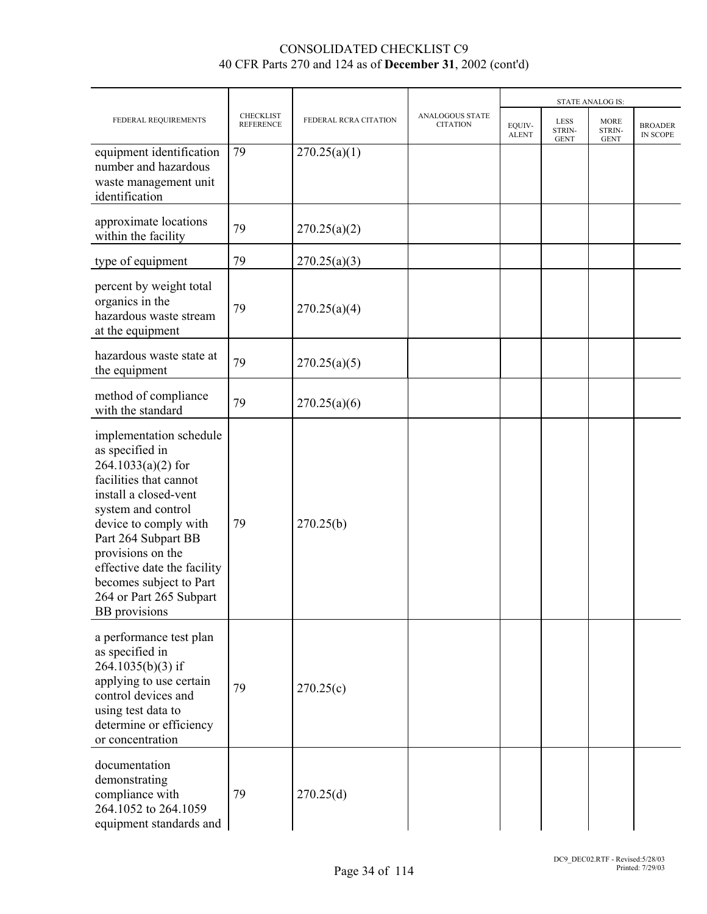|                                                                                                                                                                                                                                                                                                                               |                                      |                       |                                    |                        |                                      | <b>STATE ANALOG IS:</b>              |                            |
|-------------------------------------------------------------------------------------------------------------------------------------------------------------------------------------------------------------------------------------------------------------------------------------------------------------------------------|--------------------------------------|-----------------------|------------------------------------|------------------------|--------------------------------------|--------------------------------------|----------------------------|
| FEDERAL REQUIREMENTS                                                                                                                                                                                                                                                                                                          | <b>CHECKLIST</b><br><b>REFERENCE</b> | FEDERAL RCRA CITATION | ANALOGOUS STATE<br><b>CITATION</b> | EQUIV-<br><b>ALENT</b> | <b>LESS</b><br>STRIN-<br><b>GENT</b> | <b>MORE</b><br>STRIN-<br><b>GENT</b> | <b>BROADER</b><br>IN SCOPE |
| equipment identification<br>number and hazardous<br>waste management unit<br>identification                                                                                                                                                                                                                                   | 79                                   | 270.25(a)(1)          |                                    |                        |                                      |                                      |                            |
| approximate locations<br>within the facility                                                                                                                                                                                                                                                                                  | 79                                   | 270.25(a)(2)          |                                    |                        |                                      |                                      |                            |
| type of equipment                                                                                                                                                                                                                                                                                                             | 79                                   | 270.25(a)(3)          |                                    |                        |                                      |                                      |                            |
| percent by weight total<br>organics in the<br>hazardous waste stream<br>at the equipment                                                                                                                                                                                                                                      | 79                                   | 270.25(a)(4)          |                                    |                        |                                      |                                      |                            |
| hazardous waste state at<br>the equipment                                                                                                                                                                                                                                                                                     | 79                                   | 270.25(a)(5)          |                                    |                        |                                      |                                      |                            |
| method of compliance<br>with the standard                                                                                                                                                                                                                                                                                     | 79                                   | 270.25(a)(6)          |                                    |                        |                                      |                                      |                            |
| implementation schedule<br>as specified in<br>$264.1033(a)(2)$ for<br>facilities that cannot<br>install a closed-vent<br>system and control<br>device to comply with<br>Part 264 Subpart BB<br>provisions on the<br>effective date the facility<br>becomes subject to Part<br>264 or Part 265 Subpart<br><b>BB</b> provisions | 79                                   | 270.25(b)             |                                    |                        |                                      |                                      |                            |
| a performance test plan<br>as specified in<br>264.1035(b)(3) if<br>applying to use certain<br>control devices and<br>using test data to<br>determine or efficiency<br>or concentration                                                                                                                                        | 79                                   | 270.25(c)             |                                    |                        |                                      |                                      |                            |
| documentation<br>demonstrating<br>compliance with<br>264.1052 to 264.1059<br>equipment standards and                                                                                                                                                                                                                          | 79                                   | 270.25(d)             |                                    |                        |                                      |                                      |                            |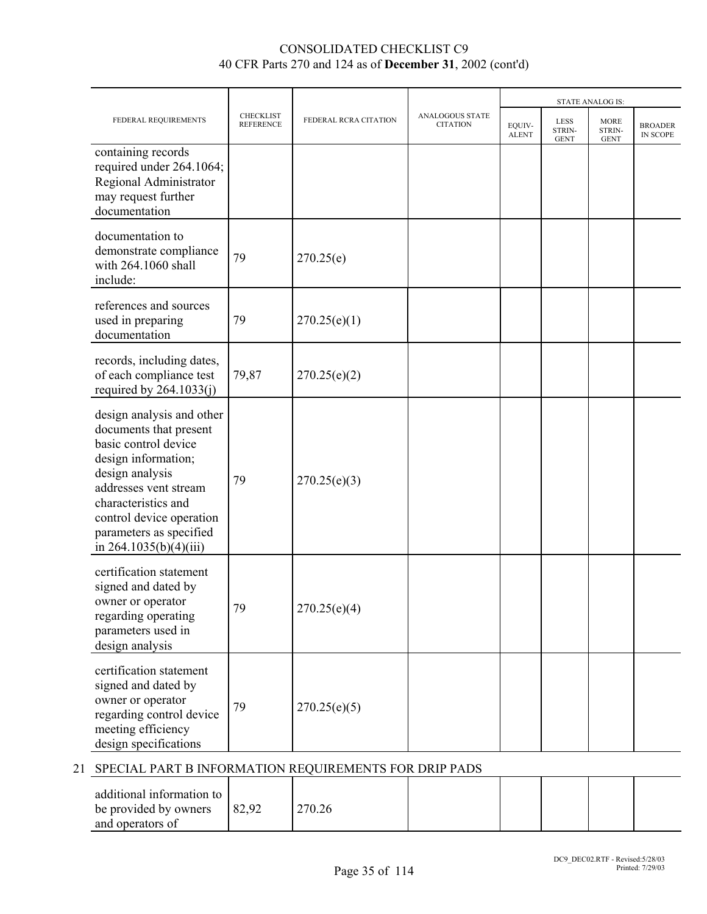|                                                                                                                                                                                                                                                          | <b>CHECKLIST</b><br><b>REFERENCE</b> | FEDERAL RCRA CITATION | ANALOGOUS STATE<br><b>CITATION</b> | <b>STATE ANALOG IS:</b> |                                      |                                      |                                   |
|----------------------------------------------------------------------------------------------------------------------------------------------------------------------------------------------------------------------------------------------------------|--------------------------------------|-----------------------|------------------------------------|-------------------------|--------------------------------------|--------------------------------------|-----------------------------------|
| FEDERAL REQUIREMENTS                                                                                                                                                                                                                                     |                                      |                       |                                    | EOUIV-<br><b>ALENT</b>  | <b>LESS</b><br>STRIN-<br><b>GENT</b> | <b>MORE</b><br>STRIN-<br><b>GENT</b> | <b>BROADER</b><br><b>IN SCOPE</b> |
| containing records<br>required under 264.1064;<br>Regional Administrator<br>may request further<br>documentation                                                                                                                                         |                                      |                       |                                    |                         |                                      |                                      |                                   |
| documentation to<br>demonstrate compliance<br>with 264.1060 shall<br>include:                                                                                                                                                                            | 79                                   | 270.25(e)             |                                    |                         |                                      |                                      |                                   |
| references and sources<br>used in preparing<br>documentation                                                                                                                                                                                             | 79                                   | 270.25(e)(1)          |                                    |                         |                                      |                                      |                                   |
| records, including dates,<br>of each compliance test<br>required by $264.1033(j)$                                                                                                                                                                        | 79,87                                | 270.25(e)(2)          |                                    |                         |                                      |                                      |                                   |
| design analysis and other<br>documents that present<br>basic control device<br>design information;<br>design analysis<br>addresses vent stream<br>characteristics and<br>control device operation<br>parameters as specified<br>in $264.1035(b)(4)(iii)$ | 79                                   | 270.25(e)(3)          |                                    |                         |                                      |                                      |                                   |
| certification statement<br>signed and dated by<br>owner or operator<br>regarding operating<br>parameters used in<br>design analysis                                                                                                                      | 79                                   | 270.25(e)(4)          |                                    |                         |                                      |                                      |                                   |
| certification statement<br>signed and dated by<br>owner or operator<br>regarding control device<br>meeting efficiency<br>design specifications                                                                                                           | 79                                   | 270.25(e)(5)          |                                    |                         |                                      |                                      |                                   |

## 21 SPECIAL PART B INFORMATION REQUIREMENTS FOR DRIP PADS

| additional information to<br>be provided by owners<br>and operators of | 82,92 | 270.26 |  |  |  |  |  |
|------------------------------------------------------------------------|-------|--------|--|--|--|--|--|
|------------------------------------------------------------------------|-------|--------|--|--|--|--|--|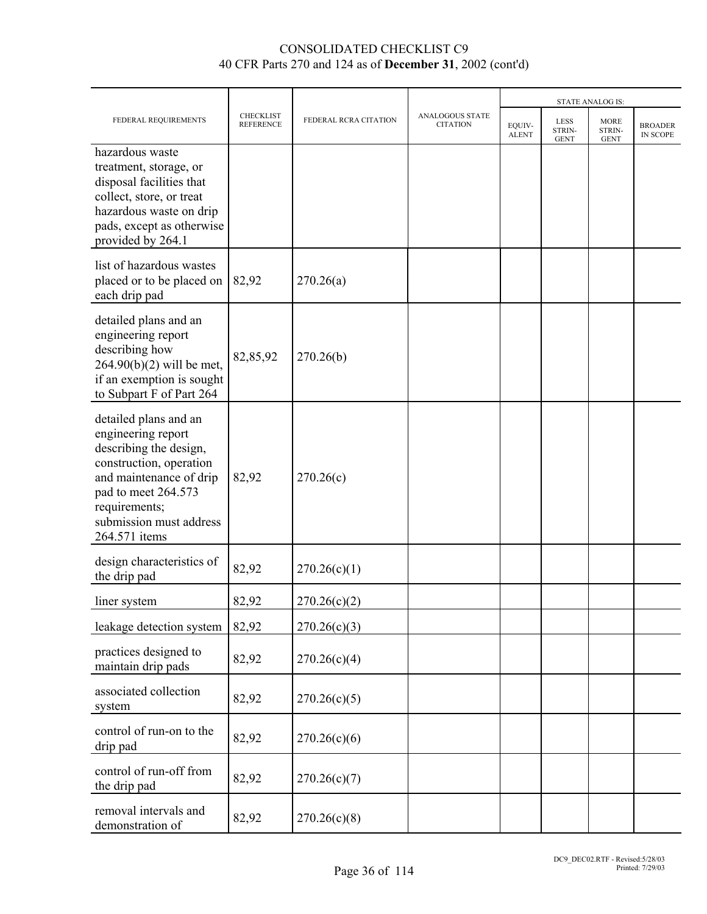| FEDERAL REQUIREMENTS                                                                                                                                                                                            | <b>CHECKLIST</b><br><b>REFERENCE</b> | FEDERAL RCRA CITATION | <b>ANALOGOUS STATE</b><br><b>CITATION</b> | <b>STATE ANALOG IS:</b> |                               |                               |                            |  |
|-----------------------------------------------------------------------------------------------------------------------------------------------------------------------------------------------------------------|--------------------------------------|-----------------------|-------------------------------------------|-------------------------|-------------------------------|-------------------------------|----------------------------|--|
|                                                                                                                                                                                                                 |                                      |                       |                                           | EQUIV-<br><b>ALENT</b>  | LESS<br>STRIN-<br><b>GENT</b> | MORE<br>STRIN-<br><b>GENT</b> | <b>BROADER</b><br>IN SCOPE |  |
| hazardous waste<br>treatment, storage, or<br>disposal facilities that<br>collect, store, or treat<br>hazardous waste on drip<br>pads, except as otherwise<br>provided by 264.1                                  |                                      |                       |                                           |                         |                               |                               |                            |  |
| list of hazardous wastes<br>placed or to be placed on<br>each drip pad                                                                                                                                          | 82,92                                | 270.26(a)             |                                           |                         |                               |                               |                            |  |
| detailed plans and an<br>engineering report<br>describing how<br>$264.90(b)(2)$ will be met,<br>if an exemption is sought<br>to Subpart F of Part 264                                                           | 82,85,92                             | 270.26(b)             |                                           |                         |                               |                               |                            |  |
| detailed plans and an<br>engineering report<br>describing the design,<br>construction, operation<br>and maintenance of drip<br>pad to meet 264.573<br>requirements;<br>submission must address<br>264.571 items | 82,92                                | 270.26(c)             |                                           |                         |                               |                               |                            |  |
| design characteristics of<br>the drip pad                                                                                                                                                                       | 82,92                                | 270.26(c)(1)          |                                           |                         |                               |                               |                            |  |
| liner system                                                                                                                                                                                                    | 82,92                                | 270.26(c)(2)          |                                           |                         |                               |                               |                            |  |
| leakage detection system                                                                                                                                                                                        | 82,92                                | 270.26(c)(3)          |                                           |                         |                               |                               |                            |  |
| practices designed to<br>maintain drip pads                                                                                                                                                                     | 82,92                                | 270.26(c)(4)          |                                           |                         |                               |                               |                            |  |
| associated collection<br>system                                                                                                                                                                                 | 82,92                                | 270.26(c)(5)          |                                           |                         |                               |                               |                            |  |
| control of run-on to the<br>drip pad                                                                                                                                                                            | 82,92                                | 270.26(c)(6)          |                                           |                         |                               |                               |                            |  |
| control of run-off from<br>the drip pad                                                                                                                                                                         | 82,92                                | 270.26(c)(7)          |                                           |                         |                               |                               |                            |  |
| removal intervals and<br>demonstration of                                                                                                                                                                       | 82,92                                | 270.26(c)(8)          |                                           |                         |                               |                               |                            |  |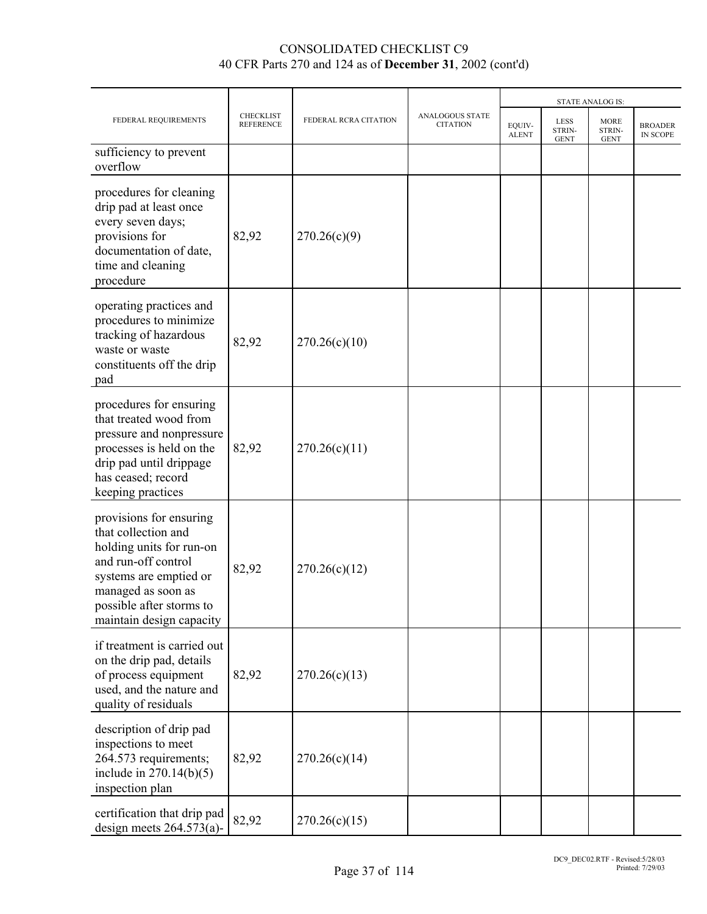|                                                                                                                                                                                                           |                                      |                       |                                           |                        |                               | <b>STATE ANALOG IS:</b>              |                            |
|-----------------------------------------------------------------------------------------------------------------------------------------------------------------------------------------------------------|--------------------------------------|-----------------------|-------------------------------------------|------------------------|-------------------------------|--------------------------------------|----------------------------|
| FEDERAL REQUIREMENTS                                                                                                                                                                                      | <b>CHECKLIST</b><br><b>REFERENCE</b> | FEDERAL RCRA CITATION | <b>ANALOGOUS STATE</b><br><b>CITATION</b> | EQUIV-<br><b>ALENT</b> | LESS<br>STRIN-<br><b>GENT</b> | <b>MORE</b><br>STRIN-<br><b>GENT</b> | <b>BROADER</b><br>IN SCOPE |
| sufficiency to prevent<br>overflow                                                                                                                                                                        |                                      |                       |                                           |                        |                               |                                      |                            |
| procedures for cleaning<br>drip pad at least once<br>every seven days;<br>provisions for<br>documentation of date,<br>time and cleaning<br>procedure                                                      | 82,92                                | 270.26(c)(9)          |                                           |                        |                               |                                      |                            |
| operating practices and<br>procedures to minimize<br>tracking of hazardous<br>waste or waste<br>constituents off the drip<br>pad                                                                          | 82,92                                | 270.26(c)(10)         |                                           |                        |                               |                                      |                            |
| procedures for ensuring<br>that treated wood from<br>pressure and nonpressure<br>processes is held on the<br>drip pad until drippage<br>has ceased; record<br>keeping practices                           | 82,92                                | 270.26(c)(11)         |                                           |                        |                               |                                      |                            |
| provisions for ensuring<br>that collection and<br>holding units for run-on<br>and run-off control<br>systems are emptied or<br>managed as soon as<br>possible after storms to<br>maintain design capacity | 82,92                                | 270.26(c)(12)         |                                           |                        |                               |                                      |                            |
| if treatment is carried out<br>on the drip pad, details<br>of process equipment<br>used, and the nature and<br>quality of residuals                                                                       | 82,92                                | 270.26(c)(13)         |                                           |                        |                               |                                      |                            |
| description of drip pad<br>inspections to meet<br>264.573 requirements;<br>include in $270.14(b)(5)$<br>inspection plan                                                                                   | 82,92                                | 270.26(c)(14)         |                                           |                        |                               |                                      |                            |
| certification that drip pad<br>design meets $264.573(a)$ -                                                                                                                                                | 82,92                                | 270.26(c)(15)         |                                           |                        |                               |                                      |                            |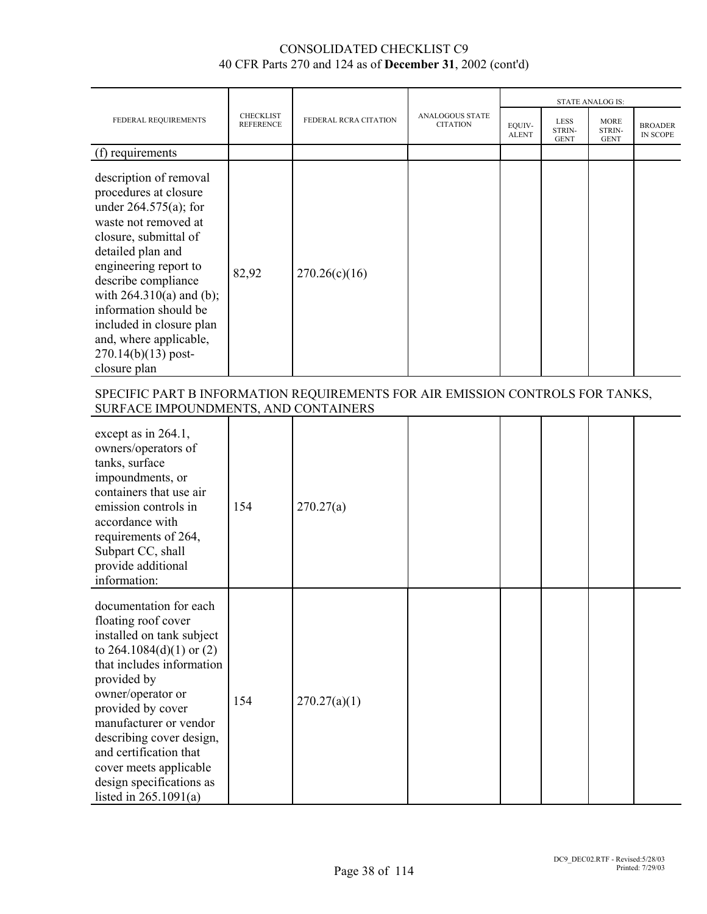|                                                                                                                                                                                                                                                                                                                                                         |                                      |                       |                                           |                        |                                      | <b>STATE ANALOG IS:</b>              |                                   |
|---------------------------------------------------------------------------------------------------------------------------------------------------------------------------------------------------------------------------------------------------------------------------------------------------------------------------------------------------------|--------------------------------------|-----------------------|-------------------------------------------|------------------------|--------------------------------------|--------------------------------------|-----------------------------------|
| FEDERAL REQUIREMENTS                                                                                                                                                                                                                                                                                                                                    | <b>CHECKLIST</b><br><b>REFERENCE</b> | FEDERAL RCRA CITATION | <b>ANALOGOUS STATE</b><br><b>CITATION</b> | EQUIV-<br><b>ALENT</b> | <b>LESS</b><br>STRIN-<br><b>GENT</b> | <b>MORE</b><br>STRIN-<br><b>GENT</b> | <b>BROADER</b><br><b>IN SCOPE</b> |
| (f) requirements                                                                                                                                                                                                                                                                                                                                        |                                      |                       |                                           |                        |                                      |                                      |                                   |
| description of removal<br>procedures at closure<br>under $264.575(a)$ ; for<br>waste not removed at<br>closure, submittal of<br>detailed plan and<br>engineering report to<br>describe compliance<br>with $264.310(a)$ and (b);<br>information should be<br>included in closure plan<br>and, where applicable,<br>$270.14(b)(13)$ post-<br>closure plan | 82,92                                | 270.26(c)(16)         |                                           |                        |                                      |                                      |                                   |

### SPECIFIC PART B INFORMATION REQUIREMENTS FOR AIR EMISSION CONTROLS FOR TANKS, SURFACE IMPOUNDMENTS, AND CONTAINERS

| except as in 264.1,<br>owners/operators of<br>tanks, surface<br>impoundments, or<br>containers that use air<br>emission controls in<br>accordance with<br>requirements of 264,<br>Subpart CC, shall<br>provide additional<br>information:                                                                                                                         | 154 | 270.27(a)    |  |  |  |
|-------------------------------------------------------------------------------------------------------------------------------------------------------------------------------------------------------------------------------------------------------------------------------------------------------------------------------------------------------------------|-----|--------------|--|--|--|
| documentation for each<br>floating roof cover<br>installed on tank subject<br>to $264.1084(d)(1)$ or $(2)$<br>that includes information<br>provided by<br>owner/operator or<br>provided by cover<br>manufacturer or vendor<br>describing cover design,<br>and certification that<br>cover meets applicable<br>design specifications as<br>listed in $265.1091(a)$ | 154 | 270.27(a)(1) |  |  |  |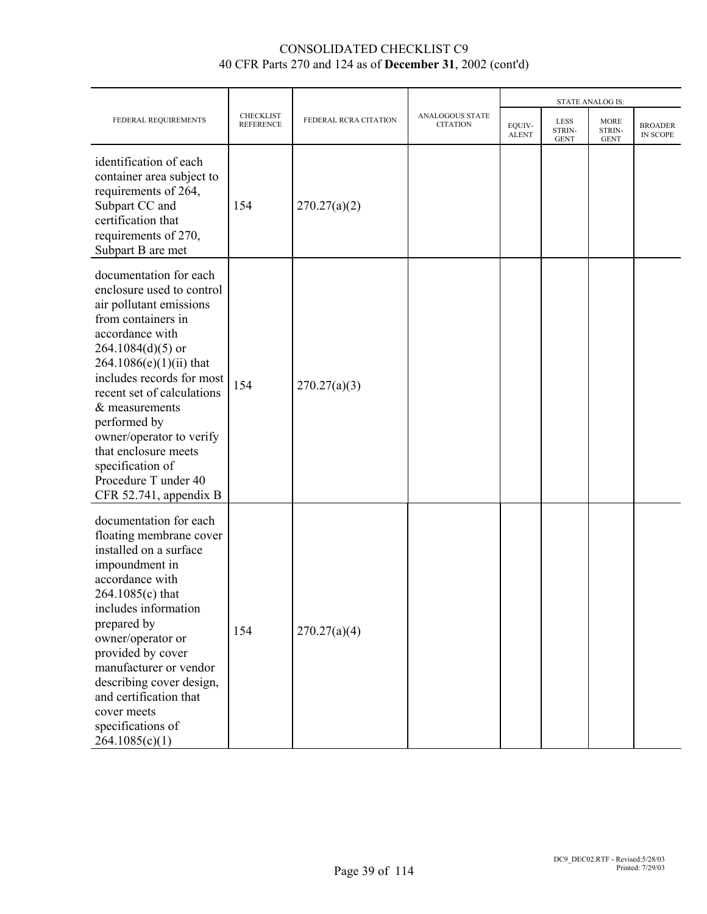|                                                                                                                                                                                                                                                                                                                                                                                                      |                                      |                       |                                           | <b>STATE ANALOG IS:</b> |                                             |                                      |                            |
|------------------------------------------------------------------------------------------------------------------------------------------------------------------------------------------------------------------------------------------------------------------------------------------------------------------------------------------------------------------------------------------------------|--------------------------------------|-----------------------|-------------------------------------------|-------------------------|---------------------------------------------|--------------------------------------|----------------------------|
| FEDERAL REQUIREMENTS                                                                                                                                                                                                                                                                                                                                                                                 | <b>CHECKLIST</b><br><b>REFERENCE</b> | FEDERAL RCRA CITATION | <b>ANALOGOUS STATE</b><br><b>CITATION</b> | EQUIV-<br><b>ALENT</b>  | <b>LESS</b><br><b>STRIN-</b><br><b>GENT</b> | <b>MORE</b><br>STRIN-<br><b>GENT</b> | <b>BROADER</b><br>IN SCOPE |
| identification of each<br>container area subject to<br>requirements of 264,<br>Subpart CC and<br>certification that<br>requirements of 270,<br>Subpart B are met                                                                                                                                                                                                                                     | 154                                  | 270.27(a)(2)          |                                           |                         |                                             |                                      |                            |
| documentation for each<br>enclosure used to control<br>air pollutant emissions<br>from containers in<br>accordance with<br>$264.1084(d)(5)$ or<br>$264.1086(e)(1)(ii)$ that<br>includes records for most<br>recent set of calculations<br>$&$ measurements<br>performed by<br>owner/operator to verify<br>that enclosure meets<br>specification of<br>Procedure T under 40<br>CFR 52.741, appendix B | 154                                  | 270.27(a)(3)          |                                           |                         |                                             |                                      |                            |
| documentation for each<br>floating membrane cover<br>installed on a surface<br>impoundment in<br>accordance with<br>264.1085(c) that<br>includes information<br>prepared by<br>owner/operator or<br>provided by cover<br>manufacturer or vendor<br>describing cover design,<br>and certification that<br>cover meets<br>specifications of<br>264.1085(c)(1)                                          | 154                                  | 270.27(a)(4)          |                                           |                         |                                             |                                      |                            |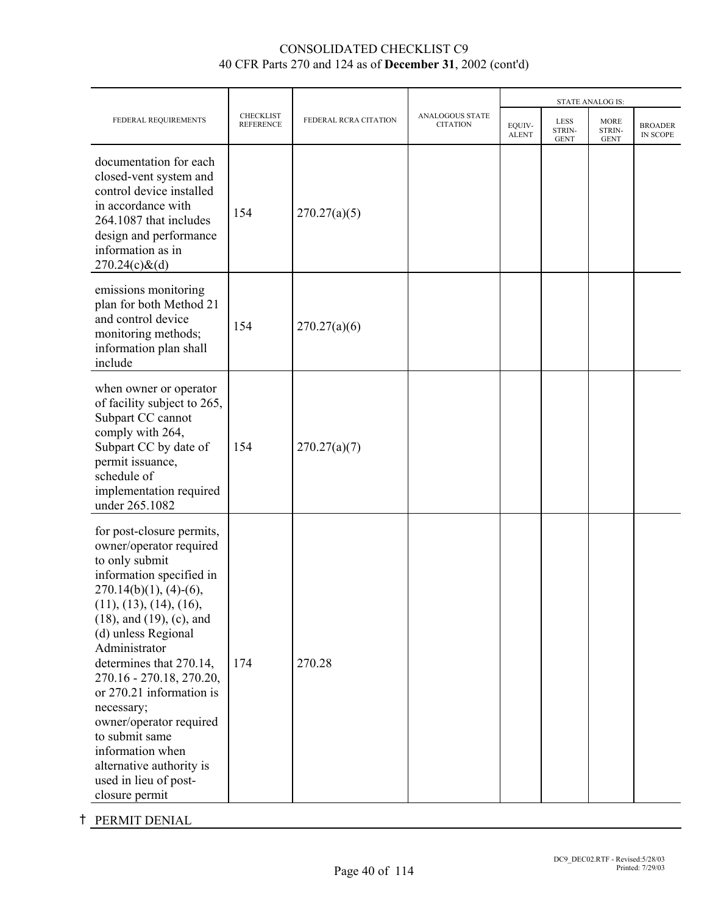|                                                                                                                                                                                                                                                                                                                                                                                                                                                                                  |                                      |                       |                                           |                        | <b>STATE ANALOG IS:</b>              |                                      |                            |
|----------------------------------------------------------------------------------------------------------------------------------------------------------------------------------------------------------------------------------------------------------------------------------------------------------------------------------------------------------------------------------------------------------------------------------------------------------------------------------|--------------------------------------|-----------------------|-------------------------------------------|------------------------|--------------------------------------|--------------------------------------|----------------------------|
| FEDERAL REQUIREMENTS                                                                                                                                                                                                                                                                                                                                                                                                                                                             | <b>CHECKLIST</b><br><b>REFERENCE</b> | FEDERAL RCRA CITATION | <b>ANALOGOUS STATE</b><br><b>CITATION</b> | EQUIV-<br><b>ALENT</b> | <b>LESS</b><br>STRIN-<br><b>GENT</b> | <b>MORE</b><br>STRIN-<br><b>GENT</b> | <b>BROADER</b><br>IN SCOPE |
| documentation for each<br>closed-vent system and<br>control device installed<br>in accordance with<br>264.1087 that includes<br>design and performance<br>information as in<br>$270.24(c)$ &(d)                                                                                                                                                                                                                                                                                  | 154                                  | 270.27(a)(5)          |                                           |                        |                                      |                                      |                            |
| emissions monitoring<br>plan for both Method 21<br>and control device<br>monitoring methods;<br>information plan shall<br>include                                                                                                                                                                                                                                                                                                                                                | 154                                  | 270.27(a)(6)          |                                           |                        |                                      |                                      |                            |
| when owner or operator<br>of facility subject to 265,<br>Subpart CC cannot<br>comply with 264,<br>Subpart CC by date of<br>permit issuance,<br>schedule of<br>implementation required<br>under 265.1082                                                                                                                                                                                                                                                                          | 154                                  | 270.27(a)(7)          |                                           |                        |                                      |                                      |                            |
| for post-closure permits,<br>owner/operator required<br>to only submit<br>information specified in<br>$270.14(b)(1)$ , (4)-(6),<br>(11), (13), (14), (16),<br>$(18)$ , and $(19)$ , $(c)$ , and<br>(d) unless Regional<br>Administrator<br>determines that 270.14,<br>270.16 - 270.18, 270.20,<br>or 270.21 information is<br>necessary;<br>owner/operator required<br>to submit same<br>information when<br>alternative authority is<br>used in lieu of post-<br>closure permit | 174                                  | 270.28                |                                           |                        |                                      |                                      |                            |

# **t** PERMIT DENIAL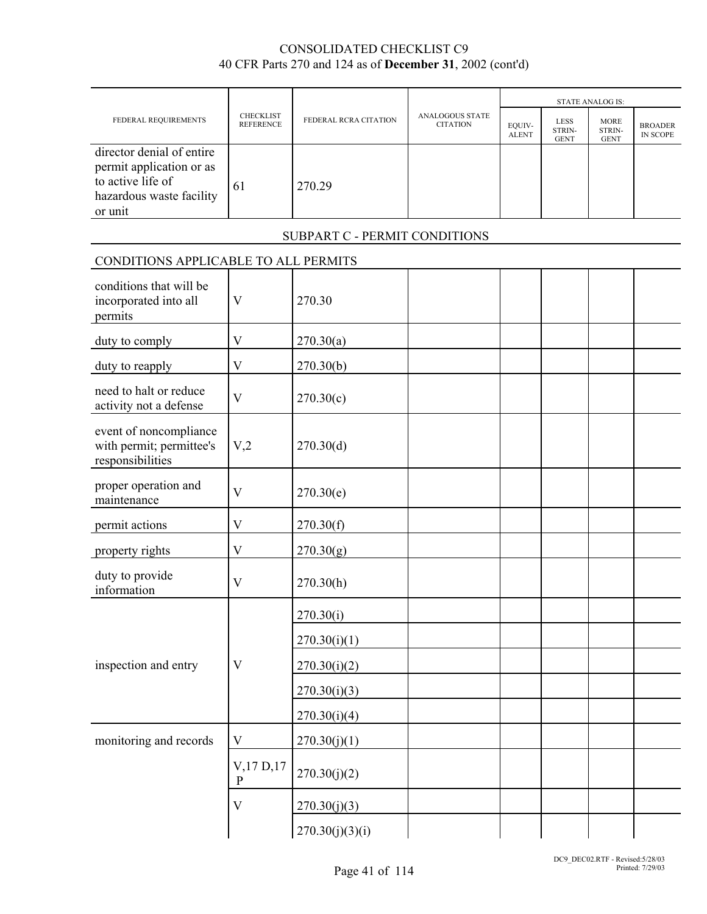|                                                                                                                   |                                      |                               |                                           |                        | <b>STATE ANALOG IS:</b>              |                                      |                            |
|-------------------------------------------------------------------------------------------------------------------|--------------------------------------|-------------------------------|-------------------------------------------|------------------------|--------------------------------------|--------------------------------------|----------------------------|
| FEDERAL REQUIREMENTS                                                                                              | <b>CHECKLIST</b><br><b>REFERENCE</b> | FEDERAL RCRA CITATION         | <b>ANALOGOUS STATE</b><br><b>CITATION</b> | EQUIV-<br><b>ALENT</b> | <b>LESS</b><br>STRIN-<br><b>GENT</b> | <b>MORE</b><br>STRIN-<br><b>GENT</b> | <b>BROADER</b><br>IN SCOPE |
| director denial of entire<br>permit application or as<br>to active life of<br>hazardous waste facility<br>or unit | 61                                   | 270.29                        |                                           |                        |                                      |                                      |                            |
|                                                                                                                   |                                      | SUBPART C - PERMIT CONDITIONS |                                           |                        |                                      |                                      |                            |
| CONDITIONS APPLICABLE TO ALL PERMITS                                                                              |                                      |                               |                                           |                        |                                      |                                      |                            |
| conditions that will be<br>incorporated into all<br>permits                                                       | $\overline{\mathsf{V}}$              | 270.30                        |                                           |                        |                                      |                                      |                            |
| duty to comply                                                                                                    | $\bf V$                              | 270.30(a)                     |                                           |                        |                                      |                                      |                            |
| duty to reapply                                                                                                   | $\mathbf V$                          | 270.30(b)                     |                                           |                        |                                      |                                      |                            |
| need to halt or reduce<br>activity not a defense                                                                  | $\overline{\mathsf{V}}$              | 270.30(c)                     |                                           |                        |                                      |                                      |                            |
| event of noncompliance<br>with permit; permittee's<br>responsibilities                                            | V <sub>2</sub>                       | 270.30(d)                     |                                           |                        |                                      |                                      |                            |
| proper operation and<br>maintenance                                                                               | $\overline{V}$                       | 270.30(e)                     |                                           |                        |                                      |                                      |                            |
| permit actions                                                                                                    | $\mathbf V$                          | 270.30(f)                     |                                           |                        |                                      |                                      |                            |
| property rights                                                                                                   | $\mathbf V$                          | 270.30(g)                     |                                           |                        |                                      |                                      |                            |
| duty to provide<br>information                                                                                    | $\mathbf{V}$                         | 270.30(h)                     |                                           |                        |                                      |                                      |                            |
|                                                                                                                   |                                      | 270.30(i)                     |                                           |                        |                                      |                                      |                            |
|                                                                                                                   |                                      | 270.30(i)(1)                  |                                           |                        |                                      |                                      |                            |
| inspection and entry                                                                                              | V                                    | 270.30(i)(2)                  |                                           |                        |                                      |                                      |                            |
|                                                                                                                   |                                      | 270.30(i)(3)                  |                                           |                        |                                      |                                      |                            |
|                                                                                                                   |                                      | 270.30(i)(4)                  |                                           |                        |                                      |                                      |                            |
| monitoring and records                                                                                            | V                                    | 270.30(j)(1)                  |                                           |                        |                                      |                                      |                            |
|                                                                                                                   | $V$ , 17 D, 17<br>$\mathbf{P}$       | 270.30(j)(2)                  |                                           |                        |                                      |                                      |                            |
|                                                                                                                   | $\mathbf V$                          | 270.30(j)(3)                  |                                           |                        |                                      |                                      |                            |
|                                                                                                                   |                                      | 270.30(j)(3)(i)               |                                           |                        |                                      |                                      |                            |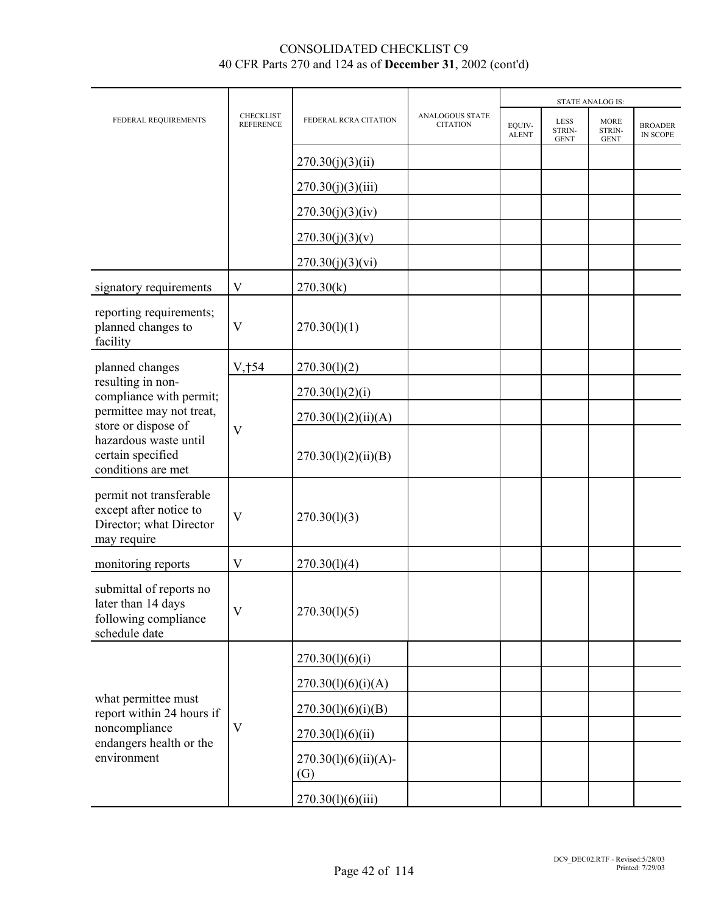|                                                                                             |                                      |                                |                                           | <b>STATE ANALOG IS:</b> |                                      |                                      |                            |  |
|---------------------------------------------------------------------------------------------|--------------------------------------|--------------------------------|-------------------------------------------|-------------------------|--------------------------------------|--------------------------------------|----------------------------|--|
| FEDERAL REQUIREMENTS                                                                        | <b>CHECKLIST</b><br><b>REFERENCE</b> | FEDERAL RCRA CITATION          | <b>ANALOGOUS STATE</b><br><b>CITATION</b> | EQUIV-<br><b>ALENT</b>  | <b>LESS</b><br>STRIN-<br><b>GENT</b> | <b>MORE</b><br>STRIN-<br><b>GENT</b> | <b>BROADER</b><br>IN SCOPE |  |
|                                                                                             |                                      | 270.30(j)(3)(ii)               |                                           |                         |                                      |                                      |                            |  |
|                                                                                             |                                      | 270.30(j)(3)(iii)              |                                           |                         |                                      |                                      |                            |  |
|                                                                                             |                                      | 270.30(j)(3)(iv)               |                                           |                         |                                      |                                      |                            |  |
|                                                                                             |                                      | 270.30(j)(3)(v)                |                                           |                         |                                      |                                      |                            |  |
|                                                                                             |                                      | 270.30(j)(3)(vi)               |                                           |                         |                                      |                                      |                            |  |
| signatory requirements                                                                      | $\mathbf{V}$                         | 270.30(k)                      |                                           |                         |                                      |                                      |                            |  |
| reporting requirements;<br>planned changes to<br>facility                                   | V                                    | 270.30(l)(1)                   |                                           |                         |                                      |                                      |                            |  |
| planned changes                                                                             | V, †54                               | 270.30(1)(2)                   |                                           |                         |                                      |                                      |                            |  |
| resulting in non-<br>compliance with permit;                                                |                                      | 270.30(l)(2)(i)                |                                           |                         |                                      |                                      |                            |  |
| permittee may not treat,<br>store or dispose of                                             | $\overline{\mathsf{V}}$              | 270.30(l)(2)(ii)(A)            |                                           |                         |                                      |                                      |                            |  |
| hazardous waste until<br>certain specified<br>conditions are met                            |                                      | 270.30(1)(2)(ii)(B)            |                                           |                         |                                      |                                      |                            |  |
| permit not transferable<br>except after notice to<br>Director; what Director<br>may require | $\overline{\mathsf{V}}$              | 270.30(1)(3)                   |                                           |                         |                                      |                                      |                            |  |
| monitoring reports                                                                          | $\mathbf V$                          | 270.30(1)(4)                   |                                           |                         |                                      |                                      |                            |  |
| submittal of reports no<br>later than 14 days<br>following compliance<br>schedule date      | $\boldsymbol{\mathrm{V}}$            | 270.30(l)(5)                   |                                           |                         |                                      |                                      |                            |  |
|                                                                                             |                                      | 270.30(l)(6)(i)                |                                           |                         |                                      |                                      |                            |  |
|                                                                                             |                                      | 270.30(l)(6)(i)(A)             |                                           |                         |                                      |                                      |                            |  |
| what permittee must<br>report within 24 hours if                                            |                                      | 270.30(l)(6)(i)(B)             |                                           |                         |                                      |                                      |                            |  |
| noncompliance<br>endangers health or the                                                    | $\mathbf V$                          | 270.30(l)(6)(ii)               |                                           |                         |                                      |                                      |                            |  |
| environment                                                                                 |                                      | $270.30(l)(6)(ii)(A)$ -<br>(G) |                                           |                         |                                      |                                      |                            |  |
|                                                                                             |                                      | 270.30(l)(6)(iii)              |                                           |                         |                                      |                                      |                            |  |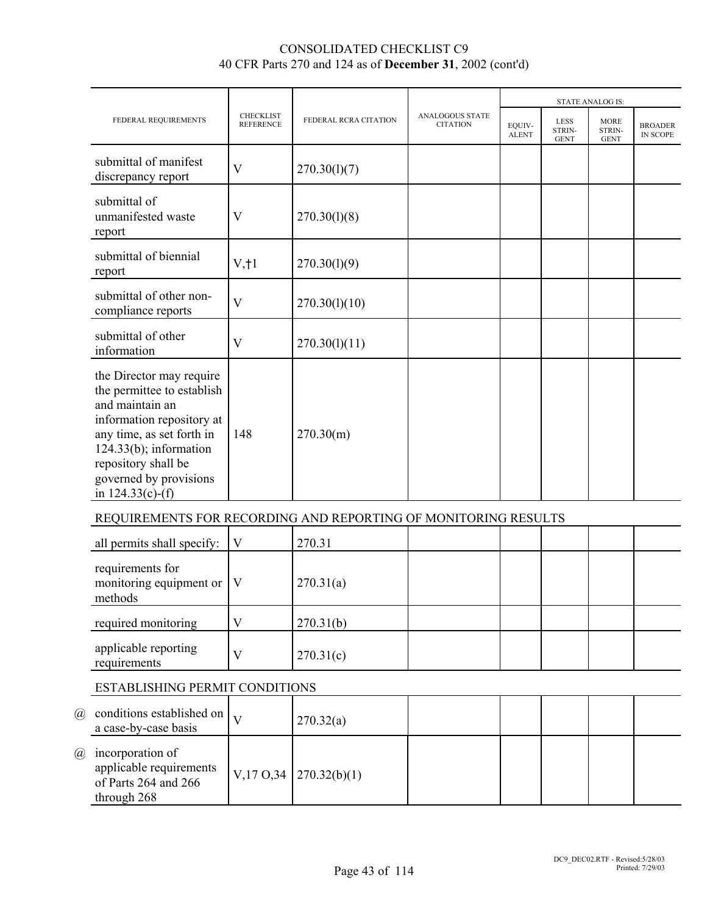|                                                                                                                                                                                                                                          |                                      | FEDERAL RCRA CITATION |                                           |                        |                                      | <b>STATE ANALOG IS:</b>              |                            |
|------------------------------------------------------------------------------------------------------------------------------------------------------------------------------------------------------------------------------------------|--------------------------------------|-----------------------|-------------------------------------------|------------------------|--------------------------------------|--------------------------------------|----------------------------|
| FEDERAL REQUIREMENTS                                                                                                                                                                                                                     | <b>CHECKLIST</b><br><b>REFERENCE</b> |                       | <b>ANALOGOUS STATE</b><br><b>CITATION</b> | EOUIV-<br><b>ALENT</b> | <b>LESS</b><br>STRIN-<br><b>GENT</b> | <b>MORE</b><br>STRIN-<br><b>GENT</b> | <b>BROADER</b><br>IN SCOPE |
| submittal of manifest<br>discrepancy report                                                                                                                                                                                              | V                                    | 270.30(1)(7)          |                                           |                        |                                      |                                      |                            |
| submittal of<br>unmanifested waste<br>report                                                                                                                                                                                             | V                                    | 270.30(1)(8)          |                                           |                        |                                      |                                      |                            |
| submittal of biennial<br>report                                                                                                                                                                                                          | $V, \dagger$ 1                       | 270.30(1)(9)          |                                           |                        |                                      |                                      |                            |
| submittal of other non-<br>compliance reports                                                                                                                                                                                            | V                                    | 270.30(1)(10)         |                                           |                        |                                      |                                      |                            |
| submittal of other<br>information                                                                                                                                                                                                        | $\rm V$                              | 270.30(l)(11)         |                                           |                        |                                      |                                      |                            |
| the Director may require<br>the permittee to establish<br>and maintain an<br>information repository at<br>any time, as set forth in<br>$124.33(b)$ ; information<br>repository shall be<br>governed by provisions<br>in $124.33(c)$ -(f) | 148                                  | 270.30(m)             |                                           |                        |                                      |                                      |                            |
| REQUIREMENTS FOR RECORDING AND REPORTING OF MONITORING RESULTS                                                                                                                                                                           |                                      |                       |                                           |                        |                                      |                                      |                            |

| all permits shall specify: $\ V\ $                               |   | 270.31    |  |  |  |
|------------------------------------------------------------------|---|-----------|--|--|--|
| requirements for<br>monitoring equipment or $\vert$ V<br>methods |   | 270.31(a) |  |  |  |
| required monitoring                                              | V | 270.31(b) |  |  |  |
| applicable reporting<br>requirements                             | V | 270.31(c) |  |  |  |

# ESTABLISHING PERMIT CONDITIONS

| $\left(\overline{a}\right)$ | conditions established on $\vert V \vert$<br>a case-by-case basis                  | 270.32(a)                              |  |  |  |
|-----------------------------|------------------------------------------------------------------------------------|----------------------------------------|--|--|--|
| $\omega$                    | incorporation of<br>applicable requirements<br>of Parts 264 and 266<br>through 268 | $\vert$ V,17 O,34 $\vert$ 270.32(b)(1) |  |  |  |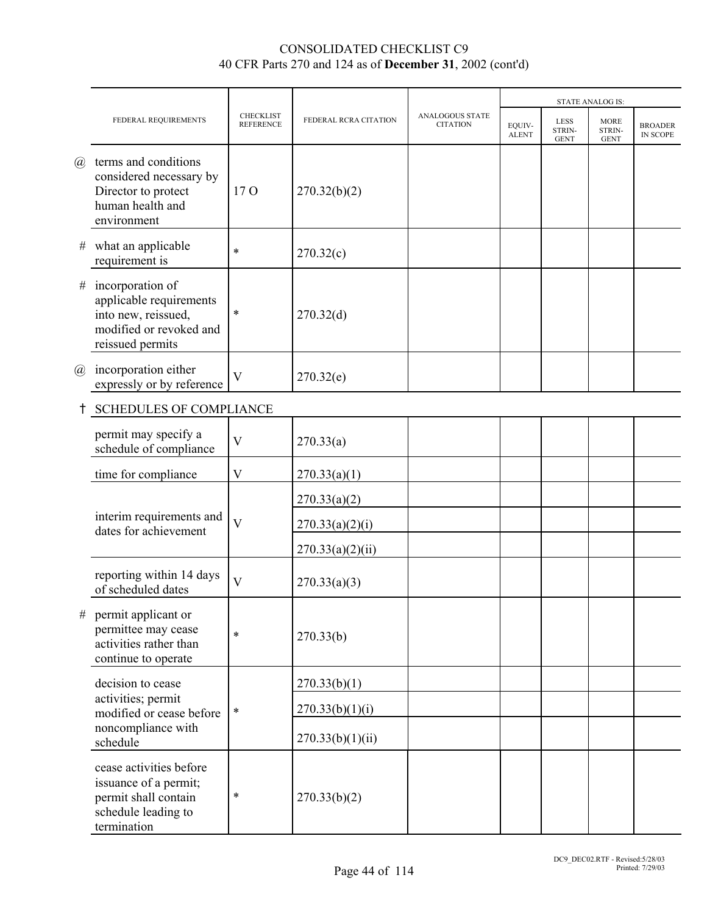|                            |                                                                                                                   |                                      |                       |                                           |                        |                                      | <b>STATE ANALOG IS:</b>              |                                   |
|----------------------------|-------------------------------------------------------------------------------------------------------------------|--------------------------------------|-----------------------|-------------------------------------------|------------------------|--------------------------------------|--------------------------------------|-----------------------------------|
|                            | FEDERAL REQUIREMENTS                                                                                              | <b>CHECKLIST</b><br><b>REFERENCE</b> | FEDERAL RCRA CITATION | <b>ANALOGOUS STATE</b><br><b>CITATION</b> | EQUIV-<br><b>ALENT</b> | <b>LESS</b><br>STRIN-<br><b>GENT</b> | <b>MORE</b><br>STRIN-<br><b>GENT</b> | <b>BROADER</b><br><b>IN SCOPE</b> |
| $\left(\widehat{a}\right)$ | terms and conditions<br>considered necessary by<br>Director to protect<br>human health and<br>environment         | 17 <sub>O</sub>                      | 270.32(b)(2)          |                                           |                        |                                      |                                      |                                   |
| #                          | what an applicable<br>requirement is                                                                              | $\ast$                               | 270.32(c)             |                                           |                        |                                      |                                      |                                   |
| #                          | incorporation of<br>applicable requirements<br>into new, reissued,<br>modified or revoked and<br>reissued permits | $\ast$                               | 270.32(d)             |                                           |                        |                                      |                                      |                                   |
| @                          | incorporation either<br>expressly or by reference                                                                 | $\mathbf{V}$                         | 270.32(e)             |                                           |                        |                                      |                                      |                                   |
|                            | <b>SCHEDULES OF COMPLIANCE</b>                                                                                    |                                      |                       |                                           |                        |                                      |                                      |                                   |
|                            | permit may specify a<br>schedule of compliance                                                                    | $\overline{V}$                       | 270.33(a)             |                                           |                        |                                      |                                      |                                   |
|                            | time for compliance                                                                                               | V                                    | 270.33(a)(1)          |                                           |                        |                                      |                                      |                                   |
|                            |                                                                                                                   |                                      | 270.33(a)(2)          |                                           |                        |                                      |                                      |                                   |
|                            | interim requirements and<br>dates for achievement                                                                 | $\overline{V}$                       | 270.33(a)(2)(i)       |                                           |                        |                                      |                                      |                                   |
|                            |                                                                                                                   |                                      | 270.33(a)(2)(ii)      |                                           |                        |                                      |                                      |                                   |
|                            | reporting within 14 days<br>of scheduled dates                                                                    | $\overline{\mathsf{V}}$              | 270.33(a)(3)          |                                           |                        |                                      |                                      |                                   |
| $\#$                       | permit applicant or<br>permittee may cease<br>activities rather than<br>continue to operate                       | $\ast$                               | 270.33(b)             |                                           |                        |                                      |                                      |                                   |
|                            | decision to cease                                                                                                 |                                      | 270.33(b)(1)          |                                           |                        |                                      |                                      |                                   |
|                            | activities; permit<br>modified or cease before                                                                    | $\ast$                               | 270.33(b)(1)(i)       |                                           |                        |                                      |                                      |                                   |
|                            | noncompliance with<br>schedule                                                                                    |                                      | 270.33(b)(1)(ii)      |                                           |                        |                                      |                                      |                                   |
|                            | cease activities before<br>issuance of a permit;<br>permit shall contain<br>schedule leading to<br>termination    | $\ast$                               | 270.33(b)(2)          |                                           |                        |                                      |                                      |                                   |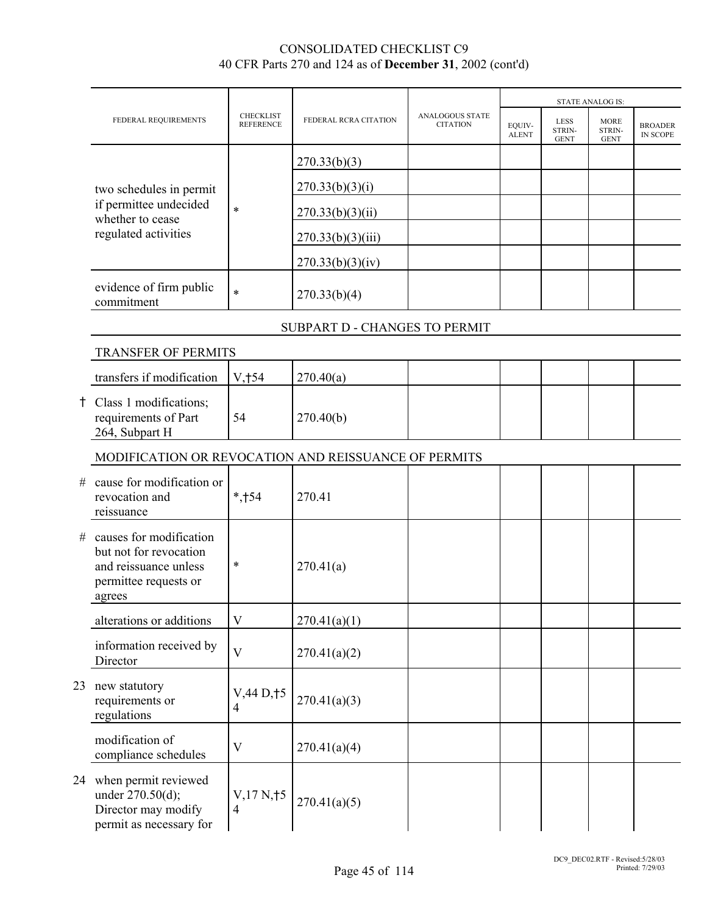|    |                                                                                                               |                                      |                               |                                           |                        |                                      | <b>STATE ANALOG IS:</b>              |                                   |
|----|---------------------------------------------------------------------------------------------------------------|--------------------------------------|-------------------------------|-------------------------------------------|------------------------|--------------------------------------|--------------------------------------|-----------------------------------|
|    | FEDERAL REQUIREMENTS                                                                                          | <b>CHECKLIST</b><br><b>REFERENCE</b> | FEDERAL RCRA CITATION         | <b>ANALOGOUS STATE</b><br><b>CITATION</b> | EQUIV-<br><b>ALENT</b> | <b>LESS</b><br>STRIN-<br><b>GENT</b> | <b>MORE</b><br>STRIN-<br><b>GENT</b> | <b>BROADER</b><br><b>IN SCOPE</b> |
|    |                                                                                                               |                                      | 270.33(b)(3)                  |                                           |                        |                                      |                                      |                                   |
|    | two schedules in permit                                                                                       |                                      | 270.33(b)(3)(i)               |                                           |                        |                                      |                                      |                                   |
|    | if permittee undecided<br>whether to cease                                                                    | $\ast$                               | 270.33(b)(3)(ii)              |                                           |                        |                                      |                                      |                                   |
|    | regulated activities                                                                                          |                                      | 270.33(b)(3)(iii)             |                                           |                        |                                      |                                      |                                   |
|    |                                                                                                               |                                      | 270.33(b)(3)(iv)              |                                           |                        |                                      |                                      |                                   |
|    | evidence of firm public<br>commitment                                                                         | $\ast$                               | 270.33(b)(4)                  |                                           |                        |                                      |                                      |                                   |
|    |                                                                                                               |                                      | SUBPART D - CHANGES TO PERMIT |                                           |                        |                                      |                                      |                                   |
|    | TRANSFER OF PERMITS                                                                                           |                                      |                               |                                           |                        |                                      |                                      |                                   |
|    | transfers if modification                                                                                     | V, †54                               | 270.40(a)                     |                                           |                        |                                      |                                      |                                   |
|    | † Class 1 modifications;<br>requirements of Part<br>264, Subpart H                                            | 54                                   | 270.40(b)                     |                                           |                        |                                      |                                      |                                   |
|    | MODIFICATION OR REVOCATION AND REISSUANCE OF PERMITS                                                          |                                      |                               |                                           |                        |                                      |                                      |                                   |
| #  | cause for modification or<br>revocation and<br>reissuance                                                     | $*,+54$                              | 270.41                        |                                           |                        |                                      |                                      |                                   |
| #  | causes for modification<br>but not for revocation<br>and reissuance unless<br>permittee requests or<br>agrees | $\ast$                               | 270.41(a)                     |                                           |                        |                                      |                                      |                                   |
|    | alterations or additions                                                                                      | $\mathbf V$                          | 270.41(a)(1)                  |                                           |                        |                                      |                                      |                                   |
|    | information received by<br>Director                                                                           | $\overline{V}$                       | 270.41(a)(2)                  |                                           |                        |                                      |                                      |                                   |
| 23 | new statutory<br>requirements or<br>regulations                                                               | V,44 D,15<br>$\overline{4}$          | 270.41(a)(3)                  |                                           |                        |                                      |                                      |                                   |
|    | modification of<br>compliance schedules                                                                       | $\mathbf V$                          | 270.41(a)(4)                  |                                           |                        |                                      |                                      |                                   |
|    | 24 when permit reviewed<br>under 270.50(d);<br>Director may modify<br>permit as necessary for                 | $V$ , 17 N, † 5<br>4                 | 270.41(a)(5)                  |                                           |                        |                                      |                                      |                                   |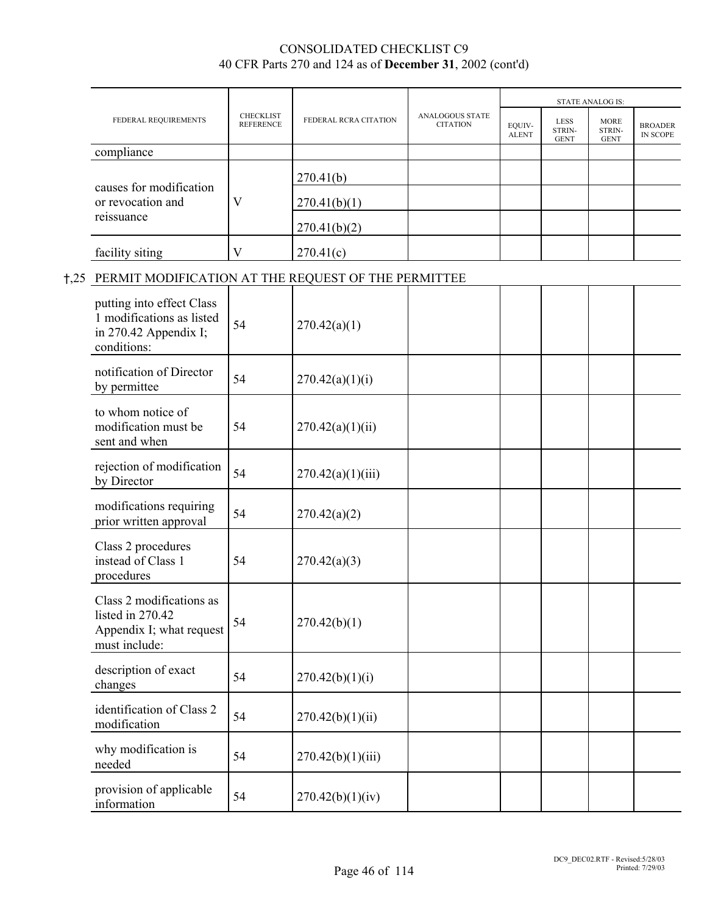|                         |                                      |                       |                                           | <b>STATE ANALOG IS:</b> |                               |                                      |                                   |  |
|-------------------------|--------------------------------------|-----------------------|-------------------------------------------|-------------------------|-------------------------------|--------------------------------------|-----------------------------------|--|
| FEDERAL REQUIREMENTS    | <b>CHECKLIST</b><br><b>REFERENCE</b> | FEDERAL RCRA CITATION | <b>ANALOGOUS STATE</b><br><b>CITATION</b> | EQUIV-<br><b>ALENT</b>  | LESS<br>STRIN-<br><b>GENT</b> | <b>MORE</b><br>STRIN-<br><b>GENT</b> | <b>BROADER</b><br><b>IN SCOPE</b> |  |
| compliance              |                                      |                       |                                           |                         |                               |                                      |                                   |  |
| causes for modification |                                      | 270.41(b)             |                                           |                         |                               |                                      |                                   |  |
| or revocation and       | V                                    | 270.41(b)(1)          |                                           |                         |                               |                                      |                                   |  |
| reissuance              |                                      | 270.41(b)(2)          |                                           |                         |                               |                                      |                                   |  |
| facility siting         | V                                    | 270.41(c)             |                                           |                         |                               |                                      |                                   |  |

#### H,25 PERMIT MODIFICATION AT THE REQUEST OF THE PERMITTEE

| putting into effect Class<br>1 modifications as listed<br>in 270.42 Appendix I;<br>conditions: | 54 | 270.42(a)(1)      |  |  |  |
|------------------------------------------------------------------------------------------------|----|-------------------|--|--|--|
| notification of Director<br>by permittee                                                       | 54 | 270.42(a)(1)(i)   |  |  |  |
| to whom notice of<br>modification must be<br>sent and when                                     | 54 | 270.42(a)(1)(ii)  |  |  |  |
| rejection of modification<br>by Director                                                       | 54 | 270.42(a)(1)(iii) |  |  |  |
| modifications requiring<br>prior written approval                                              | 54 | 270.42(a)(2)      |  |  |  |
| Class 2 procedures<br>instead of Class 1<br>procedures                                         | 54 | 270.42(a)(3)      |  |  |  |
| Class 2 modifications as<br>listed in 270.42<br>Appendix I; what request<br>must include:      | 54 | 270.42(b)(1)      |  |  |  |
| description of exact<br>changes                                                                | 54 | 270.42(b)(1)(i)   |  |  |  |
| identification of Class 2<br>modification                                                      | 54 | 270.42(b)(1)(ii)  |  |  |  |
| why modification is<br>needed                                                                  | 54 | 270.42(b)(1)(iii) |  |  |  |
| provision of applicable<br>information                                                         | 54 | 270.42(b)(1)(iv)  |  |  |  |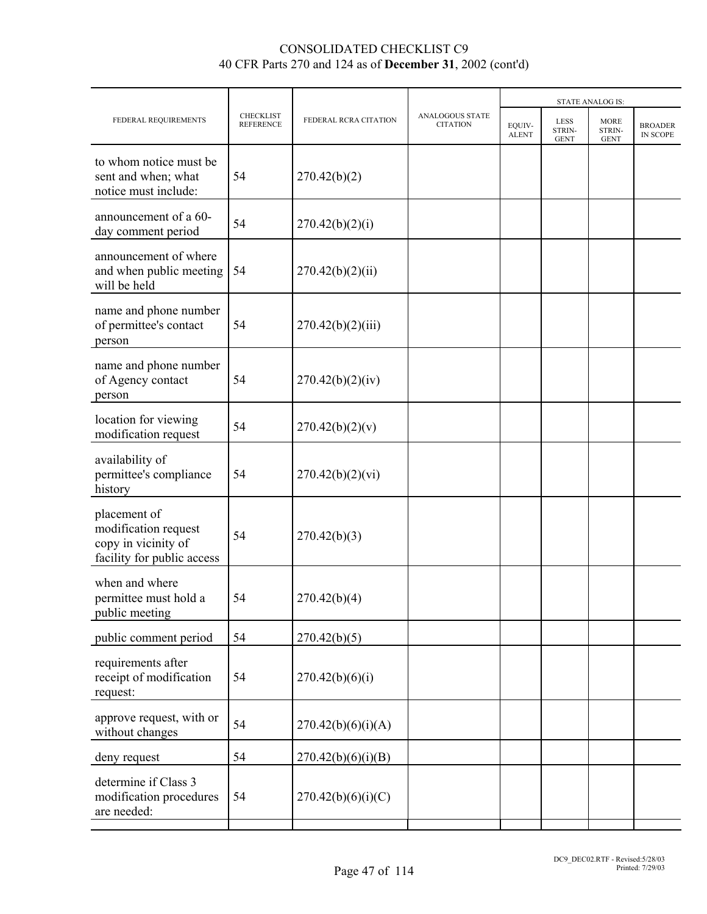|                                      |                       | <b>STATE ANALOG IS:</b>                   |                        |                                      |                                      |                            |
|--------------------------------------|-----------------------|-------------------------------------------|------------------------|--------------------------------------|--------------------------------------|----------------------------|
| <b>CHECKLIST</b><br><b>REFERENCE</b> | FEDERAL RCRA CITATION | <b>ANALOGOUS STATE</b><br><b>CITATION</b> | EOUIV-<br><b>ALENT</b> | <b>LESS</b><br>STRIN-<br><b>GENT</b> | <b>MORE</b><br>STRIN-<br><b>GENT</b> | <b>BROADER</b><br>IN SCOPE |
| 54                                   | 270.42(b)(2)          |                                           |                        |                                      |                                      |                            |
| 54                                   | 270.42(b)(2)(i)       |                                           |                        |                                      |                                      |                            |
| 54                                   | 270.42(b)(2)(ii)      |                                           |                        |                                      |                                      |                            |
| 54                                   | 270.42(b)(2)(iii)     |                                           |                        |                                      |                                      |                            |
| 54                                   | 270.42(b)(2)(iv)      |                                           |                        |                                      |                                      |                            |
| 54                                   | 270.42(b)(2)(v)       |                                           |                        |                                      |                                      |                            |
| 54                                   | 270.42(b)(2)(vi)      |                                           |                        |                                      |                                      |                            |
| 54                                   | 270.42(b)(3)          |                                           |                        |                                      |                                      |                            |
| 54                                   | 270.42(b)(4)          |                                           |                        |                                      |                                      |                            |
| 54                                   | 270.42(b)(5)          |                                           |                        |                                      |                                      |                            |
| 54                                   | 270.42(b)(6)(i)       |                                           |                        |                                      |                                      |                            |
| 54                                   | 270.42(b)(6)(i)(A)    |                                           |                        |                                      |                                      |                            |
| 54                                   | 270.42(b)(6)(i)(B)    |                                           |                        |                                      |                                      |                            |
| 54                                   | 270.42(b)(6)(i)(C)    |                                           |                        |                                      |                                      |                            |
|                                      |                       |                                           |                        |                                      |                                      |                            |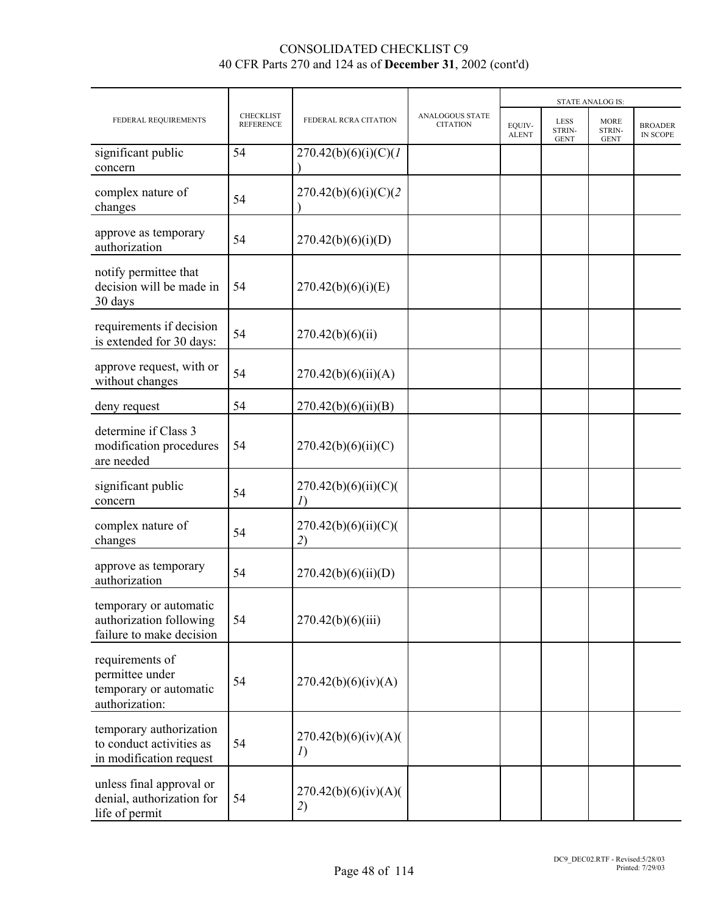|                                                                                |                                      |                            |                                    |                        |                                      | <b>STATE ANALOG IS:</b>              |                            |  |
|--------------------------------------------------------------------------------|--------------------------------------|----------------------------|------------------------------------|------------------------|--------------------------------------|--------------------------------------|----------------------------|--|
| FEDERAL REQUIREMENTS                                                           | <b>CHECKLIST</b><br><b>REFERENCE</b> | FEDERAL RCRA CITATION      | ANALOGOUS STATE<br><b>CITATION</b> | EQUIV-<br><b>ALENT</b> | <b>LESS</b><br>STRIN-<br><b>GENT</b> | <b>MORE</b><br>STRIN-<br><b>GENT</b> | <b>BROADER</b><br>IN SCOPE |  |
| significant public<br>concern                                                  | 54                                   | 270.42(b)(6)(i)(C)(1)      |                                    |                        |                                      |                                      |                            |  |
| complex nature of<br>changes                                                   | 54                                   | 270.42(b)(6)(i)(C)(2)      |                                    |                        |                                      |                                      |                            |  |
| approve as temporary<br>authorization                                          | 54                                   | 270.42(b)(6)(i)(D)         |                                    |                        |                                      |                                      |                            |  |
| notify permittee that<br>decision will be made in<br>30 days                   | 54                                   | 270.42(b)(6)(i)(E)         |                                    |                        |                                      |                                      |                            |  |
| requirements if decision<br>is extended for 30 days:                           | 54                                   | 270.42(b)(6)(ii)           |                                    |                        |                                      |                                      |                            |  |
| approve request, with or<br>without changes                                    | 54                                   | 270.42(b)(6)(ii)(A)        |                                    |                        |                                      |                                      |                            |  |
| deny request                                                                   | 54                                   | 270.42(b)(6)(ii)(B)        |                                    |                        |                                      |                                      |                            |  |
| determine if Class 3<br>modification procedures<br>are needed                  | 54                                   | 270.42(b)(6)(ii)(C)        |                                    |                        |                                      |                                      |                            |  |
| significant public<br>concern                                                  | 54                                   | 270.42(b)(6)(ii)(C)(<br>I) |                                    |                        |                                      |                                      |                            |  |
| complex nature of<br>changes                                                   | 54                                   | 270.42(b)(6)(ii)(C)(<br>2) |                                    |                        |                                      |                                      |                            |  |
| approve as temporary<br>authorization                                          | 54                                   | 270.42(b)(6)(ii)(D)        |                                    |                        |                                      |                                      |                            |  |
| temporary or automatic<br>authorization following<br>failure to make decision  | 54                                   | 270.42(b)(6)(iii)          |                                    |                        |                                      |                                      |                            |  |
| requirements of<br>permittee under<br>temporary or automatic<br>authorization: | 54                                   | 270.42(b)(6)(iv)(A)        |                                    |                        |                                      |                                      |                            |  |
| temporary authorization<br>to conduct activities as<br>in modification request | 54                                   | 270.42(b)(6)(iv)(A)(<br>I) |                                    |                        |                                      |                                      |                            |  |
| unless final approval or<br>denial, authorization for<br>life of permit        | 54                                   | 270.42(b)(6)(iv)(A)(<br>2) |                                    |                        |                                      |                                      |                            |  |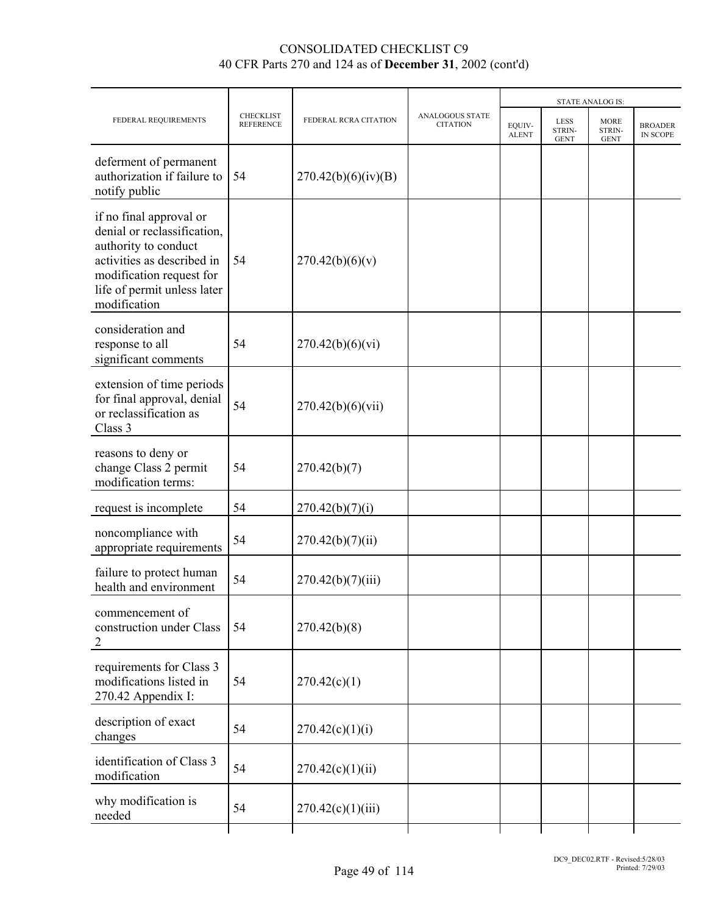|                                                                                                                                                                                         |                                      |                       |                                           | <b>STATE ANALOG IS:</b> |                                      |                                      |                            |  |
|-----------------------------------------------------------------------------------------------------------------------------------------------------------------------------------------|--------------------------------------|-----------------------|-------------------------------------------|-------------------------|--------------------------------------|--------------------------------------|----------------------------|--|
| FEDERAL REQUIREMENTS                                                                                                                                                                    | <b>CHECKLIST</b><br><b>REFERENCE</b> | FEDERAL RCRA CITATION | <b>ANALOGOUS STATE</b><br><b>CITATION</b> | EQUIV-<br><b>ALENT</b>  | <b>LESS</b><br>STRIN-<br><b>GENT</b> | <b>MORE</b><br>STRIN-<br><b>GENT</b> | <b>BROADER</b><br>IN SCOPE |  |
| deferment of permanent<br>authorization if failure to<br>notify public                                                                                                                  | 54                                   | 270.42(b)(6)(iv)(B)   |                                           |                         |                                      |                                      |                            |  |
| if no final approval or<br>denial or reclassification.<br>authority to conduct<br>activities as described in<br>modification request for<br>life of permit unless later<br>modification | 54                                   | 270.42(b)(6)(v)       |                                           |                         |                                      |                                      |                            |  |
| consideration and<br>response to all<br>significant comments                                                                                                                            | 54                                   | 270.42(b)(6)(vi)      |                                           |                         |                                      |                                      |                            |  |
| extension of time periods<br>for final approval, denial<br>or reclassification as<br>Class 3                                                                                            | 54                                   | 270.42(b)(6)(vii)     |                                           |                         |                                      |                                      |                            |  |
| reasons to deny or<br>change Class 2 permit<br>modification terms:                                                                                                                      | 54                                   | 270.42(b)(7)          |                                           |                         |                                      |                                      |                            |  |
| request is incomplete                                                                                                                                                                   | 54                                   | 270.42(b)(7)(i)       |                                           |                         |                                      |                                      |                            |  |
| noncompliance with<br>appropriate requirements                                                                                                                                          | 54                                   | 270.42(b)(7)(ii)      |                                           |                         |                                      |                                      |                            |  |
| failure to protect human<br>health and environment                                                                                                                                      | 54                                   | 270.42(b)(7)(iii)     |                                           |                         |                                      |                                      |                            |  |
| commencement of<br>construction under Class<br>$\overline{2}$                                                                                                                           | 54                                   | 270.42(b)(8)          |                                           |                         |                                      |                                      |                            |  |
| requirements for Class 3<br>modifications listed in<br>270.42 Appendix I:                                                                                                               | 54                                   | 270.42(c)(1)          |                                           |                         |                                      |                                      |                            |  |
| description of exact<br>changes                                                                                                                                                         | 54                                   | 270.42(c)(1)(i)       |                                           |                         |                                      |                                      |                            |  |
| identification of Class 3<br>modification                                                                                                                                               | 54                                   | 270.42(c)(1)(ii)      |                                           |                         |                                      |                                      |                            |  |
| why modification is<br>needed                                                                                                                                                           | 54                                   | 270.42(c)(1)(iii)     |                                           |                         |                                      |                                      |                            |  |
|                                                                                                                                                                                         |                                      |                       |                                           |                         |                                      |                                      |                            |  |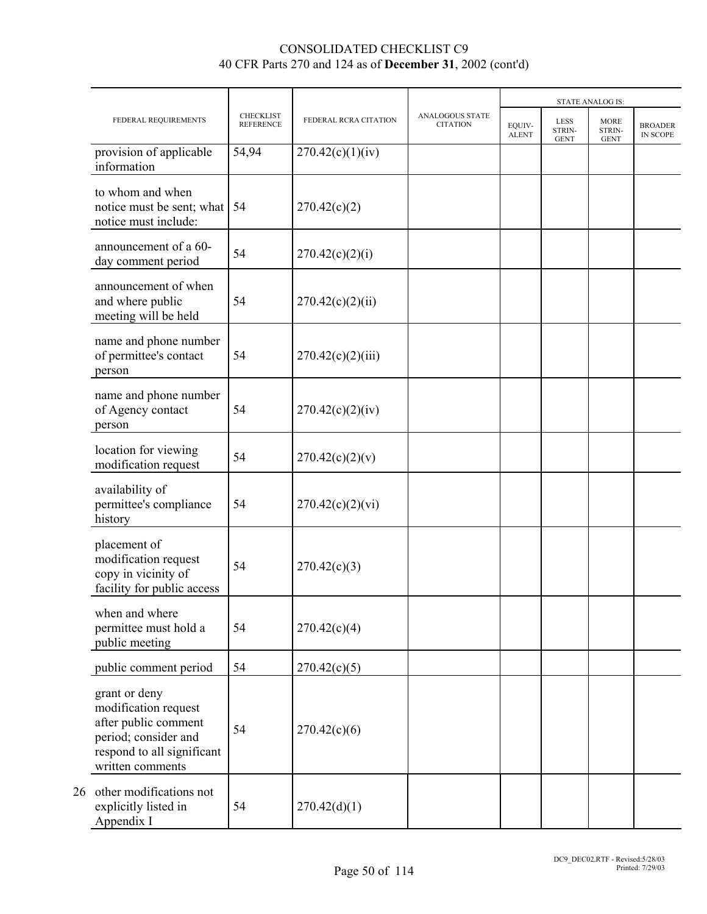|    |                                                                                                                                         |                                      |                       |                                    | <b>STATE ANALOG IS:</b> |                                      |                                      |                            |  |
|----|-----------------------------------------------------------------------------------------------------------------------------------------|--------------------------------------|-----------------------|------------------------------------|-------------------------|--------------------------------------|--------------------------------------|----------------------------|--|
|    | FEDERAL REQUIREMENTS                                                                                                                    | <b>CHECKLIST</b><br><b>REFERENCE</b> | FEDERAL RCRA CITATION | ANALOGOUS STATE<br><b>CITATION</b> | EOUIV-<br><b>ALENT</b>  | <b>LESS</b><br>STRIN-<br><b>GENT</b> | <b>MORE</b><br>STRIN-<br><b>GENT</b> | <b>BROADER</b><br>IN SCOPE |  |
|    | provision of applicable<br>information                                                                                                  | 54,94                                | 270.42(c)(1)(iv)      |                                    |                         |                                      |                                      |                            |  |
|    | to whom and when<br>notice must be sent; what<br>notice must include:                                                                   | -54                                  | 270.42(c)(2)          |                                    |                         |                                      |                                      |                            |  |
|    | announcement of a 60-<br>day comment period                                                                                             | 54                                   | 270.42(c)(2)(i)       |                                    |                         |                                      |                                      |                            |  |
|    | announcement of when<br>and where public<br>meeting will be held                                                                        | 54                                   | 270.42(c)(2)(ii)      |                                    |                         |                                      |                                      |                            |  |
|    | name and phone number<br>of permittee's contact<br>person                                                                               | 54                                   | 270.42(c)(2)(iii)     |                                    |                         |                                      |                                      |                            |  |
|    | name and phone number<br>of Agency contact<br>person                                                                                    | 54                                   | 270.42(c)(2)(iv)      |                                    |                         |                                      |                                      |                            |  |
|    | location for viewing<br>modification request                                                                                            | 54                                   | 270.42(c)(2)(v)       |                                    |                         |                                      |                                      |                            |  |
|    | availability of<br>permittee's compliance<br>history                                                                                    | 54                                   | 270.42(c)(2)(vi)      |                                    |                         |                                      |                                      |                            |  |
|    | placement of<br>modification request<br>copy in vicinity of<br>facility for public access                                               | 54                                   | 270.42(c)(3)          |                                    |                         |                                      |                                      |                            |  |
|    | when and where<br>permittee must hold a<br>public meeting                                                                               | 54                                   | 270.42(c)(4)          |                                    |                         |                                      |                                      |                            |  |
|    | public comment period                                                                                                                   | 54                                   | 270.42(c)(5)          |                                    |                         |                                      |                                      |                            |  |
|    | grant or deny<br>modification request<br>after public comment<br>period; consider and<br>respond to all significant<br>written comments | 54                                   | 270.42(c)(6)          |                                    |                         |                                      |                                      |                            |  |
| 26 | other modifications not<br>explicitly listed in<br>Appendix I                                                                           | 54                                   | 270.42(d)(1)          |                                    |                         |                                      |                                      |                            |  |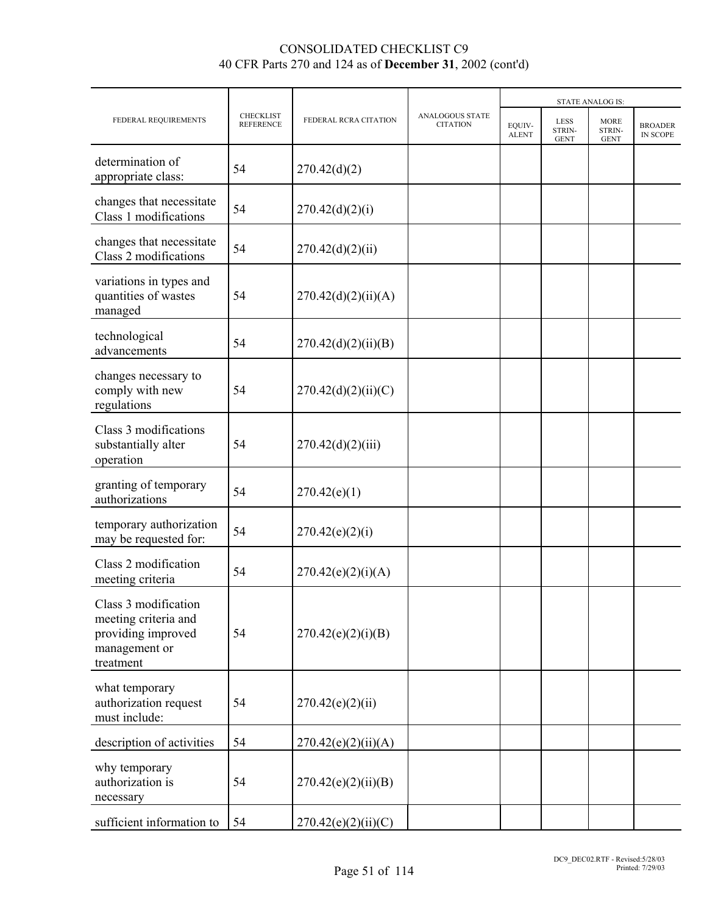|                                                                                                  |                                      |                       |                                    | <b>STATE ANALOG IS:</b> |                                             |                                      |                            |
|--------------------------------------------------------------------------------------------------|--------------------------------------|-----------------------|------------------------------------|-------------------------|---------------------------------------------|--------------------------------------|----------------------------|
| FEDERAL REQUIREMENTS                                                                             | <b>CHECKLIST</b><br><b>REFERENCE</b> | FEDERAL RCRA CITATION | ANALOGOUS STATE<br><b>CITATION</b> | EQUIV-<br><b>ALENT</b>  | <b>LESS</b><br><b>STRIN-</b><br><b>GENT</b> | <b>MORE</b><br>STRIN-<br><b>GENT</b> | <b>BROADER</b><br>IN SCOPE |
| determination of<br>appropriate class:                                                           | 54                                   | 270.42(d)(2)          |                                    |                         |                                             |                                      |                            |
| changes that necessitate<br>Class 1 modifications                                                | 54                                   | 270.42(d)(2)(i)       |                                    |                         |                                             |                                      |                            |
| changes that necessitate<br>Class 2 modifications                                                | 54                                   | 270.42(d)(2)(ii)      |                                    |                         |                                             |                                      |                            |
| variations in types and<br>quantities of wastes<br>managed                                       | 54                                   | 270.42(d)(2)(ii)(A)   |                                    |                         |                                             |                                      |                            |
| technological<br>advancements                                                                    | 54                                   | 270.42(d)(2)(ii)(B)   |                                    |                         |                                             |                                      |                            |
| changes necessary to<br>comply with new<br>regulations                                           | 54                                   | 270.42(d)(2)(ii)(C)   |                                    |                         |                                             |                                      |                            |
| Class 3 modifications<br>substantially alter<br>operation                                        | 54                                   | 270.42(d)(2)(iii)     |                                    |                         |                                             |                                      |                            |
| granting of temporary<br>authorizations                                                          | 54                                   | 270.42(e)(1)          |                                    |                         |                                             |                                      |                            |
| temporary authorization<br>may be requested for:                                                 | 54                                   | 270.42(e)(2)(i)       |                                    |                         |                                             |                                      |                            |
| Class 2 modification<br>meeting criteria                                                         | 54                                   | 270.42(e)(2)(i)(A)    |                                    |                         |                                             |                                      |                            |
| Class 3 modification<br>meeting criteria and<br>providing improved<br>management or<br>treatment | 54                                   | 270.42(e)(2)(i)(B)    |                                    |                         |                                             |                                      |                            |
| what temporary<br>authorization request<br>must include:                                         | 54                                   | 270.42(e)(2)(ii)      |                                    |                         |                                             |                                      |                            |
| description of activities                                                                        | 54                                   | 270.42(e)(2)(ii)(A)   |                                    |                         |                                             |                                      |                            |
| why temporary<br>authorization is<br>necessary                                                   | 54                                   | 270.42(e)(2)(ii)(B)   |                                    |                         |                                             |                                      |                            |
| sufficient information to                                                                        | 54                                   | 270.42(e)(2)(ii)(C)   |                                    |                         |                                             |                                      |                            |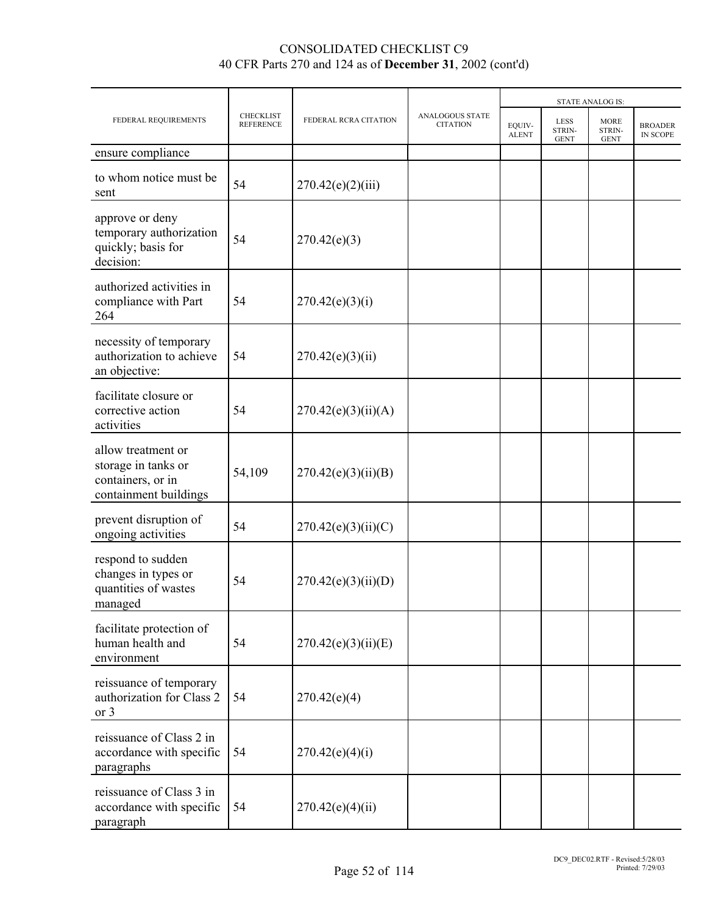|                                                                                         |                               |                       |                                           | <b>STATE ANALOG IS:</b> |                                      |                                      |                            |  |  |
|-----------------------------------------------------------------------------------------|-------------------------------|-----------------------|-------------------------------------------|-------------------------|--------------------------------------|--------------------------------------|----------------------------|--|--|
| FEDERAL REQUIREMENTS                                                                    | CHECKLIST<br><b>REFERENCE</b> | FEDERAL RCRA CITATION | <b>ANALOGOUS STATE</b><br><b>CITATION</b> | EQUIV-<br><b>ALENT</b>  | <b>LESS</b><br>STRIN-<br><b>GENT</b> | <b>MORE</b><br>STRIN-<br><b>GENT</b> | <b>BROADER</b><br>IN SCOPE |  |  |
| ensure compliance                                                                       |                               |                       |                                           |                         |                                      |                                      |                            |  |  |
| to whom notice must be<br>sent                                                          | 54                            | 270.42(e)(2)(iii)     |                                           |                         |                                      |                                      |                            |  |  |
| approve or deny<br>temporary authorization<br>quickly; basis for<br>decision:           | 54                            | 270.42(e)(3)          |                                           |                         |                                      |                                      |                            |  |  |
| authorized activities in<br>compliance with Part<br>264                                 | 54                            | 270.42(e)(3)(i)       |                                           |                         |                                      |                                      |                            |  |  |
| necessity of temporary<br>authorization to achieve<br>an objective:                     | 54                            | 270.42(e)(3)(ii)      |                                           |                         |                                      |                                      |                            |  |  |
| facilitate closure or<br>corrective action<br>activities                                | 54                            | 270.42(e)(3)(ii)(A)   |                                           |                         |                                      |                                      |                            |  |  |
| allow treatment or<br>storage in tanks or<br>containers, or in<br>containment buildings | 54,109                        | 270.42(e)(3)(ii)(B)   |                                           |                         |                                      |                                      |                            |  |  |
| prevent disruption of<br>ongoing activities                                             | 54                            | 270.42(e)(3)(ii)(C)   |                                           |                         |                                      |                                      |                            |  |  |
| respond to sudden<br>changes in types or<br>quantities of wastes<br>managed             | 54                            | 270.42(e)(3)(ii)(D)   |                                           |                         |                                      |                                      |                            |  |  |
| facilitate protection of<br>human health and<br>environment                             | 54                            | 270.42(e)(3)(ii)(E)   |                                           |                         |                                      |                                      |                            |  |  |
| reissuance of temporary<br>authorization for Class 2<br>or 3                            | 54                            | 270.42(e)(4)          |                                           |                         |                                      |                                      |                            |  |  |
| reissuance of Class 2 in<br>accordance with specific<br>paragraphs                      | 54                            | 270.42(e)(4)(i)       |                                           |                         |                                      |                                      |                            |  |  |
| reissuance of Class 3 in<br>accordance with specific<br>paragraph                       | 54                            | 270.42(e)(4)(ii)      |                                           |                         |                                      |                                      |                            |  |  |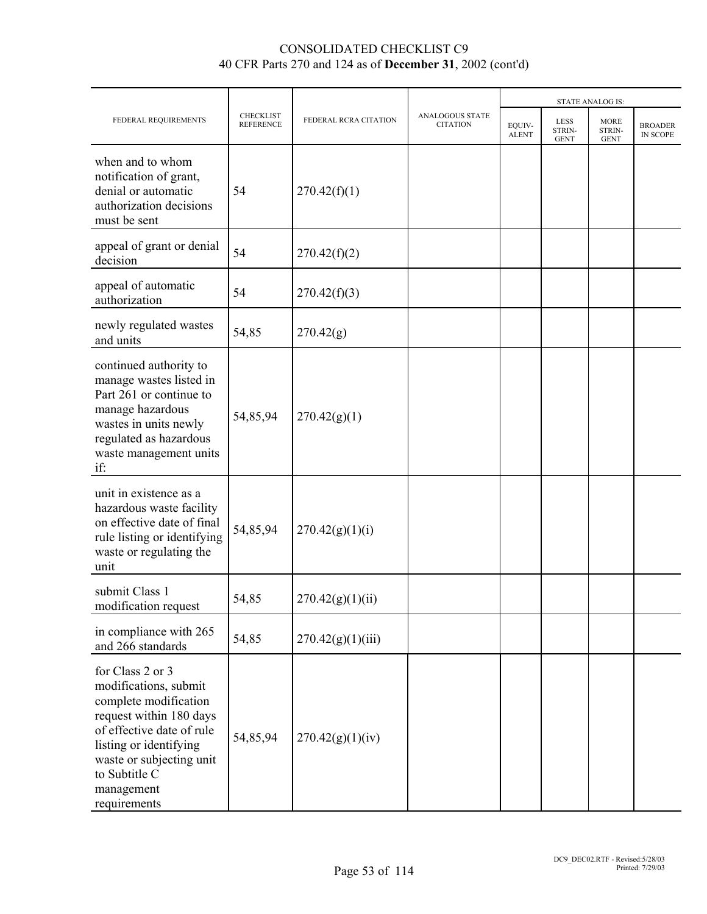|                                                                                                                                                                                                                                 |                                      |                       |                                           |                        |                                      | <b>STATE ANALOG IS:</b>              |                            |  |
|---------------------------------------------------------------------------------------------------------------------------------------------------------------------------------------------------------------------------------|--------------------------------------|-----------------------|-------------------------------------------|------------------------|--------------------------------------|--------------------------------------|----------------------------|--|
| FEDERAL REQUIREMENTS                                                                                                                                                                                                            | <b>CHECKLIST</b><br><b>REFERENCE</b> | FEDERAL RCRA CITATION | <b>ANALOGOUS STATE</b><br><b>CITATION</b> | EQUIV-<br><b>ALENT</b> | <b>LESS</b><br>STRIN-<br><b>GENT</b> | <b>MORE</b><br>STRIN-<br><b>GENT</b> | <b>BROADER</b><br>IN SCOPE |  |
| when and to whom<br>notification of grant,<br>denial or automatic<br>authorization decisions<br>must be sent                                                                                                                    | 54                                   | 270.42(f)(1)          |                                           |                        |                                      |                                      |                            |  |
| appeal of grant or denial<br>decision                                                                                                                                                                                           | 54                                   | 270.42(f)(2)          |                                           |                        |                                      |                                      |                            |  |
| appeal of automatic<br>authorization                                                                                                                                                                                            | 54                                   | 270.42(f)(3)          |                                           |                        |                                      |                                      |                            |  |
| newly regulated wastes<br>and units                                                                                                                                                                                             | 54,85                                | 270.42(g)             |                                           |                        |                                      |                                      |                            |  |
| continued authority to<br>manage wastes listed in<br>Part 261 or continue to<br>manage hazardous<br>wastes in units newly<br>regulated as hazardous<br>waste management units<br>if:                                            | 54,85,94                             | 270.42(g)(1)          |                                           |                        |                                      |                                      |                            |  |
| unit in existence as a<br>hazardous waste facility<br>on effective date of final<br>rule listing or identifying<br>waste or regulating the<br>unit                                                                              | 54,85,94                             | 270.42(g)(1)(i)       |                                           |                        |                                      |                                      |                            |  |
| submit Class 1<br>modification request                                                                                                                                                                                          | 54,85                                | 270.42(g)(1)(ii)      |                                           |                        |                                      |                                      |                            |  |
| in compliance with 265<br>and 266 standards                                                                                                                                                                                     | 54,85                                | 270.42(g)(1)(iii)     |                                           |                        |                                      |                                      |                            |  |
| for Class 2 or 3<br>modifications, submit<br>complete modification<br>request within 180 days<br>of effective date of rule<br>listing or identifying<br>waste or subjecting unit<br>to Subtitle C<br>management<br>requirements | 54,85,94                             | 270.42(g)(1)(iv)      |                                           |                        |                                      |                                      |                            |  |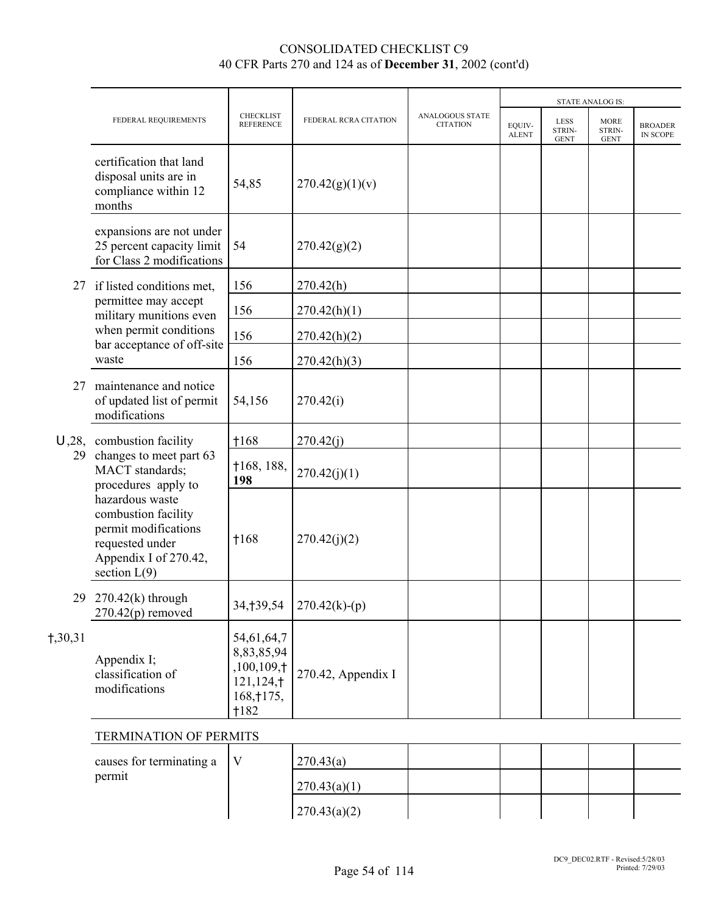|           |                                                                                                                                                                                                                                    |                                                                           |                             |                                           | <b>STATE ANALOG IS:</b> |                                      |                                      |                                   |  |
|-----------|------------------------------------------------------------------------------------------------------------------------------------------------------------------------------------------------------------------------------------|---------------------------------------------------------------------------|-----------------------------|-------------------------------------------|-------------------------|--------------------------------------|--------------------------------------|-----------------------------------|--|
|           | FEDERAL REQUIREMENTS                                                                                                                                                                                                               | <b>CHECKLIST</b><br><b>REFERENCE</b>                                      | FEDERAL RCRA CITATION       | <b>ANALOGOUS STATE</b><br><b>CITATION</b> | EQUIV-<br><b>ALENT</b>  | <b>LESS</b><br>STRIN-<br><b>GENT</b> | <b>MORE</b><br>STRIN-<br><b>GENT</b> | <b>BROADER</b><br><b>IN SCOPE</b> |  |
|           | certification that land<br>disposal units are in<br>compliance within 12<br>months                                                                                                                                                 | 54,85                                                                     | 270.42(g)(1)(v)             |                                           |                         |                                      |                                      |                                   |  |
|           | expansions are not under<br>25 percent capacity limit<br>for Class 2 modifications                                                                                                                                                 | 54                                                                        | 270.42(g)(2)                |                                           |                         |                                      |                                      |                                   |  |
| 27        | if listed conditions met,                                                                                                                                                                                                          | 156                                                                       | 270.42(h)                   |                                           |                         |                                      |                                      |                                   |  |
|           | permittee may accept<br>military munitions even                                                                                                                                                                                    | 156                                                                       | 270.42(h)(1)                |                                           |                         |                                      |                                      |                                   |  |
|           | when permit conditions<br>bar acceptance of off-site                                                                                                                                                                               | 156                                                                       | 270.42(h)(2)                |                                           |                         |                                      |                                      |                                   |  |
|           | waste                                                                                                                                                                                                                              | 156                                                                       | 270.42(h)(3)                |                                           |                         |                                      |                                      |                                   |  |
| 27        | maintenance and notice<br>of updated list of permit<br>modifications                                                                                                                                                               | 54,156                                                                    | 270.42(i)                   |                                           |                         |                                      |                                      |                                   |  |
|           | $U$ , 28, combustion facility<br>changes to meet part 63<br>MACT standards;<br>procedures apply to<br>hazardous waste<br>combustion facility<br>permit modifications<br>requested under<br>Appendix I of 270.42,<br>section $L(9)$ | $+168$                                                                    | 270.42(j)                   |                                           |                         |                                      |                                      |                                   |  |
| 29        |                                                                                                                                                                                                                                    | †168, 188,<br>198                                                         | 270.42(j)(1)                |                                           |                         |                                      |                                      |                                   |  |
|           |                                                                                                                                                                                                                                    | $+168$                                                                    | 270.42(j)(2)                |                                           |                         |                                      |                                      |                                   |  |
| 29        | $270.42(k)$ through<br>$270.42(p)$ removed                                                                                                                                                                                         |                                                                           | $34,139,54$   270.42(k)-(p) |                                           |                         |                                      |                                      |                                   |  |
| $+,30,31$ | Appendix I;<br>classification of<br>modifications                                                                                                                                                                                  | 54,61,64,7<br>8,83,85,94<br>,100,109,†<br>121,124,†<br>168, † 175,<br>182 | 270.42, Appendix I          |                                           |                         |                                      |                                      |                                   |  |

### TERMINATION OF PERMITS

| causes for terminating a $\ V\ $ | 270.43(a)    |  |  |  |
|----------------------------------|--------------|--|--|--|
| permit                           | 270.43(a)(1) |  |  |  |
|                                  | 270.43(a)(2) |  |  |  |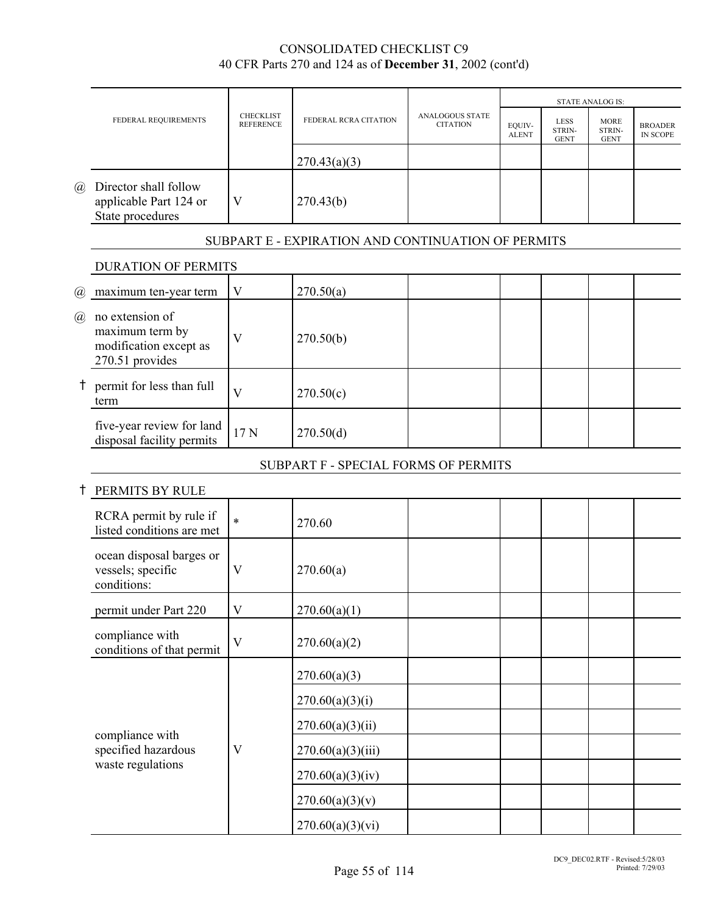|                             |                                                                                 |                                      |                                                    |                                    | <b>STATE ANALOG IS:</b> |                                      |                                      |                                   |
|-----------------------------|---------------------------------------------------------------------------------|--------------------------------------|----------------------------------------------------|------------------------------------|-------------------------|--------------------------------------|--------------------------------------|-----------------------------------|
|                             | FEDERAL REQUIREMENTS                                                            | <b>CHECKLIST</b><br><b>REFERENCE</b> | FEDERAL RCRA CITATION                              | ANALOGOUS STATE<br><b>CITATION</b> | EQUIV-<br><b>ALENT</b>  | <b>LESS</b><br>STRIN-<br><b>GENT</b> | <b>MORE</b><br>STRIN-<br><b>GENT</b> | <b>BROADER</b><br><b>IN SCOPE</b> |
|                             |                                                                                 |                                      | 270.43(a)(3)                                       |                                    |                         |                                      |                                      |                                   |
| $\left(\overline{a}\right)$ | Director shall follow<br>applicable Part 124 or<br>State procedures             | V                                    | 270.43(b)                                          |                                    |                         |                                      |                                      |                                   |
|                             |                                                                                 |                                      | SUBPART E - EXPIRATION AND CONTINUATION OF PERMITS |                                    |                         |                                      |                                      |                                   |
|                             | <b>DURATION OF PERMITS</b>                                                      |                                      |                                                    |                                    |                         |                                      |                                      |                                   |
| $\omega$                    | maximum ten-year term                                                           | V                                    | 270.50(a)                                          |                                    |                         |                                      |                                      |                                   |
| $\left(\widehat{a}\right)$  | no extension of<br>maximum term by<br>modification except as<br>270.51 provides | V                                    | 270.50(b)                                          |                                    |                         |                                      |                                      |                                   |
| $^{\dagger}$                | permit for less than full<br>term                                               | V                                    | 270.50(c)                                          |                                    |                         |                                      |                                      |                                   |
|                             | five-year review for land<br>disposal facility permits                          | 17N                                  | 270.50(d)                                          |                                    |                         |                                      |                                      |                                   |
|                             |                                                                                 |                                      | SUBPART F - SPECIAL FORMS OF PERMITS               |                                    |                         |                                      |                                      |                                   |
|                             | PERMITS BY RULE                                                                 |                                      |                                                    |                                    |                         |                                      |                                      |                                   |
|                             | RCRA permit by rule if<br>listed conditions are met                             | $\ast$                               | 270.60                                             |                                    |                         |                                      |                                      |                                   |
|                             | ocean disposal barges or<br>vessels; specific<br>conditions:                    | V                                    | 270.60(a)                                          |                                    |                         |                                      |                                      |                                   |
|                             | permit under Part 220                                                           | $\mathbf V$                          | 270.60(a)(1)                                       |                                    |                         |                                      |                                      |                                   |
|                             | compliance with<br>conditions of that permit                                    | $\mathbf V$                          | 270.60(a)(2)                                       |                                    |                         |                                      |                                      |                                   |
|                             |                                                                                 |                                      | 270.60(a)(3)                                       |                                    |                         |                                      |                                      |                                   |
|                             |                                                                                 |                                      | 270.60(a)(3)(i)                                    |                                    |                         |                                      |                                      |                                   |
|                             |                                                                                 |                                      | 270.60(a)(3)(ii)                                   |                                    |                         |                                      |                                      |                                   |
|                             | compliance with<br>specified hazardous                                          | $\mathbf V$                          | 270.60(a)(3)(iii)                                  |                                    |                         |                                      |                                      |                                   |
|                             | waste regulations                                                               |                                      | 270.60(a)(3)(iv)                                   |                                    |                         |                                      |                                      |                                   |

270.60(a)(3)(v)

270.60(a)(3)(vi)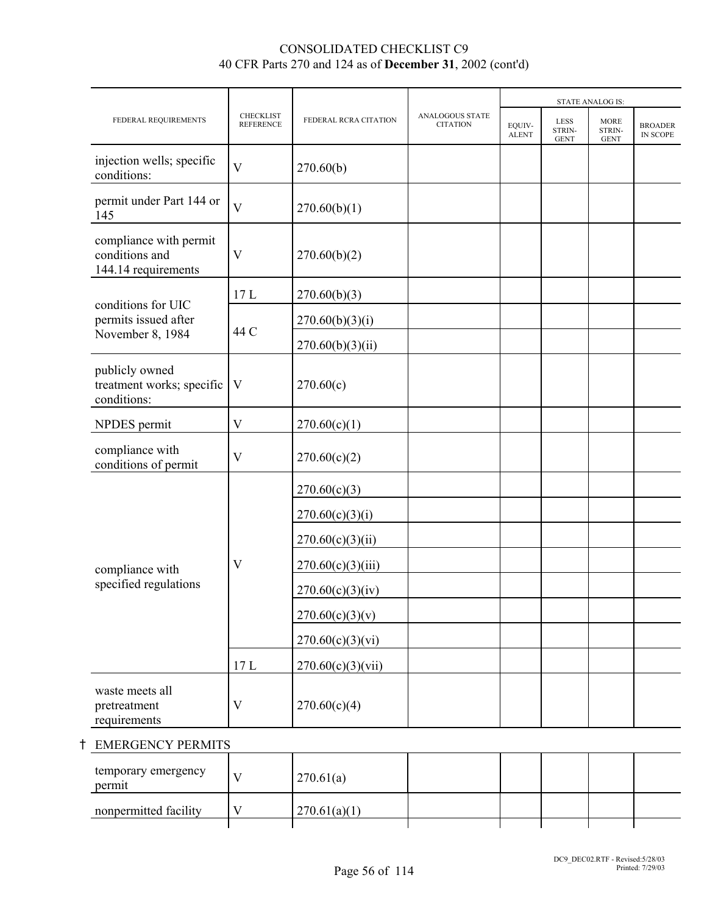|                                                                 |                                      |                       |                                    |                        |                                      | <b>STATE ANALOG IS:</b>              |                            |
|-----------------------------------------------------------------|--------------------------------------|-----------------------|------------------------------------|------------------------|--------------------------------------|--------------------------------------|----------------------------|
| FEDERAL REQUIREMENTS                                            | <b>CHECKLIST</b><br><b>REFERENCE</b> | FEDERAL RCRA CITATION | ANALOGOUS STATE<br><b>CITATION</b> | EOUIV-<br><b>ALENT</b> | <b>LESS</b><br>STRIN-<br><b>GENT</b> | <b>MORE</b><br>STRIN-<br><b>GENT</b> | <b>BROADER</b><br>IN SCOPE |
| injection wells; specific<br>conditions:                        | $\overline{\mathbf{V}}$              | 270.60(b)             |                                    |                        |                                      |                                      |                            |
| permit under Part 144 or<br>145                                 | V                                    | 270.60(b)(1)          |                                    |                        |                                      |                                      |                            |
| compliance with permit<br>conditions and<br>144.14 requirements | V                                    | 270.60(b)(2)          |                                    |                        |                                      |                                      |                            |
| conditions for UIC                                              | 17L                                  | 270.60(b)(3)          |                                    |                        |                                      |                                      |                            |
| permits issued after                                            |                                      | 270.60(b)(3)(i)       |                                    |                        |                                      |                                      |                            |
| November 8, 1984                                                | 44 C                                 | 270.60(b)(3)(ii)      |                                    |                        |                                      |                                      |                            |
| publicly owned<br>treatment works; specific<br>conditions:      | V                                    | 270.60(c)             |                                    |                        |                                      |                                      |                            |
| NPDES permit                                                    | V                                    | 270.60(c)(1)          |                                    |                        |                                      |                                      |                            |
| compliance with<br>conditions of permit                         | V                                    | 270.60(c)(2)          |                                    |                        |                                      |                                      |                            |
|                                                                 |                                      | 270.60(c)(3)          |                                    |                        |                                      |                                      |                            |
|                                                                 |                                      | 270.60(c)(3)(i)       |                                    |                        |                                      |                                      |                            |
|                                                                 |                                      | 270.60(c)(3)(ii)      |                                    |                        |                                      |                                      |                            |
| compliance with                                                 | $\mathbf{V}$                         | 270.60(c)(3)(iii)     |                                    |                        |                                      |                                      |                            |
| specified regulations                                           |                                      | 270.60(c)(3)(iv)      |                                    |                        |                                      |                                      |                            |
|                                                                 |                                      | 270.60(c)(3)(v)       |                                    |                        |                                      |                                      |                            |
|                                                                 |                                      | 270.60(c)(3)(vi)      |                                    |                        |                                      |                                      |                            |
|                                                                 | 17L                                  | 270.60(c)(3)(vii)     |                                    |                        |                                      |                                      |                            |
| waste meets all<br>pretreatment<br>requirements                 | V                                    | 270.60(c)(4)          |                                    |                        |                                      |                                      |                            |

# **t** EMERGENCY PERMITS

| temporary emergency<br>permit | 270.61(a)    |  |  |  |
|-------------------------------|--------------|--|--|--|
| nonpermitted facility         | 270.61(a)(1) |  |  |  |
|                               |              |  |  |  |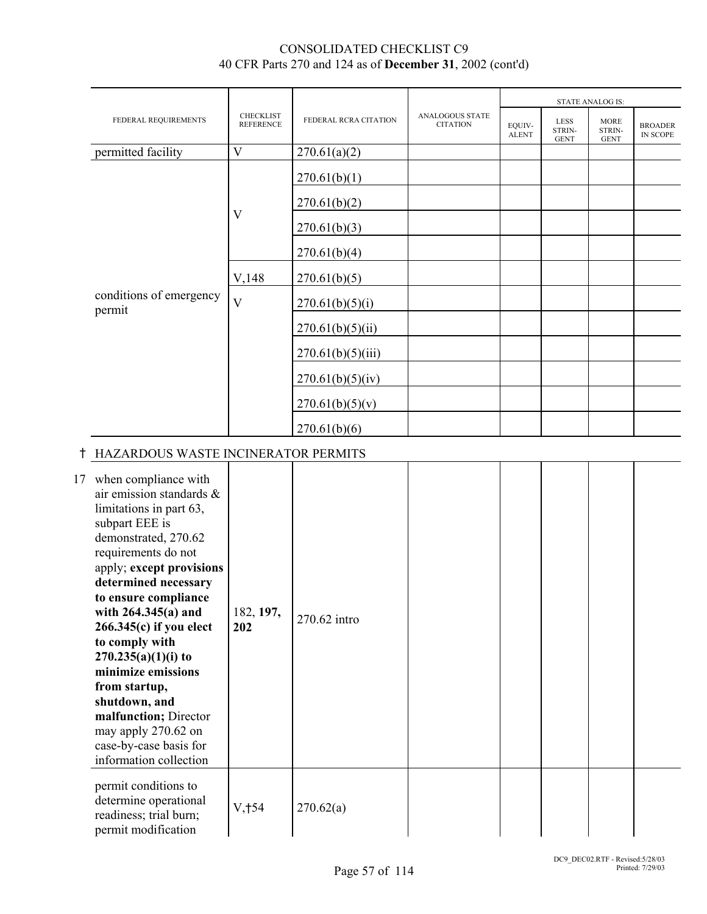|                                   |                                      |                       |                                           |                        |                                      | <b>STATE ANALOG IS:</b>              |                            |
|-----------------------------------|--------------------------------------|-----------------------|-------------------------------------------|------------------------|--------------------------------------|--------------------------------------|----------------------------|
| FEDERAL REQUIREMENTS              | <b>CHECKLIST</b><br><b>REFERENCE</b> | FEDERAL RCRA CITATION | <b>ANALOGOUS STATE</b><br><b>CITATION</b> | EQUIV-<br><b>ALENT</b> | <b>LESS</b><br>STRIN-<br><b>GENT</b> | <b>MORE</b><br>STRIN-<br><b>GENT</b> | <b>BROADER</b><br>IN SCOPE |
| permitted facility                | $\bf V$                              | 270.61(a)(2)          |                                           |                        |                                      |                                      |                            |
|                                   |                                      | 270.61(b)(1)          |                                           |                        |                                      |                                      |                            |
|                                   |                                      | 270.61(b)(2)          |                                           |                        |                                      |                                      |                            |
|                                   | V                                    | 270.61(b)(3)          |                                           |                        |                                      |                                      |                            |
|                                   |                                      | 270.61(b)(4)          |                                           |                        |                                      |                                      |                            |
|                                   | V,148                                | 270.61(b)(5)          |                                           |                        |                                      |                                      |                            |
| conditions of emergency<br>permit | $\mathbf{V}$                         | 270.61(b)(5)(i)       |                                           |                        |                                      |                                      |                            |
|                                   |                                      | 270.61(b)(5)(ii)      |                                           |                        |                                      |                                      |                            |
|                                   |                                      | 270.61(b)(5)(iii)     |                                           |                        |                                      |                                      |                            |
|                                   |                                      | 270.61(b)(5)(iv)      |                                           |                        |                                      |                                      |                            |
|                                   |                                      | 270.61(b)(5)(v)       |                                           |                        |                                      |                                      |                            |
|                                   |                                      | 270.61(b)(6)          |                                           |                        |                                      |                                      |                            |

# H HAZARDOUS WASTE INCINERATOR PERMITS

| 17 | when compliance with<br>air emission standards &<br>limitations in part 63,<br>subpart EEE is<br>demonstrated, 270.62<br>requirements do not<br>apply; except provisions<br>determined necessary<br>to ensure compliance<br>with $264.345(a)$ and<br>$266.345(c)$ if you elect<br>to comply with<br>$270.235(a)(1)(i)$ to<br>minimize emissions<br>from startup,<br>shutdown, and<br>malfunction; Director<br>may apply 270.62 on<br>case-by-case basis for<br>information collection | 182, 197,<br>202 | 270.62 intro |  |  |  |
|----|---------------------------------------------------------------------------------------------------------------------------------------------------------------------------------------------------------------------------------------------------------------------------------------------------------------------------------------------------------------------------------------------------------------------------------------------------------------------------------------|------------------|--------------|--|--|--|
|    | permit conditions to<br>determine operational<br>readiness; trial burn;<br>permit modification                                                                                                                                                                                                                                                                                                                                                                                        | V, †54           | 270.62(a)    |  |  |  |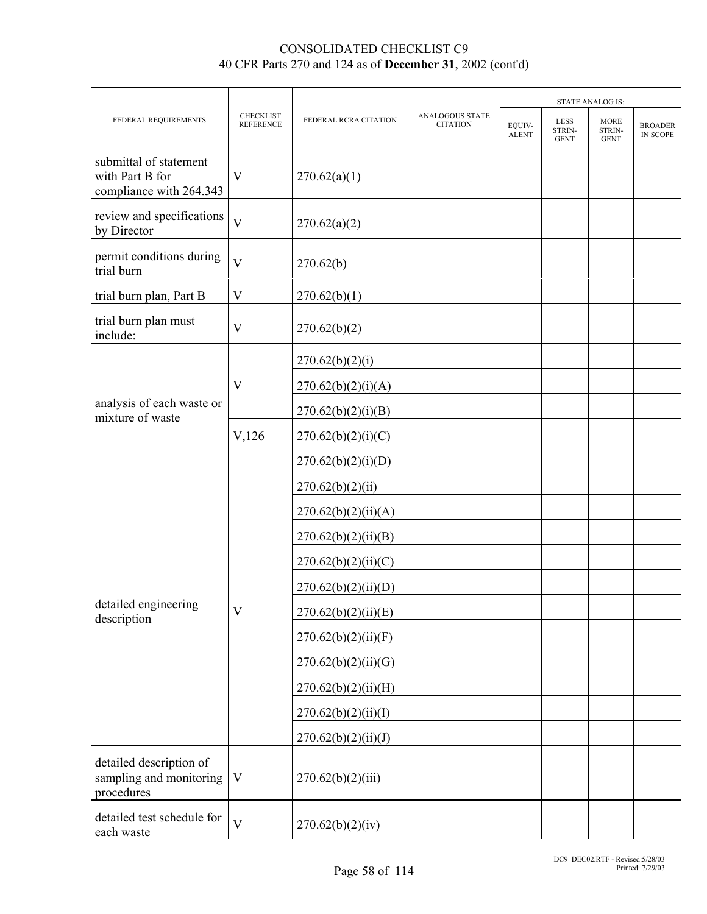|                                                                      |                                      |                       |                                           |                        |                               | <b>STATE ANALOG IS:</b>              |                            |
|----------------------------------------------------------------------|--------------------------------------|-----------------------|-------------------------------------------|------------------------|-------------------------------|--------------------------------------|----------------------------|
| FEDERAL REQUIREMENTS                                                 | <b>CHECKLIST</b><br><b>REFERENCE</b> | FEDERAL RCRA CITATION | <b>ANALOGOUS STATE</b><br><b>CITATION</b> | EQUIV-<br><b>ALENT</b> | LESS<br>STRIN-<br><b>GENT</b> | <b>MORE</b><br>STRIN-<br><b>GENT</b> | <b>BROADER</b><br>IN SCOPE |
| submittal of statement<br>with Part B for<br>compliance with 264.343 | V                                    | 270.62(a)(1)          |                                           |                        |                               |                                      |                            |
| review and specifications<br>by Director                             | $\overline{V}$                       | 270.62(a)(2)          |                                           |                        |                               |                                      |                            |
| permit conditions during<br>trial burn                               | $\overline{V}$                       | 270.62(b)             |                                           |                        |                               |                                      |                            |
| trial burn plan, Part B                                              | $\mathbf V$                          | 270.62(b)(1)          |                                           |                        |                               |                                      |                            |
| trial burn plan must<br>include:                                     | $\overline{V}$                       | 270.62(b)(2)          |                                           |                        |                               |                                      |                            |
|                                                                      |                                      | 270.62(b)(2)(i)       |                                           |                        |                               |                                      |                            |
|                                                                      | $\overline{\mathsf{V}}$              | 270.62(b)(2)(i)(A)    |                                           |                        |                               |                                      |                            |
| analysis of each waste or<br>mixture of waste                        |                                      | 270.62(b)(2)(i)(B)    |                                           |                        |                               |                                      |                            |
|                                                                      | $V$ , 126                            | 270.62(b)(2)(i)(C)    |                                           |                        |                               |                                      |                            |
|                                                                      |                                      | 270.62(b)(2)(i)(D)    |                                           |                        |                               |                                      |                            |
|                                                                      |                                      | 270.62(b)(2)(ii)      |                                           |                        |                               |                                      |                            |
|                                                                      |                                      | 270.62(b)(2)(ii)(A)   |                                           |                        |                               |                                      |                            |
|                                                                      |                                      | 270.62(b)(2)(ii)(B)   |                                           |                        |                               |                                      |                            |
|                                                                      |                                      | 270.62(b)(2)(ii)(C)   |                                           |                        |                               |                                      |                            |
|                                                                      |                                      | 270.62(b)(2)(ii)(D)   |                                           |                        |                               |                                      |                            |
| detailed engineering<br>description                                  | V                                    | 270.62(b)(2)(ii)(E)   |                                           |                        |                               |                                      |                            |
|                                                                      |                                      | 270.62(b)(2)(ii)(F)   |                                           |                        |                               |                                      |                            |
|                                                                      |                                      | 270.62(b)(2)(ii)(G)   |                                           |                        |                               |                                      |                            |
|                                                                      |                                      | 270.62(b)(2)(ii)(H)   |                                           |                        |                               |                                      |                            |
|                                                                      |                                      | 270.62(b)(2)(ii)(I)   |                                           |                        |                               |                                      |                            |
|                                                                      |                                      | 270.62(b)(2)(ii)(J)   |                                           |                        |                               |                                      |                            |
| detailed description of<br>sampling and monitoring<br>procedures     | $\mathbf V$                          | 270.62(b)(2)(iii)     |                                           |                        |                               |                                      |                            |
| detailed test schedule for<br>each waste                             | $\overline{\mathsf{V}}$              | 270.62(b)(2)(iv)      |                                           |                        |                               |                                      |                            |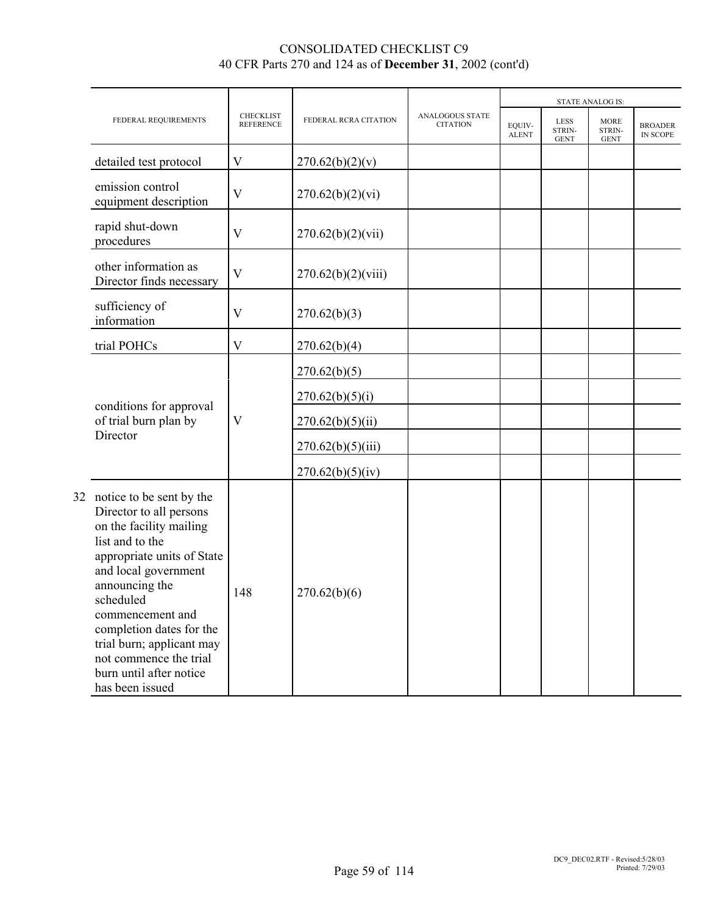|  |                                                                                                                                                                                                                                                                                                                                                |                                      |                                     |                                    |                        |                                      | <b>STATE ANALOG IS:</b>              |                            |  |
|--|------------------------------------------------------------------------------------------------------------------------------------------------------------------------------------------------------------------------------------------------------------------------------------------------------------------------------------------------|--------------------------------------|-------------------------------------|------------------------------------|------------------------|--------------------------------------|--------------------------------------|----------------------------|--|
|  | FEDERAL REQUIREMENTS                                                                                                                                                                                                                                                                                                                           | <b>CHECKLIST</b><br><b>REFERENCE</b> | FEDERAL RCRA CITATION               | ANALOGOUS STATE<br><b>CITATION</b> | EOUIV-<br><b>ALENT</b> | <b>LESS</b><br>STRIN-<br><b>GENT</b> | <b>MORE</b><br>STRIN-<br><b>GENT</b> | <b>BROADER</b><br>IN SCOPE |  |
|  | detailed test protocol                                                                                                                                                                                                                                                                                                                         | V                                    | 270.62(b)(2)(v)                     |                                    |                        |                                      |                                      |                            |  |
|  | emission control<br>equipment description                                                                                                                                                                                                                                                                                                      | V                                    | 270.62(b)(2)(vi)                    |                                    |                        |                                      |                                      |                            |  |
|  | rapid shut-down<br>procedures                                                                                                                                                                                                                                                                                                                  | $\mathbf V$                          | 270.62(b)(2)(vii)                   |                                    |                        |                                      |                                      |                            |  |
|  | other information as<br>Director finds necessary                                                                                                                                                                                                                                                                                               | $\mathbf V$                          | 270.62(b)(2)(viii)                  |                                    |                        |                                      |                                      |                            |  |
|  | sufficiency of<br>information                                                                                                                                                                                                                                                                                                                  | V                                    | 270.62(b)(3)                        |                                    |                        |                                      |                                      |                            |  |
|  | trial POHCs                                                                                                                                                                                                                                                                                                                                    | V                                    | 270.62(b)(4)                        |                                    |                        |                                      |                                      |                            |  |
|  | conditions for approval<br>of trial burn plan by<br>Director                                                                                                                                                                                                                                                                                   |                                      | 270.62(b)(5)                        |                                    |                        |                                      |                                      |                            |  |
|  |                                                                                                                                                                                                                                                                                                                                                | $\mathbf V$                          | 270.62(b)(5)(i)<br>270.62(b)(5)(ii) |                                    |                        |                                      |                                      |                            |  |
|  |                                                                                                                                                                                                                                                                                                                                                |                                      | 270.62(b)(5)(iii)                   |                                    |                        |                                      |                                      |                            |  |
|  |                                                                                                                                                                                                                                                                                                                                                |                                      | 270.62(b)(5)(iv)                    |                                    |                        |                                      |                                      |                            |  |
|  | 32 notice to be sent by the<br>Director to all persons<br>on the facility mailing<br>list and to the<br>appropriate units of State<br>and local government<br>announcing the<br>scheduled<br>commencement and<br>completion dates for the<br>trial burn; applicant may<br>not commence the trial<br>burn until after notice<br>has been issued | 148                                  | 270.62(b)(6)                        |                                    |                        |                                      |                                      |                            |  |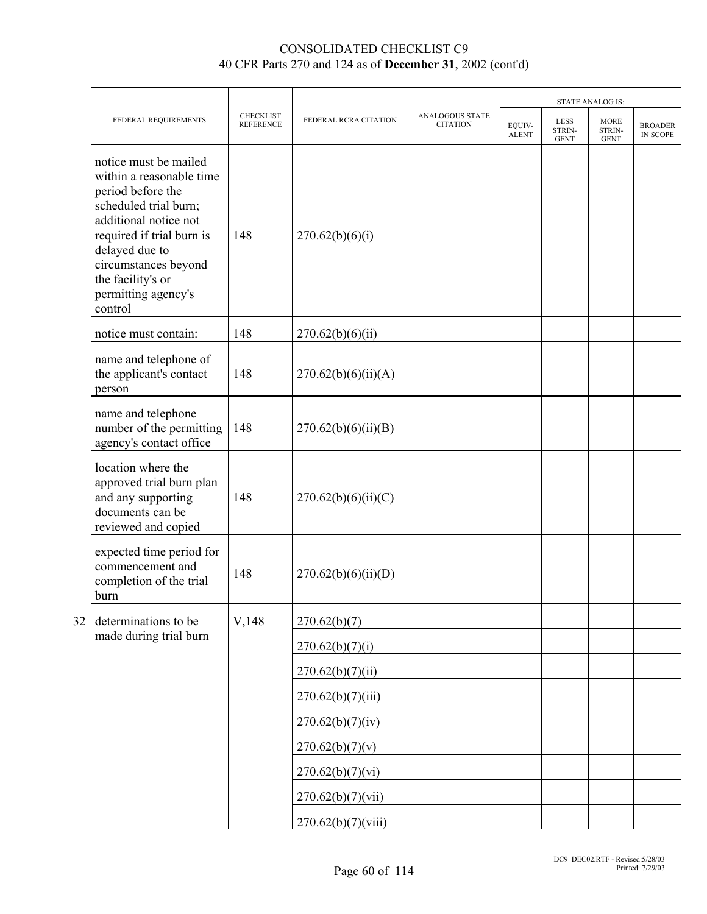|    |                                                                                                                                                                                                                                                        |                                      |                       |                                    |                        |                                      | <b>STATE ANALOG IS:</b>              |                                   |
|----|--------------------------------------------------------------------------------------------------------------------------------------------------------------------------------------------------------------------------------------------------------|--------------------------------------|-----------------------|------------------------------------|------------------------|--------------------------------------|--------------------------------------|-----------------------------------|
|    | FEDERAL REQUIREMENTS                                                                                                                                                                                                                                   | <b>CHECKLIST</b><br><b>REFERENCE</b> | FEDERAL RCRA CITATION | ANALOGOUS STATE<br><b>CITATION</b> | EQUIV-<br><b>ALENT</b> | <b>LESS</b><br>STRIN-<br><b>GENT</b> | <b>MORE</b><br>STRIN-<br><b>GENT</b> | <b>BROADER</b><br><b>IN SCOPE</b> |
|    | notice must be mailed<br>within a reasonable time<br>period before the<br>scheduled trial burn;<br>additional notice not<br>required if trial burn is<br>delayed due to<br>circumstances beyond<br>the facility's or<br>permitting agency's<br>control | 148                                  | 270.62(b)(6)(i)       |                                    |                        |                                      |                                      |                                   |
|    | notice must contain:                                                                                                                                                                                                                                   | 148                                  | 270.62(b)(6)(ii)      |                                    |                        |                                      |                                      |                                   |
|    | name and telephone of<br>the applicant's contact<br>person                                                                                                                                                                                             | 148                                  | 270.62(b)(6)(ii)(A)   |                                    |                        |                                      |                                      |                                   |
|    | name and telephone<br>number of the permitting<br>agency's contact office                                                                                                                                                                              | 148                                  | 270.62(b)(6)(ii)(B)   |                                    |                        |                                      |                                      |                                   |
|    | location where the<br>approved trial burn plan<br>and any supporting<br>documents can be<br>reviewed and copied                                                                                                                                        | 148                                  | 270.62(b)(6)(ii)(C)   |                                    |                        |                                      |                                      |                                   |
|    | expected time period for<br>commencement and<br>completion of the trial<br>burn                                                                                                                                                                        | 148                                  | 270.62(b)(6)(ii)(D)   |                                    |                        |                                      |                                      |                                   |
| 32 | determinations to be                                                                                                                                                                                                                                   | V,148                                | 270.62(b)(7)          |                                    |                        |                                      |                                      |                                   |
|    | made during trial burn                                                                                                                                                                                                                                 |                                      | 270.62(b)(7)(i)       |                                    |                        |                                      |                                      |                                   |
|    |                                                                                                                                                                                                                                                        |                                      | 270.62(b)(7)(ii)      |                                    |                        |                                      |                                      |                                   |
|    |                                                                                                                                                                                                                                                        |                                      | 270.62(b)(7)(iii)     |                                    |                        |                                      |                                      |                                   |
|    |                                                                                                                                                                                                                                                        |                                      | 270.62(b)(7)(iv)      |                                    |                        |                                      |                                      |                                   |
|    |                                                                                                                                                                                                                                                        |                                      | 270.62(b)(7)(v)       |                                    |                        |                                      |                                      |                                   |
|    |                                                                                                                                                                                                                                                        |                                      | 270.62(b)(7)(vi)      |                                    |                        |                                      |                                      |                                   |
|    |                                                                                                                                                                                                                                                        |                                      | 270.62(b)(7)(vii)     |                                    |                        |                                      |                                      |                                   |
|    |                                                                                                                                                                                                                                                        |                                      | 270.62(b)(7)(viii)    |                                    |                        |                                      |                                      |                                   |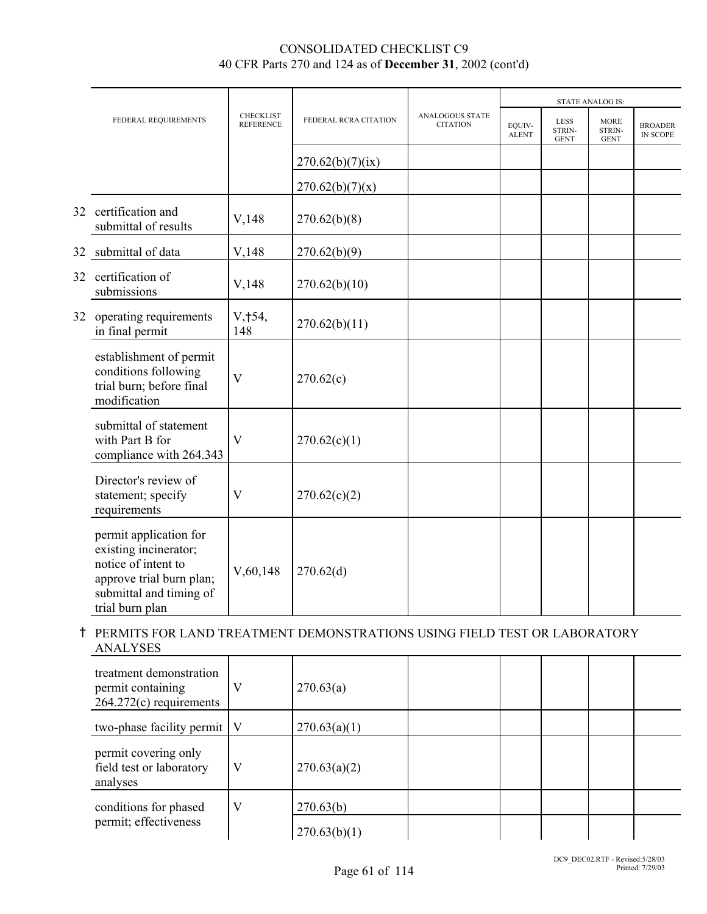|    |                                                                                                                                                  |                                      |                       |                                           |                        |                               | <b>STATE ANALOG IS:</b>              |                                   |
|----|--------------------------------------------------------------------------------------------------------------------------------------------------|--------------------------------------|-----------------------|-------------------------------------------|------------------------|-------------------------------|--------------------------------------|-----------------------------------|
|    | FEDERAL REQUIREMENTS                                                                                                                             | <b>CHECKLIST</b><br><b>REFERENCE</b> | FEDERAL RCRA CITATION | <b>ANALOGOUS STATE</b><br><b>CITATION</b> | EQUIV-<br><b>ALENT</b> | LESS<br>STRIN-<br><b>GENT</b> | <b>MORE</b><br>STRIN-<br><b>GENT</b> | <b>BROADER</b><br><b>IN SCOPE</b> |
|    |                                                                                                                                                  |                                      | 270.62(b)(7)(ix)      |                                           |                        |                               |                                      |                                   |
|    |                                                                                                                                                  |                                      | 270.62(b)(7)(x)       |                                           |                        |                               |                                      |                                   |
|    | 32 certification and<br>submittal of results                                                                                                     | V,148                                | 270.62(b)(8)          |                                           |                        |                               |                                      |                                   |
|    | 32 submittal of data                                                                                                                             | V,148                                | 270.62(b)(9)          |                                           |                        |                               |                                      |                                   |
|    | 32 certification of<br>submissions                                                                                                               | V,148                                | 270.62(b)(10)         |                                           |                        |                               |                                      |                                   |
| 32 | operating requirements<br>in final permit                                                                                                        | V, †54,<br>148                       | 270.62(b)(11)         |                                           |                        |                               |                                      |                                   |
|    | establishment of permit<br>conditions following<br>trial burn; before final<br>modification                                                      | V                                    | 270.62(c)             |                                           |                        |                               |                                      |                                   |
|    | submittal of statement<br>with Part B for<br>compliance with 264.343                                                                             | V                                    | 270.62(c)(1)          |                                           |                        |                               |                                      |                                   |
|    | Director's review of<br>statement; specify<br>requirements                                                                                       | V                                    | 270.62(c)(2)          |                                           |                        |                               |                                      |                                   |
|    | permit application for<br>existing incinerator;<br>notice of intent to<br>approve trial burn plan;<br>submittal and timing of<br>trial burn plan | V, 60, 148                           | 270.62(d)             |                                           |                        |                               |                                      |                                   |

# H PERMITS FOR LAND TREATMENT DEMONSTRATIONS USING FIELD TEST OR LABORATORY ANALYSES

| treatment demonstration<br>permit containing<br>$264.272(c)$ requirements | V | 270.63(a)    |  |  |  |
|---------------------------------------------------------------------------|---|--------------|--|--|--|
| two-phase facility permit   V                                             |   | 270.63(a)(1) |  |  |  |
| permit covering only<br>field test or laboratory<br>analyses              | V | 270.63(a)(2) |  |  |  |
| conditions for phased                                                     | V | 270.63(b)    |  |  |  |
| permit; effectiveness                                                     |   | 270.63(b)(1) |  |  |  |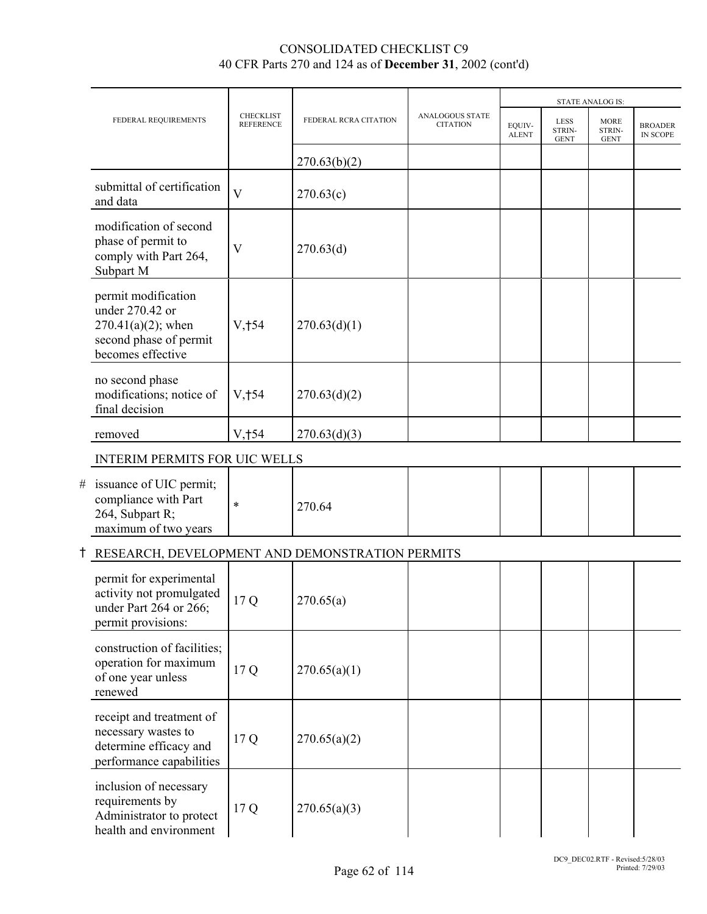|   |                                                                                                                |                                      |                       |                                           |                        |                                      | <b>STATE ANALOG IS:</b>              |                                   |
|---|----------------------------------------------------------------------------------------------------------------|--------------------------------------|-----------------------|-------------------------------------------|------------------------|--------------------------------------|--------------------------------------|-----------------------------------|
|   | FEDERAL REQUIREMENTS                                                                                           | <b>CHECKLIST</b><br><b>REFERENCE</b> | FEDERAL RCRA CITATION | <b>ANALOGOUS STATE</b><br><b>CITATION</b> | EQUIV-<br><b>ALENT</b> | <b>LESS</b><br>STRIN-<br><b>GENT</b> | <b>MORE</b><br>STRIN-<br><b>GENT</b> | <b>BROADER</b><br><b>IN SCOPE</b> |
|   |                                                                                                                |                                      | 270.63(b)(2)          |                                           |                        |                                      |                                      |                                   |
|   | submittal of certification<br>and data                                                                         | $\overline{\mathbf{V}}$              | 270.63(c)             |                                           |                        |                                      |                                      |                                   |
|   | modification of second<br>phase of permit to<br>comply with Part 264,<br>Subpart M                             | $\overline{\mathsf{V}}$              | 270.63(d)             |                                           |                        |                                      |                                      |                                   |
|   | permit modification<br>under 270.42 or<br>$270.41(a)(2)$ ; when<br>second phase of permit<br>becomes effective | V, †54                               | 270.63(d)(1)          |                                           |                        |                                      |                                      |                                   |
|   | no second phase<br>modifications; notice of<br>final decision                                                  | V, †54                               | 270.63(d)(2)          |                                           |                        |                                      |                                      |                                   |
|   | removed                                                                                                        | V, †54                               | 270.63(d)(3)          |                                           |                        |                                      |                                      |                                   |
|   | <b>INTERIM PERMITS FOR UIC WELLS</b>                                                                           |                                      |                       |                                           |                        |                                      |                                      |                                   |
| # | issuance of UIC permit;<br>compliance with Part<br>264, Subpart R;<br>maximum of two years                     | $\ast$                               | 270.64                |                                           |                        |                                      |                                      |                                   |
|   | RESEARCH, DEVELOPMENT AND DEMONSTRATION PERMITS                                                                |                                      |                       |                                           |                        |                                      |                                      |                                   |
|   | permit for experimental<br>activity not promulgated<br>under Part 264 or 266;<br>permit provisions:            | 17 Q                                 | 270.65(a)             |                                           |                        |                                      |                                      |                                   |
|   | construction of facilities;<br>operation for maximum<br>of one year unless<br>renewed                          | 17 Q                                 | 270.65(a)(1)          |                                           |                        |                                      |                                      |                                   |
|   | receipt and treatment of<br>necessary wastes to<br>determine efficacy and<br>performance capabilities          | 17 Q                                 | 270.65(a)(2)          |                                           |                        |                                      |                                      |                                   |
|   | inclusion of necessary<br>requirements by<br>Administrator to protect<br>health and environment                | 17 Q                                 | 270.65(a)(3)          |                                           |                        |                                      |                                      |                                   |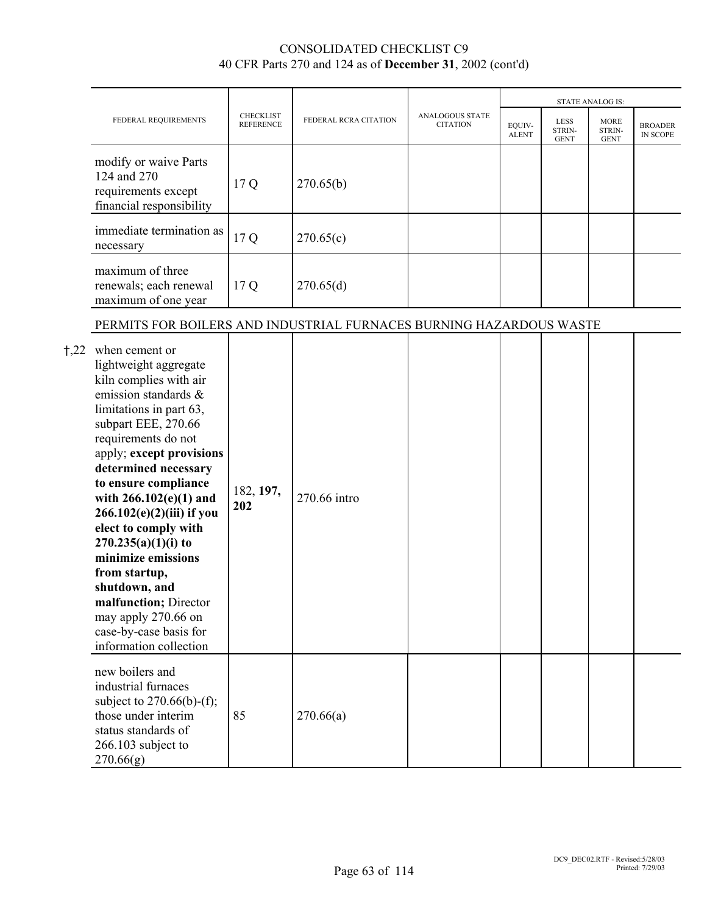|       | FEDERAL REQUIREMENTS                                                                                                                                                                                                                                                                                                                                                                                                                                                                                                 |                                      |                       |                                           |                        |                               | <b>STATE ANALOG IS:</b>              |                                   |
|-------|----------------------------------------------------------------------------------------------------------------------------------------------------------------------------------------------------------------------------------------------------------------------------------------------------------------------------------------------------------------------------------------------------------------------------------------------------------------------------------------------------------------------|--------------------------------------|-----------------------|-------------------------------------------|------------------------|-------------------------------|--------------------------------------|-----------------------------------|
|       |                                                                                                                                                                                                                                                                                                                                                                                                                                                                                                                      | <b>CHECKLIST</b><br><b>REFERENCE</b> | FEDERAL RCRA CITATION | <b>ANALOGOUS STATE</b><br><b>CITATION</b> | EQUIV-<br><b>ALENT</b> | LESS<br>STRIN-<br><b>GENT</b> | <b>MORE</b><br>STRIN-<br><b>GENT</b> | <b>BROADER</b><br><b>IN SCOPE</b> |
|       | modify or waive Parts<br>124 and 270<br>requirements except<br>financial responsibility                                                                                                                                                                                                                                                                                                                                                                                                                              | 17Q                                  | 270.65(b)             |                                           |                        |                               |                                      |                                   |
|       | immediate termination as<br>necessary                                                                                                                                                                                                                                                                                                                                                                                                                                                                                | 17 Q                                 | 270.65(c)             |                                           |                        |                               |                                      |                                   |
|       | maximum of three<br>renewals; each renewal<br>maximum of one year                                                                                                                                                                                                                                                                                                                                                                                                                                                    | 17Q                                  | 270.65(d)             |                                           |                        |                               |                                      |                                   |
|       | PERMITS FOR BOILERS AND INDUSTRIAL FURNACES BURNING HAZARDOUS WASTE                                                                                                                                                                                                                                                                                                                                                                                                                                                  |                                      |                       |                                           |                        |                               |                                      |                                   |
| $+22$ | when cement or<br>lightweight aggregate<br>kiln complies with air<br>emission standards &<br>limitations in part 63,<br>subpart EEE, 270.66<br>requirements do not<br>apply; except provisions<br>determined necessary<br>to ensure compliance<br>with $266.102(e)(1)$ and<br>266.102(e)(2)(iii) if you<br>elect to comply with<br>$270.235(a)(1)(i)$ to<br>minimize emissions<br>from startup,<br>shutdown, and<br>malfunction; Director<br>may apply 270.66 on<br>case-by-case basis for<br>information collection | 182, 197,<br>202                     | 270.66 intro          |                                           |                        |                               |                                      |                                   |
|       | new boilers and<br>industrial furnaces<br>subject to $270.66(b)$ -(f);<br>those under interim<br>status standards of<br>266.103 subject to<br>270.66(g)                                                                                                                                                                                                                                                                                                                                                              | 85                                   | 270.66(a)             |                                           |                        |                               |                                      |                                   |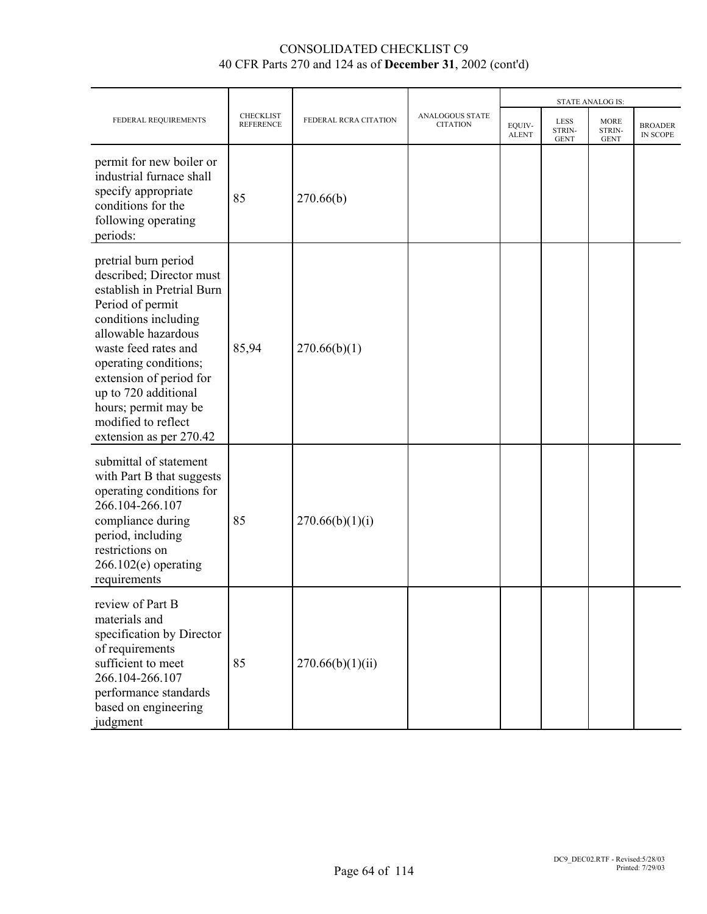|                                                                                                                                                                                                                                                                                                                                 |                                      |                       |                                           |                        |                                      | <b>STATE ANALOG IS:</b>              |                            |
|---------------------------------------------------------------------------------------------------------------------------------------------------------------------------------------------------------------------------------------------------------------------------------------------------------------------------------|--------------------------------------|-----------------------|-------------------------------------------|------------------------|--------------------------------------|--------------------------------------|----------------------------|
| FEDERAL REQUIREMENTS                                                                                                                                                                                                                                                                                                            | <b>CHECKLIST</b><br><b>REFERENCE</b> | FEDERAL RCRA CITATION | <b>ANALOGOUS STATE</b><br><b>CITATION</b> | EQUIV-<br><b>ALENT</b> | <b>LESS</b><br>STRIN-<br><b>GENT</b> | <b>MORE</b><br>STRIN-<br><b>GENT</b> | <b>BROADER</b><br>IN SCOPE |
| permit for new boiler or<br>industrial furnace shall<br>specify appropriate<br>conditions for the<br>following operating<br>periods:                                                                                                                                                                                            | 85                                   | 270.66(b)             |                                           |                        |                                      |                                      |                            |
| pretrial burn period<br>described; Director must<br>establish in Pretrial Burn<br>Period of permit<br>conditions including<br>allowable hazardous<br>waste feed rates and<br>operating conditions;<br>extension of period for<br>up to 720 additional<br>hours; permit may be<br>modified to reflect<br>extension as per 270.42 | 85,94                                | 270.66(b)(1)          |                                           |                        |                                      |                                      |                            |
| submittal of statement<br>with Part B that suggests<br>operating conditions for<br>266.104-266.107<br>compliance during<br>period, including<br>restrictions on<br>$266.102(e)$ operating<br>requirements                                                                                                                       | 85                                   | 270.66(b)(1)(i)       |                                           |                        |                                      |                                      |                            |
| review of Part B<br>materials and<br>specification by Director<br>of requirements<br>sufficient to meet<br>266.104-266.107<br>performance standards<br>based on engineering<br>judgment                                                                                                                                         | 85                                   | 270.66(b)(1)(ii)      |                                           |                        |                                      |                                      |                            |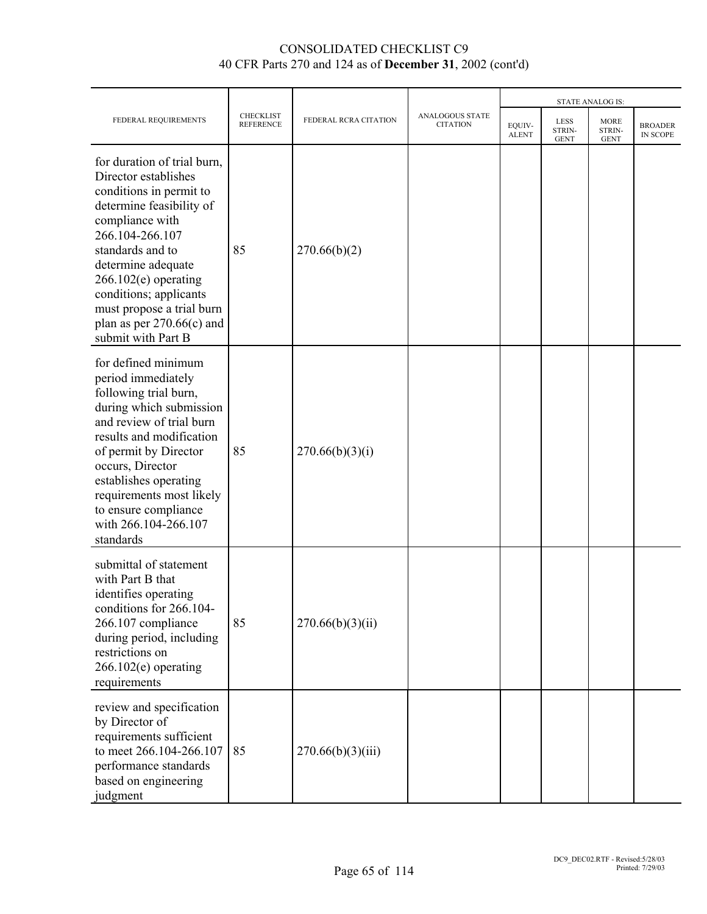|                                                                                                                                                                                                                                                                                                                                  |                                      |                       |                                           |                        |                                      | <b>STATE ANALOG IS:</b>              |                            |
|----------------------------------------------------------------------------------------------------------------------------------------------------------------------------------------------------------------------------------------------------------------------------------------------------------------------------------|--------------------------------------|-----------------------|-------------------------------------------|------------------------|--------------------------------------|--------------------------------------|----------------------------|
| FEDERAL REQUIREMENTS                                                                                                                                                                                                                                                                                                             | <b>CHECKLIST</b><br><b>REFERENCE</b> | FEDERAL RCRA CITATION | <b>ANALOGOUS STATE</b><br><b>CITATION</b> | EQUIV-<br><b>ALENT</b> | <b>LESS</b><br>STRIN-<br><b>GENT</b> | <b>MORE</b><br>STRIN-<br><b>GENT</b> | <b>BROADER</b><br>IN SCOPE |
| for duration of trial burn,<br>Director establishes<br>conditions in permit to<br>determine feasibility of<br>compliance with<br>266.104-266.107<br>standards and to<br>determine adequate<br>$266.102(e)$ operating<br>conditions; applicants<br>must propose a trial burn<br>plan as per $270.66(c)$ and<br>submit with Part B | 85                                   | 270.66(b)(2)          |                                           |                        |                                      |                                      |                            |
| for defined minimum<br>period immediately<br>following trial burn,<br>during which submission<br>and review of trial burn<br>results and modification<br>of permit by Director<br>occurs, Director<br>establishes operating<br>requirements most likely<br>to ensure compliance<br>with 266.104-266.107<br>standards             | 85                                   | 270.66(b)(3)(i)       |                                           |                        |                                      |                                      |                            |
| submittal of statement<br>with Part B that<br>identifies operating<br>conditions for 266.104-<br>266.107 compliance<br>during period, including<br>restrictions on<br>$266.102(e)$ operating<br>requirements                                                                                                                     | 85                                   | 270.66(b)(3)(ii)      |                                           |                        |                                      |                                      |                            |
| review and specification<br>by Director of<br>requirements sufficient<br>to meet 266.104-266.107<br>performance standards<br>based on engineering<br>judgment                                                                                                                                                                    | 85                                   | 270.66(b)(3)(iii)     |                                           |                        |                                      |                                      |                            |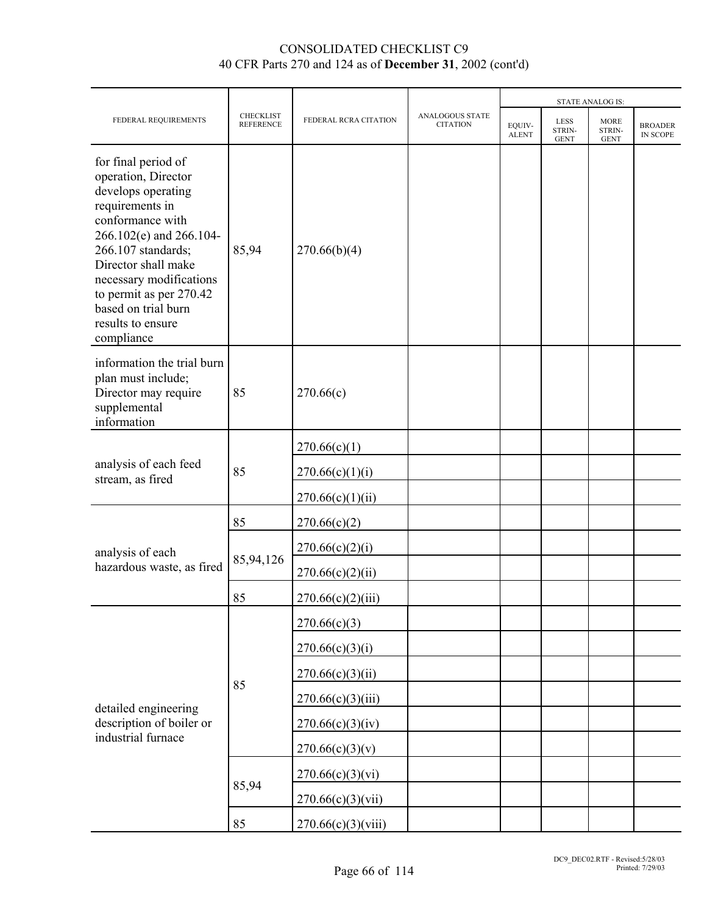|                                                                                                                                                                                                                                                                                                 |                                      |                       |                                           | <b>STATE ANALOG IS:</b> |                                      |                                      |                            |  |
|-------------------------------------------------------------------------------------------------------------------------------------------------------------------------------------------------------------------------------------------------------------------------------------------------|--------------------------------------|-----------------------|-------------------------------------------|-------------------------|--------------------------------------|--------------------------------------|----------------------------|--|
| FEDERAL REQUIREMENTS                                                                                                                                                                                                                                                                            | <b>CHECKLIST</b><br><b>REFERENCE</b> | FEDERAL RCRA CITATION | <b>ANALOGOUS STATE</b><br><b>CITATION</b> | EQUIV-<br><b>ALENT</b>  | <b>LESS</b><br>STRIN-<br><b>GENT</b> | <b>MORE</b><br>STRIN-<br><b>GENT</b> | <b>BROADER</b><br>IN SCOPE |  |
| for final period of<br>operation, Director<br>develops operating<br>requirements in<br>conformance with<br>266.102(e) and 266.104-<br>266.107 standards;<br>Director shall make<br>necessary modifications<br>to permit as per 270.42<br>based on trial burn<br>results to ensure<br>compliance | 85,94                                | 270.66(b)(4)          |                                           |                         |                                      |                                      |                            |  |
| information the trial burn<br>plan must include;<br>Director may require<br>supplemental<br>information                                                                                                                                                                                         | 85                                   | 270.66(c)             |                                           |                         |                                      |                                      |                            |  |
|                                                                                                                                                                                                                                                                                                 | 85                                   | 270.66(c)(1)          |                                           |                         |                                      |                                      |                            |  |
| analysis of each feed<br>stream, as fired                                                                                                                                                                                                                                                       |                                      | 270.66(c)(1)(i)       |                                           |                         |                                      |                                      |                            |  |
|                                                                                                                                                                                                                                                                                                 |                                      | 270.66(c)(1)(ii)      |                                           |                         |                                      |                                      |                            |  |
|                                                                                                                                                                                                                                                                                                 | 85                                   | 270.66(c)(2)          |                                           |                         |                                      |                                      |                            |  |
| analysis of each                                                                                                                                                                                                                                                                                |                                      | 270.66(c)(2)(i)       |                                           |                         |                                      |                                      |                            |  |
| hazardous waste, as fired                                                                                                                                                                                                                                                                       | 85,94,126                            | 270.66(c)(2)(ii)      |                                           |                         |                                      |                                      |                            |  |
|                                                                                                                                                                                                                                                                                                 | 85                                   | 270.66(c)(2)(iii)     |                                           |                         |                                      |                                      |                            |  |
|                                                                                                                                                                                                                                                                                                 |                                      | 270.66(c)(3)          |                                           |                         |                                      |                                      |                            |  |
|                                                                                                                                                                                                                                                                                                 |                                      | 270.66(c)(3)(i)       |                                           |                         |                                      |                                      |                            |  |
|                                                                                                                                                                                                                                                                                                 |                                      | 270.66(c)(3)(ii)      |                                           |                         |                                      |                                      |                            |  |
| detailed engineering                                                                                                                                                                                                                                                                            | 85                                   | 270.66(c)(3)(iii)     |                                           |                         |                                      |                                      |                            |  |
| description of boiler or                                                                                                                                                                                                                                                                        |                                      | 270.66(c)(3)(iv)      |                                           |                         |                                      |                                      |                            |  |
| industrial furnace                                                                                                                                                                                                                                                                              |                                      | 270.66(c)(3)(v)       |                                           |                         |                                      |                                      |                            |  |
|                                                                                                                                                                                                                                                                                                 |                                      | 270.66(c)(3)(vi)      |                                           |                         |                                      |                                      |                            |  |
|                                                                                                                                                                                                                                                                                                 | 85,94                                | 270.66(c)(3)(vii)     |                                           |                         |                                      |                                      |                            |  |
|                                                                                                                                                                                                                                                                                                 | 85                                   | 270.66(c)(3)(viii)    |                                           |                         |                                      |                                      |                            |  |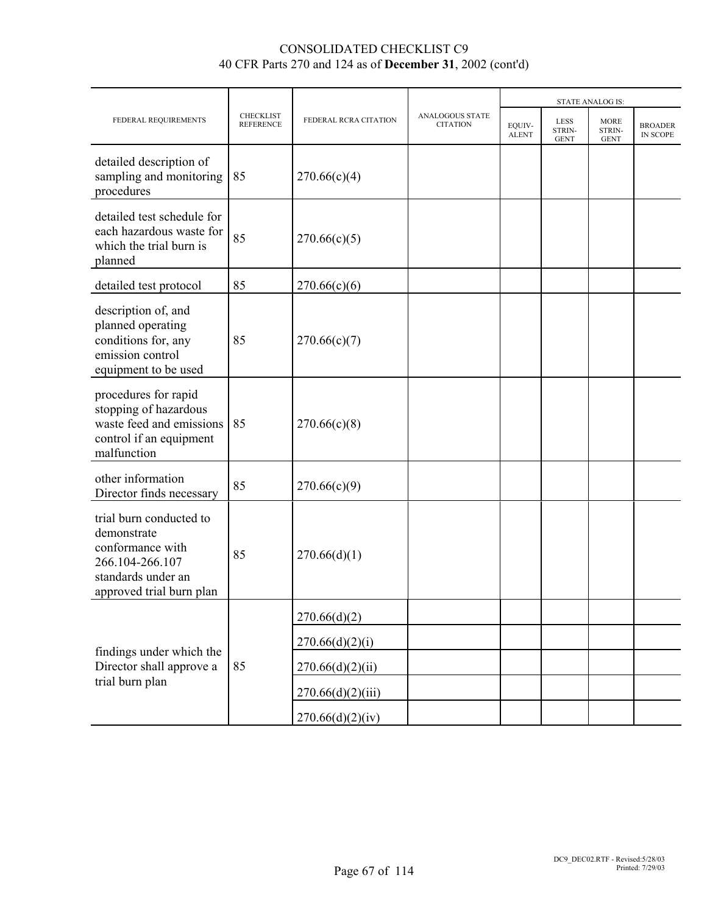|                                                                                                                                 |                                      | FEDERAL RCRA CITATION |                                           |                        | <b>STATE ANALOG IS:</b>              |                                      |                                   |  |
|---------------------------------------------------------------------------------------------------------------------------------|--------------------------------------|-----------------------|-------------------------------------------|------------------------|--------------------------------------|--------------------------------------|-----------------------------------|--|
| FEDERAL REQUIREMENTS                                                                                                            | <b>CHECKLIST</b><br><b>REFERENCE</b> |                       | <b>ANALOGOUS STATE</b><br><b>CITATION</b> | EOUIV-<br><b>ALENT</b> | <b>LESS</b><br>STRIN-<br><b>GENT</b> | <b>MORE</b><br>STRIN-<br><b>GENT</b> | <b>BROADER</b><br><b>IN SCOPE</b> |  |
| detailed description of<br>sampling and monitoring<br>procedures                                                                | 85                                   | 270.66(c)(4)          |                                           |                        |                                      |                                      |                                   |  |
| detailed test schedule for<br>each hazardous waste for<br>which the trial burn is<br>planned                                    | 85                                   | 270.66(c)(5)          |                                           |                        |                                      |                                      |                                   |  |
| detailed test protocol                                                                                                          | 85                                   | 270.66(c)(6)          |                                           |                        |                                      |                                      |                                   |  |
| description of, and<br>planned operating<br>conditions for, any<br>emission control<br>equipment to be used                     | 85                                   | 270.66(c)(7)          |                                           |                        |                                      |                                      |                                   |  |
| procedures for rapid<br>stopping of hazardous<br>waste feed and emissions<br>control if an equipment<br>malfunction             | 85                                   | 270.66(c)(8)          |                                           |                        |                                      |                                      |                                   |  |
| other information<br>Director finds necessary                                                                                   | 85                                   | 270.66(c)(9)          |                                           |                        |                                      |                                      |                                   |  |
| trial burn conducted to<br>demonstrate<br>conformance with<br>266.104-266.107<br>standards under an<br>approved trial burn plan | 85                                   | 270.66(d)(1)          |                                           |                        |                                      |                                      |                                   |  |
|                                                                                                                                 |                                      | 270.66(d)(2)          |                                           |                        |                                      |                                      |                                   |  |
| findings under which the                                                                                                        |                                      | 270.66(d)(2)(i)       |                                           |                        |                                      |                                      |                                   |  |
| Director shall approve a                                                                                                        | 85                                   | 270.66(d)(2)(ii)      |                                           |                        |                                      |                                      |                                   |  |
| trial burn plan                                                                                                                 |                                      | 270.66(d)(2)(iii)     |                                           |                        |                                      |                                      |                                   |  |
|                                                                                                                                 |                                      | 270.66(d)(2)(iv)      |                                           |                        |                                      |                                      |                                   |  |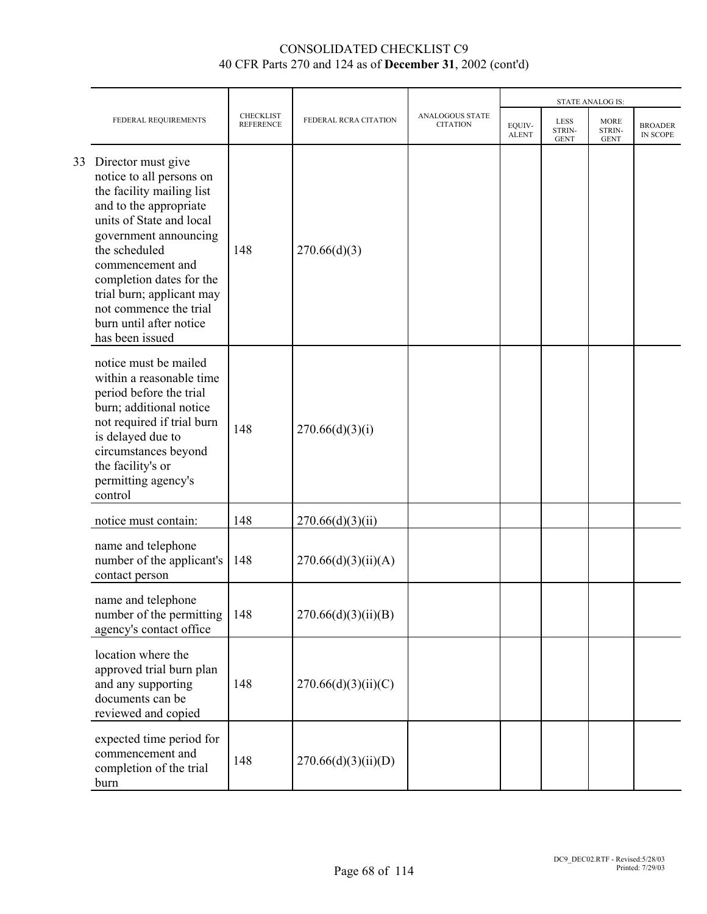|    |                                                                                                                                                                                                                                                                                                                                  |                                      |                       |                                           |                        |                                      | <b>STATE ANALOG IS:</b>              |                            |
|----|----------------------------------------------------------------------------------------------------------------------------------------------------------------------------------------------------------------------------------------------------------------------------------------------------------------------------------|--------------------------------------|-----------------------|-------------------------------------------|------------------------|--------------------------------------|--------------------------------------|----------------------------|
|    | FEDERAL REQUIREMENTS                                                                                                                                                                                                                                                                                                             | <b>CHECKLIST</b><br><b>REFERENCE</b> | FEDERAL RCRA CITATION | <b>ANALOGOUS STATE</b><br><b>CITATION</b> | EOUIV-<br><b>ALENT</b> | <b>LESS</b><br>STRIN-<br><b>GENT</b> | <b>MORE</b><br>STRIN-<br><b>GENT</b> | <b>BROADER</b><br>IN SCOPE |
| 33 | Director must give<br>notice to all persons on<br>the facility mailing list<br>and to the appropriate<br>units of State and local<br>government announcing<br>the scheduled<br>commencement and<br>completion dates for the<br>trial burn; applicant may<br>not commence the trial<br>burn until after notice<br>has been issued | 148                                  | 270.66(d)(3)          |                                           |                        |                                      |                                      |                            |
|    | notice must be mailed<br>within a reasonable time<br>period before the trial<br>burn; additional notice<br>not required if trial burn<br>is delayed due to<br>circumstances beyond<br>the facility's or<br>permitting agency's<br>control                                                                                        | 148                                  | 270.66(d)(3)(i)       |                                           |                        |                                      |                                      |                            |
|    | notice must contain:                                                                                                                                                                                                                                                                                                             | 148                                  | 270.66(d)(3)(ii)      |                                           |                        |                                      |                                      |                            |
|    | name and telephone<br>number of the applicant's<br>contact person                                                                                                                                                                                                                                                                | 148                                  | 270.66(d)(3)(ii)(A)   |                                           |                        |                                      |                                      |                            |
|    | name and telephone<br>number of the permitting<br>agency's contact office                                                                                                                                                                                                                                                        | 148                                  | 270.66(d)(3)(ii)(B)   |                                           |                        |                                      |                                      |                            |
|    | location where the<br>approved trial burn plan<br>and any supporting<br>documents can be<br>reviewed and copied                                                                                                                                                                                                                  | 148                                  | 270.66(d)(3)(ii)(C)   |                                           |                        |                                      |                                      |                            |
|    | expected time period for<br>commencement and<br>completion of the trial<br>burn                                                                                                                                                                                                                                                  | 148                                  | 270.66(d)(3)(ii)(D)   |                                           |                        |                                      |                                      |                            |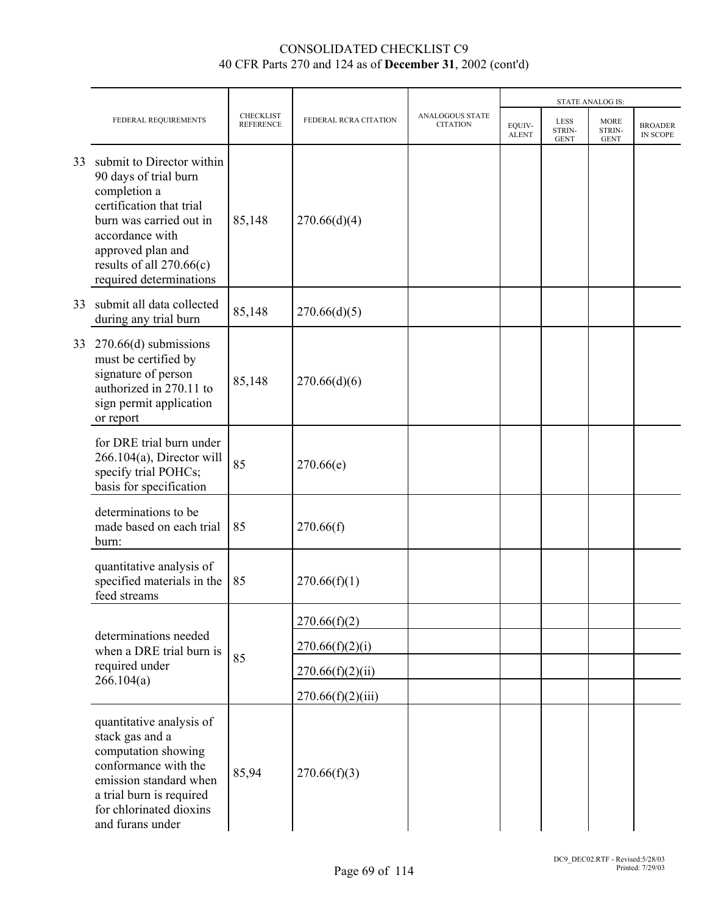|    |                                                                                                                                                                                                                          |                                      |                       |                                           |                        |                                      | <b>STATE ANALOG IS:</b>              |                            |
|----|--------------------------------------------------------------------------------------------------------------------------------------------------------------------------------------------------------------------------|--------------------------------------|-----------------------|-------------------------------------------|------------------------|--------------------------------------|--------------------------------------|----------------------------|
|    | FEDERAL REQUIREMENTS                                                                                                                                                                                                     | <b>CHECKLIST</b><br><b>REFERENCE</b> | FEDERAL RCRA CITATION | <b>ANALOGOUS STATE</b><br><b>CITATION</b> | EQUIV-<br><b>ALENT</b> | <b>LESS</b><br>STRIN-<br><b>GENT</b> | <b>MORE</b><br>STRIN-<br><b>GENT</b> | <b>BROADER</b><br>IN SCOPE |
| 33 | submit to Director within<br>90 days of trial burn<br>completion a<br>certification that trial<br>burn was carried out in<br>accordance with<br>approved plan and<br>results of all 270.66(c)<br>required determinations | 85,148                               | 270.66(d)(4)          |                                           |                        |                                      |                                      |                            |
| 33 | submit all data collected<br>during any trial burn                                                                                                                                                                       | 85,148                               | 270.66(d)(5)          |                                           |                        |                                      |                                      |                            |
| 33 | $270.66(d)$ submissions<br>must be certified by<br>signature of person<br>authorized in 270.11 to<br>sign permit application<br>or report                                                                                | 85,148                               | 270.66(d)(6)          |                                           |                        |                                      |                                      |                            |
|    | for DRE trial burn under<br>$266.104(a)$ , Director will<br>specify trial POHCs;<br>basis for specification                                                                                                              | 85                                   | 270.66(e)             |                                           |                        |                                      |                                      |                            |
|    | determinations to be<br>made based on each trial<br>burn:                                                                                                                                                                | 85                                   | 270.66(f)             |                                           |                        |                                      |                                      |                            |
|    | quantitative analysis of<br>specified materials in the<br>feed streams                                                                                                                                                   | 85                                   | 270.66(f)(1)          |                                           |                        |                                      |                                      |                            |
|    |                                                                                                                                                                                                                          |                                      | 270.66(f)(2)          |                                           |                        |                                      |                                      |                            |
|    | determinations needed<br>when a DRE trial burn is                                                                                                                                                                        |                                      | 270.66(f)(2)(i)       |                                           |                        |                                      |                                      |                            |
|    | required under<br>266.104(a)                                                                                                                                                                                             | 85                                   | 270.66(f)(2)(ii)      |                                           |                        |                                      |                                      |                            |
|    |                                                                                                                                                                                                                          |                                      | 270.66(f)(2)(iii)     |                                           |                        |                                      |                                      |                            |
|    | quantitative analysis of<br>stack gas and a<br>computation showing<br>conformance with the<br>emission standard when<br>a trial burn is required<br>for chlorinated dioxins<br>and furans under                          | 85,94                                | 270.66(f)(3)          |                                           |                        |                                      |                                      |                            |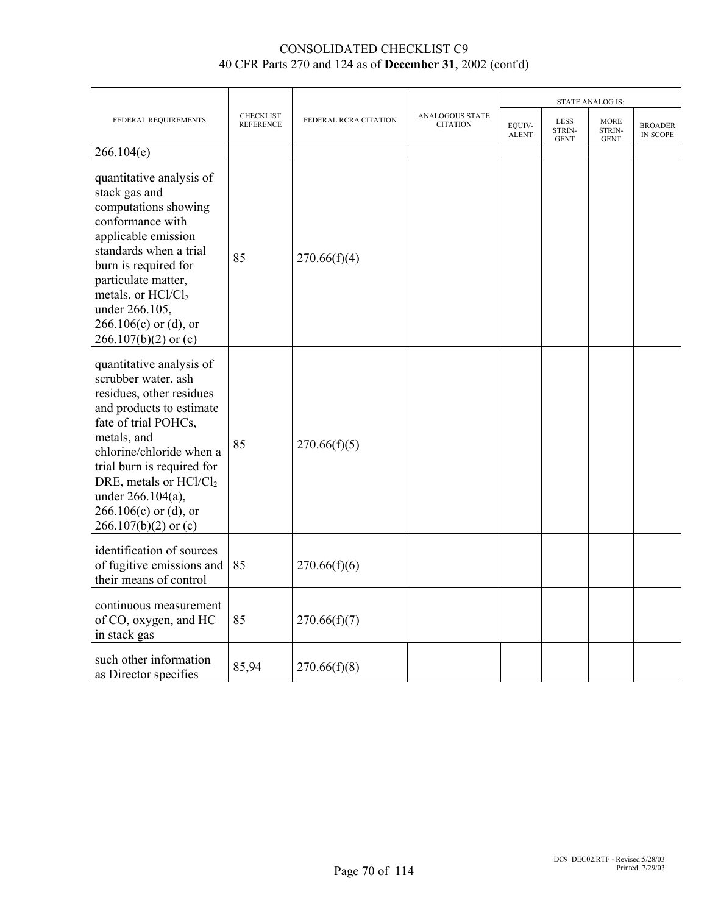|                                                                                                                                                                                                                                                                                                                          |                                      | FEDERAL RCRA CITATION |                                    |                        | <b>STATE ANALOG IS:</b>       |                                      |                                   |  |
|--------------------------------------------------------------------------------------------------------------------------------------------------------------------------------------------------------------------------------------------------------------------------------------------------------------------------|--------------------------------------|-----------------------|------------------------------------|------------------------|-------------------------------|--------------------------------------|-----------------------------------|--|
| FEDERAL REQUIREMENTS                                                                                                                                                                                                                                                                                                     | <b>CHECKLIST</b><br><b>REFERENCE</b> |                       | ANALOGOUS STATE<br><b>CITATION</b> | EOUIV-<br><b>ALENT</b> | LESS<br>STRIN-<br><b>GENT</b> | <b>MORE</b><br>STRIN-<br><b>GENT</b> | <b>BROADER</b><br><b>IN SCOPE</b> |  |
| 266.104(e)                                                                                                                                                                                                                                                                                                               |                                      |                       |                                    |                        |                               |                                      |                                   |  |
| quantitative analysis of<br>stack gas and<br>computations showing<br>conformance with<br>applicable emission<br>standards when a trial<br>burn is required for<br>particulate matter,<br>metals, or HCl/Cl <sub>2</sub><br>under 266.105,<br>$266.106(c)$ or (d), or<br>$266.107(b)(2)$ or (c)                           | 85                                   | 270.66(f)(4)          |                                    |                        |                               |                                      |                                   |  |
| quantitative analysis of<br>scrubber water, ash<br>residues, other residues<br>and products to estimate<br>fate of trial POHCs,<br>metals, and<br>chlorine/chloride when a<br>trial burn is required for<br>DRE, metals or HCl/Cl <sub>2</sub><br>under 266.104(a),<br>$266.106(c)$ or (d), or<br>$266.107(b)(2)$ or (c) | 85                                   | 270.66(f)(5)          |                                    |                        |                               |                                      |                                   |  |
| identification of sources<br>of fugitive emissions and<br>their means of control                                                                                                                                                                                                                                         | 85                                   | 270.66(f)(6)          |                                    |                        |                               |                                      |                                   |  |
| continuous measurement<br>of CO, oxygen, and HC<br>in stack gas                                                                                                                                                                                                                                                          | 85                                   | 270.66(f)(7)          |                                    |                        |                               |                                      |                                   |  |
| such other information<br>as Director specifies                                                                                                                                                                                                                                                                          | 85,94                                | 270.66(f)(8)          |                                    |                        |                               |                                      |                                   |  |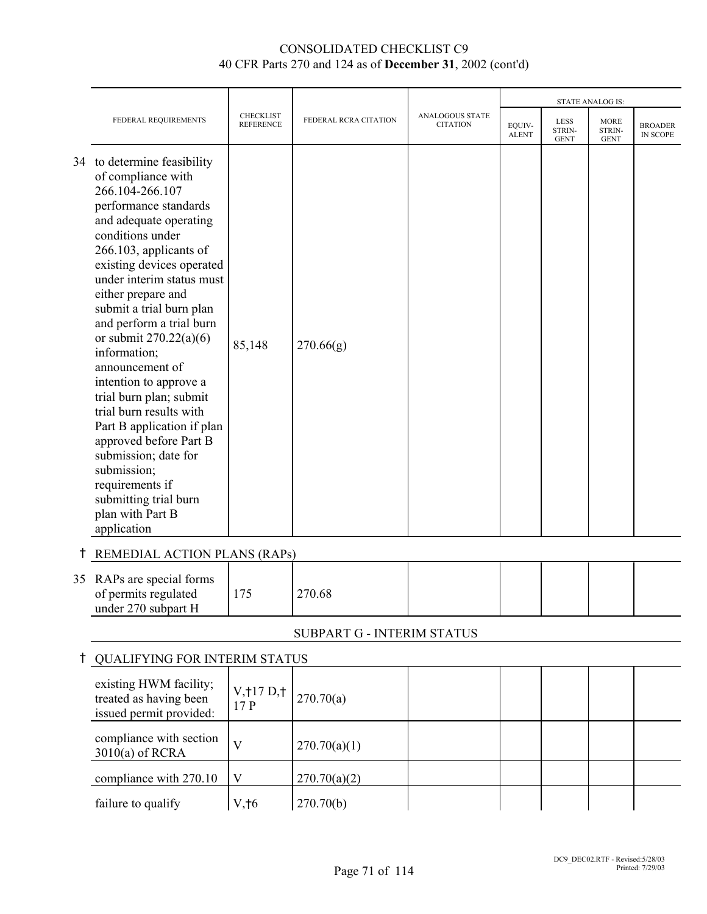|   |                                                                                                                                                                                                                                                                                                                                                                                                                                                                                                                                                                                                                                            |                                      | FEDERAL RCRA CITATION      |                                           | <b>STATE ANALOG IS:</b> |                                      |                                      |                                   |
|---|--------------------------------------------------------------------------------------------------------------------------------------------------------------------------------------------------------------------------------------------------------------------------------------------------------------------------------------------------------------------------------------------------------------------------------------------------------------------------------------------------------------------------------------------------------------------------------------------------------------------------------------------|--------------------------------------|----------------------------|-------------------------------------------|-------------------------|--------------------------------------|--------------------------------------|-----------------------------------|
|   | FEDERAL REQUIREMENTS                                                                                                                                                                                                                                                                                                                                                                                                                                                                                                                                                                                                                       | <b>CHECKLIST</b><br><b>REFERENCE</b> |                            | <b>ANALOGOUS STATE</b><br><b>CITATION</b> | EQUIV-<br><b>ALENT</b>  | <b>LESS</b><br>STRIN-<br><b>GENT</b> | <b>MORE</b><br>STRIN-<br><b>GENT</b> | <b>BROADER</b><br><b>IN SCOPE</b> |
|   | 34 to determine feasibility<br>of compliance with<br>266.104-266.107<br>performance standards<br>and adequate operating<br>conditions under<br>266.103, applicants of<br>existing devices operated<br>under interim status must<br>either prepare and<br>submit a trial burn plan<br>and perform a trial burn<br>or submit $270.22(a)(6)$<br>information;<br>announcement of<br>intention to approve a<br>trial burn plan; submit<br>trial burn results with<br>Part B application if plan<br>approved before Part B<br>submission; date for<br>submission;<br>requirements if<br>submitting trial burn<br>plan with Part B<br>application | 85,148                               | 270.66(g)                  |                                           |                         |                                      |                                      |                                   |
|   | REMEDIAL ACTION PLANS (RAPs)                                                                                                                                                                                                                                                                                                                                                                                                                                                                                                                                                                                                               |                                      |                            |                                           |                         |                                      |                                      |                                   |
|   | 35 RAPs are special forms<br>of permits regulated<br>under 270 subpart H                                                                                                                                                                                                                                                                                                                                                                                                                                                                                                                                                                   | 175                                  | 270.68                     |                                           |                         |                                      |                                      |                                   |
|   |                                                                                                                                                                                                                                                                                                                                                                                                                                                                                                                                                                                                                                            |                                      | SUBPART G - INTERIM STATUS |                                           |                         |                                      |                                      |                                   |
| Ť | <b>QUALIFYING FOR INTERIM STATUS</b>                                                                                                                                                                                                                                                                                                                                                                                                                                                                                                                                                                                                       |                                      |                            |                                           |                         |                                      |                                      |                                   |
|   | existing HWM facility;<br>treated as having been<br>issued permit provided:                                                                                                                                                                                                                                                                                                                                                                                                                                                                                                                                                                | V, 117 D, 1<br>17P                   | 270.70(a)                  |                                           |                         |                                      |                                      |                                   |
|   | compliance with section<br>$3010(a)$ of RCRA                                                                                                                                                                                                                                                                                                                                                                                                                                                                                                                                                                                               | $\overline{\mathsf{V}}$              | 270.70(a)(1)               |                                           |                         |                                      |                                      |                                   |
|   | compliance with 270.10                                                                                                                                                                                                                                                                                                                                                                                                                                                                                                                                                                                                                     | $\mathbf V$                          | 270.70(a)(2)               |                                           |                         |                                      |                                      |                                   |
|   | failure to qualify                                                                                                                                                                                                                                                                                                                                                                                                                                                                                                                                                                                                                         | $V, \uparrow 6$                      | 270.70(b)                  |                                           |                         |                                      |                                      |                                   |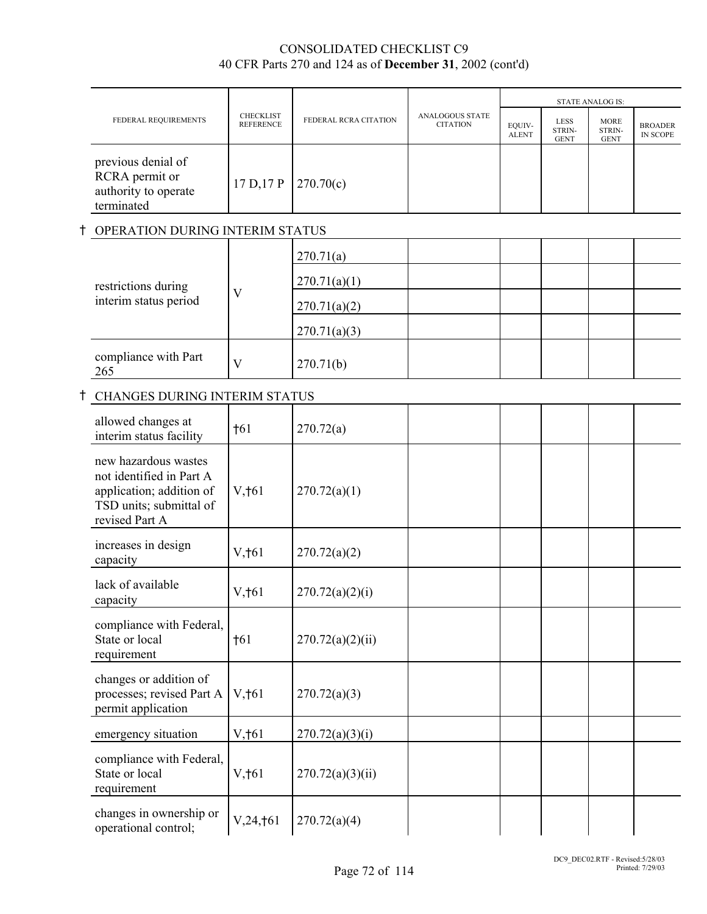|                                                                            |                                      |                       |                                           |                        |                                      | <b>STATE ANALOG IS:</b>              |                            |
|----------------------------------------------------------------------------|--------------------------------------|-----------------------|-------------------------------------------|------------------------|--------------------------------------|--------------------------------------|----------------------------|
| FEDERAL REQUIREMENTS                                                       | <b>CHECKLIST</b><br><b>REFERENCE</b> | FEDERAL RCRA CITATION | <b>ANALOGOUS STATE</b><br><b>CITATION</b> | EQUIV-<br><b>ALENT</b> | <b>LESS</b><br>STRIN-<br><b>GENT</b> | <b>MORE</b><br>STRIN-<br><b>GENT</b> | <b>BROADER</b><br>IN SCOPE |
| previous denial of<br>RCRA permit or<br>authority to operate<br>terminated | 17 D, 17 P   270.70(c)               |                       |                                           |                        |                                      |                                      |                            |

### **t OPERATION DURING INTERIM STATUS**

| restrictions during<br>interim status period | V | 270.71(a)<br>270.71(a)(1) |  |  |  |
|----------------------------------------------|---|---------------------------|--|--|--|
|                                              |   | 270.71(a)(2)              |  |  |  |
|                                              |   | 270.71(a)(3)              |  |  |  |
| compliance with Part<br>265                  | V | 270.71(b)                 |  |  |  |

# **t CHANGES DURING INTERIM STATUS**

| allowed changes at<br>interim status facility                                                                             | $\dagger$ 61    | 270.72(a)        |  |
|---------------------------------------------------------------------------------------------------------------------------|-----------------|------------------|--|
| new hazardous wastes<br>not identified in Part A<br>application; addition of<br>TSD units; submittal of<br>revised Part A | $V, \dagger 61$ | 270.72(a)(1)     |  |
| increases in design<br>capacity                                                                                           | $V, \dagger 61$ | 270.72(a)(2)     |  |
| lack of available<br>capacity                                                                                             | V, †61          | 270.72(a)(2)(i)  |  |
| compliance with Federal,<br>State or local<br>requirement                                                                 | $+61$           | 270.72(a)(2)(ii) |  |
| changes or addition of<br>processes; revised Part A<br>permit application                                                 | $V, \dagger 61$ | 270.72(a)(3)     |  |
| emergency situation                                                                                                       | V, 161          | 270.72(a)(3)(i)  |  |
| compliance with Federal,<br>State or local<br>requirement                                                                 | V, †61          | 270.72(a)(3)(ii) |  |
| changes in ownership or<br>operational control;                                                                           | V, 24, †61      | 270.72(a)(4)     |  |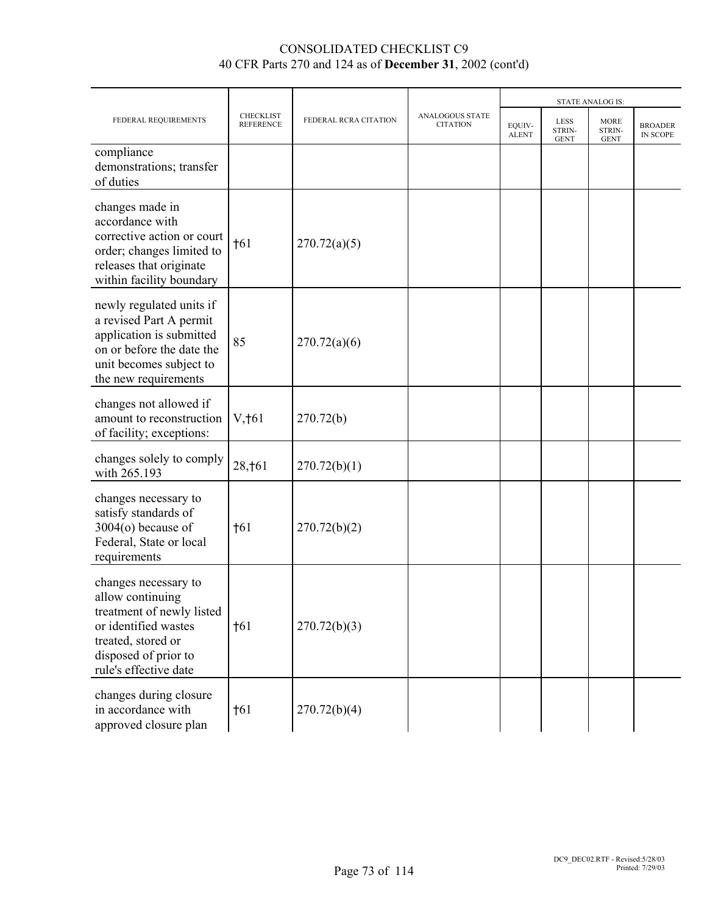|                                                                                                                                                                      |                                      |                       |                                    |                        | <b>STATE ANALOG IS:</b>              |                                      |                            |
|----------------------------------------------------------------------------------------------------------------------------------------------------------------------|--------------------------------------|-----------------------|------------------------------------|------------------------|--------------------------------------|--------------------------------------|----------------------------|
| FEDERAL REQUIREMENTS                                                                                                                                                 | <b>CHECKLIST</b><br><b>REFERENCE</b> | FEDERAL RCRA CITATION | ANALOGOUS STATE<br><b>CITATION</b> | EQUIV-<br><b>ALENT</b> | <b>LESS</b><br>STRIN-<br><b>GENT</b> | <b>MORE</b><br>STRIN-<br><b>GENT</b> | <b>BROADER</b><br>IN SCOPE |
| compliance<br>demonstrations; transfer<br>of duties                                                                                                                  |                                      |                       |                                    |                        |                                      |                                      |                            |
| changes made in<br>accordance with<br>corrective action or court<br>order; changes limited to<br>releases that originate<br>within facility boundary                 | $\dagger$ 61                         | 270.72(a)(5)          |                                    |                        |                                      |                                      |                            |
| newly regulated units if<br>a revised Part A permit<br>application is submitted<br>on or before the date the<br>unit becomes subject to<br>the new requirements      | 85                                   | 270.72(a)(6)          |                                    |                        |                                      |                                      |                            |
| changes not allowed if<br>amount to reconstruction<br>of facility; exceptions:                                                                                       | $V, \dagger 61$                      | 270.72(b)             |                                    |                        |                                      |                                      |                            |
| changes solely to comply<br>with 265.193                                                                                                                             | 28, † 61                             | 270.72(b)(1)          |                                    |                        |                                      |                                      |                            |
| changes necessary to<br>satisfy standards of<br>$3004(o)$ because of<br>Federal, State or local<br>requirements                                                      | $\dagger$ 61                         | 270.72(b)(2)          |                                    |                        |                                      |                                      |                            |
| changes necessary to<br>allow continuing<br>treatment of newly listed<br>or identified wastes<br>treated, stored or<br>disposed of prior to<br>rule's effective date | $\dagger$ 61                         | 270.72(b)(3)          |                                    |                        |                                      |                                      |                            |
| changes during closure<br>in accordance with<br>approved closure plan                                                                                                | $\dagger$ 61                         | 270.72(b)(4)          |                                    |                        |                                      |                                      |                            |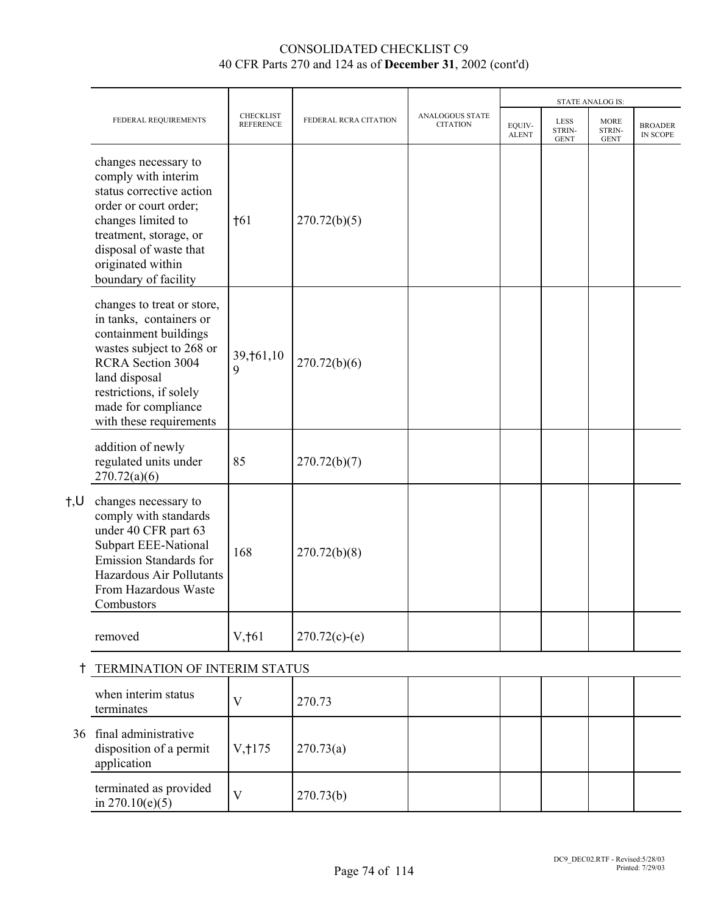|              |                                                                                                                                                                                                                                      |                                      |                       |                                    |                        |                                      | <b>STATE ANALOG IS:</b>              |                            |
|--------------|--------------------------------------------------------------------------------------------------------------------------------------------------------------------------------------------------------------------------------------|--------------------------------------|-----------------------|------------------------------------|------------------------|--------------------------------------|--------------------------------------|----------------------------|
|              | FEDERAL REQUIREMENTS                                                                                                                                                                                                                 | <b>CHECKLIST</b><br><b>REFERENCE</b> | FEDERAL RCRA CITATION | ANALOGOUS STATE<br><b>CITATION</b> | EQUIV-<br><b>ALENT</b> | <b>LESS</b><br>STRIN-<br><b>GENT</b> | <b>MORE</b><br>STRIN-<br><b>GENT</b> | <b>BROADER</b><br>IN SCOPE |
|              | changes necessary to<br>comply with interim<br>status corrective action<br>order or court order;<br>changes limited to<br>treatment, storage, or<br>disposal of waste that<br>originated within<br>boundary of facility              | $\dagger$ 61                         | 270.72(b)(5)          |                                    |                        |                                      |                                      |                            |
|              | changes to treat or store,<br>in tanks, containers or<br>containment buildings<br>wastes subject to 268 or<br><b>RCRA</b> Section 3004<br>land disposal<br>restrictions, if solely<br>made for compliance<br>with these requirements | 39, †61, 10<br>9                     | 270.72(b)(6)          |                                    |                        |                                      |                                      |                            |
|              | addition of newly<br>regulated units under<br>270.72(a)(6)                                                                                                                                                                           | 85                                   | 270.72(b)(7)          |                                    |                        |                                      |                                      |                            |
| $\dagger, U$ | changes necessary to<br>comply with standards<br>under 40 CFR part 63<br><b>Subpart EEE-National</b><br>Emission Standards for<br>Hazardous Air Pollutants<br>From Hazardous Waste<br>Combustors                                     | 168                                  | 270.72(b)(8)          |                                    |                        |                                      |                                      |                            |
|              | removed                                                                                                                                                                                                                              | $V, \dagger 61$                      | $270.72(c)-(e)$       |                                    |                        |                                      |                                      |                            |
| t            | TERMINATION OF INTERIM STATUS                                                                                                                                                                                                        |                                      |                       |                                    |                        |                                      |                                      |                            |
|              | when interim status<br>terminates                                                                                                                                                                                                    | V                                    | 270.73                |                                    |                        |                                      |                                      |                            |
| 36           | final administrative<br>disposition of a permit<br>application                                                                                                                                                                       | V, 175                               | 270.73(a)             |                                    |                        |                                      |                                      |                            |
|              | terminated as provided<br>in $270.10(e)(5)$                                                                                                                                                                                          | $\mathbf{V}$                         | 270.73(b)             |                                    |                        |                                      |                                      |                            |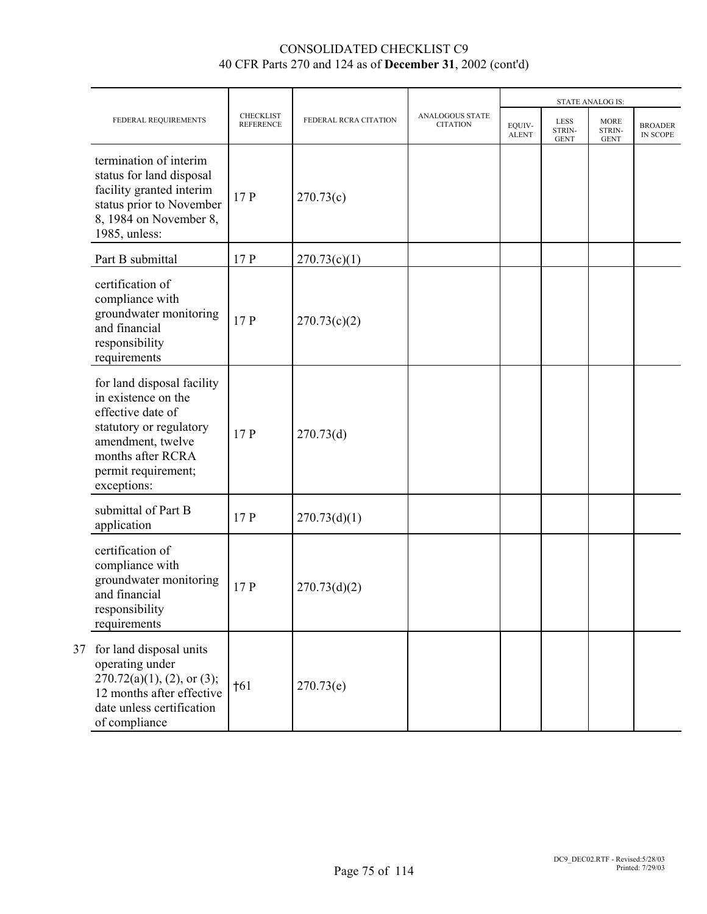|    |                                                                                                                                                                                   |                                      |                       |                                    |                        | <b>STATE ANALOG IS:</b>              |                                      |                                   |
|----|-----------------------------------------------------------------------------------------------------------------------------------------------------------------------------------|--------------------------------------|-----------------------|------------------------------------|------------------------|--------------------------------------|--------------------------------------|-----------------------------------|
|    | FEDERAL REQUIREMENTS                                                                                                                                                              | <b>CHECKLIST</b><br><b>REFERENCE</b> | FEDERAL RCRA CITATION | ANALOGOUS STATE<br><b>CITATION</b> | EQUIV-<br><b>ALENT</b> | <b>LESS</b><br>STRIN-<br><b>GENT</b> | <b>MORE</b><br>STRIN-<br><b>GENT</b> | <b>BROADER</b><br><b>IN SCOPE</b> |
|    | termination of interim<br>status for land disposal<br>facility granted interim<br>status prior to November<br>8, 1984 on November 8,<br>1985, unless:                             | 17P                                  | 270.73(c)             |                                    |                        |                                      |                                      |                                   |
|    | Part B submittal                                                                                                                                                                  | 17P                                  | 270.73(c)(1)          |                                    |                        |                                      |                                      |                                   |
|    | certification of<br>compliance with<br>groundwater monitoring<br>and financial<br>responsibility<br>requirements                                                                  | 17 P                                 | 270.73(c)(2)          |                                    |                        |                                      |                                      |                                   |
|    | for land disposal facility<br>in existence on the<br>effective date of<br>statutory or regulatory<br>amendment, twelve<br>months after RCRA<br>permit requirement;<br>exceptions: | 17P                                  | 270.73(d)             |                                    |                        |                                      |                                      |                                   |
|    | submittal of Part B<br>application                                                                                                                                                | 17P                                  | 270.73(d)(1)          |                                    |                        |                                      |                                      |                                   |
|    | certification of<br>compliance with<br>groundwater monitoring<br>and financial<br>responsibility<br>requirements                                                                  | 17P                                  | 270.73(d)(2)          |                                    |                        |                                      |                                      |                                   |
| 37 | for land disposal units<br>operating under<br>$270.72(a)(1)$ , $(2)$ , or $(3)$ ;<br>12 months after effective<br>date unless certification<br>of compliance                      | †61                                  | 270.73(e)             |                                    |                        |                                      |                                      |                                   |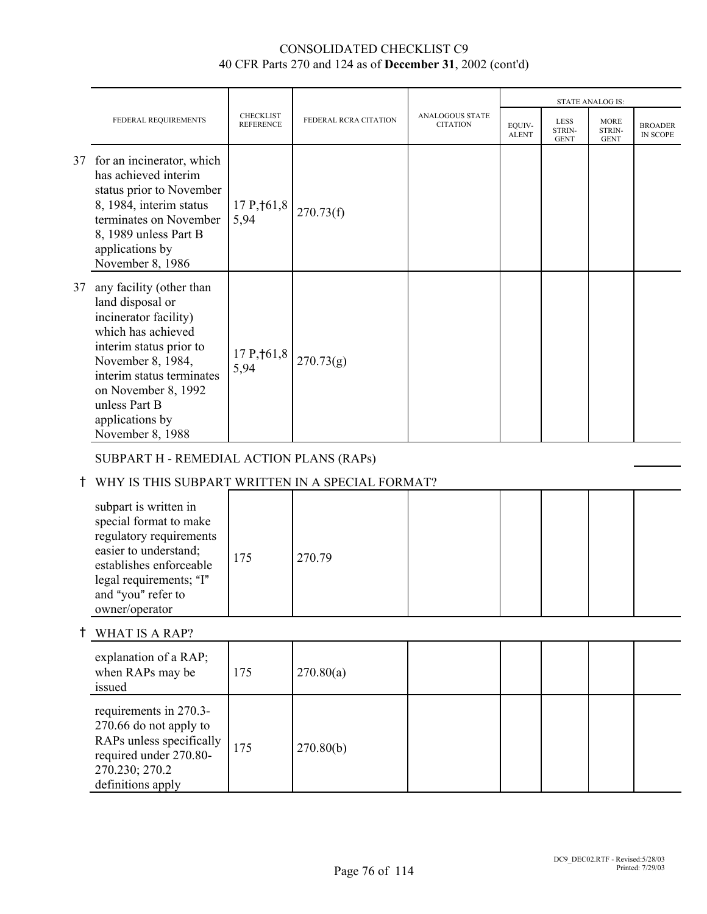|    |                                                                                                                                                                                                                                                         |                                      |                       |                                           |                        |                               | <b>STATE ANALOG IS:</b>              |                            |
|----|---------------------------------------------------------------------------------------------------------------------------------------------------------------------------------------------------------------------------------------------------------|--------------------------------------|-----------------------|-------------------------------------------|------------------------|-------------------------------|--------------------------------------|----------------------------|
|    | FEDERAL REQUIREMENTS                                                                                                                                                                                                                                    | <b>CHECKLIST</b><br><b>REFERENCE</b> | FEDERAL RCRA CITATION | <b>ANALOGOUS STATE</b><br><b>CITATION</b> | EOUIV-<br><b>ALENT</b> | LESS<br>STRIN-<br><b>GENT</b> | <b>MORE</b><br>STRIN-<br><b>GENT</b> | <b>BROADER</b><br>IN SCOPE |
|    | 37 for an incinerator, which<br>has achieved interim<br>status prior to November<br>8, 1984, interim status<br>terminates on November<br>8, 1989 unless Part B<br>applications by<br>November 8, 1986                                                   | $17P, \uparrow 61, 8$<br>5,94        | 270.73(f)             |                                           |                        |                               |                                      |                            |
| 37 | any facility (other than<br>land disposal or<br>incinerator facility)<br>which has achieved<br>interim status prior to<br>November 8, 1984,<br>interim status terminates<br>on November 8, 1992<br>unless Part B<br>applications by<br>November 8, 1988 | 17P, 161, 8<br>5,94                  | 270.73(g)             |                                           |                        |                               |                                      |                            |
|    | SUBPART H - REMEDIAL ACTION PLANS (RAPs)                                                                                                                                                                                                                |                                      |                       |                                           |                        |                               |                                      |                            |
| Ť  | WHY IS THIS SUBPART WRITTEN IN A SPECIAL FORMAT?                                                                                                                                                                                                        |                                      |                       |                                           |                        |                               |                                      |                            |
|    | subpart is written in<br>special format to make<br>regulatory requirements<br>easier to understand;<br>establishes enforceable<br>legal requirements; "I"<br>and "you" refer to<br>owner/operator                                                       | 175                                  | 270.79                |                                           |                        |                               |                                      |                            |
| Ť  | <b>WHAT IS A RAP?</b>                                                                                                                                                                                                                                   |                                      |                       |                                           |                        |                               |                                      |                            |
|    | explanation of a RAP;<br>when RAPs may be<br>issued                                                                                                                                                                                                     | 175                                  | 270.80(a)             |                                           |                        |                               |                                      |                            |
|    | requirements in 270.3-<br>270.66 do not apply to<br>RAPs unless specifically<br>required under 270.80-<br>270.230; 270.2<br>definitions apply                                                                                                           | 175                                  | 270.80(b)             |                                           |                        |                               |                                      |                            |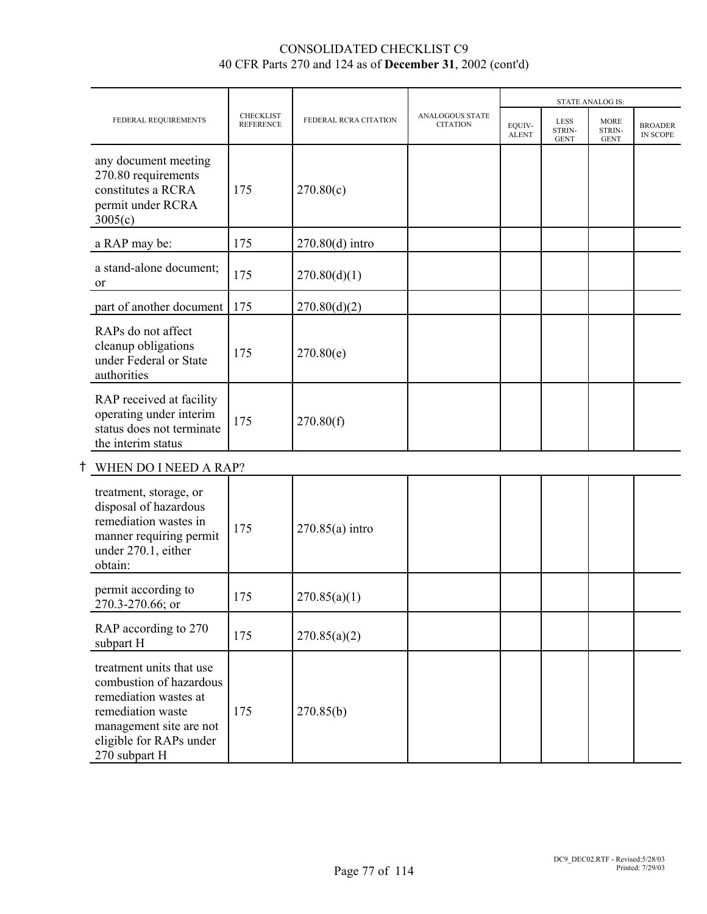|                                                                                                                                                                          |                                      |                       |                                           |                        |                                      | <b>STATE ANALOG IS:</b>              |                            |
|--------------------------------------------------------------------------------------------------------------------------------------------------------------------------|--------------------------------------|-----------------------|-------------------------------------------|------------------------|--------------------------------------|--------------------------------------|----------------------------|
| FEDERAL REQUIREMENTS                                                                                                                                                     | <b>CHECKLIST</b><br><b>REFERENCE</b> | FEDERAL RCRA CITATION | <b>ANALOGOUS STATE</b><br><b>CITATION</b> | EOUIV-<br><b>ALENT</b> | <b>LESS</b><br>STRIN-<br><b>GENT</b> | <b>MORE</b><br>STRIN-<br><b>GENT</b> | <b>BROADER</b><br>IN SCOPE |
| any document meeting<br>270.80 requirements<br>constitutes a RCRA<br>permit under RCRA<br>3005(c)                                                                        | 175                                  | 270.80(c)             |                                           |                        |                                      |                                      |                            |
| a RAP may be:                                                                                                                                                            | 175                                  | $270.80(d)$ intro     |                                           |                        |                                      |                                      |                            |
| a stand-alone document;<br><sub>or</sub>                                                                                                                                 | 175                                  | 270.80(d)(1)          |                                           |                        |                                      |                                      |                            |
| part of another document                                                                                                                                                 | 175                                  | 270.80(d)(2)          |                                           |                        |                                      |                                      |                            |
| RAPs do not affect<br>cleanup obligations<br>under Federal or State<br>authorities                                                                                       | 175                                  | 270.80(e)             |                                           |                        |                                      |                                      |                            |
| RAP received at facility<br>operating under interim<br>status does not terminate<br>the interim status                                                                   | 175                                  | 270.80(f)             |                                           |                        |                                      |                                      |                            |
| WHEN DO I NEED A RAP?                                                                                                                                                    |                                      |                       |                                           |                        |                                      |                                      |                            |
| treatment, storage, or<br>disposal of hazardous<br>remediation wastes in<br>manner requiring permit<br>under 270.1, either<br>obtain:                                    | 175                                  | $270.85(a)$ intro     |                                           |                        |                                      |                                      |                            |
| permit according to<br>270.3-270.66; or                                                                                                                                  | 175                                  | 270.85(a)(1)          |                                           |                        |                                      |                                      |                            |
| RAP according to 270<br>subpart H                                                                                                                                        | 175                                  | 270.85(a)(2)          |                                           |                        |                                      |                                      |                            |
| treatment units that use<br>combustion of hazardous<br>remediation wastes at<br>remediation waste<br>management site are not<br>eligible for RAPs under<br>270 subpart H | 175                                  | 270.85(b)             |                                           |                        |                                      |                                      |                            |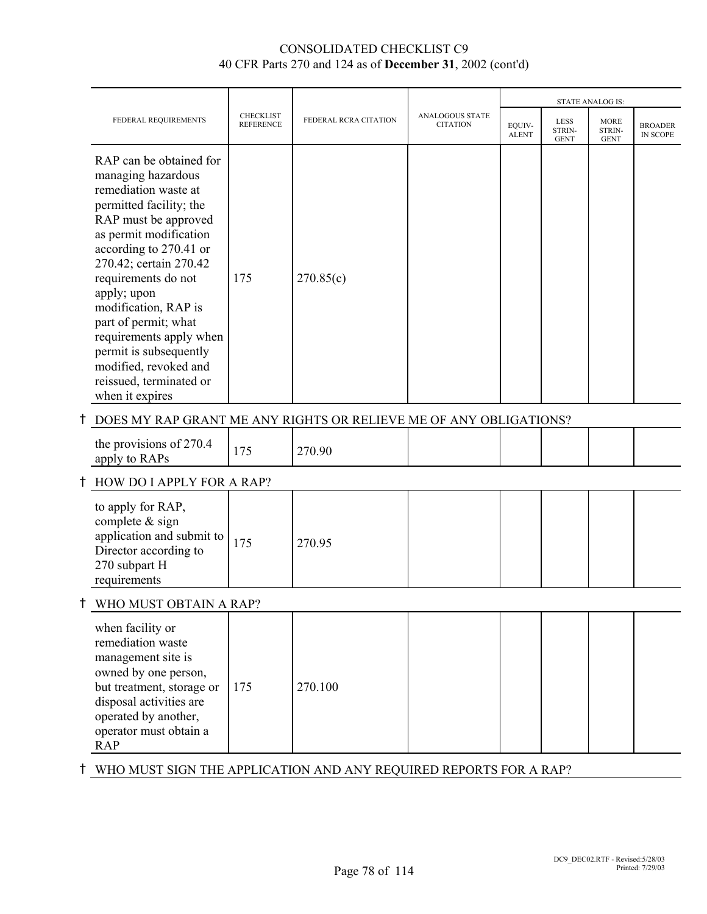|                                                                                                                                                                                                                                                                                                                                                                                                                          |                                      |                       |                                    |                        |                                      | STATE ANALOG IS:                     |                            |
|--------------------------------------------------------------------------------------------------------------------------------------------------------------------------------------------------------------------------------------------------------------------------------------------------------------------------------------------------------------------------------------------------------------------------|--------------------------------------|-----------------------|------------------------------------|------------------------|--------------------------------------|--------------------------------------|----------------------------|
| FEDERAL REQUIREMENTS                                                                                                                                                                                                                                                                                                                                                                                                     | <b>CHECKLIST</b><br><b>REFERENCE</b> | FEDERAL RCRA CITATION | ANALOGOUS STATE<br><b>CITATION</b> | EQUIV-<br><b>ALENT</b> | <b>LESS</b><br>STRIN-<br><b>GENT</b> | <b>MORE</b><br>STRIN-<br><b>GENT</b> | <b>BROADER</b><br>IN SCOPE |
| RAP can be obtained for<br>managing hazardous<br>remediation waste at<br>permitted facility; the<br>RAP must be approved<br>as permit modification<br>according to 270.41 or<br>270.42; certain 270.42<br>requirements do not<br>apply; upon<br>modification, RAP is<br>part of permit; what<br>requirements apply when<br>permit is subsequently<br>modified, revoked and<br>reissued, terminated or<br>when it expires | 175                                  | 270.85(c)             |                                    |                        |                                      |                                      |                            |
| DOES MY RAP GRANT ME ANY RIGHTS OR RELIEVE ME OF ANY OBLIGATIONS?                                                                                                                                                                                                                                                                                                                                                        |                                      |                       |                                    |                        |                                      |                                      |                            |
| the provisions of 270.4<br>apply to RAPs                                                                                                                                                                                                                                                                                                                                                                                 | 175                                  | 270.90                |                                    |                        |                                      |                                      |                            |
| HOW DO I APPLY FOR A RAP?                                                                                                                                                                                                                                                                                                                                                                                                |                                      |                       |                                    |                        |                                      |                                      |                            |
| to apply for RAP,<br>complete & sign<br>application and submit to<br>Director according to<br>270 subpart H<br>requirements                                                                                                                                                                                                                                                                                              | 175                                  | 270.95                |                                    |                        |                                      |                                      |                            |
| † WHO MUST OBTAIN A RAP?                                                                                                                                                                                                                                                                                                                                                                                                 |                                      |                       |                                    |                        |                                      |                                      |                            |
| when facility or<br>remediation waste<br>management site is<br>owned by one person,<br>but treatment, storage or<br>disposal activities are<br>operated by another,<br>operator must obtain a<br><b>RAP</b>                                                                                                                                                                                                              | 175                                  | 270.100               |                                    |                        |                                      |                                      |                            |

# $\dagger$  WHO MUST SIGN THE APPLICATION AND ANY REQUIRED REPORTS FOR A RAP?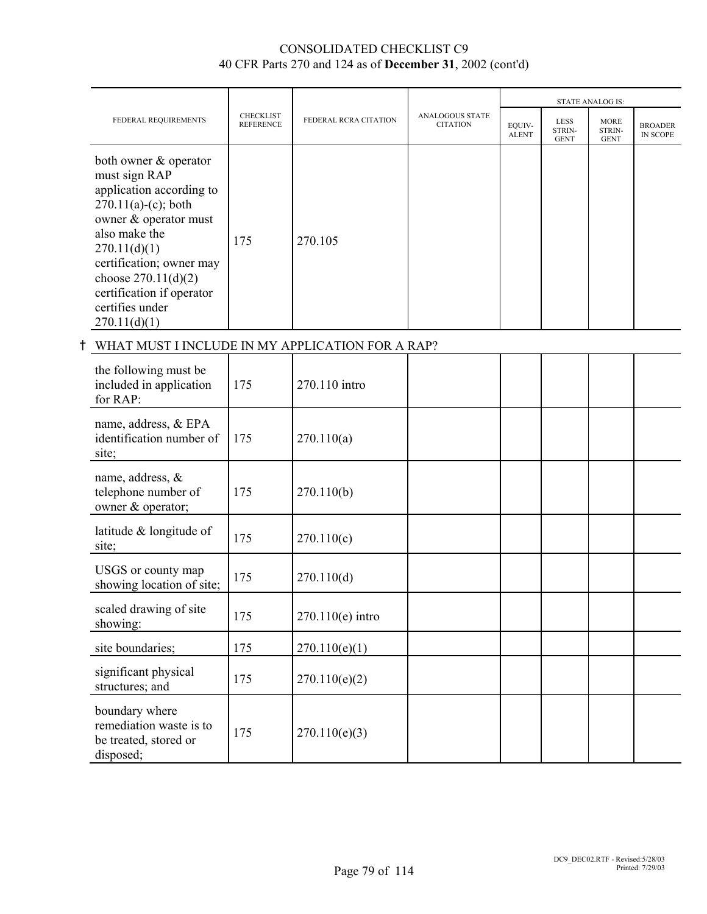|                                                                                                                                                                                                                                                                             |                                      |                       |                                           |                        |                                      | <b>STATE ANALOG IS:</b>              |                            |
|-----------------------------------------------------------------------------------------------------------------------------------------------------------------------------------------------------------------------------------------------------------------------------|--------------------------------------|-----------------------|-------------------------------------------|------------------------|--------------------------------------|--------------------------------------|----------------------------|
| FEDERAL REQUIREMENTS                                                                                                                                                                                                                                                        | <b>CHECKLIST</b><br><b>REFERENCE</b> | FEDERAL RCRA CITATION | <b>ANALOGOUS STATE</b><br><b>CITATION</b> | EOUIV-<br><b>ALENT</b> | <b>LESS</b><br>STRIN-<br><b>GENT</b> | <b>MORE</b><br>STRIN-<br><b>GENT</b> | <b>BROADER</b><br>IN SCOPE |
| both owner & operator<br>must sign RAP<br>application according to<br>$270.11(a)-(c)$ ; both<br>owner & operator must<br>also make the<br>270.11(d)(1)<br>certification; owner may<br>choose $270.11(d)(2)$<br>certification if operator<br>certifies under<br>270.11(d)(1) | 175                                  | 270.105               |                                           |                        |                                      |                                      |                            |
| WHAT MUST I INCLUDE IN MY APPLICATION FOR A RAP?                                                                                                                                                                                                                            |                                      |                       |                                           |                        |                                      |                                      |                            |
|                                                                                                                                                                                                                                                                             |                                      |                       |                                           |                        |                                      |                                      |                            |

| the following must be<br>included in application<br>for RAP:                    | 175 | 270.110 intro      |  |  |  |
|---------------------------------------------------------------------------------|-----|--------------------|--|--|--|
| name, address, & EPA<br>identification number of<br>site;                       | 175 | 270.110(a)         |  |  |  |
| name, address, $\&$<br>telephone number of<br>owner & operator;                 | 175 | 270.110(b)         |  |  |  |
| latitude & longitude of<br>site;                                                | 175 | 270.110(c)         |  |  |  |
| USGS or county map<br>showing location of site;                                 | 175 | 270.110(d)         |  |  |  |
| scaled drawing of site<br>showing:                                              | 175 | $270.110(e)$ intro |  |  |  |
| site boundaries;                                                                | 175 | 270.110(e)(1)      |  |  |  |
| significant physical<br>structures; and                                         | 175 | 270.110(e)(2)      |  |  |  |
| boundary where<br>remediation waste is to<br>be treated, stored or<br>disposed; | 175 | 270.110(e)(3)      |  |  |  |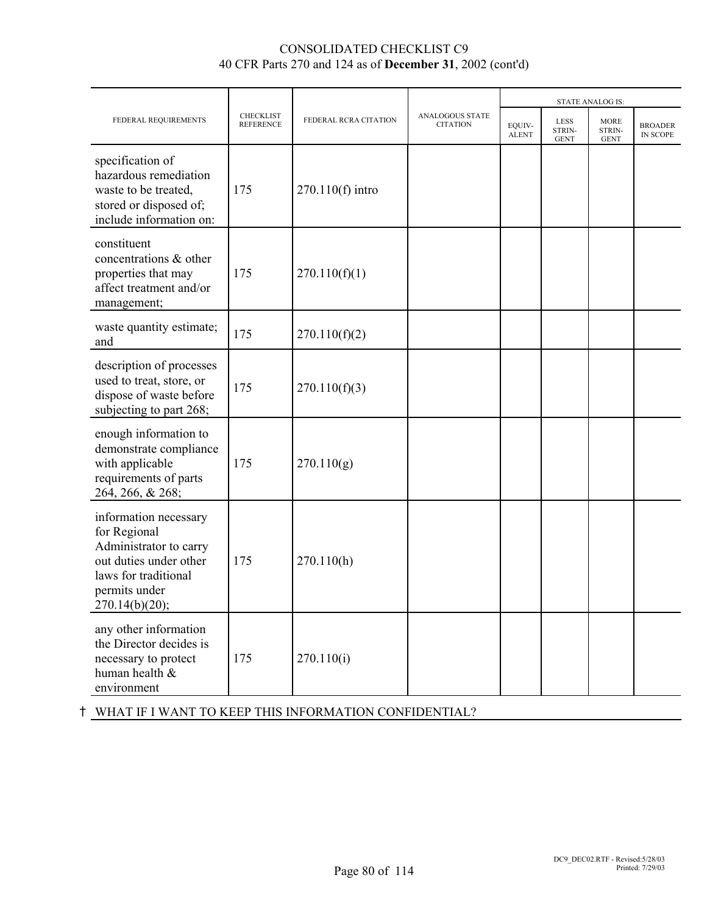|                                                                                                                                                      |                                      |                       |                                           |                        | <b>STATE ANALOG IS:</b>       |                                      |                            |
|------------------------------------------------------------------------------------------------------------------------------------------------------|--------------------------------------|-----------------------|-------------------------------------------|------------------------|-------------------------------|--------------------------------------|----------------------------|
| FEDERAL REQUIREMENTS                                                                                                                                 | <b>CHECKLIST</b><br><b>REFERENCE</b> | FEDERAL RCRA CITATION | <b>ANALOGOUS STATE</b><br><b>CITATION</b> | EQUIV-<br><b>ALENT</b> | LESS<br>STRIN-<br><b>GENT</b> | <b>MORE</b><br>STRIN-<br><b>GENT</b> | <b>BROADER</b><br>IN SCOPE |
| specification of<br>hazardous remediation<br>waste to be treated,<br>stored or disposed of;<br>include information on:                               | 175                                  | 270.110(f) intro      |                                           |                        |                               |                                      |                            |
| constituent<br>concentrations & other<br>properties that may<br>affect treatment and/or<br>management;                                               | 175                                  | 270.110(f)(1)         |                                           |                        |                               |                                      |                            |
| waste quantity estimate;<br>and                                                                                                                      | 175                                  | 270.110(f)(2)         |                                           |                        |                               |                                      |                            |
| description of processes<br>used to treat, store, or<br>dispose of waste before<br>subjecting to part 268;                                           | 175                                  | 270.110(f)(3)         |                                           |                        |                               |                                      |                            |
| enough information to<br>demonstrate compliance<br>with applicable<br>requirements of parts<br>264, 266, & 268;                                      | 175                                  | 270.110(g)            |                                           |                        |                               |                                      |                            |
| information necessary<br>for Regional<br>Administrator to carry<br>out duties under other<br>laws for traditional<br>permits under<br>270.14(b)(20); | 175                                  | 270.110(h)            |                                           |                        |                               |                                      |                            |
| any other information<br>the Director decides is<br>necessary to protect<br>human health &<br>environment                                            | 175                                  | 270.110(i)            |                                           |                        |                               |                                      |                            |

H WHAT IF I WANT TO KEEP THIS INFORMATION CONFIDENTIAL?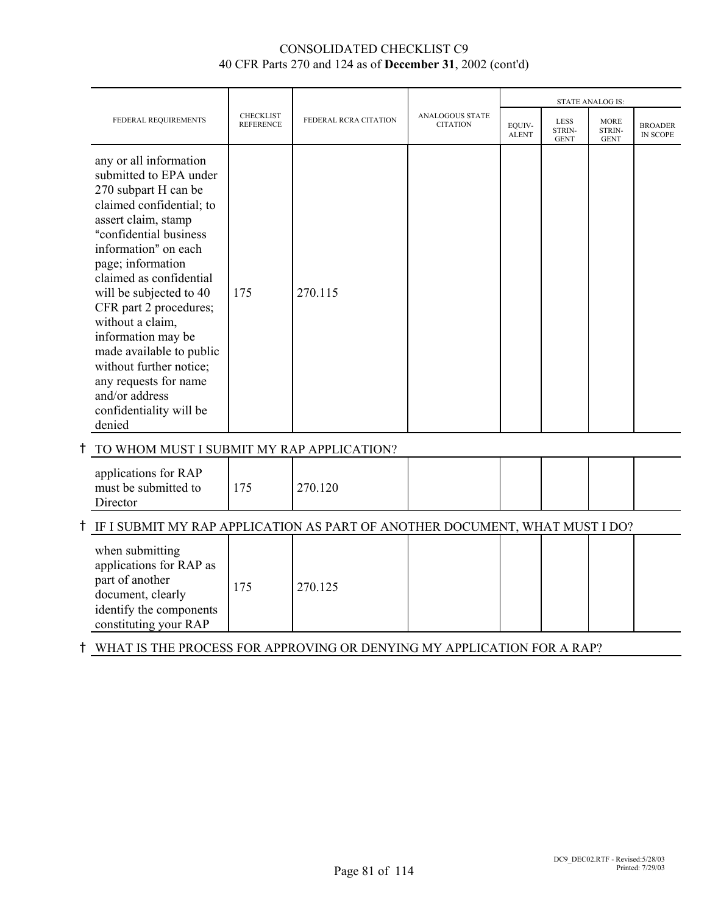|                                                                                                                                                                                                                                                                                                                                                                                                                                                                     |                                      |                       |                                           |                        |                                      | <b>STATE ANALOG IS:</b>              |                                   |
|---------------------------------------------------------------------------------------------------------------------------------------------------------------------------------------------------------------------------------------------------------------------------------------------------------------------------------------------------------------------------------------------------------------------------------------------------------------------|--------------------------------------|-----------------------|-------------------------------------------|------------------------|--------------------------------------|--------------------------------------|-----------------------------------|
| FEDERAL REQUIREMENTS                                                                                                                                                                                                                                                                                                                                                                                                                                                | <b>CHECKLIST</b><br><b>REFERENCE</b> | FEDERAL RCRA CITATION | <b>ANALOGOUS STATE</b><br><b>CITATION</b> | EQUIV-<br><b>ALENT</b> | <b>LESS</b><br>STRIN-<br><b>GENT</b> | <b>MORE</b><br>STRIN-<br><b>GENT</b> | <b>BROADER</b><br><b>IN SCOPE</b> |
| any or all information<br>submitted to EPA under<br>270 subpart H can be<br>claimed confidential; to<br>assert claim, stamp<br>"confidential business<br>information" on each<br>page; information<br>claimed as confidential<br>will be subjected to 40<br>CFR part 2 procedures;<br>without a claim,<br>information may be<br>made available to public<br>without further notice;<br>any requests for name<br>and/or address<br>confidentiality will be<br>denied | 175                                  | 270.115               |                                           |                        |                                      |                                      |                                   |
| TO WHOM MUST I SUBMIT MY RAP APPLICATION?                                                                                                                                                                                                                                                                                                                                                                                                                           |                                      |                       |                                           |                        |                                      |                                      |                                   |
| applications for RAP<br>must be submitted to<br>Director                                                                                                                                                                                                                                                                                                                                                                                                            | 175                                  | 270.120               |                                           |                        |                                      |                                      |                                   |
| IF I SUBMIT MY RAP APPLICATION AS PART OF ANOTHER DOCUMENT, WHAT MUST I DO?                                                                                                                                                                                                                                                                                                                                                                                         |                                      |                       |                                           |                        |                                      |                                      |                                   |
| when submitting<br>applications for RAP as<br>part of another<br>document, clearly<br>identify the components<br>constituting your RAP                                                                                                                                                                                                                                                                                                                              | 175                                  | 270.125               |                                           |                        |                                      |                                      |                                   |

# H WHAT IS THE PROCESS FOR APPROVING OR DENYING MY APPLICATION FOR A RAP?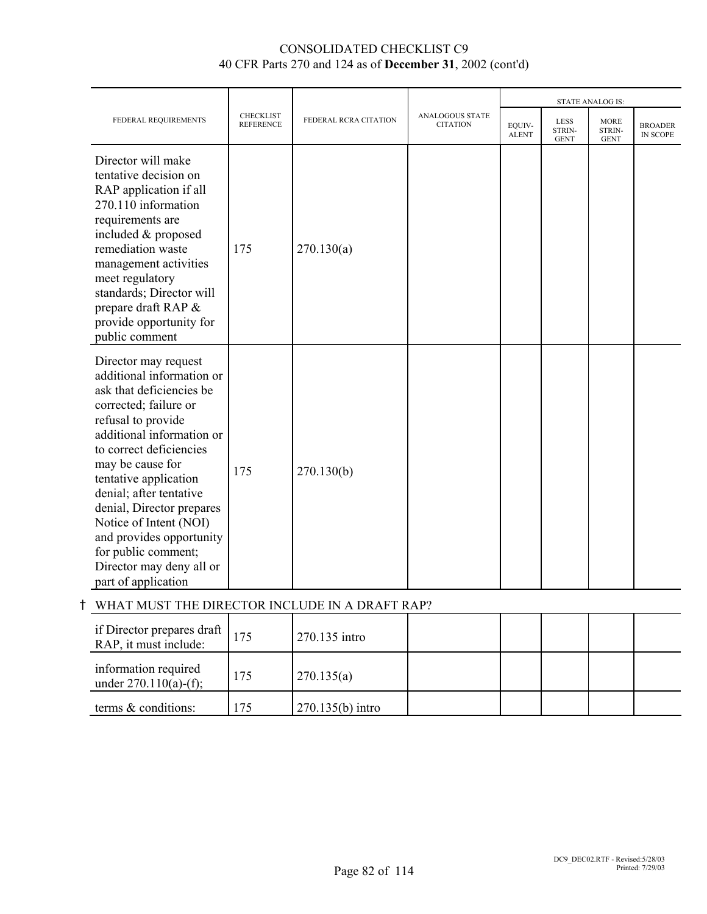|                                                                                                                                                                                                                                                                                                                                                                                                                           |                                      |                       |                                    |                        |                                      | <b>STATE ANALOG IS:</b>              |                                   |
|---------------------------------------------------------------------------------------------------------------------------------------------------------------------------------------------------------------------------------------------------------------------------------------------------------------------------------------------------------------------------------------------------------------------------|--------------------------------------|-----------------------|------------------------------------|------------------------|--------------------------------------|--------------------------------------|-----------------------------------|
| FEDERAL REQUIREMENTS                                                                                                                                                                                                                                                                                                                                                                                                      | <b>CHECKLIST</b><br><b>REFERENCE</b> | FEDERAL RCRA CITATION | ANALOGOUS STATE<br><b>CITATION</b> | EQUIV-<br><b>ALENT</b> | <b>LESS</b><br>STRIN-<br><b>GENT</b> | <b>MORE</b><br>STRIN-<br><b>GENT</b> | <b>BROADER</b><br><b>IN SCOPE</b> |
| Director will make<br>tentative decision on<br>RAP application if all<br>270.110 information<br>requirements are<br>included & proposed<br>remediation waste<br>management activities<br>meet regulatory<br>standards; Director will<br>prepare draft RAP &<br>provide opportunity for<br>public comment                                                                                                                  | 175                                  | 270.130(a)            |                                    |                        |                                      |                                      |                                   |
| Director may request<br>additional information or<br>ask that deficiencies be<br>corrected; failure or<br>refusal to provide<br>additional information or<br>to correct deficiencies<br>may be cause for<br>tentative application<br>denial; after tentative<br>denial, Director prepares<br>Notice of Intent (NOI)<br>and provides opportunity<br>for public comment;<br>Director may deny all or<br>part of application | 175                                  | 270.130(b)            |                                    |                        |                                      |                                      |                                   |

# H WHAT MUST THE DIRECTOR INCLUDE IN A DRAFT RAP?

| if Director prepares draft $\vert$<br>RAP, it must include: | 175 | 270.135 intro      |  |  |  |
|-------------------------------------------------------------|-----|--------------------|--|--|--|
| information required<br>under $270.110(a)$ -(f);            | 175 | 270.135(a)         |  |  |  |
| terms & conditions:                                         |     | $270.135(b)$ intro |  |  |  |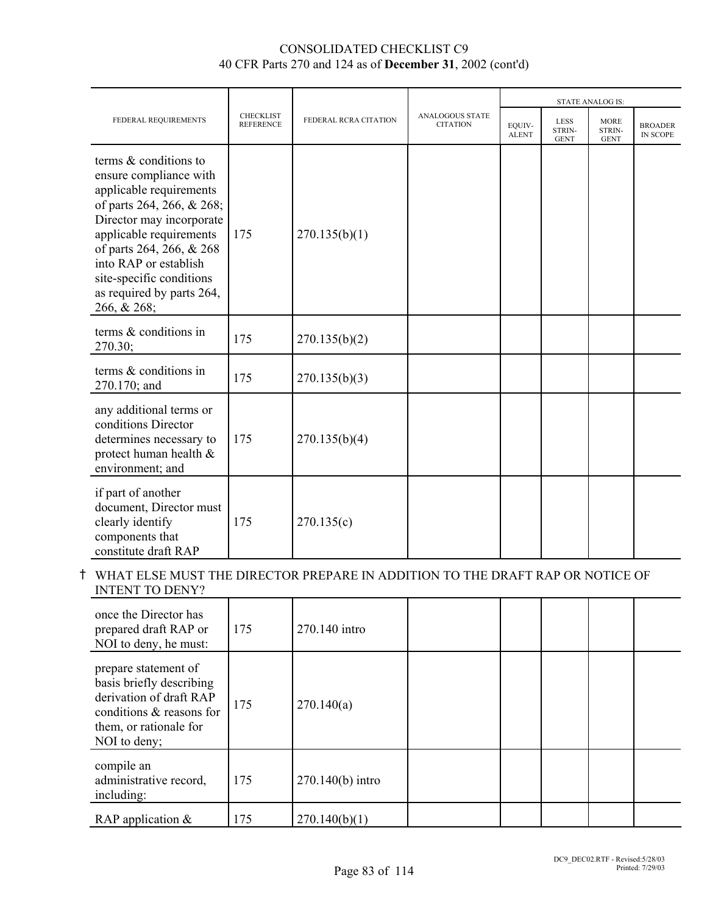|                                                                                                                                                                                                                                                                                             |                                      |                       |                                           | <b>STATE ANALOG IS:</b> |                                      |                                      |                                   |  |
|---------------------------------------------------------------------------------------------------------------------------------------------------------------------------------------------------------------------------------------------------------------------------------------------|--------------------------------------|-----------------------|-------------------------------------------|-------------------------|--------------------------------------|--------------------------------------|-----------------------------------|--|
| FEDERAL REQUIREMENTS                                                                                                                                                                                                                                                                        | <b>CHECKLIST</b><br><b>REFERENCE</b> | FEDERAL RCRA CITATION | <b>ANALOGOUS STATE</b><br><b>CITATION</b> | EQUIV-<br><b>ALENT</b>  | <b>LESS</b><br>STRIN-<br><b>GENT</b> | <b>MORE</b><br>STRIN-<br><b>GENT</b> | <b>BROADER</b><br><b>IN SCOPE</b> |  |
| terms & conditions to<br>ensure compliance with<br>applicable requirements<br>of parts 264, 266, & 268;<br>Director may incorporate<br>applicable requirements<br>of parts 264, 266, & 268<br>into RAP or establish<br>site-specific conditions<br>as required by parts 264,<br>266, & 268; | 175                                  | 270.135(b)(1)         |                                           |                         |                                      |                                      |                                   |  |
| terms & conditions in<br>270.30;                                                                                                                                                                                                                                                            | 175                                  | 270.135(b)(2)         |                                           |                         |                                      |                                      |                                   |  |
| terms & conditions in<br>270.170; and                                                                                                                                                                                                                                                       | 175                                  | 270.135(b)(3)         |                                           |                         |                                      |                                      |                                   |  |
| any additional terms or<br>conditions Director<br>determines necessary to<br>protect human health &<br>environment; and                                                                                                                                                                     | 175                                  | 270.135(b)(4)         |                                           |                         |                                      |                                      |                                   |  |
| if part of another<br>document, Director must<br>clearly identify<br>components that<br>constitute draft RAP                                                                                                                                                                                | 175                                  | 270.135(c)            |                                           |                         |                                      |                                      |                                   |  |

# H WHAT ELSE MUST THE DIRECTOR PREPARE IN ADDITION TO THE DRAFT RAP OR NOTICE OF INTENT TO DENY?

| once the Director has<br>prepared draft RAP or<br>NOI to deny, he must:                                                                           | 175 | 270.140 intro      |  |  |  |
|---------------------------------------------------------------------------------------------------------------------------------------------------|-----|--------------------|--|--|--|
| prepare statement of<br>basis briefly describing<br>derivation of draft RAP<br>conditions & reasons for<br>them, or rationale for<br>NOI to deny; | 175 | 270.140(a)         |  |  |  |
| compile an<br>administrative record,<br>including:                                                                                                | 175 | $270.140(b)$ intro |  |  |  |
| RAP application $\&$                                                                                                                              | 175 | 270.140(b)(1)      |  |  |  |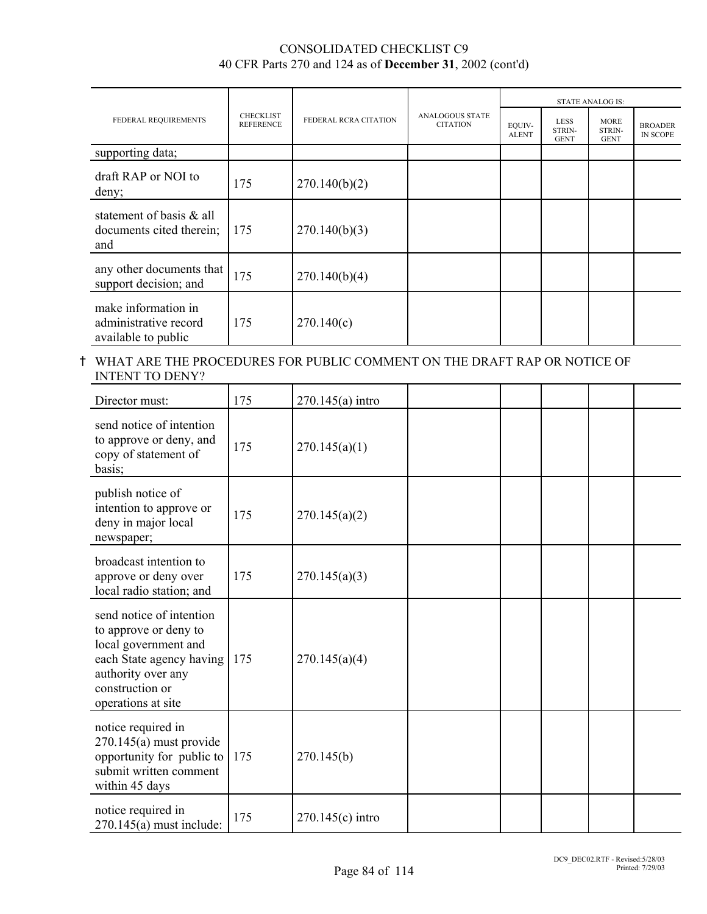|                                                                     |                                      |                       |                                           | <b>STATE ANALOG IS:</b> |                                      |                                      |                                   |  |
|---------------------------------------------------------------------|--------------------------------------|-----------------------|-------------------------------------------|-------------------------|--------------------------------------|--------------------------------------|-----------------------------------|--|
| FEDERAL REQUIREMENTS                                                | <b>CHECKLIST</b><br><b>REFERENCE</b> | FEDERAL RCRA CITATION | <b>ANALOGOUS STATE</b><br><b>CITATION</b> | EQUIV-<br><b>ALENT</b>  | <b>LESS</b><br>STRIN-<br><b>GENT</b> | <b>MORE</b><br>STRIN-<br><b>GENT</b> | <b>BROADER</b><br><b>IN SCOPE</b> |  |
| supporting data;                                                    |                                      |                       |                                           |                         |                                      |                                      |                                   |  |
| draft RAP or NOI to<br>deny;                                        | 175                                  | 270.140(b)(2)         |                                           |                         |                                      |                                      |                                   |  |
| statement of basis & all<br>documents cited therein;<br>and         | 175                                  | 270.140(b)(3)         |                                           |                         |                                      |                                      |                                   |  |
| any other documents that<br>support decision; and                   | 175                                  | 270.140(b)(4)         |                                           |                         |                                      |                                      |                                   |  |
| make information in<br>administrative record<br>available to public | 175                                  | 270.140(c)            |                                           |                         |                                      |                                      |                                   |  |

#### H WHAT ARE THE PROCEDURES FOR PUBLIC COMMENT ON THE DRAFT RAP OR NOTICE OF INTENT TO DENY?

| Director must:                                                                                                                                                       | 175 | $270.145(a)$ intro |  |  |  |
|----------------------------------------------------------------------------------------------------------------------------------------------------------------------|-----|--------------------|--|--|--|
| send notice of intention<br>to approve or deny, and<br>copy of statement of<br>basis;                                                                                | 175 | 270.145(a)(1)      |  |  |  |
| publish notice of<br>intention to approve or<br>deny in major local<br>newspaper;                                                                                    | 175 | 270.145(a)(2)      |  |  |  |
| broadcast intention to<br>approve or deny over<br>local radio station; and                                                                                           | 175 | 270.145(a)(3)      |  |  |  |
| send notice of intention<br>to approve or deny to<br>local government and<br>each State agency having<br>authority over any<br>construction or<br>operations at site | 175 | 270.145(a)(4)      |  |  |  |
| notice required in<br>$270.145(a)$ must provide<br>opportunity for public to<br>submit written comment<br>within 45 days                                             | 175 | 270.145(b)         |  |  |  |
| notice required in<br>$270.145(a)$ must include:                                                                                                                     | 175 | $270.145(c)$ intro |  |  |  |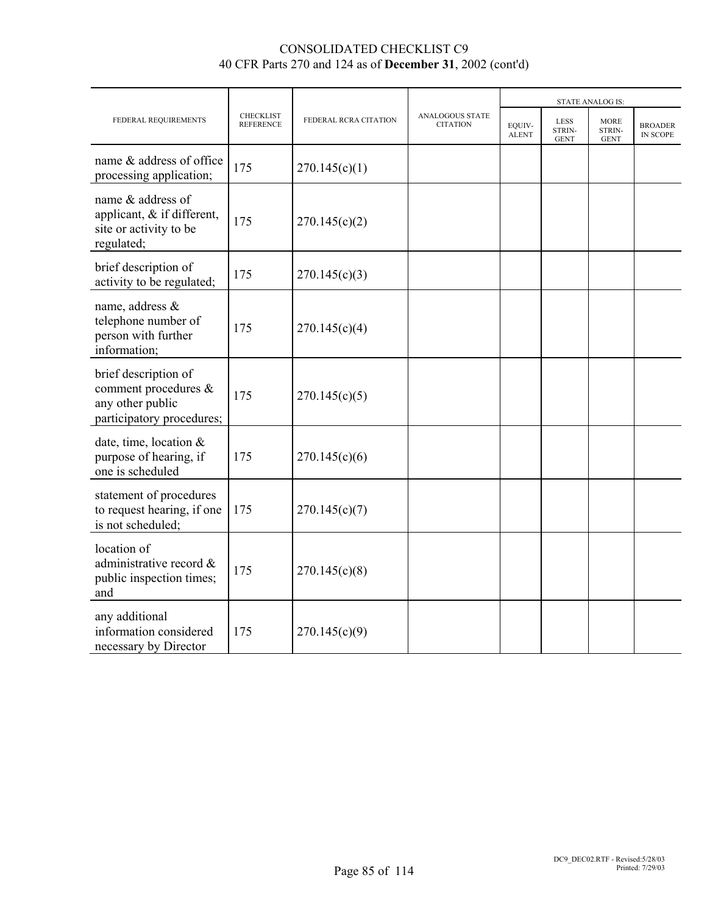|                                                                                               |                                      |                       |                                           |                        |                                      | <b>STATE ANALOG IS:</b>              |                                   |
|-----------------------------------------------------------------------------------------------|--------------------------------------|-----------------------|-------------------------------------------|------------------------|--------------------------------------|--------------------------------------|-----------------------------------|
| FEDERAL REQUIREMENTS                                                                          | <b>CHECKLIST</b><br><b>REFERENCE</b> | FEDERAL RCRA CITATION | <b>ANALOGOUS STATE</b><br><b>CITATION</b> | EOUIV-<br><b>ALENT</b> | <b>LESS</b><br>STRIN-<br><b>GENT</b> | <b>MORE</b><br>STRIN-<br><b>GENT</b> | <b>BROADER</b><br><b>IN SCOPE</b> |
| name & address of office<br>processing application;                                           | 175                                  | 270.145(c)(1)         |                                           |                        |                                      |                                      |                                   |
| name & address of<br>applicant, & if different,<br>site or activity to be<br>regulated;       | 175                                  | 270.145(c)(2)         |                                           |                        |                                      |                                      |                                   |
| brief description of<br>activity to be regulated;                                             | 175                                  | 270.145(c)(3)         |                                           |                        |                                      |                                      |                                   |
| name, address &<br>telephone number of<br>person with further<br>information;                 | 175                                  | 270.145(c)(4)         |                                           |                        |                                      |                                      |                                   |
| brief description of<br>comment procedures &<br>any other public<br>participatory procedures; | 175                                  | 270.145(c)(5)         |                                           |                        |                                      |                                      |                                   |
| date, time, location $\&$<br>purpose of hearing, if<br>one is scheduled                       | 175                                  | 270.145(c)(6)         |                                           |                        |                                      |                                      |                                   |
| statement of procedures<br>to request hearing, if one<br>is not scheduled;                    | 175                                  | 270.145(c)(7)         |                                           |                        |                                      |                                      |                                   |
| location of<br>administrative record &<br>public inspection times;<br>and                     | 175                                  | 270.145(c)(8)         |                                           |                        |                                      |                                      |                                   |
| any additional<br>information considered<br>necessary by Director                             | 175                                  | 270.145(c)(9)         |                                           |                        |                                      |                                      |                                   |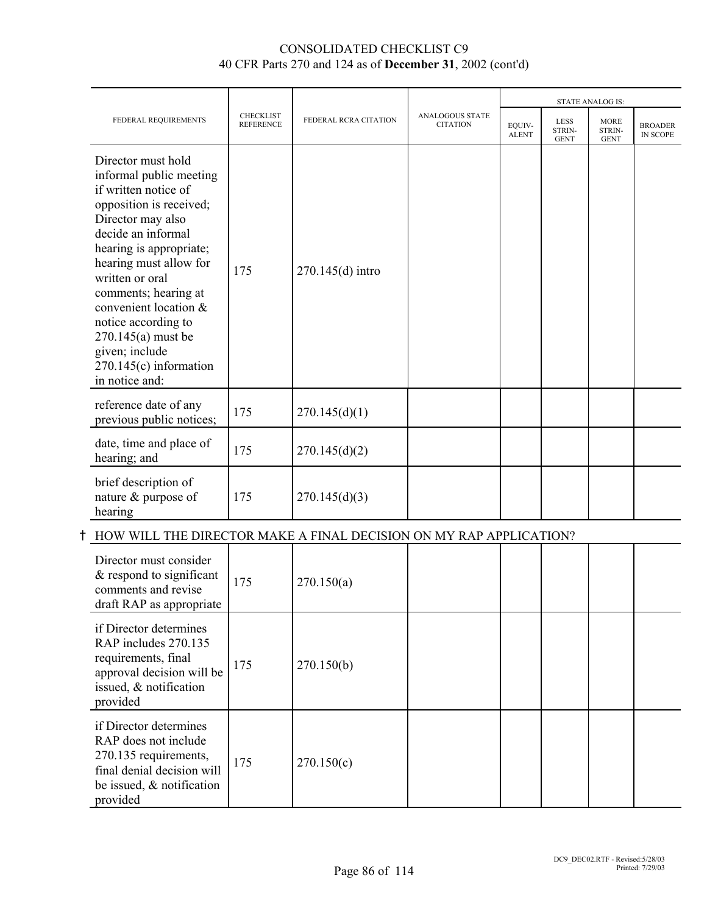|                                                                                                                                                                                                                                                                                                                                                                                   |                                      |                       |                                           |                        |                                      | <b>STATE ANALOG IS:</b>              |                                   |
|-----------------------------------------------------------------------------------------------------------------------------------------------------------------------------------------------------------------------------------------------------------------------------------------------------------------------------------------------------------------------------------|--------------------------------------|-----------------------|-------------------------------------------|------------------------|--------------------------------------|--------------------------------------|-----------------------------------|
| FEDERAL REQUIREMENTS                                                                                                                                                                                                                                                                                                                                                              | <b>CHECKLIST</b><br><b>REFERENCE</b> | FEDERAL RCRA CITATION | <b>ANALOGOUS STATE</b><br><b>CITATION</b> | EQUIV-<br><b>ALENT</b> | <b>LESS</b><br>STRIN-<br><b>GENT</b> | <b>MORE</b><br>STRIN-<br><b>GENT</b> | <b>BROADER</b><br><b>IN SCOPE</b> |
| Director must hold<br>informal public meeting<br>if written notice of<br>opposition is received;<br>Director may also<br>decide an informal<br>hearing is appropriate;<br>hearing must allow for<br>written or oral<br>comments; hearing at<br>convenient location &<br>notice according to<br>270.145(a) must be<br>given; include<br>$270.145(c)$ information<br>in notice and: | 175                                  | 270.145(d) intro      |                                           |                        |                                      |                                      |                                   |
| reference date of any<br>previous public notices;                                                                                                                                                                                                                                                                                                                                 | 175                                  | 270.145(d)(1)         |                                           |                        |                                      |                                      |                                   |
| date, time and place of<br>hearing; and                                                                                                                                                                                                                                                                                                                                           | 175                                  | 270.145(d)(2)         |                                           |                        |                                      |                                      |                                   |
| brief description of<br>nature & purpose of<br>hearing                                                                                                                                                                                                                                                                                                                            | 175                                  | 270.145(d)(3)         |                                           |                        |                                      |                                      |                                   |

# $\dagger$  HOW WILL THE DIRECTOR MAKE A FINAL DECISION ON MY RAP APPLICATION?

| Director must consider<br>& respond to significant<br>comments and revise<br>draft RAP as appropriate                                             | 175 | 270.150(a) |  |  |  |
|---------------------------------------------------------------------------------------------------------------------------------------------------|-----|------------|--|--|--|
| if Director determines<br>RAP includes 270.135<br>requirements, final<br>approval decision will be<br>issued, & notification<br>provided          | 175 | 270.150(b) |  |  |  |
| if Director determines<br>RAP does not include<br>270.135 requirements,<br>final denial decision will<br>be issued, $\&$ notification<br>provided | 175 | 270.150(c) |  |  |  |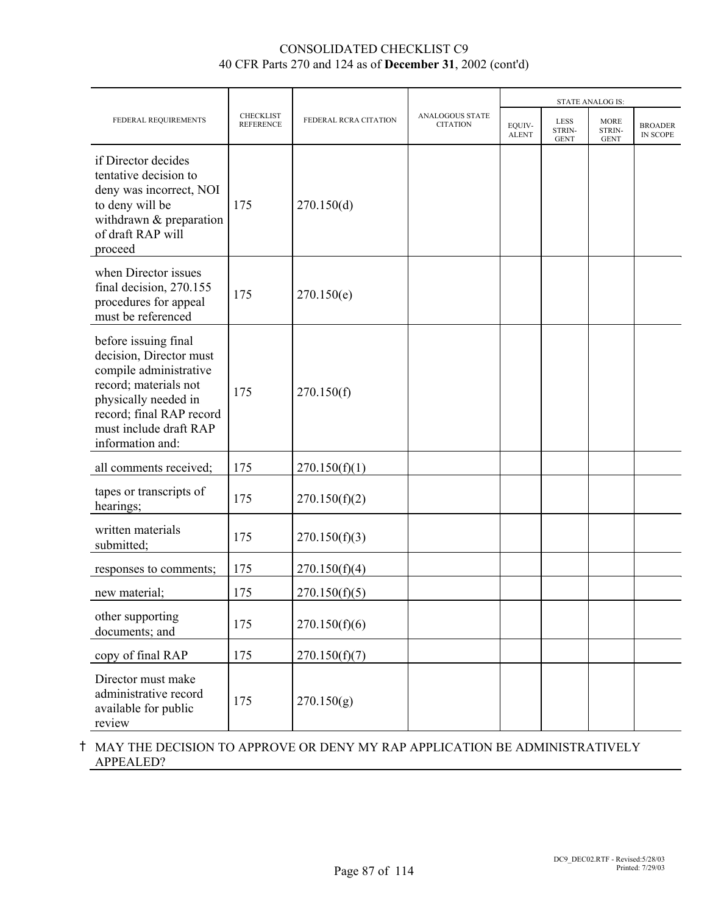|                                                                                                                                                                                                      |                                      |                       |                                           |                        |                                      | <b>STATE ANALOG IS:</b>              |                            |
|------------------------------------------------------------------------------------------------------------------------------------------------------------------------------------------------------|--------------------------------------|-----------------------|-------------------------------------------|------------------------|--------------------------------------|--------------------------------------|----------------------------|
| FEDERAL REQUIREMENTS                                                                                                                                                                                 | <b>CHECKLIST</b><br><b>REFERENCE</b> | FEDERAL RCRA CITATION | <b>ANALOGOUS STATE</b><br><b>CITATION</b> | EQUIV-<br><b>ALENT</b> | <b>LESS</b><br>STRIN-<br><b>GENT</b> | <b>MORE</b><br>STRIN-<br><b>GENT</b> | <b>BROADER</b><br>IN SCOPE |
| if Director decides<br>tentative decision to<br>deny was incorrect, NOI<br>to deny will be<br>withdrawn & preparation<br>of draft RAP will<br>proceed                                                | 175                                  | 270.150(d)            |                                           |                        |                                      |                                      |                            |
| when Director issues<br>final decision, 270.155<br>procedures for appeal<br>must be referenced                                                                                                       | 175                                  | 270.150(e)            |                                           |                        |                                      |                                      |                            |
| before issuing final<br>decision, Director must<br>compile administrative<br>record; materials not<br>physically needed in<br>record; final RAP record<br>must include draft RAP<br>information and: | 175                                  | 270.150(f)            |                                           |                        |                                      |                                      |                            |
| all comments received;                                                                                                                                                                               | 175                                  | 270.150(f)(1)         |                                           |                        |                                      |                                      |                            |
| tapes or transcripts of<br>hearings;                                                                                                                                                                 | 175                                  | 270.150(f)(2)         |                                           |                        |                                      |                                      |                            |
| written materials<br>submitted;                                                                                                                                                                      | 175                                  | 270.150(f)(3)         |                                           |                        |                                      |                                      |                            |
| responses to comments;                                                                                                                                                                               | 175                                  | 270.150(f)(4)         |                                           |                        |                                      |                                      |                            |
| new material;                                                                                                                                                                                        | 175                                  | 270.150(f)(5)         |                                           |                        |                                      |                                      |                            |
| other supporting<br>documents; and                                                                                                                                                                   | 175                                  | 270.150(f)(6)         |                                           |                        |                                      |                                      |                            |
| copy of final RAP                                                                                                                                                                                    | 175                                  | 270.150(f)(7)         |                                           |                        |                                      |                                      |                            |
| Director must make<br>administrative record<br>available for public<br>review                                                                                                                        | 175                                  | 270.150(g)            |                                           |                        |                                      |                                      |                            |

# H MAY THE DECISION TO APPROVE OR DENY MY RAP APPLICATION BE ADMINISTRATIVELY APPEALED?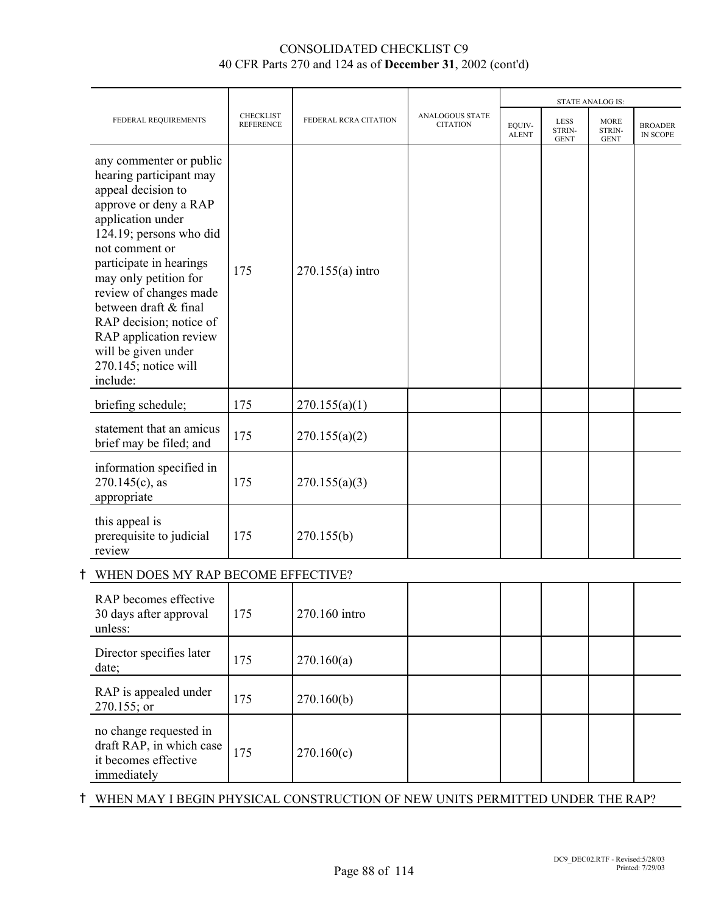|                                                                                                                                                                                                                                                                                                                                                                                            |                                      |                       |                                           |                        |                               | <b>STATE ANALOG IS:</b>              |                            |
|--------------------------------------------------------------------------------------------------------------------------------------------------------------------------------------------------------------------------------------------------------------------------------------------------------------------------------------------------------------------------------------------|--------------------------------------|-----------------------|-------------------------------------------|------------------------|-------------------------------|--------------------------------------|----------------------------|
| FEDERAL REQUIREMENTS                                                                                                                                                                                                                                                                                                                                                                       | <b>CHECKLIST</b><br><b>REFERENCE</b> | FEDERAL RCRA CITATION | <b>ANALOGOUS STATE</b><br><b>CITATION</b> | EQUIV-<br><b>ALENT</b> | LESS<br>STRIN-<br><b>GENT</b> | <b>MORE</b><br>STRIN-<br><b>GENT</b> | <b>BROADER</b><br>IN SCOPE |
| any commenter or public<br>hearing participant may<br>appeal decision to<br>approve or deny a RAP<br>application under<br>124.19; persons who did<br>not comment or<br>participate in hearings<br>may only petition for<br>review of changes made<br>between draft & final<br>RAP decision; notice of<br>RAP application review<br>will be given under<br>270.145; notice will<br>include: | 175                                  | $270.155(a)$ intro    |                                           |                        |                               |                                      |                            |
| briefing schedule;                                                                                                                                                                                                                                                                                                                                                                         | 175                                  | 270.155(a)(1)         |                                           |                        |                               |                                      |                            |
| statement that an amicus<br>brief may be filed; and                                                                                                                                                                                                                                                                                                                                        | 175                                  | 270.155(a)(2)         |                                           |                        |                               |                                      |                            |
| information specified in<br>$270.145(c)$ , as<br>appropriate                                                                                                                                                                                                                                                                                                                               | 175                                  | 270.155(a)(3)         |                                           |                        |                               |                                      |                            |
| this appeal is<br>prerequisite to judicial<br>review                                                                                                                                                                                                                                                                                                                                       | 175                                  | 270.155(b)            |                                           |                        |                               |                                      |                            |
| WHEN DOES MY RAP BECOME EFFECTIVE?                                                                                                                                                                                                                                                                                                                                                         |                                      |                       |                                           |                        |                               |                                      |                            |
| RAP becomes effective<br>30 days after approval<br>unless:                                                                                                                                                                                                                                                                                                                                 | 175                                  | 270.160 intro         |                                           |                        |                               |                                      |                            |
| Director specifies later<br>date;                                                                                                                                                                                                                                                                                                                                                          | 175                                  | 270.160(a)            |                                           |                        |                               |                                      |                            |
| RAP is appealed under<br>270.155; or                                                                                                                                                                                                                                                                                                                                                       | 175                                  | 270.160(b)            |                                           |                        |                               |                                      |                            |
| no change requested in<br>draft RAP, in which case<br>it becomes effective                                                                                                                                                                                                                                                                                                                 | 175                                  | 270.160(c)            |                                           |                        |                               |                                      |                            |

H WHEN MAY I BEGIN PHYSICAL CONSTRUCTION OF NEW UNITS PERMITTED UNDER THE RAP?

immediately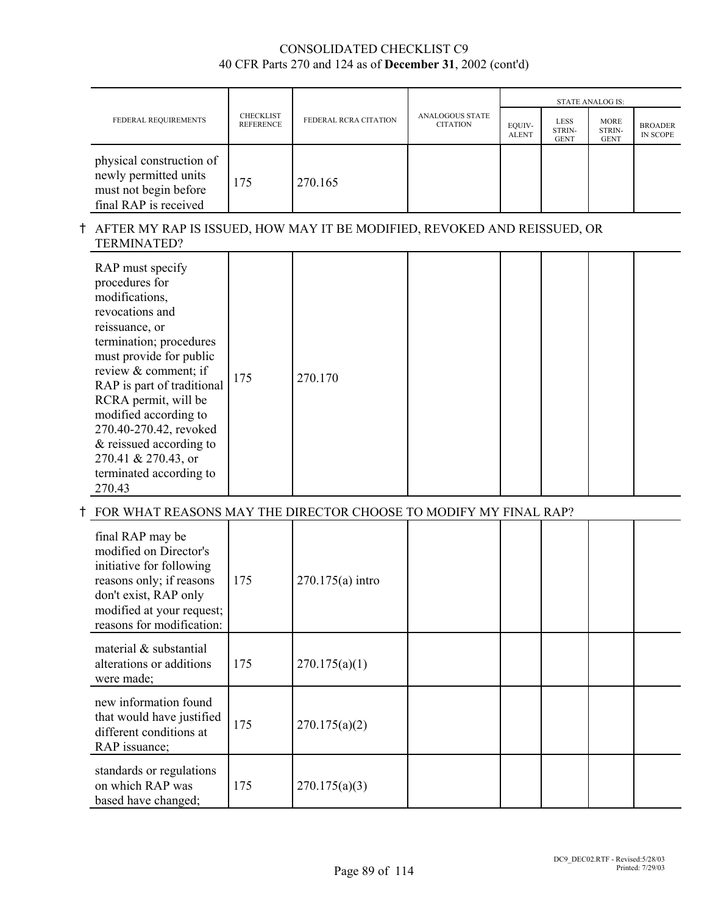|                                                                                                     |                                      |                       |                                           | <b>STATE ANALOG IS:</b> |                                      |                                      |                            |  |
|-----------------------------------------------------------------------------------------------------|--------------------------------------|-----------------------|-------------------------------------------|-------------------------|--------------------------------------|--------------------------------------|----------------------------|--|
| FEDERAL REQUIREMENTS                                                                                | <b>CHECKLIST</b><br><b>REFERENCE</b> | FEDERAL RCRA CITATION | <b>ANALOGOUS STATE</b><br><b>CITATION</b> | EQUIV-<br><b>ALENT</b>  | <b>LESS</b><br>STRIN-<br><b>GENT</b> | <b>MORE</b><br>STRIN-<br><b>GENT</b> | <b>BROADER</b><br>IN SCOPE |  |
| physical construction of<br>newly permitted units<br>must not begin before<br>final RAP is received | 175                                  | 270.165               |                                           |                         |                                      |                                      |                            |  |

#### H AFTER MY RAP IS ISSUED, HOW MAY IT BE MODIFIED, REVOKED AND REISSUED, OR TERMINATED?

| RAP must specify<br>procedures for<br>modifications,<br>revocations and<br>reissuance, or<br>termination; procedures<br>must provide for public<br>review & comment; if<br>RAP is part of traditional<br>RCRA permit, will be<br>modified according to<br>270.40-270.42, revoked<br>& reissued according to<br>270.41 & 270.43, or<br>terminated according to<br>270.43 | 175 | 270.170 |  |  |  |  |  |
|-------------------------------------------------------------------------------------------------------------------------------------------------------------------------------------------------------------------------------------------------------------------------------------------------------------------------------------------------------------------------|-----|---------|--|--|--|--|--|
|-------------------------------------------------------------------------------------------------------------------------------------------------------------------------------------------------------------------------------------------------------------------------------------------------------------------------------------------------------------------------|-----|---------|--|--|--|--|--|

# $\dagger$  FOR WHAT REASONS MAY THE DIRECTOR CHOOSE TO MODIFY MY FINAL RAP?

| final RAP may be<br>modified on Director's<br>initiative for following<br>reasons only; if reasons<br>don't exist, RAP only<br>modified at your request;<br>reasons for modification: | 175 | $270.175(a)$ intro |  |  |  |
|---------------------------------------------------------------------------------------------------------------------------------------------------------------------------------------|-----|--------------------|--|--|--|
| material $\&$ substantial<br>alterations or additions<br>were made;                                                                                                                   | 175 | 270.175(a)(1)      |  |  |  |
| new information found<br>that would have justified<br>different conditions at<br>RAP issuance;                                                                                        | 175 | 270.175(a)(2)      |  |  |  |
| standards or regulations<br>on which RAP was<br>based have changed;                                                                                                                   | 175 | 270.175(a)(3)      |  |  |  |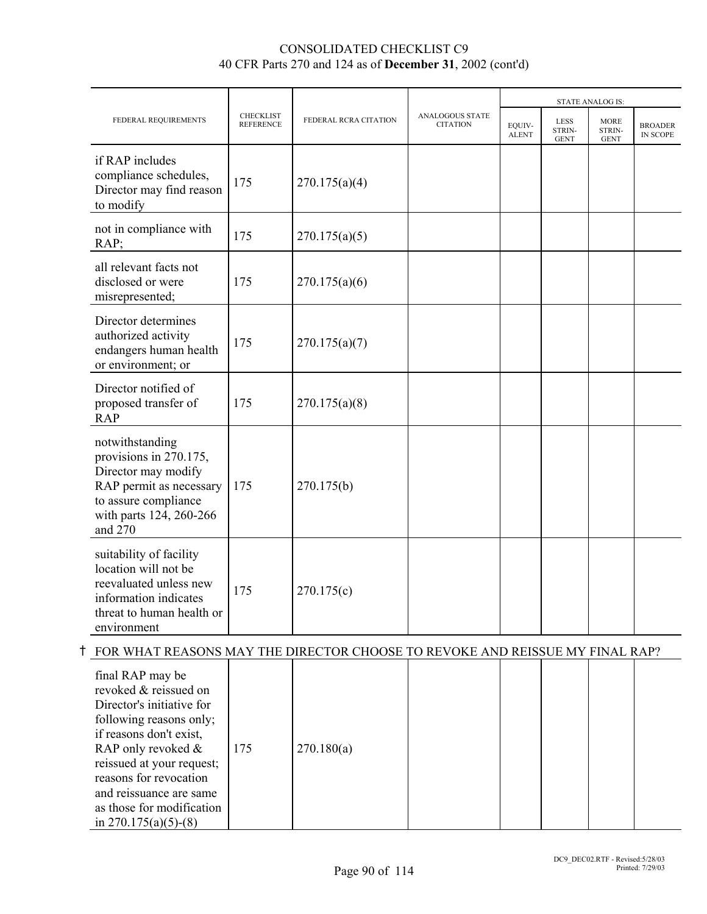|                                                                                                                                                           |                                      |                       |                                           |                        |                                      | <b>STATE ANALOG IS:</b>              |                                   |
|-----------------------------------------------------------------------------------------------------------------------------------------------------------|--------------------------------------|-----------------------|-------------------------------------------|------------------------|--------------------------------------|--------------------------------------|-----------------------------------|
| FEDERAL REQUIREMENTS                                                                                                                                      | <b>CHECKLIST</b><br><b>REFERENCE</b> | FEDERAL RCRA CITATION | <b>ANALOGOUS STATE</b><br><b>CITATION</b> | EQUIV-<br><b>ALENT</b> | <b>LESS</b><br>STRIN-<br><b>GENT</b> | <b>MORE</b><br>STRIN-<br><b>GENT</b> | <b>BROADER</b><br><b>IN SCOPE</b> |
| if RAP includes<br>compliance schedules,<br>Director may find reason<br>to modify                                                                         | 175                                  | 270.175(a)(4)         |                                           |                        |                                      |                                      |                                   |
| not in compliance with<br>RAP;                                                                                                                            | 175                                  | 270.175(a)(5)         |                                           |                        |                                      |                                      |                                   |
| all relevant facts not<br>disclosed or were<br>misrepresented;                                                                                            | 175                                  | 270.175(a)(6)         |                                           |                        |                                      |                                      |                                   |
| Director determines<br>authorized activity<br>endangers human health<br>or environment; or                                                                | 175                                  | 270.175(a)(7)         |                                           |                        |                                      |                                      |                                   |
| Director notified of<br>proposed transfer of<br><b>RAP</b>                                                                                                | 175                                  | 270.175(a)(8)         |                                           |                        |                                      |                                      |                                   |
| notwithstanding<br>provisions in 270.175,<br>Director may modify<br>RAP permit as necessary<br>to assure compliance<br>with parts 124, 260-266<br>and 270 | 175                                  | 270.175(b)            |                                           |                        |                                      |                                      |                                   |
| suitability of facility<br>location will not be<br>reevaluated unless new<br>information indicates<br>threat to human health or<br>environment            | 175                                  | 270.175(c)            |                                           |                        |                                      |                                      |                                   |

# H FOR WHAT REASONS MAY THE DIRECTOR CHOOSE TO REVOKE AND REISSUE MY FINAL RAP?

| final RAP may be<br>revoked & reissued on<br>Director's initiative for<br>following reasons only;<br>if reasons don't exist,<br>RAP only revoked $\&$<br>reissued at your request;<br>reasons for revocation<br>and reissuance are same<br>as those for modification<br>in $270.175(a)(5)-(8)$ | 175 | 270.180(a) |  |  |  |  |  |
|------------------------------------------------------------------------------------------------------------------------------------------------------------------------------------------------------------------------------------------------------------------------------------------------|-----|------------|--|--|--|--|--|
|------------------------------------------------------------------------------------------------------------------------------------------------------------------------------------------------------------------------------------------------------------------------------------------------|-----|------------|--|--|--|--|--|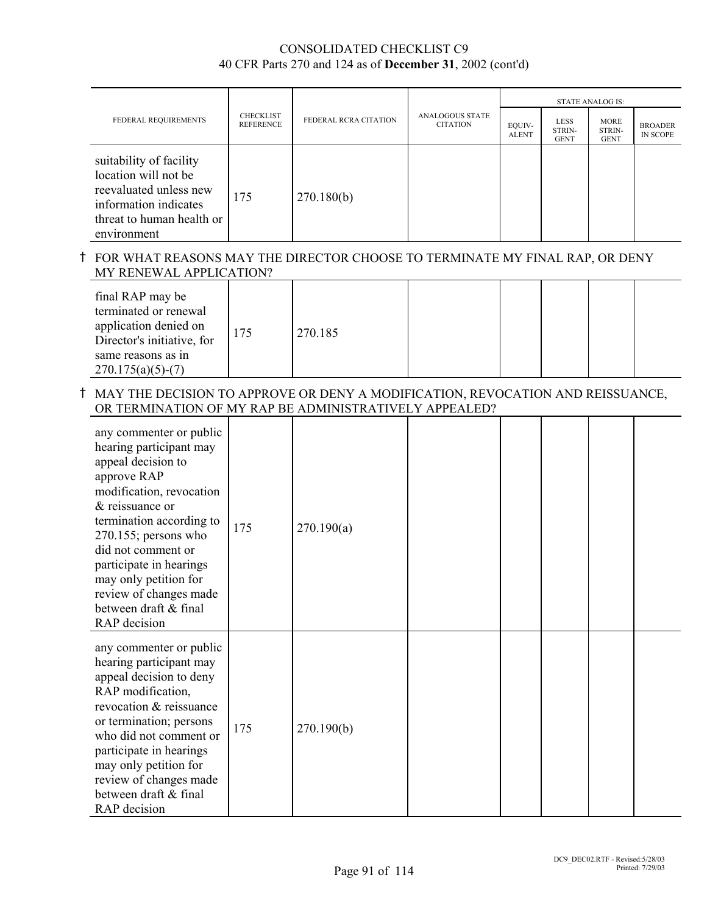|                                                                                                                                                |                                      |                       |                                           | <b>STATE ANALOG IS:</b> |                                      |                                      |                                   |  |
|------------------------------------------------------------------------------------------------------------------------------------------------|--------------------------------------|-----------------------|-------------------------------------------|-------------------------|--------------------------------------|--------------------------------------|-----------------------------------|--|
| FEDERAL REQUIREMENTS                                                                                                                           | <b>CHECKLIST</b><br><b>REFERENCE</b> | FEDERAL RCRA CITATION | <b>ANALOGOUS STATE</b><br><b>CITATION</b> | EQUIV-<br><b>ALENT</b>  | <b>LESS</b><br>STRIN-<br><b>GENT</b> | <b>MORE</b><br>STRIN-<br><b>GENT</b> | <b>BROADER</b><br><b>IN SCOPE</b> |  |
| suitability of facility<br>location will not be<br>reevaluated unless new<br>information indicates<br>threat to human health or<br>environment | 175                                  | 270.180(b)            |                                           |                         |                                      |                                      |                                   |  |

# H FOR WHAT REASONS MAY THE DIRECTOR CHOOSE TO TERMINATE MY FINAL RAP, OR DENY MY RENEWAL APPLICATION?

| final RAP may be<br>terminated or renewal<br>application denied on<br>Director's initiative, for<br>same reasons as in<br>$270.175(a)(5)-(7)$ | 175 | 270.185 |  |  |  |  |  |
|-----------------------------------------------------------------------------------------------------------------------------------------------|-----|---------|--|--|--|--|--|
|-----------------------------------------------------------------------------------------------------------------------------------------------|-----|---------|--|--|--|--|--|

## H MAY THE DECISION TO APPROVE OR DENY A MODIFICATION, REVOCATION AND REISSUANCE, OR TERMINATION OF MY RAP BE ADMINISTRATIVELY APPEALED?

| any commenter or public<br>hearing participant may<br>appeal decision to<br>approve RAP<br>modification, revocation<br>& reissuance or<br>termination according to<br>$270.155$ ; persons who<br>did not comment or<br>participate in hearings<br>may only petition for<br>review of changes made<br>between draft & final<br>RAP decision | 175 | 270.190(a) |  |  |  |
|--------------------------------------------------------------------------------------------------------------------------------------------------------------------------------------------------------------------------------------------------------------------------------------------------------------------------------------------|-----|------------|--|--|--|
| any commenter or public<br>hearing participant may<br>appeal decision to deny<br>RAP modification,<br>revocation & reissuance<br>or termination; persons<br>who did not comment or<br>participate in hearings<br>may only petition for<br>review of changes made<br>between draft & final<br>RAP decision                                  | 175 | 270.190(b) |  |  |  |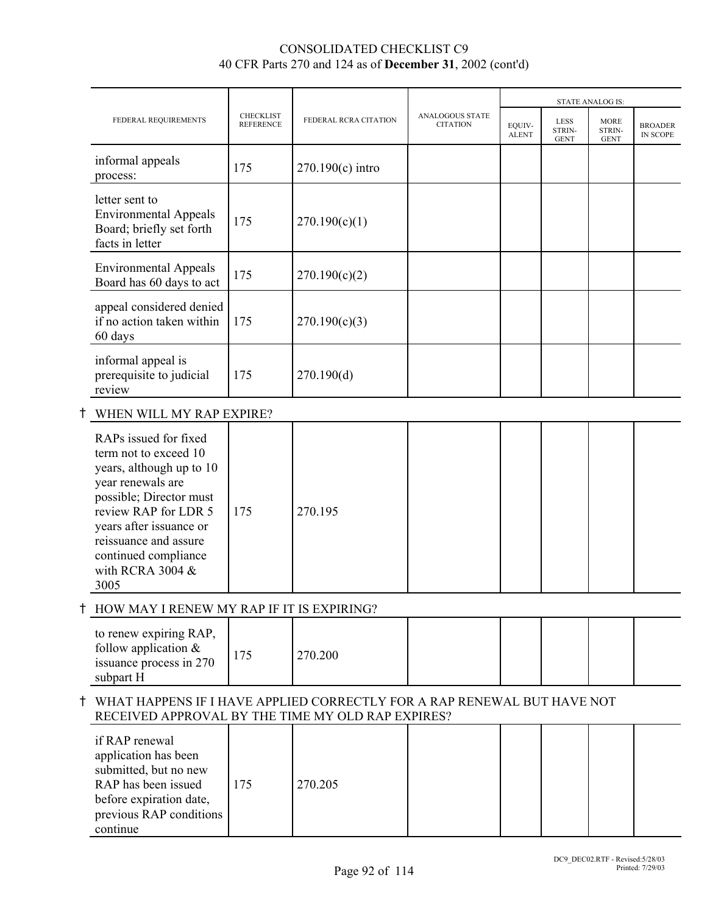|                                                                                               |                                      |                       |                                           |                        |                                      | <b>STATE ANALOG IS:</b>              |                                   |
|-----------------------------------------------------------------------------------------------|--------------------------------------|-----------------------|-------------------------------------------|------------------------|--------------------------------------|--------------------------------------|-----------------------------------|
| FEDERAL REQUIREMENTS                                                                          | <b>CHECKLIST</b><br><b>REFERENCE</b> | FEDERAL RCRA CITATION | <b>ANALOGOUS STATE</b><br><b>CITATION</b> | EQUIV-<br><b>ALENT</b> | <b>LESS</b><br>STRIN-<br><b>GENT</b> | <b>MORE</b><br>STRIN-<br><b>GENT</b> | <b>BROADER</b><br><b>IN SCOPE</b> |
| informal appeals<br>process:                                                                  | 175                                  | $270.190(c)$ intro    |                                           |                        |                                      |                                      |                                   |
| letter sent to<br><b>Environmental Appeals</b><br>Board; briefly set forth<br>facts in letter | 175                                  | 270.190(c)(1)         |                                           |                        |                                      |                                      |                                   |
| <b>Environmental Appeals</b><br>Board has 60 days to act                                      | 175                                  | 270.190(c)(2)         |                                           |                        |                                      |                                      |                                   |
| appeal considered denied<br>if no action taken within<br>60 days                              | 175                                  | 270.190(c)(3)         |                                           |                        |                                      |                                      |                                   |
| informal appeal is<br>prerequisite to judicial<br>review                                      | 175                                  | 270.190(d)            |                                           |                        |                                      |                                      |                                   |

# $\dagger$  WHEN WILL MY RAP EXPIRE?

| RAPs issued for fixed<br>term not to exceed 10<br>years, although up to 10<br>year renewals are<br>possible; Director must<br>review RAP for LDR 5<br>years after issuance or<br>reissuance and assure<br>continued compliance<br>with RCRA 3004 $&$<br>3005 | 175 | 270.195 |  |  |  |  |  |
|--------------------------------------------------------------------------------------------------------------------------------------------------------------------------------------------------------------------------------------------------------------|-----|---------|--|--|--|--|--|
|--------------------------------------------------------------------------------------------------------------------------------------------------------------------------------------------------------------------------------------------------------------|-----|---------|--|--|--|--|--|

# $\dagger$  HOW MAY I RENEW MY RAP IF IT IS EXPIRING?

| to renew expiring RAP,<br>follow application $\&$<br>issuance process in 270<br>subpart H |  | 270.200 |  |  |  |  |  |
|-------------------------------------------------------------------------------------------|--|---------|--|--|--|--|--|
|-------------------------------------------------------------------------------------------|--|---------|--|--|--|--|--|

#### H WHAT HAPPENS IF I HAVE APPLIED CORRECTLY FOR A RAP RENEWAL BUT HAVE NOT RECEIVED APPROVAL BY THE TIME MY OLD RAP EXPIRES?

| if RAP renewal<br>application has been<br>submitted, but no new<br>RAP has been issued<br>before expiration date,<br>previous RAP conditions<br>continue | 175 | 270.205 |  |  |  |  |  |
|----------------------------------------------------------------------------------------------------------------------------------------------------------|-----|---------|--|--|--|--|--|
|----------------------------------------------------------------------------------------------------------------------------------------------------------|-----|---------|--|--|--|--|--|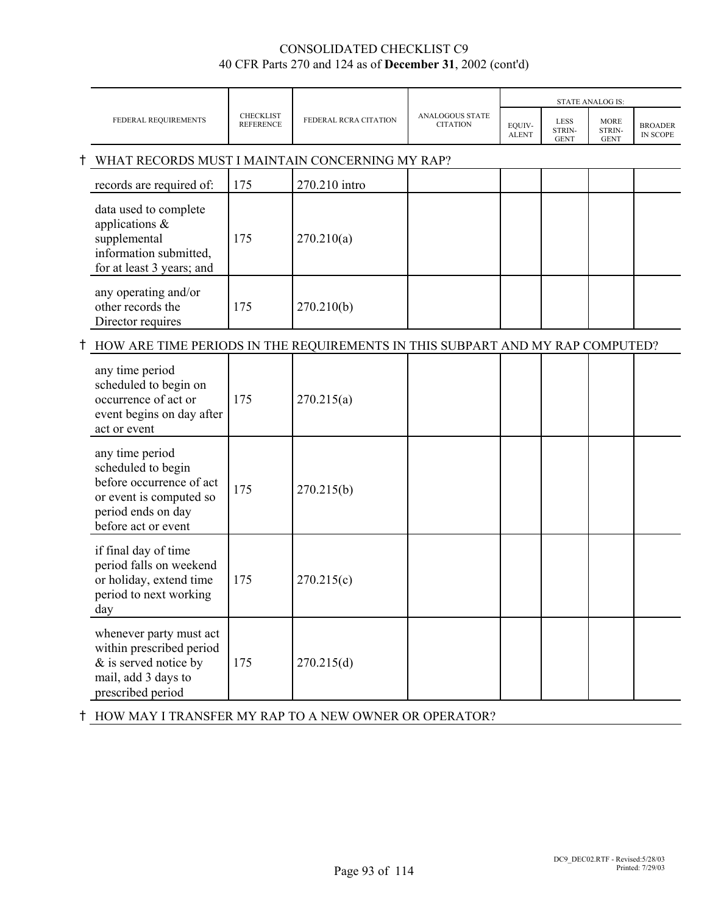|   |                                                                                                                                           |                                      |                       |                                           |                        | <b>STATE ANALOG IS:</b>              |                                      |                                   |
|---|-------------------------------------------------------------------------------------------------------------------------------------------|--------------------------------------|-----------------------|-------------------------------------------|------------------------|--------------------------------------|--------------------------------------|-----------------------------------|
|   | FEDERAL REQUIREMENTS                                                                                                                      | <b>CHECKLIST</b><br><b>REFERENCE</b> | FEDERAL RCRA CITATION | <b>ANALOGOUS STATE</b><br><b>CITATION</b> | EQUIV-<br><b>ALENT</b> | <b>LESS</b><br>STRIN-<br><b>GENT</b> | <b>MORE</b><br>STRIN-<br><b>GENT</b> | <b>BROADER</b><br><b>IN SCOPE</b> |
| Ť | WHAT RECORDS MUST I MAINTAIN CONCERNING MY RAP?                                                                                           |                                      |                       |                                           |                        |                                      |                                      |                                   |
|   | records are required of:                                                                                                                  | 175                                  | 270.210 intro         |                                           |                        |                                      |                                      |                                   |
|   | data used to complete<br>applications $\&$<br>supplemental<br>information submitted,<br>for at least 3 years; and                         | 175                                  | 270.210(a)            |                                           |                        |                                      |                                      |                                   |
|   | any operating and/or<br>other records the<br>Director requires                                                                            | 175                                  | 270.210(b)            |                                           |                        |                                      |                                      |                                   |
|   | <sup>†</sup> HOW ARE TIME PERIODS IN THE REQUIREMENTS IN THIS SUBPART AND MY RAP COMPUTED?                                                |                                      |                       |                                           |                        |                                      |                                      |                                   |
|   | any time period<br>scheduled to begin on<br>occurrence of act or<br>event begins on day after<br>act or event                             | 175                                  | 270.215(a)            |                                           |                        |                                      |                                      |                                   |
|   | any time period<br>scheduled to begin<br>before occurrence of act<br>or event is computed so<br>period ends on day<br>before act or event | 175                                  | 270.215(b)            |                                           |                        |                                      |                                      |                                   |
|   | if final day of time<br>period falls on weekend<br>or holiday, extend time<br>period to next working<br>day                               | 175                                  | 270.215(c)            |                                           |                        |                                      |                                      |                                   |
|   | whenever party must act<br>within prescribed period<br>& is served notice by<br>mail, add 3 days to<br>prescribed period                  | 175                                  | 270.215(d)            |                                           |                        |                                      |                                      |                                   |

H HOW MAY I TRANSFER MY RAP TO A NEW OWNER OR OPERATOR?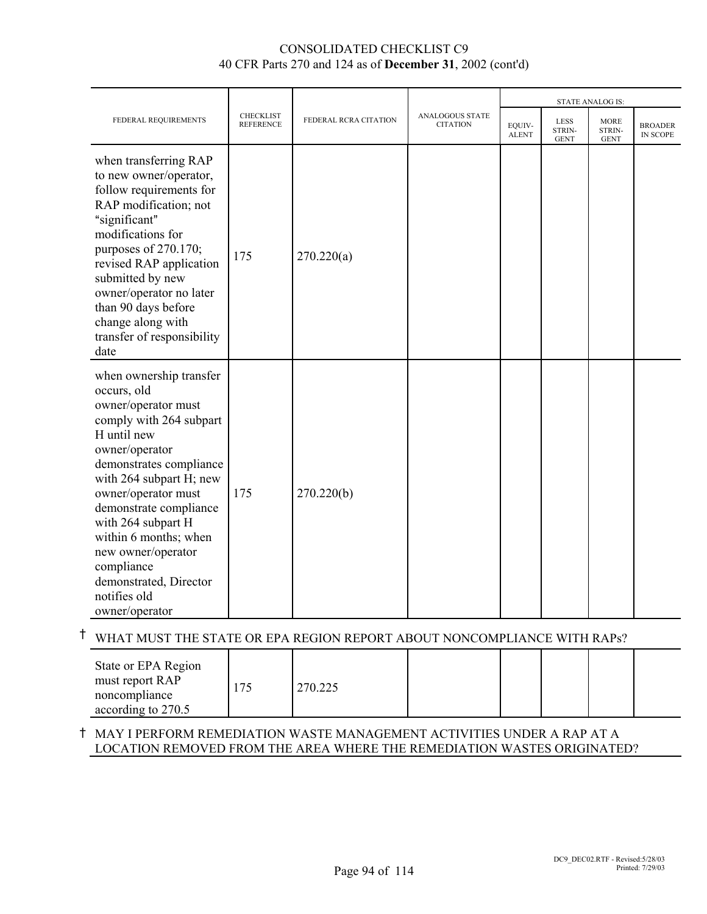|                                                                                                                                                                                                                                                                                                                                                                                 |                                      |                       |                                    |                        |                               | <b>STATE ANALOG IS:</b>              |                            |
|---------------------------------------------------------------------------------------------------------------------------------------------------------------------------------------------------------------------------------------------------------------------------------------------------------------------------------------------------------------------------------|--------------------------------------|-----------------------|------------------------------------|------------------------|-------------------------------|--------------------------------------|----------------------------|
| FEDERAL REQUIREMENTS                                                                                                                                                                                                                                                                                                                                                            | <b>CHECKLIST</b><br><b>REFERENCE</b> | FEDERAL RCRA CITATION | ANALOGOUS STATE<br><b>CITATION</b> | EQUIV-<br><b>ALENT</b> | LESS<br>STRIN-<br><b>GENT</b> | <b>MORE</b><br>STRIN-<br><b>GENT</b> | <b>BROADER</b><br>IN SCOPE |
| when transferring RAP<br>to new owner/operator,<br>follow requirements for<br>RAP modification; not<br>"significant"<br>modifications for<br>purposes of 270.170;<br>revised RAP application<br>submitted by new<br>owner/operator no later<br>than 90 days before<br>change along with<br>transfer of responsibility<br>date                                                   | 175                                  | 270.220(a)            |                                    |                        |                               |                                      |                            |
| when ownership transfer<br>occurs, old<br>owner/operator must<br>comply with 264 subpart<br>H until new<br>owner/operator<br>demonstrates compliance<br>with 264 subpart H; new<br>owner/operator must<br>demonstrate compliance<br>with 264 subpart H<br>within 6 months; when<br>new owner/operator<br>compliance<br>demonstrated, Director<br>notifies old<br>owner/operator | 175                                  | 270.220(b)            |                                    |                        |                               |                                      |                            |

# H WHAT MUST THE STATE OR EPA REGION REPORT ABOUT NONCOMPLIANCE WITH RAPs?

| State or EPA Region<br>must report RAP<br>noncompliance | 270.225 |  |  |  |
|---------------------------------------------------------|---------|--|--|--|
| according to 270.5                                      |         |  |  |  |

#### H MAY I PERFORM REMEDIATION WASTE MANAGEMENT ACTIVITIES UNDER A RAP AT A LOCATION REMOVED FROM THE AREA WHERE THE REMEDIATION WASTES ORIGINATED?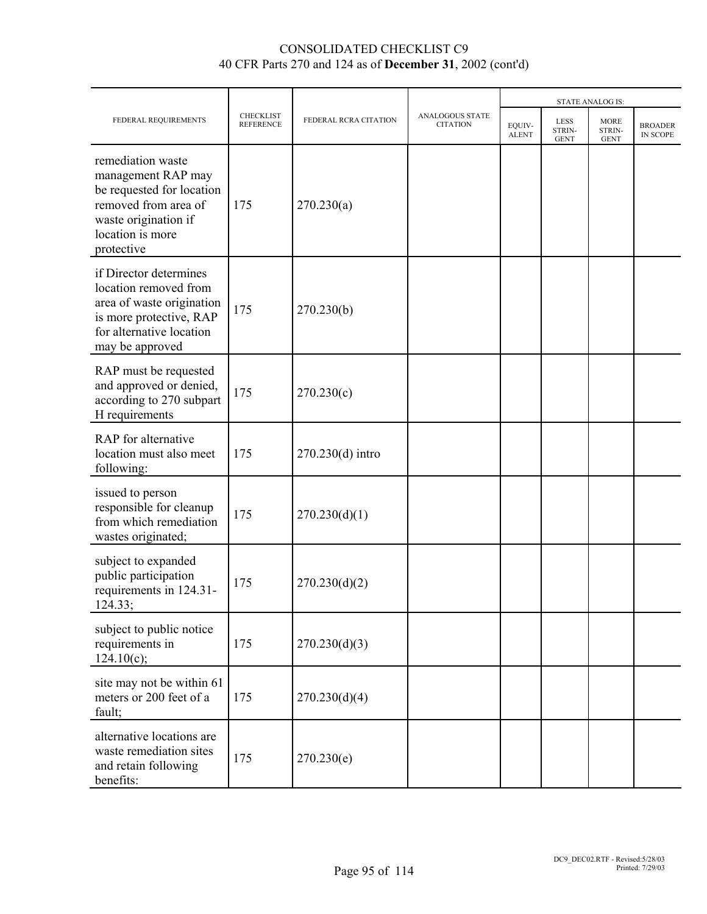|                                                                                                                                                        |                                      |                       |                                           |                        | <b>STATE ANALOG IS:</b>              |                                      |                            |
|--------------------------------------------------------------------------------------------------------------------------------------------------------|--------------------------------------|-----------------------|-------------------------------------------|------------------------|--------------------------------------|--------------------------------------|----------------------------|
| FEDERAL REQUIREMENTS                                                                                                                                   | <b>CHECKLIST</b><br><b>REFERENCE</b> | FEDERAL RCRA CITATION | <b>ANALOGOUS STATE</b><br><b>CITATION</b> | EQUIV-<br><b>ALENT</b> | <b>LESS</b><br>STRIN-<br><b>GENT</b> | <b>MORE</b><br>STRIN-<br><b>GENT</b> | <b>BROADER</b><br>IN SCOPE |
| remediation waste<br>management RAP may<br>be requested for location<br>removed from area of<br>waste origination if<br>location is more<br>protective | 175                                  | 270.230(a)            |                                           |                        |                                      |                                      |                            |
| if Director determines<br>location removed from<br>area of waste origination<br>is more protective, RAP<br>for alternative location<br>may be approved | 175                                  | 270.230(b)            |                                           |                        |                                      |                                      |                            |
| RAP must be requested<br>and approved or denied,<br>according to 270 subpart<br>H requirements                                                         | 175                                  | 270.230(c)            |                                           |                        |                                      |                                      |                            |
| RAP for alternative<br>location must also meet<br>following:                                                                                           | 175                                  | 270.230(d) intro      |                                           |                        |                                      |                                      |                            |
| issued to person<br>responsible for cleanup<br>from which remediation<br>wastes originated;                                                            | 175                                  | 270.230(d)(1)         |                                           |                        |                                      |                                      |                            |
| subject to expanded<br>public participation<br>requirements in 124.31-<br>124.33;                                                                      | 175                                  | 270.230(d)(2)         |                                           |                        |                                      |                                      |                            |
| subject to public notice<br>requirements in<br>124.10(c);                                                                                              | 175                                  | 270.230(d)(3)         |                                           |                        |                                      |                                      |                            |
| site may not be within 61<br>meters or 200 feet of a<br>fault;                                                                                         | 175                                  | 270.230(d)(4)         |                                           |                        |                                      |                                      |                            |
| alternative locations are<br>waste remediation sites<br>and retain following<br>benefits:                                                              | 175                                  | 270.230(e)            |                                           |                        |                                      |                                      |                            |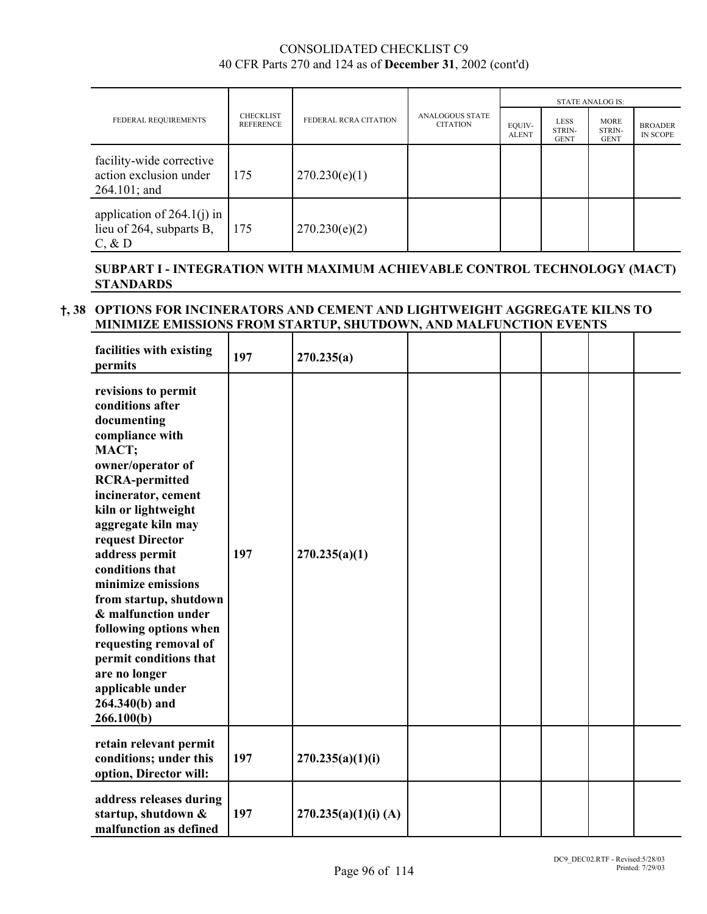|                                                                       |                                             |                       |                                           |                        |                                      | <b>STATE ANALOG IS:</b>              |                                   |
|-----------------------------------------------------------------------|---------------------------------------------|-----------------------|-------------------------------------------|------------------------|--------------------------------------|--------------------------------------|-----------------------------------|
| FEDERAL REQUIREMENTS                                                  | <b>CHECKLIST</b><br><b>REFERENCE</b><br>175 | FEDERAL RCRA CITATION | <b>ANALOGOUS STATE</b><br><b>CITATION</b> | EQUIV-<br><b>ALENT</b> | <b>LESS</b><br>STRIN-<br><b>GENT</b> | <b>MORE</b><br>STRIN-<br><b>GENT</b> | <b>BROADER</b><br><b>IN SCOPE</b> |
| facility-wide corrective<br>action exclusion under<br>$264.101$ ; and |                                             | 270.230(e)(1)         |                                           |                        |                                      |                                      |                                   |
| application of $264.1(j)$ in<br>lieu of 264, subparts B,<br>$C, \& D$ | 175                                         | 270.230(e)(2)         |                                           |                        |                                      |                                      |                                   |

#### **SUBPART I - INTEGRATION WITH MAXIMUM ACHIEVABLE CONTROL TECHNOLOGY (MACT) STANDARDS**

#### H**, 38 OPTIONS FOR INCINERATORS AND CEMENT AND LIGHTWEIGHT AGGREGATE KILNS TO MINIMIZE EMISSIONS FROM STARTUP, SHUTDOWN, AND MALFUNCTION EVENTS**

| facilities with existing<br>permits                                                                                                                                                                                                                                                                                                                                                                                                                                                    | 197 | 270.235(a)           |  |  |  |
|----------------------------------------------------------------------------------------------------------------------------------------------------------------------------------------------------------------------------------------------------------------------------------------------------------------------------------------------------------------------------------------------------------------------------------------------------------------------------------------|-----|----------------------|--|--|--|
| revisions to permit<br>conditions after<br>documenting<br>compliance with<br>MACT;<br>owner/operator of<br><b>RCRA-permitted</b><br>incinerator, cement<br>kiln or lightweight<br>aggregate kiln may<br>request Director<br>address permit<br>conditions that<br>minimize emissions<br>from startup, shutdown<br>& malfunction under<br>following options when<br>requesting removal of<br>permit conditions that<br>are no longer<br>applicable under<br>264.340(b) and<br>266.100(b) | 197 | 270.235(a)(1)        |  |  |  |
| retain relevant permit<br>conditions; under this<br>option, Director will:                                                                                                                                                                                                                                                                                                                                                                                                             | 197 | 270.235(a)(1)(i)     |  |  |  |
| address releases during<br>startup, shutdown &<br>malfunction as defined                                                                                                                                                                                                                                                                                                                                                                                                               | 197 | 270.235(a)(1)(i) (A) |  |  |  |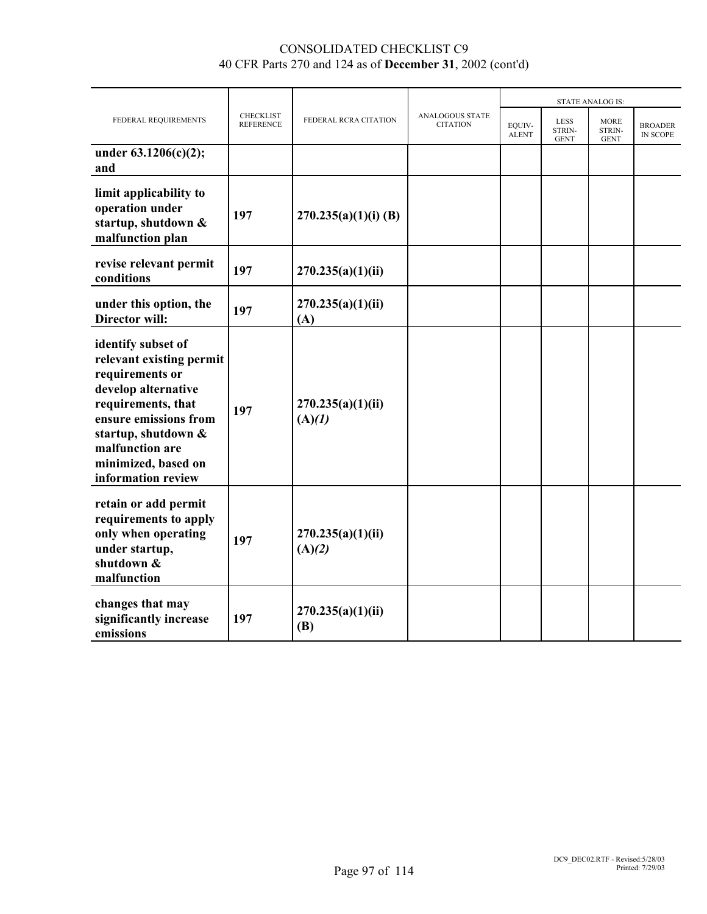|                                                                                                                                                                                                                                |                                      |                             |                                           | <b>STATE ANALOG IS:</b> |                                             |                                      |                            |
|--------------------------------------------------------------------------------------------------------------------------------------------------------------------------------------------------------------------------------|--------------------------------------|-----------------------------|-------------------------------------------|-------------------------|---------------------------------------------|--------------------------------------|----------------------------|
| FEDERAL REQUIREMENTS                                                                                                                                                                                                           | <b>CHECKLIST</b><br><b>REFERENCE</b> | FEDERAL RCRA CITATION       | <b>ANALOGOUS STATE</b><br><b>CITATION</b> | EQUIV-<br><b>ALENT</b>  | <b>LESS</b><br><b>STRIN-</b><br><b>GENT</b> | <b>MORE</b><br>STRIN-<br><b>GENT</b> | <b>BROADER</b><br>IN SCOPE |
| under 63.1206(c)(2);<br>and                                                                                                                                                                                                    |                                      |                             |                                           |                         |                                             |                                      |                            |
| limit applicability to<br>operation under<br>startup, shutdown &<br>malfunction plan                                                                                                                                           | 197                                  | $270.235(a)(1)(i)$ (B)      |                                           |                         |                                             |                                      |                            |
| revise relevant permit<br>conditions                                                                                                                                                                                           | 197                                  | 270.235(a)(1)(ii)           |                                           |                         |                                             |                                      |                            |
| under this option, the<br><b>Director will:</b>                                                                                                                                                                                | 197                                  | 270.235(a)(1)(ii)<br>(A)    |                                           |                         |                                             |                                      |                            |
| identify subset of<br>relevant existing permit<br>requirements or<br>develop alternative<br>requirements, that<br>ensure emissions from<br>startup, shutdown &<br>malfunction are<br>minimized, based on<br>information review | 197                                  | 270.235(a)(1)(ii)<br>(A)(1) |                                           |                         |                                             |                                      |                            |
| retain or add permit<br>requirements to apply<br>only when operating<br>under startup,<br>shutdown &<br>malfunction                                                                                                            | 197                                  | 270.235(a)(1)(ii)<br>(A)(2) |                                           |                         |                                             |                                      |                            |
| changes that may<br>significantly increase<br>emissions                                                                                                                                                                        | 197                                  | 270.235(a)(1)(ii)<br>(B)    |                                           |                         |                                             |                                      |                            |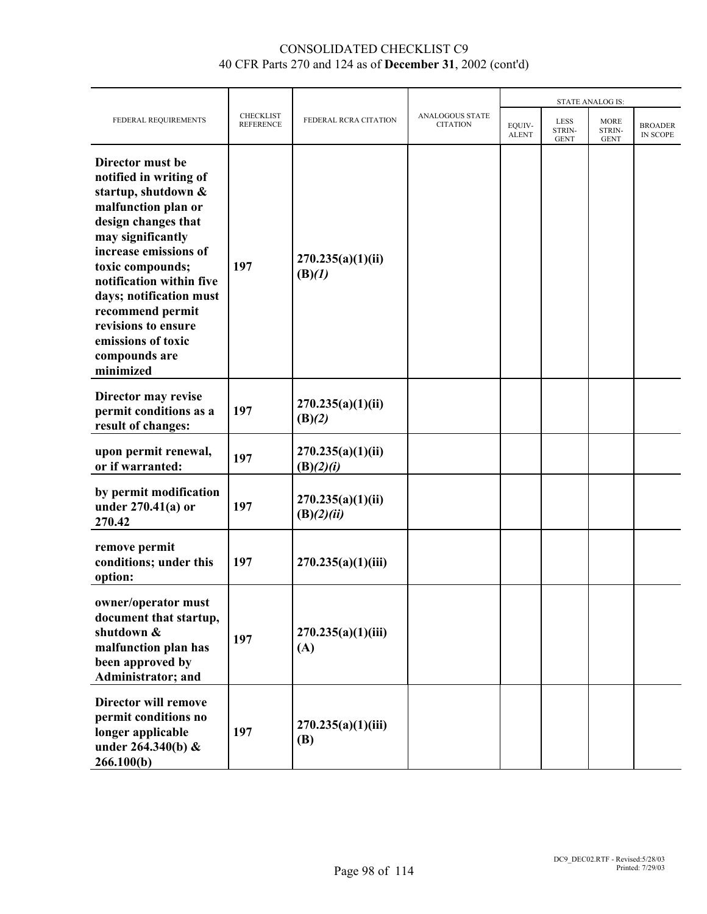|                                                                                                                                                                                                                                                                                                                                         |                                      |                                 |                                           | <b>STATE ANALOG IS:</b> |                                      |                                      |                            |
|-----------------------------------------------------------------------------------------------------------------------------------------------------------------------------------------------------------------------------------------------------------------------------------------------------------------------------------------|--------------------------------------|---------------------------------|-------------------------------------------|-------------------------|--------------------------------------|--------------------------------------|----------------------------|
| FEDERAL REQUIREMENTS                                                                                                                                                                                                                                                                                                                    | <b>CHECKLIST</b><br><b>REFERENCE</b> | FEDERAL RCRA CITATION           | <b>ANALOGOUS STATE</b><br><b>CITATION</b> | EQUIV-<br><b>ALENT</b>  | <b>LESS</b><br>STRIN-<br><b>GENT</b> | <b>MORE</b><br>STRIN-<br><b>GENT</b> | <b>BROADER</b><br>IN SCOPE |
| Director must be<br>notified in writing of<br>startup, shutdown &<br>malfunction plan or<br>design changes that<br>may significantly<br>increase emissions of<br>toxic compounds;<br>notification within five<br>days; notification must<br>recommend permit<br>revisions to ensure<br>emissions of toxic<br>compounds are<br>minimized | 197                                  | 270.235(a)(1)(ii)<br>(B)(1)     |                                           |                         |                                      |                                      |                            |
| Director may revise<br>permit conditions as a<br>result of changes:                                                                                                                                                                                                                                                                     | 197                                  | 270.235(a)(1)(ii)<br>(B)(2)     |                                           |                         |                                      |                                      |                            |
| upon permit renewal,<br>or if warranted:                                                                                                                                                                                                                                                                                                | 197                                  | 270.235(a)(1)(ii)<br>(B)(2)(i)  |                                           |                         |                                      |                                      |                            |
| by permit modification<br>under $270.41(a)$ or<br>270.42                                                                                                                                                                                                                                                                                | 197                                  | 270.235(a)(1)(ii)<br>(B)(2)(ii) |                                           |                         |                                      |                                      |                            |
| remove permit<br>conditions; under this<br>option:                                                                                                                                                                                                                                                                                      | 197                                  | 270.235(a)(1)(iii)              |                                           |                         |                                      |                                      |                            |
| owner/operator must<br>document that startup,<br>shutdown &<br>malfunction plan has<br>been approved by<br>Administrator; and                                                                                                                                                                                                           | 197                                  | 270.235(a)(1)(iii)<br>(A)       |                                           |                         |                                      |                                      |                            |
| <b>Director will remove</b><br>permit conditions no<br>longer applicable<br>under $264.340(b)$ &<br>266.100(b)                                                                                                                                                                                                                          | 197                                  | 270.235(a)(1)(iii)<br>(B)       |                                           |                         |                                      |                                      |                            |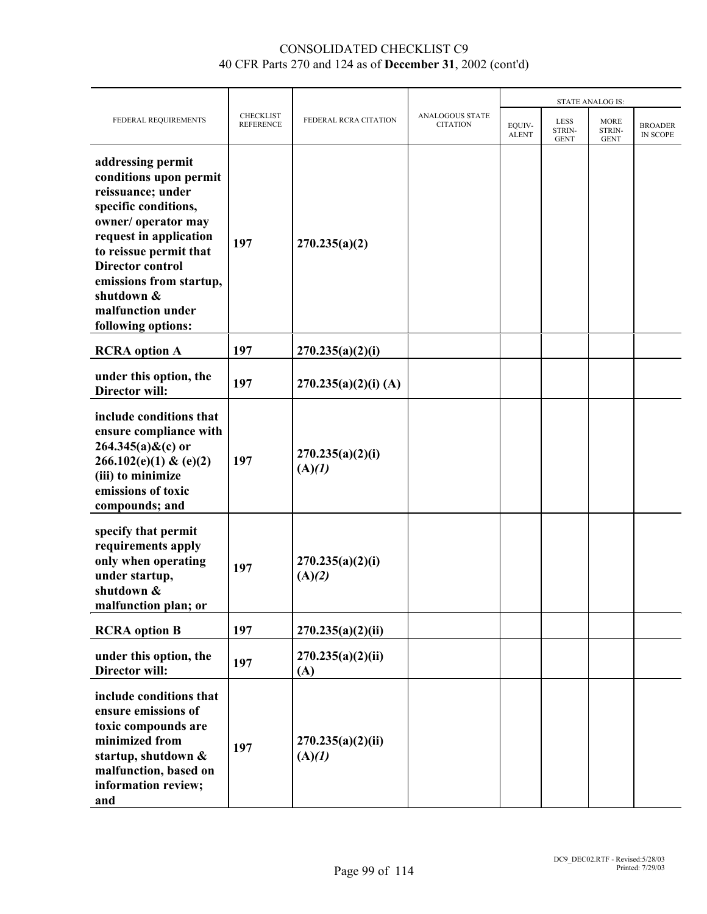|                                                                                                                                                                                                                                                                                   |                                      |                             |                                    | <b>STATE ANALOG IS:</b> |                                      |                                      |                                   |
|-----------------------------------------------------------------------------------------------------------------------------------------------------------------------------------------------------------------------------------------------------------------------------------|--------------------------------------|-----------------------------|------------------------------------|-------------------------|--------------------------------------|--------------------------------------|-----------------------------------|
| FEDERAL REQUIREMENTS                                                                                                                                                                                                                                                              | <b>CHECKLIST</b><br><b>REFERENCE</b> | FEDERAL RCRA CITATION       | ANALOGOUS STATE<br><b>CITATION</b> | EOUIV-<br><b>ALENT</b>  | <b>LESS</b><br>STRIN-<br><b>GENT</b> | <b>MORE</b><br>STRIN-<br><b>GENT</b> | <b>BROADER</b><br><b>IN SCOPE</b> |
| addressing permit<br>conditions upon permit<br>reissuance; under<br>specific conditions,<br>owner/operator may<br>request in application<br>to reissue permit that<br><b>Director control</b><br>emissions from startup,<br>shutdown &<br>malfunction under<br>following options: | 197                                  | 270.235(a)(2)               |                                    |                         |                                      |                                      |                                   |
| <b>RCRA</b> option A                                                                                                                                                                                                                                                              | 197                                  | 270.235(a)(2)(i)            |                                    |                         |                                      |                                      |                                   |
| under this option, the<br><b>Director will:</b>                                                                                                                                                                                                                                   | 197                                  | $270.235(a)(2)(i)$ (A)      |                                    |                         |                                      |                                      |                                   |
| include conditions that<br>ensure compliance with<br>$264.345(a)$ &(c) or<br>266.102(e)(1) & (e)(2)<br>(iii) to minimize<br>emissions of toxic<br>compounds; and                                                                                                                  | 197                                  | 270.235(a)(2)(i)<br>(A)(I)  |                                    |                         |                                      |                                      |                                   |
| specify that permit<br>requirements apply<br>only when operating<br>under startup,<br>shutdown &<br>malfunction plan; or                                                                                                                                                          | 197                                  | 270.235(a)(2)(i)<br>(A)(2)  |                                    |                         |                                      |                                      |                                   |
| <b>RCRA</b> option B                                                                                                                                                                                                                                                              | 197                                  | 270.235(a)(2)(ii)           |                                    |                         |                                      |                                      |                                   |
| under this option, the<br><b>Director will:</b>                                                                                                                                                                                                                                   | 197                                  | 270.235(a)(2)(ii)<br>(A)    |                                    |                         |                                      |                                      |                                   |
| include conditions that<br>ensure emissions of<br>toxic compounds are<br>minimized from<br>startup, shutdown &<br>malfunction, based on<br>information review;<br>and                                                                                                             | 197                                  | 270.235(a)(2)(ii)<br>(A)(1) |                                    |                         |                                      |                                      |                                   |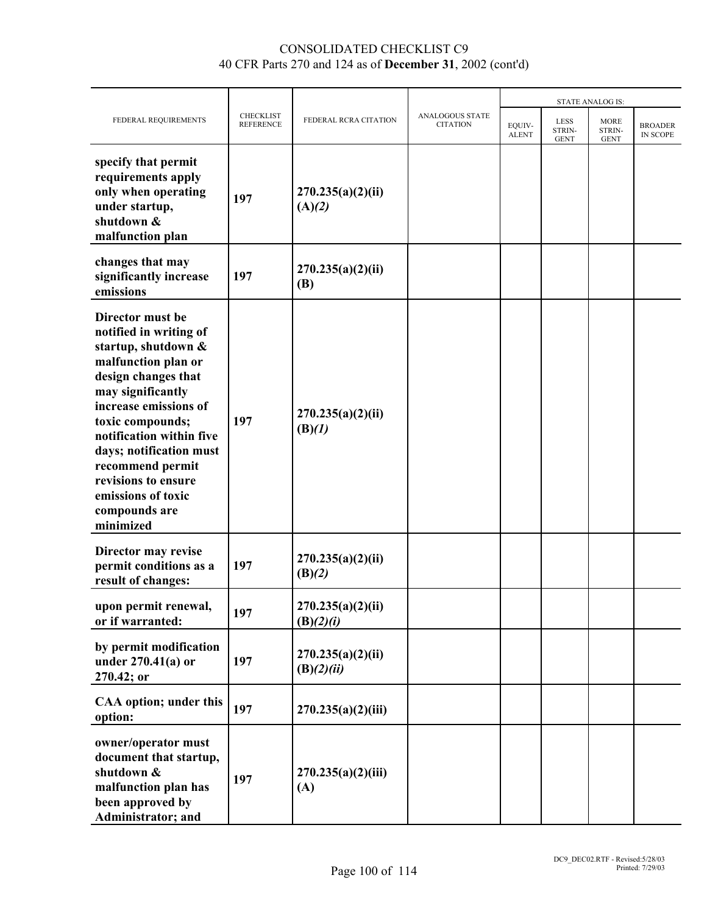|                                                                                                                                                                                                                                                                                                                                         |                                      |                                 |                                           | <b>STATE ANALOG IS:</b> |                                      |                                      |                                   |
|-----------------------------------------------------------------------------------------------------------------------------------------------------------------------------------------------------------------------------------------------------------------------------------------------------------------------------------------|--------------------------------------|---------------------------------|-------------------------------------------|-------------------------|--------------------------------------|--------------------------------------|-----------------------------------|
| FEDERAL REQUIREMENTS                                                                                                                                                                                                                                                                                                                    | <b>CHECKLIST</b><br><b>REFERENCE</b> | FEDERAL RCRA CITATION           | <b>ANALOGOUS STATE</b><br><b>CITATION</b> | EOUIV-<br><b>ALENT</b>  | <b>LESS</b><br>STRIN-<br><b>GENT</b> | <b>MORE</b><br>STRIN-<br><b>GENT</b> | <b>BROADER</b><br><b>IN SCOPE</b> |
| specify that permit<br>requirements apply<br>only when operating<br>under startup,<br>shutdown &<br>malfunction plan                                                                                                                                                                                                                    | 197                                  | 270.235(a)(2)(ii)<br>(A)(2)     |                                           |                         |                                      |                                      |                                   |
| changes that may<br>significantly increase<br>emissions                                                                                                                                                                                                                                                                                 | 197                                  | 270.235(a)(2)(ii)<br><b>(B)</b> |                                           |                         |                                      |                                      |                                   |
| Director must be<br>notified in writing of<br>startup, shutdown &<br>malfunction plan or<br>design changes that<br>may significantly<br>increase emissions of<br>toxic compounds;<br>notification within five<br>days; notification must<br>recommend permit<br>revisions to ensure<br>emissions of toxic<br>compounds are<br>minimized | 197                                  | 270.235(a)(2)(ii)<br>(B)(1)     |                                           |                         |                                      |                                      |                                   |
| Director may revise<br>permit conditions as a<br>result of changes:                                                                                                                                                                                                                                                                     | 197                                  | 270.235(a)(2)(ii)<br>(B)(2)     |                                           |                         |                                      |                                      |                                   |
| upon permit renewal,<br>or if warranted:                                                                                                                                                                                                                                                                                                | 197                                  | 270.235(a)(2)(ii)<br>(B)(2)(i)  |                                           |                         |                                      |                                      |                                   |
| by permit modification<br>under $270.41(a)$ or<br>270.42; or                                                                                                                                                                                                                                                                            | 197                                  | 270.235(a)(2)(ii)<br>(B)(2)(ii) |                                           |                         |                                      |                                      |                                   |
| <b>CAA</b> option; under this<br>option:                                                                                                                                                                                                                                                                                                | 197                                  | 270.235(a)(2)(iii)              |                                           |                         |                                      |                                      |                                   |
| owner/operator must<br>document that startup,<br>shutdown &<br>malfunction plan has<br>been approved by<br>Administrator; and                                                                                                                                                                                                           | 197                                  | 270.235(a)(2)(iii)<br>(A)       |                                           |                         |                                      |                                      |                                   |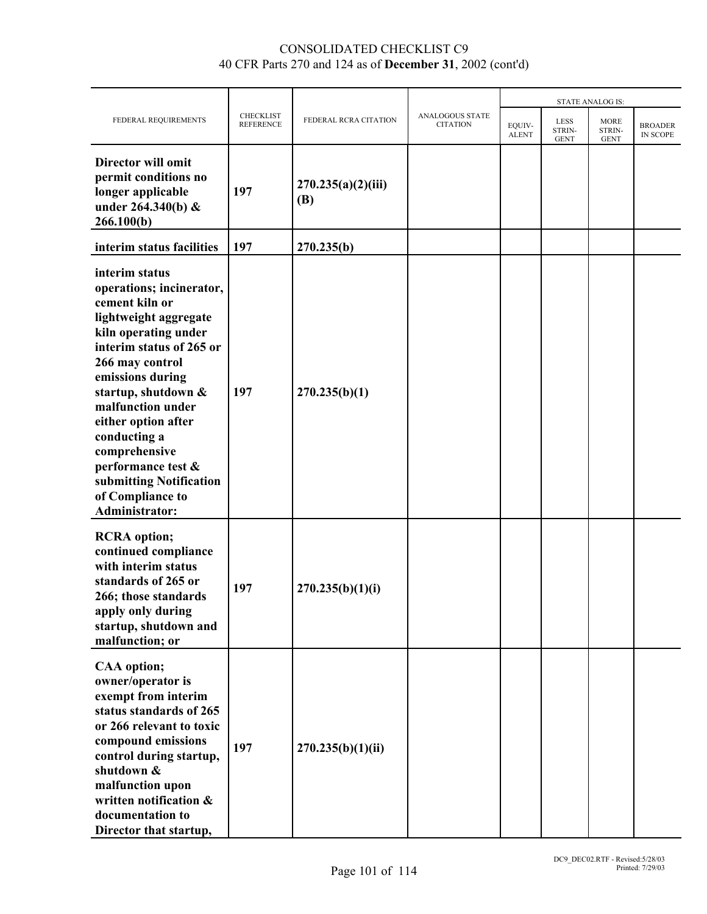|                                                                                                                                                                                                                                                                                                                                                                             |                                      |                           |                                    |                        |                                      |                                      | <b>STATE ANALOG IS:</b>    |  |  |
|-----------------------------------------------------------------------------------------------------------------------------------------------------------------------------------------------------------------------------------------------------------------------------------------------------------------------------------------------------------------------------|--------------------------------------|---------------------------|------------------------------------|------------------------|--------------------------------------|--------------------------------------|----------------------------|--|--|
| FEDERAL REQUIREMENTS                                                                                                                                                                                                                                                                                                                                                        | <b>CHECKLIST</b><br><b>REFERENCE</b> | FEDERAL RCRA CITATION     | ANALOGOUS STATE<br><b>CITATION</b> | EQUIV-<br><b>ALENT</b> | <b>LESS</b><br>STRIN-<br><b>GENT</b> | <b>MORE</b><br>STRIN-<br><b>GENT</b> | <b>BROADER</b><br>IN SCOPE |  |  |
| Director will omit<br>permit conditions no<br>longer applicable<br>under 264.340(b) &<br>266.100(b)                                                                                                                                                                                                                                                                         | 197                                  | 270.235(a)(2)(iii)<br>(B) |                                    |                        |                                      |                                      |                            |  |  |
| interim status facilities                                                                                                                                                                                                                                                                                                                                                   | 197                                  | 270.235(b)                |                                    |                        |                                      |                                      |                            |  |  |
| interim status<br>operations; incinerator,<br>cement kiln or<br>lightweight aggregate<br>kiln operating under<br>interim status of 265 or<br>266 may control<br>emissions during<br>startup, shutdown &<br>malfunction under<br>either option after<br>conducting a<br>comprehensive<br>performance test &<br>submitting Notification<br>of Compliance to<br>Administrator: | 197                                  | 270.235(b)(1)             |                                    |                        |                                      |                                      |                            |  |  |
| <b>RCRA</b> option;<br>continued compliance<br>with interim status<br>standards of 265 or<br>266; those standards<br>apply only during<br>startup, shutdown and<br>malfunction; or                                                                                                                                                                                          | 197                                  | 270.235(b)(1)(i)          |                                    |                        |                                      |                                      |                            |  |  |
| <b>CAA</b> option;<br>owner/operator is<br>exempt from interim<br>status standards of 265<br>or 266 relevant to toxic<br>compound emissions<br>control during startup,<br>shutdown &<br>malfunction upon<br>written notification &<br>documentation to<br>Director that startup,                                                                                            | 197                                  | 270.235(b)(1)(ii)         |                                    |                        |                                      |                                      |                            |  |  |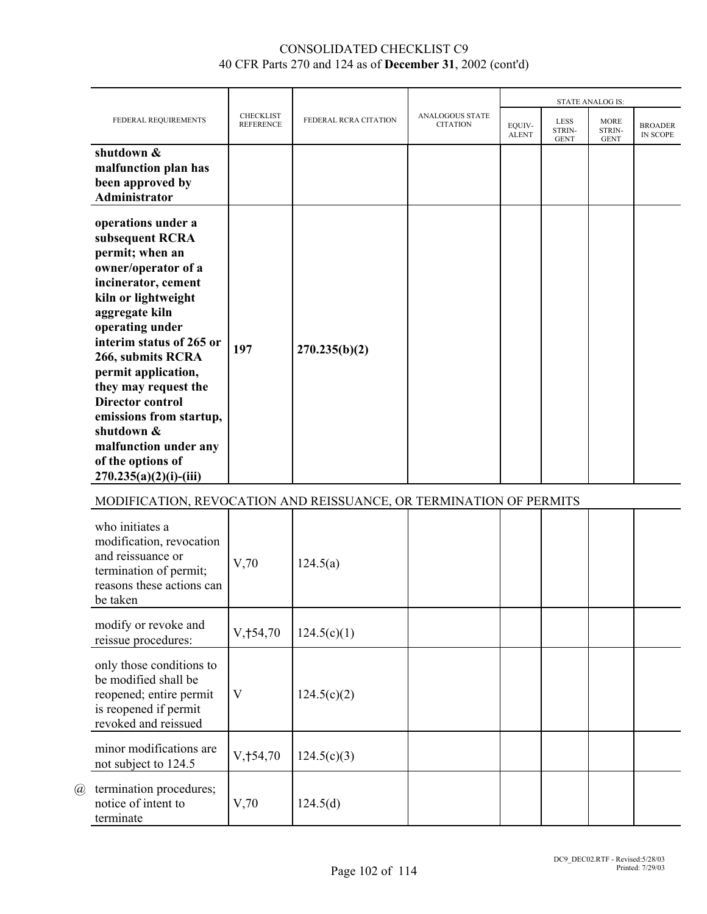|                                                                                                                                                                                                                                                                                                                                                                                                                   |                                      |                       |                                           |                        |                                      | <b>STATE ANALOG IS:</b>              |                                   |
|-------------------------------------------------------------------------------------------------------------------------------------------------------------------------------------------------------------------------------------------------------------------------------------------------------------------------------------------------------------------------------------------------------------------|--------------------------------------|-----------------------|-------------------------------------------|------------------------|--------------------------------------|--------------------------------------|-----------------------------------|
| FEDERAL REQUIREMENTS                                                                                                                                                                                                                                                                                                                                                                                              | <b>CHECKLIST</b><br><b>REFERENCE</b> | FEDERAL RCRA CITATION | <b>ANALOGOUS STATE</b><br><b>CITATION</b> | EOUIV-<br><b>ALENT</b> | <b>LESS</b><br>STRIN-<br><b>GENT</b> | <b>MORE</b><br>STRIN-<br><b>GENT</b> | <b>BROADER</b><br><b>IN SCOPE</b> |
| shutdown &<br>malfunction plan has<br>been approved by<br>Administrator                                                                                                                                                                                                                                                                                                                                           |                                      |                       |                                           |                        |                                      |                                      |                                   |
| operations under a<br>subsequent RCRA<br>permit; when an<br>owner/operator of a<br>incinerator, cement<br>kiln or lightweight<br>aggregate kiln<br>operating under<br>interim status of 265 or<br>266, submits RCRA<br>permit application,<br>they may request the<br><b>Director control</b><br>emissions from startup,<br>shutdown &<br>malfunction under any<br>of the options of<br>$270.235(a)(2)(i)$ -(iii) | 197                                  | 270.235(b)(2)         |                                           |                        |                                      |                                      |                                   |

# MODIFICATION, REVOCATION AND REISSUANCE, OR TERMINATION OF PERMITS

|   | who initiates a<br>modification, revocation<br>and reissuance or<br>termination of permit;<br>reasons these actions can<br>be taken | V,70                   | 124.5(a)    |  |  |  |
|---|-------------------------------------------------------------------------------------------------------------------------------------|------------------------|-------------|--|--|--|
|   | modify or revoke and<br>reissue procedures:                                                                                         | $V, \frac{1}{2}$ 54,70 | 124.5(c)(1) |  |  |  |
|   | only those conditions to<br>be modified shall be<br>reopened; entire permit<br>is reopened if permit<br>revoked and reissued        | V                      | 124.5(c)(2) |  |  |  |
|   | minor modifications are<br>not subject to 124.5                                                                                     | $V, +54, 70$           | 124.5(c)(3) |  |  |  |
| @ | termination procedures;<br>notice of intent to<br>terminate                                                                         | V,70                   | 124.5(d)    |  |  |  |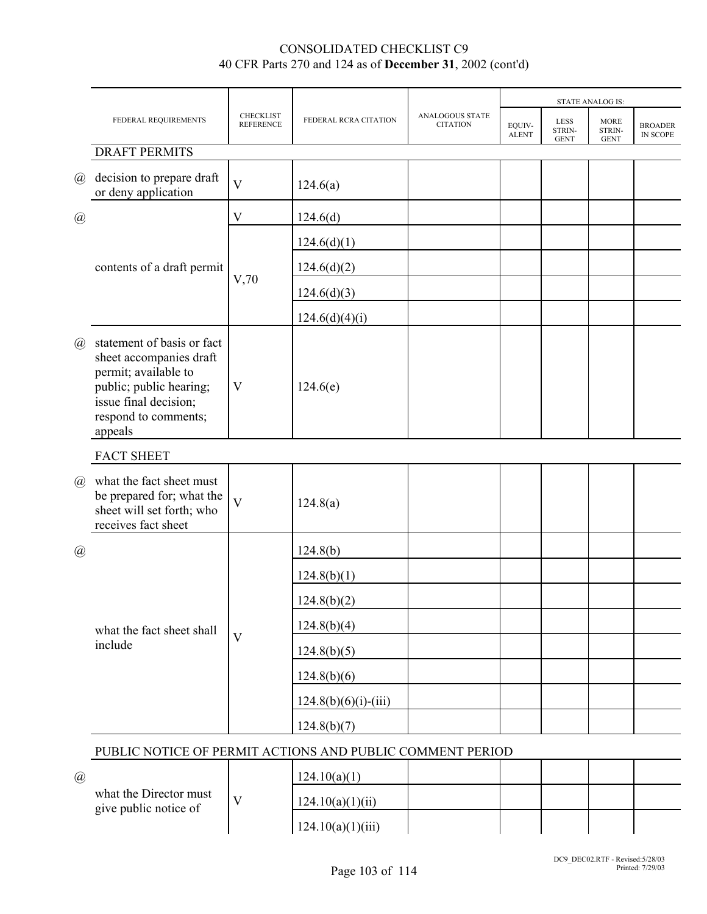|                             |                                                                                                                                                                      |                                      |                        |                                           |                        |                                      | <b>STATE ANALOG IS:</b>              |                            |
|-----------------------------|----------------------------------------------------------------------------------------------------------------------------------------------------------------------|--------------------------------------|------------------------|-------------------------------------------|------------------------|--------------------------------------|--------------------------------------|----------------------------|
|                             | FEDERAL REQUIREMENTS                                                                                                                                                 | <b>CHECKLIST</b><br><b>REFERENCE</b> | FEDERAL RCRA CITATION  | <b>ANALOGOUS STATE</b><br><b>CITATION</b> | EQUIV-<br><b>ALENT</b> | <b>LESS</b><br>STRIN-<br><b>GENT</b> | <b>MORE</b><br>STRIN-<br><b>GENT</b> | <b>BROADER</b><br>IN SCOPE |
|                             | <b>DRAFT PERMITS</b>                                                                                                                                                 |                                      |                        |                                           |                        |                                      |                                      |                            |
| $\left(\overline{a}\right)$ | decision to prepare draft<br>or deny application                                                                                                                     | V                                    | 124.6(a)               |                                           |                        |                                      |                                      |                            |
| $\circleda$                 |                                                                                                                                                                      | $\rm V$                              | 124.6(d)               |                                           |                        |                                      |                                      |                            |
|                             | contents of a draft permit                                                                                                                                           |                                      | 124.6(d)(1)            |                                           |                        |                                      |                                      |                            |
|                             |                                                                                                                                                                      |                                      | 124.6(d)(2)            |                                           |                        |                                      |                                      |                            |
|                             |                                                                                                                                                                      | V,70                                 | 124.6(d)(3)            |                                           |                        |                                      |                                      |                            |
|                             |                                                                                                                                                                      |                                      | 124.6(d)(4)(i)         |                                           |                        |                                      |                                      |                            |
| $\mathcal{a}$               | statement of basis or fact<br>sheet accompanies draft<br>permit; available to<br>public; public hearing;<br>issue final decision;<br>respond to comments;<br>appeals | V                                    | 124.6(e)               |                                           |                        |                                      |                                      |                            |
|                             | <b>FACT SHEET</b>                                                                                                                                                    |                                      |                        |                                           |                        |                                      |                                      |                            |
| $\omega$                    | what the fact sheet must<br>be prepared for; what the<br>sheet will set forth; who<br>receives fact sheet                                                            | $\overline{\mathbf{V}}$              | 124.8(a)               |                                           |                        |                                      |                                      |                            |
| $\circleda$                 |                                                                                                                                                                      |                                      | 124.8(b)               |                                           |                        |                                      |                                      |                            |
|                             |                                                                                                                                                                      |                                      | 124.8(b)(1)            |                                           |                        |                                      |                                      |                            |
|                             |                                                                                                                                                                      |                                      | 124.8(b)(2)            |                                           |                        |                                      |                                      |                            |
|                             | what the fact sheet shall                                                                                                                                            |                                      | 124.8(b)(4)            |                                           |                        |                                      |                                      |                            |
|                             | include                                                                                                                                                              | $\overline{\mathbf{V}}$              | 124.8(b)(5)            |                                           |                        |                                      |                                      |                            |
|                             |                                                                                                                                                                      |                                      | 124.8(b)(6)            |                                           |                        |                                      |                                      |                            |
|                             |                                                                                                                                                                      |                                      | $124.8(b)(6)(i)-(iii)$ |                                           |                        |                                      |                                      |                            |
|                             |                                                                                                                                                                      |                                      | 124.8(b)(7)            |                                           |                        |                                      |                                      |                            |
|                             | PUBLIC NOTICE OF PERMIT ACTIONS AND PUBLIC COMMENT PERIOD                                                                                                            |                                      |                        |                                           |                        |                                      |                                      |                            |
| $\circleda$                 |                                                                                                                                                                      |                                      | 124.10(a)(1)           |                                           |                        |                                      |                                      |                            |
|                             | what the Director must<br>give public notice of                                                                                                                      | $\mathbf V$                          | 124.10(a)(1)(ii)       |                                           |                        |                                      |                                      |                            |

124.10(a)(1)(iii)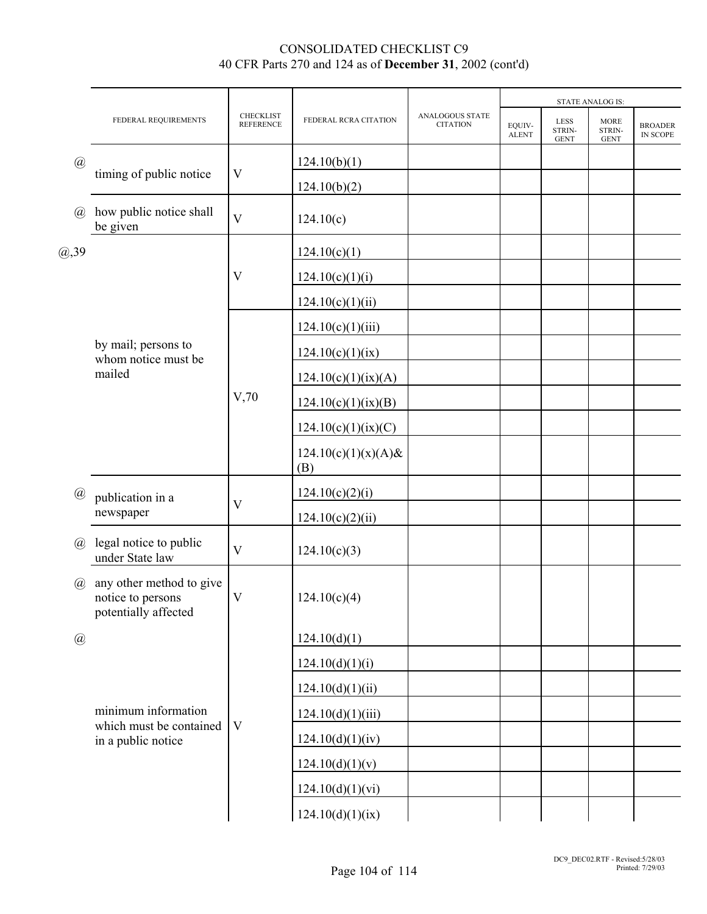|                             |                                                                       |                                      |                               |                                    |                        |                                      | <b>STATE ANALOG IS:</b>              |                                   |
|-----------------------------|-----------------------------------------------------------------------|--------------------------------------|-------------------------------|------------------------------------|------------------------|--------------------------------------|--------------------------------------|-----------------------------------|
|                             | FEDERAL REQUIREMENTS                                                  | <b>CHECKLIST</b><br><b>REFERENCE</b> | FEDERAL RCRA CITATION         | ANALOGOUS STATE<br><b>CITATION</b> | EQUIV-<br><b>ALENT</b> | <b>LESS</b><br>STRIN-<br><b>GENT</b> | <b>MORE</b><br>STRIN-<br><b>GENT</b> | <b>BROADER</b><br><b>IN SCOPE</b> |
| $\circleda$                 |                                                                       |                                      | 124.10(b)(1)                  |                                    |                        |                                      |                                      |                                   |
|                             | timing of public notice                                               | V                                    | 124.10(b)(2)                  |                                    |                        |                                      |                                      |                                   |
| $\mathcal{a}$               | how public notice shall<br>be given                                   | $\overline{V}$                       | 124.10(c)                     |                                    |                        |                                      |                                      |                                   |
| (0, 39)                     |                                                                       |                                      | 124.10(c)(1)                  |                                    |                        |                                      |                                      |                                   |
|                             |                                                                       | V                                    | 124.10(c)(1)(i)               |                                    |                        |                                      |                                      |                                   |
|                             |                                                                       |                                      | 124.10(c)(1)(ii)              |                                    |                        |                                      |                                      |                                   |
|                             |                                                                       |                                      | 124.10(c)(1)(iii)             |                                    |                        |                                      |                                      |                                   |
|                             | by mail; persons to<br>whom notice must be                            |                                      | 124.10(c)(1)(ix)              |                                    |                        |                                      |                                      |                                   |
|                             | mailed                                                                |                                      | 124.10(c)(1)(ix)(A)           |                                    |                        |                                      |                                      |                                   |
|                             |                                                                       | V,70                                 | 124.10(c)(1)(ix)(B)           |                                    |                        |                                      |                                      |                                   |
|                             |                                                                       |                                      | 124.10(c)(1)(ix)(C)           |                                    |                        |                                      |                                      |                                   |
|                             |                                                                       |                                      | $124.10(c)(1)(x)(A)$ &<br>(B) |                                    |                        |                                      |                                      |                                   |
| $^{\textregistered}$        | publication in a                                                      |                                      | 124.10(c)(2)(i)               |                                    |                        |                                      |                                      |                                   |
|                             | newspaper                                                             | $\mathbf V$                          | 124.10(c)(2)(ii)              |                                    |                        |                                      |                                      |                                   |
| $\mathcal{D}_{\mathcal{A}}$ | legal notice to public<br>under State law                             | V                                    | 124.10(c)(3)                  |                                    |                        |                                      |                                      |                                   |
| $\mathcal{a}$               | any other method to give<br>notice to persons<br>potentially affected | $\ensuremath{\text{V}}$              | 124.10(c)(4)                  |                                    |                        |                                      |                                      |                                   |
| $\circleda$                 |                                                                       |                                      | 124.10(d)(1)                  |                                    |                        |                                      |                                      |                                   |
|                             |                                                                       |                                      | 124.10(d)(1)(i)               |                                    |                        |                                      |                                      |                                   |
|                             |                                                                       |                                      | 124.10(d)(1)(ii)              |                                    |                        |                                      |                                      |                                   |
|                             | minimum information<br>which must be contained<br>in a public notice  |                                      | 124.10(d)(1)(iii)             |                                    |                        |                                      |                                      |                                   |
|                             |                                                                       | $\mathbf V$                          | 124.10(d)(1)(iv)              |                                    |                        |                                      |                                      |                                   |
|                             |                                                                       |                                      | 124.10(d)(1)(v)               |                                    |                        |                                      |                                      |                                   |
|                             |                                                                       |                                      | 124.10(d)(1)(vi)              |                                    |                        |                                      |                                      |                                   |
|                             |                                                                       |                                      | 124.10(d)(1)(ix)              |                                    |                        |                                      |                                      |                                   |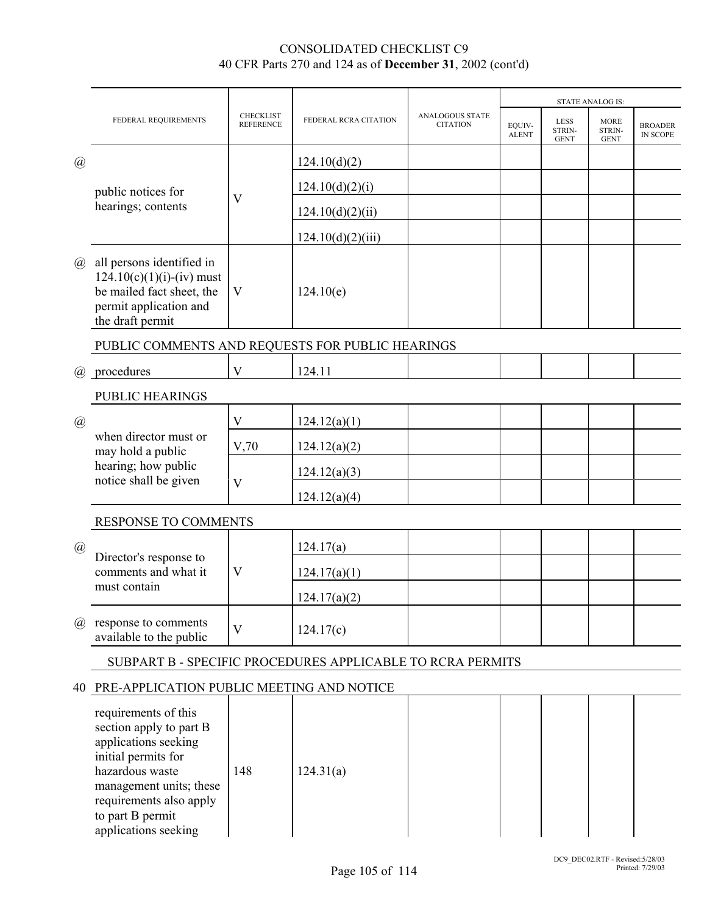|                                                            | FEDERAL REQUIREMENTS                                                                                                                                                                                                | <b>CHECKLIST</b><br><b>REFERENCE</b> | FEDERAL RCRA CITATION | ANALOGOUS STATE<br><b>CITATION</b> | <b>STATE ANALOG IS:</b> |                                      |                                      |                                   |  |
|------------------------------------------------------------|---------------------------------------------------------------------------------------------------------------------------------------------------------------------------------------------------------------------|--------------------------------------|-----------------------|------------------------------------|-------------------------|--------------------------------------|--------------------------------------|-----------------------------------|--|
|                                                            |                                                                                                                                                                                                                     |                                      |                       |                                    | EQUIV-<br><b>ALENT</b>  | <b>LESS</b><br>STRIN-<br><b>GENT</b> | <b>MORE</b><br>STRIN-<br><b>GENT</b> | <b>BROADER</b><br><b>IN SCOPE</b> |  |
| $\circleda$                                                | public notices for<br>hearings; contents                                                                                                                                                                            |                                      | 124.10(d)(2)          |                                    |                         |                                      |                                      |                                   |  |
|                                                            |                                                                                                                                                                                                                     | $\boldsymbol{\mathrm{V}}$            | 124.10(d)(2)(i)       |                                    |                         |                                      |                                      |                                   |  |
|                                                            |                                                                                                                                                                                                                     |                                      | 124.10(d)(2)(ii)      |                                    |                         |                                      |                                      |                                   |  |
|                                                            |                                                                                                                                                                                                                     |                                      | 124.10(d)(2)(iii)     |                                    |                         |                                      |                                      |                                   |  |
| $\mathcal{a}$                                              | all persons identified in<br>$124.10(c)(1)(i)-(iv)$ must<br>be mailed fact sheet, the<br>permit application and<br>the draft permit                                                                                 | $\ensuremath{\mathbf{V}}$            | 124.10(e)             |                                    |                         |                                      |                                      |                                   |  |
|                                                            | PUBLIC COMMENTS AND REQUESTS FOR PUBLIC HEARINGS                                                                                                                                                                    |                                      |                       |                                    |                         |                                      |                                      |                                   |  |
| $\omega$                                                   | procedures                                                                                                                                                                                                          | $\mathbf{V}$                         | 124.11                |                                    |                         |                                      |                                      |                                   |  |
|                                                            | PUBLIC HEARINGS                                                                                                                                                                                                     |                                      |                       |                                    |                         |                                      |                                      |                                   |  |
| $\left(\overline{a}\right)$                                | when director must or<br>may hold a public<br>hearing; how public<br>notice shall be given                                                                                                                          | $\ensuremath{\mathbf{V}}$            | 124.12(a)(1)          |                                    |                         |                                      |                                      |                                   |  |
|                                                            |                                                                                                                                                                                                                     | V,70                                 | 124.12(a)(2)          |                                    |                         |                                      |                                      |                                   |  |
|                                                            |                                                                                                                                                                                                                     | $\mathbf V$                          | 124.12(a)(3)          |                                    |                         |                                      |                                      |                                   |  |
|                                                            |                                                                                                                                                                                                                     |                                      | 124.12(a)(4)          |                                    |                         |                                      |                                      |                                   |  |
|                                                            | RESPONSE TO COMMENTS                                                                                                                                                                                                |                                      |                       |                                    |                         |                                      |                                      |                                   |  |
| $\mathcal{Q}$                                              | Director's response to<br>comments and what it<br>must contain                                                                                                                                                      | $\boldsymbol{\mathrm{V}}$            | 124.17(a)             |                                    |                         |                                      |                                      |                                   |  |
|                                                            |                                                                                                                                                                                                                     |                                      | 124.17(a)(1)          |                                    |                         |                                      |                                      |                                   |  |
|                                                            |                                                                                                                                                                                                                     |                                      | 124.17(a)(2)          |                                    |                         |                                      |                                      |                                   |  |
| (a)                                                        | response to comments<br>available to the public                                                                                                                                                                     | $\ensuremath{\mathbf{V}}$            | 124.17(c)             |                                    |                         |                                      |                                      |                                   |  |
| SUBPART B - SPECIFIC PROCEDURES APPLICABLE TO RCRA PERMITS |                                                                                                                                                                                                                     |                                      |                       |                                    |                         |                                      |                                      |                                   |  |
|                                                            | 40 PRE-APPLICATION PUBLIC MEETING AND NOTICE                                                                                                                                                                        |                                      |                       |                                    |                         |                                      |                                      |                                   |  |
|                                                            | requirements of this<br>section apply to part B<br>applications seeking<br>initial permits for<br>hazardous waste<br>management units; these<br>requirements also apply<br>to part B permit<br>applications seeking | 148                                  | 124.31(a)             |                                    |                         |                                      |                                      |                                   |  |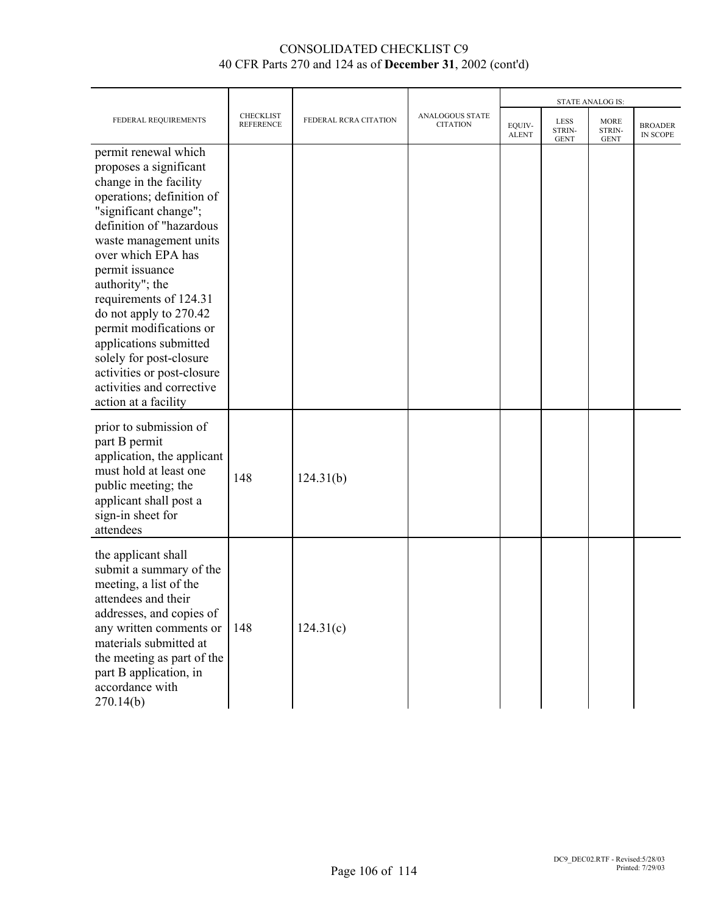|                                                                                                                                                                                                                                                                                                                                                                                                                                                                         |                                      |                       |                                           | <b>STATE ANALOG IS:</b> |                                      |                                      |                                   |
|-------------------------------------------------------------------------------------------------------------------------------------------------------------------------------------------------------------------------------------------------------------------------------------------------------------------------------------------------------------------------------------------------------------------------------------------------------------------------|--------------------------------------|-----------------------|-------------------------------------------|-------------------------|--------------------------------------|--------------------------------------|-----------------------------------|
| FEDERAL REQUIREMENTS                                                                                                                                                                                                                                                                                                                                                                                                                                                    | <b>CHECKLIST</b><br><b>REFERENCE</b> | FEDERAL RCRA CITATION | <b>ANALOGOUS STATE</b><br><b>CITATION</b> | EQUIV-<br><b>ALENT</b>  | <b>LESS</b><br>STRIN-<br><b>GENT</b> | <b>MORE</b><br>STRIN-<br><b>GENT</b> | <b>BROADER</b><br><b>IN SCOPE</b> |
| permit renewal which<br>proposes a significant<br>change in the facility<br>operations; definition of<br>"significant change";<br>definition of "hazardous<br>waste management units<br>over which EPA has<br>permit issuance<br>authority"; the<br>requirements of 124.31<br>do not apply to 270.42<br>permit modifications or<br>applications submitted<br>solely for post-closure<br>activities or post-closure<br>activities and corrective<br>action at a facility |                                      |                       |                                           |                         |                                      |                                      |                                   |
| prior to submission of<br>part B permit<br>application, the applicant<br>must hold at least one<br>public meeting; the<br>applicant shall post a<br>sign-in sheet for<br>attendees                                                                                                                                                                                                                                                                                      | 148                                  | 124.31(b)             |                                           |                         |                                      |                                      |                                   |
| the applicant shall<br>submit a summary of the<br>meeting, a list of the<br>attendees and their<br>addresses, and copies of<br>any written comments or<br>materials submitted at<br>the meeting as part of the<br>part B application, in<br>accordance with<br>270.14(b)                                                                                                                                                                                                | 148                                  | 124.31(c)             |                                           |                         |                                      |                                      |                                   |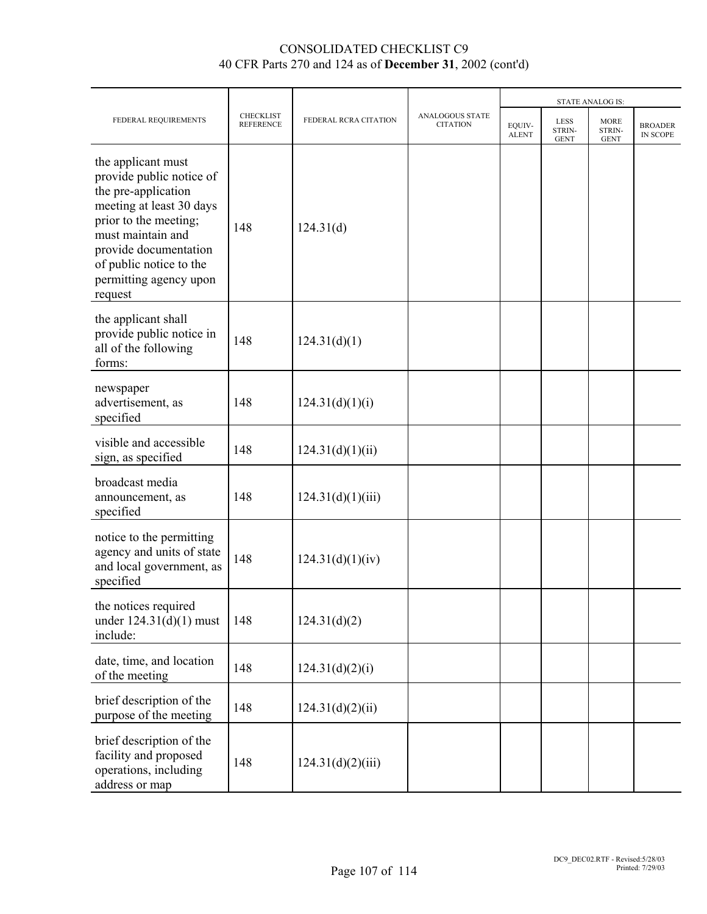|                                                                                                                                                                                                                                          | <b>CHECKLIST</b><br><b>REFERENCE</b> | FEDERAL RCRA CITATION | <b>ANALOGOUS STATE</b><br><b>CITATION</b> | <b>STATE ANALOG IS:</b> |                                      |                                      |                            |  |
|------------------------------------------------------------------------------------------------------------------------------------------------------------------------------------------------------------------------------------------|--------------------------------------|-----------------------|-------------------------------------------|-------------------------|--------------------------------------|--------------------------------------|----------------------------|--|
| FEDERAL REQUIREMENTS                                                                                                                                                                                                                     |                                      |                       |                                           | EQUIV-<br><b>ALENT</b>  | <b>LESS</b><br>STRIN-<br><b>GENT</b> | <b>MORE</b><br>STRIN-<br><b>GENT</b> | <b>BROADER</b><br>IN SCOPE |  |
| the applicant must<br>provide public notice of<br>the pre-application<br>meeting at least 30 days<br>prior to the meeting;<br>must maintain and<br>provide documentation<br>of public notice to the<br>permitting agency upon<br>request | 148                                  | 124.31(d)             |                                           |                         |                                      |                                      |                            |  |
| the applicant shall<br>provide public notice in<br>all of the following<br>forms:                                                                                                                                                        | 148                                  | 124.31(d)(1)          |                                           |                         |                                      |                                      |                            |  |
| newspaper<br>advertisement, as<br>specified                                                                                                                                                                                              | 148                                  | 124.31(d)(1)(i)       |                                           |                         |                                      |                                      |                            |  |
| visible and accessible<br>sign, as specified                                                                                                                                                                                             | 148                                  | 124.31(d)(1)(ii)      |                                           |                         |                                      |                                      |                            |  |
| broadcast media<br>announcement, as<br>specified                                                                                                                                                                                         | 148                                  | 124.31(d)(1)(iii)     |                                           |                         |                                      |                                      |                            |  |
| notice to the permitting<br>agency and units of state<br>and local government, as<br>specified                                                                                                                                           | 148                                  | 124.31(d)(1)(iv)      |                                           |                         |                                      |                                      |                            |  |
| the notices required<br>under $124.31(d)(1)$ must<br>include:                                                                                                                                                                            | 148                                  | 124.31(d)(2)          |                                           |                         |                                      |                                      |                            |  |
| date, time, and location<br>of the meeting                                                                                                                                                                                               | 148                                  | 124.31(d)(2)(i)       |                                           |                         |                                      |                                      |                            |  |
| brief description of the<br>purpose of the meeting                                                                                                                                                                                       | 148                                  | 124.31(d)(2)(ii)      |                                           |                         |                                      |                                      |                            |  |
| brief description of the<br>facility and proposed<br>operations, including<br>address or map                                                                                                                                             | 148                                  | 124.31(d)(2)(iii)     |                                           |                         |                                      |                                      |                            |  |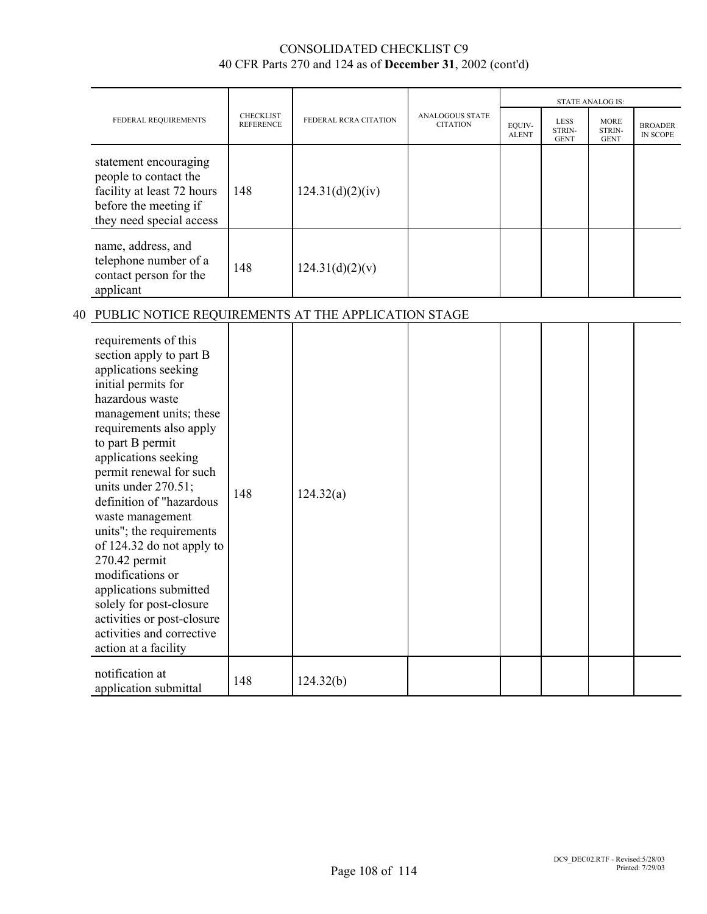|                                                                                                                                   |                                      |                       |                                           | <b>STATE ANALOG IS:</b> |                                      |                                      |                            |
|-----------------------------------------------------------------------------------------------------------------------------------|--------------------------------------|-----------------------|-------------------------------------------|-------------------------|--------------------------------------|--------------------------------------|----------------------------|
| FEDERAL REQUIREMENTS                                                                                                              | <b>CHECKLIST</b><br><b>REFERENCE</b> | FEDERAL RCRA CITATION | <b>ANALOGOUS STATE</b><br><b>CITATION</b> | EQUIV-<br><b>ALENT</b>  | <b>LESS</b><br>STRIN-<br><b>GENT</b> | <b>MORE</b><br>STRIN-<br><b>GENT</b> | <b>BROADER</b><br>IN SCOPE |
| statement encouraging<br>people to contact the<br>facility at least 72 hours<br>before the meeting if<br>they need special access | 148                                  | 124.31(d)(2)(iv)      |                                           |                         |                                      |                                      |                            |
| name, address, and<br>telephone number of a<br>contact person for the<br>applicant                                                | 148                                  | 124.31(d)(2)(v)       |                                           |                         |                                      |                                      |                            |
| PUBLIC NOTICE REQUIREMENTS AT THE APPLICATION STAGE                                                                               |                                      |                       |                                           |                         |                                      |                                      |                            |

# 40 PUBLIC NOTICE REQUIREMENTS AT THE APPLICAT

| requirements of this<br>section apply to part B<br>applications seeking<br>initial permits for<br>hazardous waste<br>management units; these<br>requirements also apply<br>to part B permit<br>applications seeking<br>permit renewal for such<br>units under $270.51$ ;<br>definition of "hazardous<br>waste management<br>units"; the requirements<br>of 124.32 do not apply to<br>270.42 permit<br>modifications or<br>applications submitted<br>solely for post-closure<br>activities or post-closure<br>activities and corrective<br>action at a facility | 148 | 124.32(a) |  |  |  |
|----------------------------------------------------------------------------------------------------------------------------------------------------------------------------------------------------------------------------------------------------------------------------------------------------------------------------------------------------------------------------------------------------------------------------------------------------------------------------------------------------------------------------------------------------------------|-----|-----------|--|--|--|
| notification at<br>application submittal                                                                                                                                                                                                                                                                                                                                                                                                                                                                                                                       | 148 | 124.32(b) |  |  |  |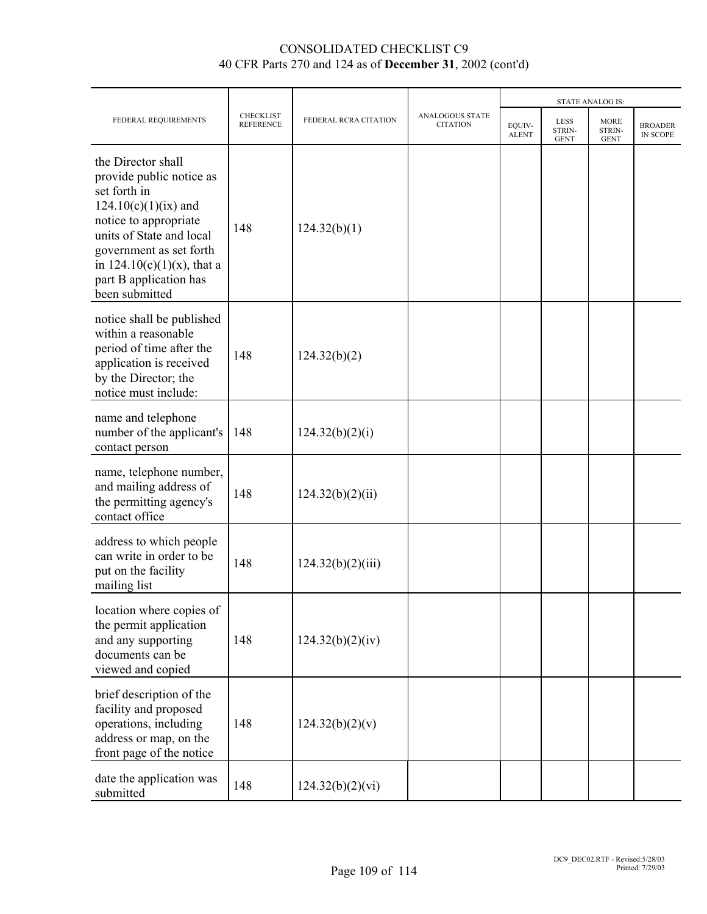|                                                                                                                                                                                                                                                       |                                      |                       |                                           | <b>STATE ANALOG IS:</b> |                                      |                                      |                            |
|-------------------------------------------------------------------------------------------------------------------------------------------------------------------------------------------------------------------------------------------------------|--------------------------------------|-----------------------|-------------------------------------------|-------------------------|--------------------------------------|--------------------------------------|----------------------------|
| FEDERAL REQUIREMENTS                                                                                                                                                                                                                                  | <b>CHECKLIST</b><br><b>REFERENCE</b> | FEDERAL RCRA CITATION | <b>ANALOGOUS STATE</b><br><b>CITATION</b> | EQUIV-<br><b>ALENT</b>  | <b>LESS</b><br>STRIN-<br><b>GENT</b> | <b>MORE</b><br>STRIN-<br><b>GENT</b> | <b>BROADER</b><br>IN SCOPE |
| the Director shall<br>provide public notice as<br>set forth in<br>$124.10(c)(1)(ix)$ and<br>notice to appropriate<br>units of State and local<br>government as set forth<br>in $124.10(c)(1)(x)$ , that a<br>part B application has<br>been submitted | 148                                  | 124.32(b)(1)          |                                           |                         |                                      |                                      |                            |
| notice shall be published<br>within a reasonable<br>period of time after the<br>application is received<br>by the Director; the<br>notice must include:                                                                                               | 148                                  | 124.32(b)(2)          |                                           |                         |                                      |                                      |                            |
| name and telephone<br>number of the applicant's<br>contact person                                                                                                                                                                                     | 148                                  | 124.32(b)(2)(i)       |                                           |                         |                                      |                                      |                            |
| name, telephone number,<br>and mailing address of<br>the permitting agency's<br>contact office                                                                                                                                                        | 148                                  | 124.32(b)(2)(ii)      |                                           |                         |                                      |                                      |                            |
| address to which people<br>can write in order to be<br>put on the facility<br>mailing list                                                                                                                                                            | 148                                  | 124.32(b)(2)(iii)     |                                           |                         |                                      |                                      |                            |
| location where copies of<br>the permit application<br>and any supporting<br>documents can be<br>viewed and copied                                                                                                                                     | 148                                  | 124.32(b)(2)(iv)      |                                           |                         |                                      |                                      |                            |
| brief description of the<br>facility and proposed<br>operations, including<br>address or map, on the<br>front page of the notice                                                                                                                      | 148                                  | 124.32(b)(2)(v)       |                                           |                         |                                      |                                      |                            |
| date the application was<br>submitted                                                                                                                                                                                                                 | 148                                  | 124.32(b)(2)(vi)      |                                           |                         |                                      |                                      |                            |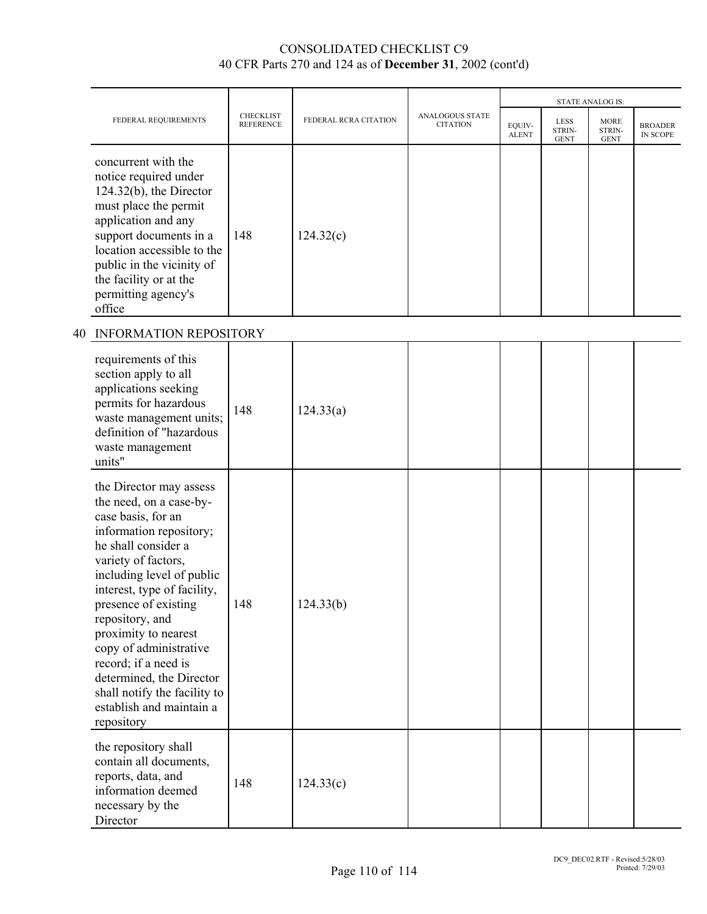|                                                                                                                                                                                                                                                                                                                                                                                                                                          |                                      |                       |                                    | <b>STATE ANALOG IS:</b> |                                      |                                      |                            |
|------------------------------------------------------------------------------------------------------------------------------------------------------------------------------------------------------------------------------------------------------------------------------------------------------------------------------------------------------------------------------------------------------------------------------------------|--------------------------------------|-----------------------|------------------------------------|-------------------------|--------------------------------------|--------------------------------------|----------------------------|
| FEDERAL REQUIREMENTS                                                                                                                                                                                                                                                                                                                                                                                                                     | <b>CHECKLIST</b><br><b>REFERENCE</b> | FEDERAL RCRA CITATION | ANALOGOUS STATE<br><b>CITATION</b> | EQUIV-<br><b>ALENT</b>  | <b>LESS</b><br>STRIN-<br><b>GENT</b> | <b>MORE</b><br>STRIN-<br><b>GENT</b> | <b>BROADER</b><br>IN SCOPE |
| concurrent with the<br>notice required under<br>$124.32(b)$ , the Director<br>must place the permit<br>application and any<br>support documents in a<br>location accessible to the<br>public in the vicinity of<br>the facility or at the<br>permitting agency's<br>office                                                                                                                                                               | 148                                  | 124.32(c)             |                                    |                         |                                      |                                      |                            |
| 40 INFORMATION REPOSITORY                                                                                                                                                                                                                                                                                                                                                                                                                |                                      |                       |                                    |                         |                                      |                                      |                            |
| requirements of this<br>section apply to all<br>applications seeking<br>permits for hazardous<br>waste management units;<br>definition of "hazardous<br>waste management<br>units"                                                                                                                                                                                                                                                       | 148                                  | 124.33(a)             |                                    |                         |                                      |                                      |                            |
| the Director may assess<br>the need, on a case-by-<br>case basis, for an<br>information repository;<br>he shall consider a<br>variety of factors,<br>including level of public<br>interest, type of facility,<br>presence of existing<br>repository, and<br>proximity to nearest<br>copy of administrative<br>record; if a need is<br>determined, the Director<br>shall notify the facility to<br>establish and maintain a<br>repository | 148                                  | 124.33(b)             |                                    |                         |                                      |                                      |                            |
| the repository shall<br>contain all documents,<br>reports, data, and<br>information deemed<br>necessary by the<br>Director                                                                                                                                                                                                                                                                                                               | 148                                  | 124.33(c)             |                                    |                         |                                      |                                      |                            |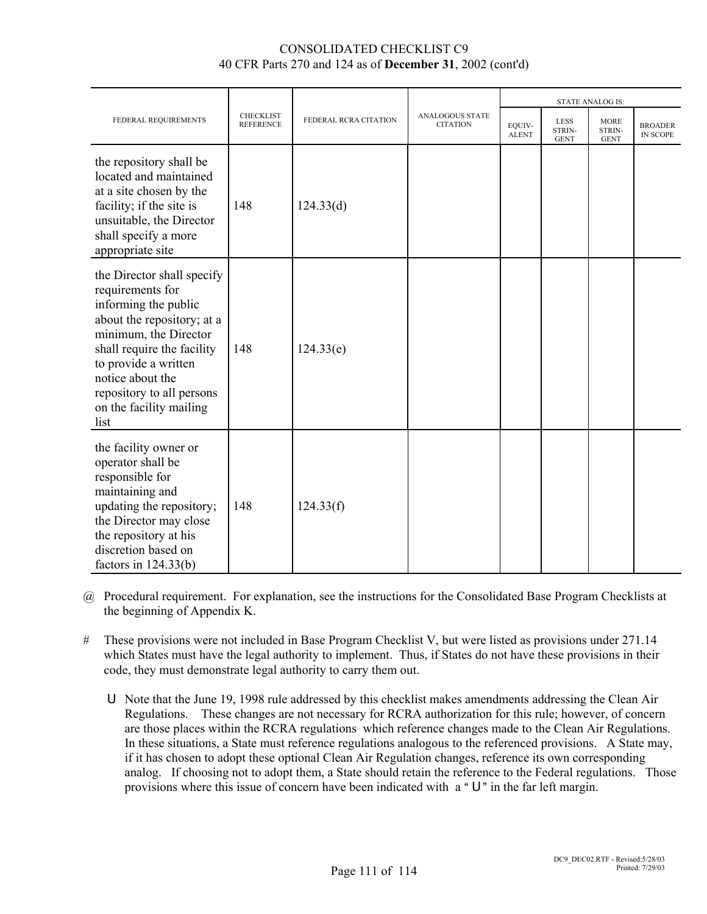|                                                                                                                                                                                                                                                                         | <b>CHECKLIST</b><br><b>REFERENCE</b> | FEDERAL RCRA CITATION | <b>ANALOGOUS STATE</b><br><b>CITATION</b> | <b>STATE ANALOG IS:</b> |                                      |                                      |                                   |
|-------------------------------------------------------------------------------------------------------------------------------------------------------------------------------------------------------------------------------------------------------------------------|--------------------------------------|-----------------------|-------------------------------------------|-------------------------|--------------------------------------|--------------------------------------|-----------------------------------|
| FEDERAL REQUIREMENTS                                                                                                                                                                                                                                                    |                                      |                       |                                           | EQUIV-<br><b>ALENT</b>  | <b>LESS</b><br>STRIN-<br><b>GENT</b> | <b>MORE</b><br>STRIN-<br><b>GENT</b> | <b>BROADER</b><br><b>IN SCOPE</b> |
| the repository shall be<br>located and maintained<br>at a site chosen by the<br>facility; if the site is<br>unsuitable, the Director<br>shall specify a more<br>appropriate site                                                                                        | 148                                  | 124.33(d)             |                                           |                         |                                      |                                      |                                   |
| the Director shall specify<br>requirements for<br>informing the public<br>about the repository; at a<br>minimum, the Director<br>shall require the facility<br>to provide a written<br>notice about the<br>repository to all persons<br>on the facility mailing<br>list | 148                                  | 124.33(e)             |                                           |                         |                                      |                                      |                                   |
| the facility owner or<br>operator shall be<br>responsible for<br>maintaining and<br>updating the repository;<br>the Director may close<br>the repository at his<br>discretion based on<br>factors in $124.33(b)$                                                        | 148                                  | 124.33(f)             |                                           |                         |                                      |                                      |                                   |

- @ Procedural requirement. For explanation, see the instructions for the Consolidated Base Program Checklists at the beginning of Appendix K.
- # These provisions were not included in Base Program Checklist V, but were listed as provisions under 271.14 which States must have the legal authority to implement. Thus, if States do not have these provisions in their code, they must demonstrate legal authority to carry them out.
	- U Note that the June 19, 1998 rule addressed by this checklist makes amendments addressing the Clean Air Regulations. These changes are not necessary for RCRA authorization for this rule; however, of concern are those places within the RCRA regulations which reference changes made to the Clean Air Regulations. In these situations, a State must reference regulations analogous to the referenced provisions. A State may, if it has chosen to adopt these optional Clean Air Regulation changes, reference its own corresponding analog. If choosing not to adopt them, a State should retain the reference to the Federal regulations. Those provisions where this issue of concern have been indicated with  $a \circ U$ " in the far left margin.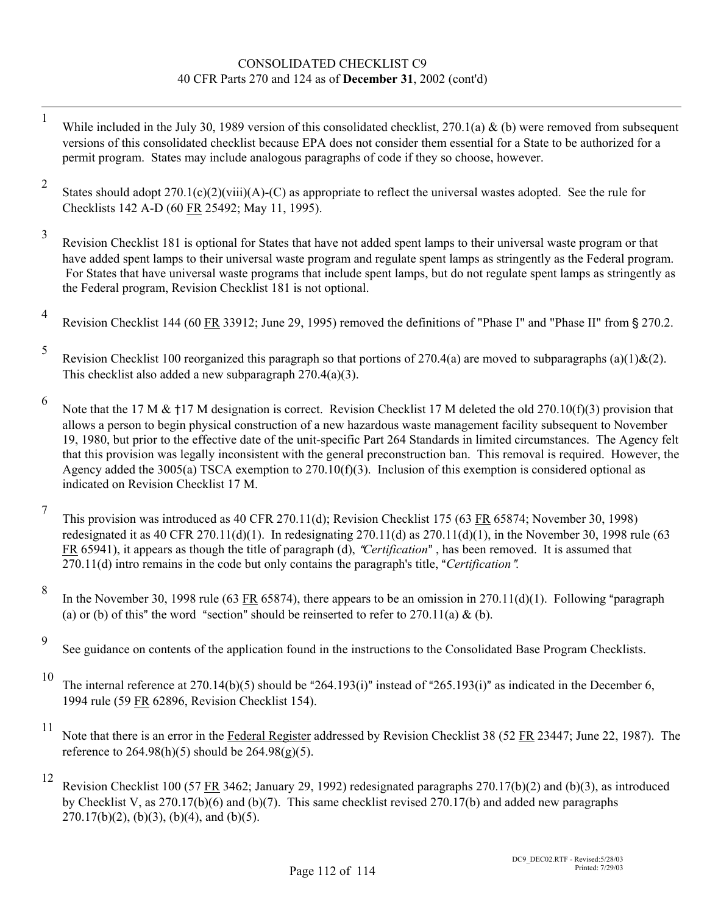- 1 While included in the July 30, 1989 version of this consolidated checklist,  $270.1(a)$  & (b) were removed from subsequent versions of this consolidated checklist because EPA does not consider them essential for a State to be authorized for a permit program. States may include analogous paragraphs of code if they so choose, however.
- 2 States should adopt 270.1(c)(2)(viii)(A)-(C) as appropriate to reflect the universal wastes adopted. See the rule for Checklists 142 A-D (60 FR 25492; May 11, 1995).
- 3 Revision Checklist 181 is optional for States that have not added spent lamps to their universal waste program or that have added spent lamps to their universal waste program and regulate spent lamps as stringently as the Federal program. For States that have universal waste programs that include spent lamps, but do not regulate spent lamps as stringently as the Federal program, Revision Checklist 181 is not optional.
- 4 Revision Checklist 144 (60 FR 33912; June 29, 1995) removed the definitions of "Phase I" and "Phase II" from § 270.2.
- 5 Revision Checklist 100 reorganized this paragraph so that portions of 270.4(a) are moved to subparagraphs (a)(1)&(2). This checklist also added a new subparagraph 270.4(a)(3).
- 6 Note that the 17 M &  $\pm$ 17 M designation is correct. Revision Checklist 17 M deleted the old 270.10(f)(3) provision that allows a person to begin physical construction of a new hazardous waste management facility subsequent to November 19, 1980, but prior to the effective date of the unit-specific Part 264 Standards in limited circumstances. The Agency felt that this provision was legally inconsistent with the general preconstruction ban. This removal is required. However, the Agency added the 3005(a) TSCA exemption to 270.10(f)(3). Inclusion of this exemption is considered optional as indicated on Revision Checklist 17 M.
- 7 This provision was introduced as 40 CFR 270.11(d); Revision Checklist 175 (63 FR 65874; November 30, 1998) redesignated it as 40 CFR 270.11(d)(1). In redesignating 270.11(d) as  $270.11(d)(1)$ , in the November 30, 1998 rule (63 FR 65941), it appears as though the title of paragraph (d), "Certification", has been removed. It is assumed that 270.11(d) intro remains in the code but only contains the paragraph's title, "Certification".
- 8 In the November 30, 1998 rule (63 FR 65874), there appears to be an omission in 270.11(d)(1). Following "paragraph (a) or (b) of this" the word "section" should be reinserted to refer to  $270.11(a) \&$  (b).
- 9 See guidance on contents of the application found in the instructions to the Consolidated Base Program Checklists.
- 10 The internal reference at 270.14(b)(5) should be "264.193(i)" instead of "265.193(i)" as indicated in the December 6, 1994 rule (59 FR 62896, Revision Checklist 154).
- 

<sup>11</sup> Note that there is an error in the Federal Register addressed by Revision Checklist 38 (52 FR 23447; June 22, 1987). The reference to  $264.98(h)(5)$  should be  $264.98(g)(5)$ .

12 Revision Checklist 100 (57 FR 3462; January 29, 1992) redesignated paragraphs 270.17(b)(2) and (b)(3), as introduced by Checklist V, as 270.17(b)(6) and (b)(7). This same checklist revised 270.17(b) and added new paragraphs  $270.17(b)(2)$ , (b)(3), (b)(4), and (b)(5).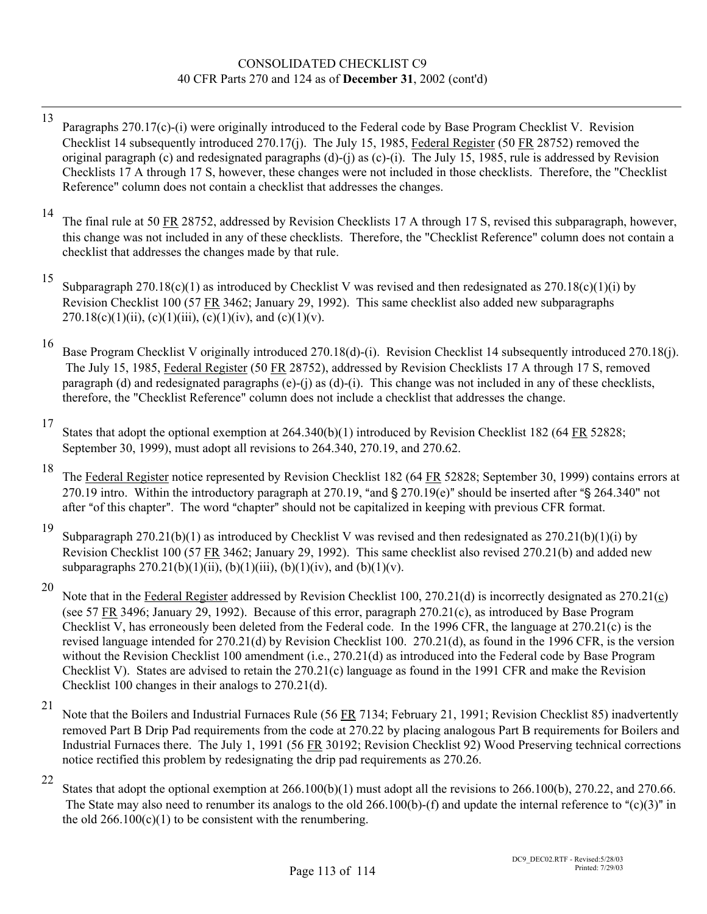- 13 Paragraphs 270.17(c)-(i) were originally introduced to the Federal code by Base Program Checklist V. Revision Checklist 14 subsequently introduced 270.17(j). The July 15, 1985, Federal Register (50 FR 28752) removed the original paragraph (c) and redesignated paragraphs (d)-(j) as (c)-(i). The July 15, 1985, rule is addressed by Revision Checklists 17 A through 17 S, however, these changes were not included in those checklists. Therefore, the "Checklist Reference" column does not contain a checklist that addresses the changes.
- <sup>14</sup> The final rule at 50 FR 28752, addressed by Revision Checklists 17 A through 17 S, revised this subparagraph, however, this change was not included in any of these checklists. Therefore, the "Checklist Reference" column does not contain a checklist that addresses the changes made by that rule.

<sup>15</sup> Subparagraph 270.18(c)(1) as introduced by Checklist V was revised and then redesignated as 270.18(c)(1)(i) by Revision Checklist 100 (57 FR 3462; January 29, 1992). This same checklist also added new subparagraphs 270.18(c)(1)(ii), (c)(1)(iii), (c)(1)(iv), and (c)(1)(v).

16 Base Program Checklist V originally introduced 270.18(d)-(i). Revision Checklist 14 subsequently introduced 270.18(j). The July 15, 1985, Federal Register (50 FR 28752), addressed by Revision Checklists 17 A through 17 S, removed paragraph (d) and redesignated paragraphs (e)-(j) as  $(d)$ -(i). This change was not included in any of these checklists, therefore, the "Checklist Reference" column does not include a checklist that addresses the change.

18 The Federal Register notice represented by Revision Checklist 182 (64 FR 52828; September 30, 1999) contains errors at 270.19 intro. Within the introductory paragraph at 270.19, "and  $\S$  270.19(e)" should be inserted after " $\S$  264.340" not after "of this chapter". The word "chapter" should not be capitalized in keeping with previous CFR format.

<sup>19</sup> Subparagraph 270.21(b)(1) as introduced by Checklist V was revised and then redesignated as  $270.21(b)(1)(i)$  by Revision Checklist 100 (57 FR 3462; January 29, 1992). This same checklist also revised 270.21(b) and added new subparagraphs  $270.21(b)(1)(ii)$ ,  $(b)(1)(iii)$ ,  $(b)(1)(iv)$ , and  $(b)(1)(v)$ .

<sup>20</sup> Note that in the Federal Register addressed by Revision Checklist 100, 270.21(d) is incorrectly designated as 270.21(c) (see 57 FR 3496; January 29, 1992). Because of this error, paragraph 270.21(c), as introduced by Base Program Checklist V, has erroneously been deleted from the Federal code. In the 1996 CFR, the language at 270.21(c) is the revised language intended for 270.21(d) by Revision Checklist 100. 270.21(d), as found in the 1996 CFR, is the version without the Revision Checklist 100 amendment (i.e., 270.21(d) as introduced into the Federal code by Base Program Checklist V). States are advised to retain the 270.21(c) language as found in the 1991 CFR and make the Revision Checklist 100 changes in their analogs to 270.21(d).

21 Note that the Boilers and Industrial Furnaces Rule (56 FR 7134; February 21, 1991; Revision Checklist 85) inadvertently removed Part B Drip Pad requirements from the code at 270.22 by placing analogous Part B requirements for Boilers and Industrial Furnaces there. The July 1, 1991 (56 FR 30192; Revision Checklist 92) Wood Preserving technical corrections notice rectified this problem by redesignating the drip pad requirements as 270.26.

<sup>22</sup> States that adopt the optional exemption at 266.100(b)(1) must adopt all the revisions to 266.100(b), 270.22, and 270.66. The State may also need to renumber its analogs to the old 266.100(b)-(f) and update the internal reference to " $(c)(3)$ " in the old  $266.100(c)(1)$  to be consistent with the renumbering.

<sup>17</sup> States that adopt the optional exemption at 264.340(b)(1) introduced by Revision Checklist 182 (64 FR 52828; September 30, 1999), must adopt all revisions to 264.340, 270.19, and 270.62.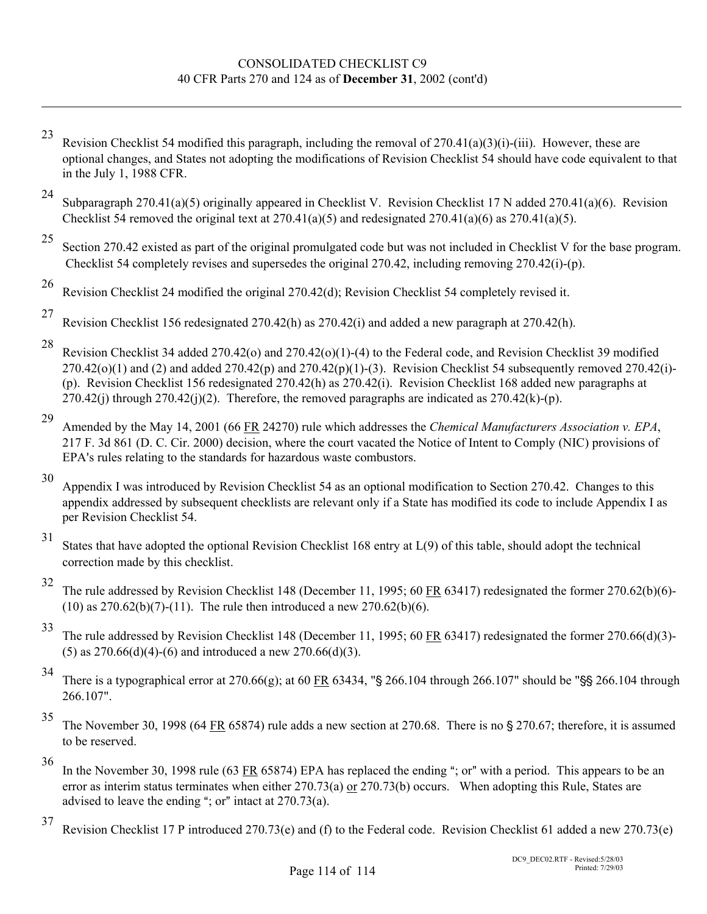- 23 Revision Checklist 54 modified this paragraph, including the removal of  $270.41(a)(3)(i)$ -(iii). However, these are optional changes, and States not adopting the modifications of Revision Checklist 54 should have code equivalent to that in the July 1, 1988 CFR.
- <sup>24</sup> Subparagraph 270.41(a)(5) originally appeared in Checklist V. Revision Checklist 17 N added 270.41(a)(6). Revision Checklist 54 removed the original text at 270.41(a)(5) and redesignated 270.41(a)(6) as 270.41(a)(5).
- 

 $\overline{a}$ 

<sup>25</sup> Section 270.42 existed as part of the original promulgated code but was not included in Checklist V for the base program. Checklist 54 completely revises and supersedes the original 270.42, including removing 270.42(i)-(p).

- 
- 26 Revision Checklist 24 modified the original 270.42(d); Revision Checklist 54 completely revised it.
- 27 Revision Checklist 156 redesignated 270.42(h) as 270.42(i) and added a new paragraph at 270.42(h).
- 

<sup>28</sup> Revision Checklist 34 added 270.42(o) and 270.42(o)(1)-(4) to the Federal code, and Revision Checklist 39 modified  $270.42(0)(1)$  and  $(2)$  and added  $270.42(p)$  and  $270.42(p)(1)$ -(3). Revision Checklist 54 subsequently removed  $270.42(i)$ -(p). Revision Checklist 156 redesignated 270.42(h) as 270.42(i). Revision Checklist 168 added new paragraphs at  $270.42$ (j) through  $270.42$ (j)(2). Therefore, the removed paragraphs are indicated as  $270.42$ (k)-(p).

29 Amended by the May 14, 2001 (66 FR 24270) rule which addresses the *Chemical Manufacturers Association v. EPA*, 217 F. 3d 861 (D. C. Cir. 2000) decision, where the court vacated the Notice of Intent to Comply (NIC) provisions of EPA's rules relating to the standards for hazardous waste combustors.

- 30 Appendix I was introduced by Revision Checklist 54 as an optional modification to Section 270.42. Changes to this appendix addressed by subsequent checklists are relevant only if a State has modified its code to include Appendix I as per Revision Checklist 54.
- 

31 States that have adopted the optional Revision Checklist 168 entry at L(9) of this table, should adopt the technical correction made by this checklist.

32 The rule addressed by Revision Checklist 148 (December 11, 1995; 60 FR 63417) redesignated the former 270.62(b)(6)-  $(10)$  as  $270.62(b)(7)$ - $(11)$ . The rule then introduced a new  $270.62(b)(6)$ .

33 The rule addressed by Revision Checklist 148 (December 11, 1995; 60 FR 63417) redesignated the former 270.66(d)(3)- (5) as  $270.66(d)(4)$ -(6) and introduced a new  $270.66(d)(3)$ .

- <sup>34</sup> There is a typographical error at 270.66(g); at 60 FR 63434, "§ 266.104 through 266.107" should be "\$\$ 266.104 through 266.107".
- 

 $35$  The November 30, 1998 (64 FR 65874) rule adds a new section at 270.68. There is no § 270.67; therefore, it is assumed to be reserved.

 $36$  In the November 30, 1998 rule (63 FR 65874) EPA has replaced the ending "; or" with a period. This appears to be an error as interim status terminates when either 270.73(a) or 270.73(b) occurs. When adopting this Rule, States are advised to leave the ending "; or" intact at  $270.73(a)$ .

37 Revision Checklist 17 P introduced 270.73(e) and (f) to the Federal code. Revision Checklist 61 added a new 270.73(e)